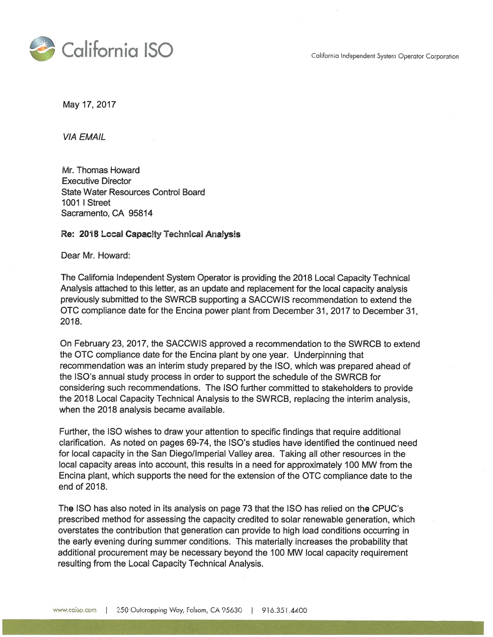California Independent System Operator Corporation



May 17, 2017

**VIA EMAIL** 

Mr. Thomas Howard **Executive Director State Water Resources Control Board 1001 | Street** Sacramento, CA 95814

#### Re: 2018 Local Capacity Technical Analysis

Dear Mr. Howard:

The California Independent System Operator is providing the 2018 Local Capacity Technical Analysis attached to this letter, as an update and replacement for the local capacity analysis previously submitted to the SWRCB supporting a SACCWIS recommendation to extend the OTC compliance date for the Encina power plant from December 31, 2017 to December 31, 2018.

On February 23, 2017, the SACCWIS approved a recommendation to the SWRCB to extend the OTC compliance date for the Encina plant by one year. Underpinning that recommendation was an interim study prepared by the ISO, which was prepared ahead of the ISO's annual study process in order to support the schedule of the SWRCB for considering such recommendations. The ISO further committed to stakeholders to provide the 2018 Local Capacity Technical Analysis to the SWRCB, replacing the interim analysis. when the 2018 analysis became available.

Further, the ISO wishes to draw your attention to specific findings that require additional clarification. As noted on pages 69-74, the ISO's studies have identified the continued need for local capacity in the San Diego/Imperial Valley area. Taking all other resources in the local capacity areas into account, this results in a need for approximately 100 MW from the Encina plant, which supports the need for the extension of the OTC compliance date to the end of 2018.

The ISO has also noted in its analysis on page 73 that the ISO has relied on the CPUC's prescribed method for assessing the capacity credited to solar renewable generation, which overstates the contribution that generation can provide to high load conditions occurring in the early evening during summer conditions. This materially increases the probability that additional procurement may be necessary beyond the 100 MW local capacity requirement resulting from the Local Capacity Technical Analysis.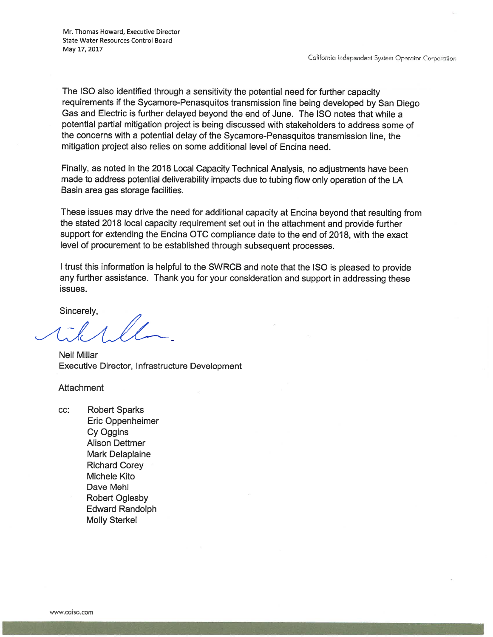The ISO also identified through a sensitivity the potential need for further capacity requirements if the Sycamore-Penasquitos transmission line being developed by San Diego Gas and Electric is further delayed beyond the end of June. The ISO notes that while a potential partial mitigation project is being discussed with stakeholders to address some of the concerns with a potential delay of the Sycamore-Penasquitos transmission line, the mitigation project also relies on some additional level of Encina need.

Finally, as noted in the 2018 Local Capacity Technical Analysis, no adjustments have been made to address potential deliverability impacts due to tubing flow only operation of the LA Basin area gas storage facilities.

These issues may drive the need for additional capacity at Encina beyond that resulting from the stated 2018 local capacity requirement set out in the attachment and provide further support for extending the Encina OTC compliance date to the end of 2018, with the exact level of procurement to be established through subsequent processes.

I trust this information is helpful to the SWRCB and note that the ISO is pleased to provide any further assistance. Thank you for your consideration and support in addressing these issues.

Sincerely,

**Neil Millar** Executive Director, Infrastructure Development

Attachment

CC: **Robert Sparks** Eric Oppenheimer Cy Oggins **Alison Dettmer Mark Delaplaine Richard Corey** Michele Kito Dave Mehl **Robert Oglesby Edward Randolph Molly Sterkel**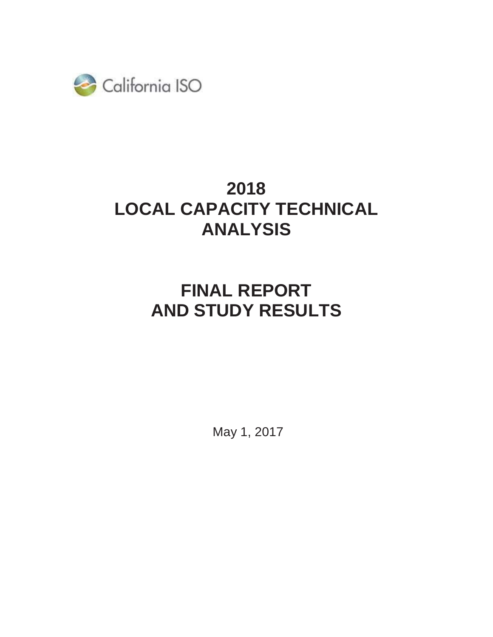

# **2018 LOCAL CAPACITY TECHNICAL ANALYSIS**

# **FINAL REPORT AND STUDY RESULTS**

May 1, 2017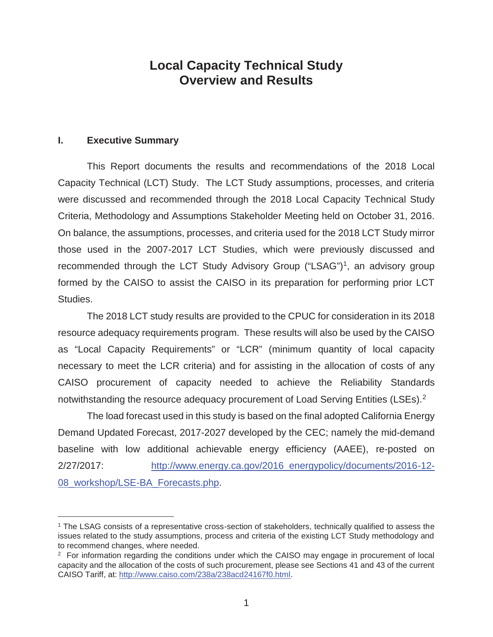# **Local Capacity Technical Study Overview and Results**

#### **I. Executive Summary**

 $\overline{a}$ 

 This Report documents the results and recommendations of the 2018 Local Capacity Technical (LCT) Study. The LCT Study assumptions, processes, and criteria were discussed and recommended through the 2018 Local Capacity Technical Study Criteria, Methodology and Assumptions Stakeholder Meeting held on October 31, 2016. On balance, the assumptions, processes, and criteria used for the 2018 LCT Study mirror those used in the 2007-2017 LCT Studies, which were previously discussed and recommended through the LCT Study Advisory Group ("LSAG")<sup>1</sup>, an advisory group formed by the CAISO to assist the CAISO in its preparation for performing prior LCT Studies.

The 2018 LCT study results are provided to the CPUC for consideration in its 2018 resource adequacy requirements program. These results will also be used by the CAISO as "Local Capacity Requirements" or "LCR" (minimum quantity of local capacity necessary to meet the LCR criteria) and for assisting in the allocation of costs of any CAISO procurement of capacity needed to achieve the Reliability Standards notwithstanding the resource adequacy procurement of Load Serving Entities (LSEs).<sup>2</sup>

The load forecast used in this study is based on the final adopted California Energy Demand Updated Forecast, 2017-2027 developed by the CEC; namely the mid-demand baseline with low additional achievable energy efficiency (AAEE), re-posted on 2/27/2017: http://www.energy.ca.gov/2016\_energypolicy/documents/2016-12- 08\_workshop/LSE-BA\_Forecasts.php.

<sup>1</sup> The LSAG consists of a representative cross-section of stakeholders, technically qualified to assess the issues related to the study assumptions, process and criteria of the existing LCT Study methodology and to recommend changes, where needed.

<sup>&</sup>lt;sup>2</sup> For information regarding the conditions under which the CAISO may engage in procurement of local capacity and the allocation of the costs of such procurement, please see Sections 41 and 43 of the current CAISO Tariff, at: http://www.caiso.com/238a/238acd24167f0.html.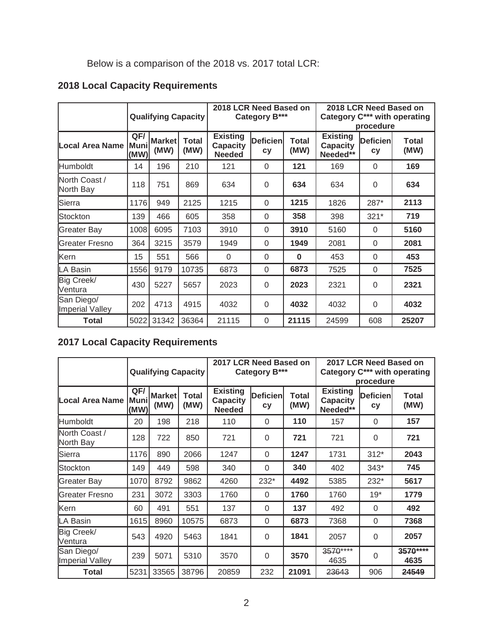Below is a comparison of the 2018 vs. 2017 total LCR:

# **2018 Local Capacity Requirements**

|                               |                     | <b>Qualifying Capacity</b> |                      | 2018 LCR Need Based on<br>Category B***             |                       |               | 2018 LCR Need Based on<br>Category C*** with operating<br>procedure |                              |                      |
|-------------------------------|---------------------|----------------------------|----------------------|-----------------------------------------------------|-----------------------|---------------|---------------------------------------------------------------------|------------------------------|----------------------|
| Local Area Name               | QF/<br>Muni<br>(MW) | <b>Market</b><br>(MW)      | <b>Total</b><br>(MW) | <b>Existing</b><br><b>Capacity</b><br><b>Needed</b> | <b>Deficien</b><br>cy | Total<br>(MW) | <b>Existing</b><br><b>Capacity</b><br>Needed**                      | <b>Deficien</b><br><b>cy</b> | <b>Total</b><br>(MW) |
| <b>Humboldt</b>               | 14                  | 196                        | 210                  | 121                                                 | $\Omega$              | 121           | 169                                                                 | $\Omega$                     | 169                  |
| North Coast /<br>North Bay    | 118                 | 751                        | 869                  | 634                                                 | $\Omega$              | 634           | 634                                                                 | $\Omega$                     | 634                  |
| Sierra                        | 1176                | 949                        | 2125                 | 1215                                                | $\Omega$              | 1215          | 1826                                                                | 287*                         | 2113                 |
| Stockton                      | 139                 | 466                        | 605                  | 358                                                 | $\Omega$              | 358           | 398                                                                 | $321*$                       | 719                  |
| <b>Greater Bay</b>            | 1008                | 6095                       | 7103                 | 3910                                                | $\Omega$              | 3910          | 5160                                                                | $\Omega$                     | 5160                 |
| Greater Fresno                | 364                 | 3215                       | 3579                 | 1949                                                | $\Omega$              | 1949          | 2081                                                                | $\Omega$                     | 2081                 |
| Kern                          | 15                  | 551                        | 566                  | $\Omega$                                            | $\Omega$              | $\bf{0}$      | 453                                                                 | $\Omega$                     | 453                  |
| LA Basin                      | 1556                | 9179                       | 10735                | 6873                                                | 0                     | 6873          | 7525                                                                | $\Omega$                     | 7525                 |
| Big Creek/<br>Ventura         | 430                 | 5227                       | 5657                 | 2023                                                | $\Omega$              | 2023          | 2321                                                                | $\Omega$                     | 2321                 |
| San Diego/<br>Imperial Valley | 202                 | 4713                       | 4915                 | 4032                                                | $\Omega$              | 4032          | 4032                                                                | $\Omega$                     | 4032                 |
| Total                         | 5022                | 31342                      | 36364                | 21115                                               | $\Omega$              | 21115         | 24599                                                               | 608                          | 25207                |

# **2017 Local Capacity Requirements**

|                               |                     | <b>Qualifying Capacity</b> |                      | 2017 LCR Need Based on<br>Category B***             |                              |               | 2017 LCR Need Based on<br>Category C*** with operating<br>procedure |                               |                      |
|-------------------------------|---------------------|----------------------------|----------------------|-----------------------------------------------------|------------------------------|---------------|---------------------------------------------------------------------|-------------------------------|----------------------|
| Local Area Name               | QF/<br>Muni<br>(MW) | <b>Market</b><br>(MW)      | <b>Total</b><br>(MW) | <b>Existing</b><br><b>Capacity</b><br><b>Needed</b> | <b>Deficien</b><br><b>cy</b> | Total<br>(MW) | <b>Existing</b><br><b>Capacity</b><br>Needed**                      | <b>Deficienl</b><br><b>cy</b> | <b>Total</b><br>(MW) |
| <b>Humboldt</b>               | 20                  | 198                        | 218                  | 110                                                 | $\Omega$                     | 110           | 157                                                                 | $\Omega$                      | 157                  |
| North Coast /<br>North Bay    | 128                 | 722                        | 850                  | 721                                                 | $\mathbf 0$                  | 721           | 721                                                                 | 0                             | 721                  |
| Sierra                        | 1176                | 890                        | 2066                 | 1247                                                | $\Omega$                     | 1247          | 1731                                                                | $312*$                        | 2043                 |
| Stockton                      | 149                 | 449                        | 598                  | 340                                                 | $\mathbf 0$                  | 340           | 402                                                                 | $343*$                        | 745                  |
| <b>Greater Bay</b>            | 1070                | 8792                       | 9862                 | 4260                                                | $232*$                       | 4492          | 5385                                                                | 232*                          | 5617                 |
| <b>IGreater Fresno</b>        | 231                 | 3072                       | 3303                 | 1760                                                | $\Omega$                     | 1760          | 1760                                                                | $19*$                         | 1779                 |
| Kern                          | 60                  | 491                        | 551                  | 137                                                 | $\Omega$                     | 137           | 492                                                                 | 0                             | 492                  |
| LA Basin                      | 1615                | 8960                       | 10575                | 6873                                                | 0                            | 6873          | 7368                                                                | 0                             | 7368                 |
| Big Creek/<br>Ventura         | 543                 | 4920                       | 5463                 | 1841                                                | $\mathbf 0$                  | 1841          | 2057                                                                | $\Omega$                      | 2057                 |
| San Diego/<br>Imperial Valley | 239                 | 5071                       | 5310                 | 3570                                                | $\mathbf 0$                  | 3570          | 3570****<br>4635                                                    | 0                             | 3570****<br>4635     |
| <b>Total</b>                  | 5231                | 33565                      | 38796                | 20859                                               | 232                          | 21091         | 23643                                                               | 906                           | 24549                |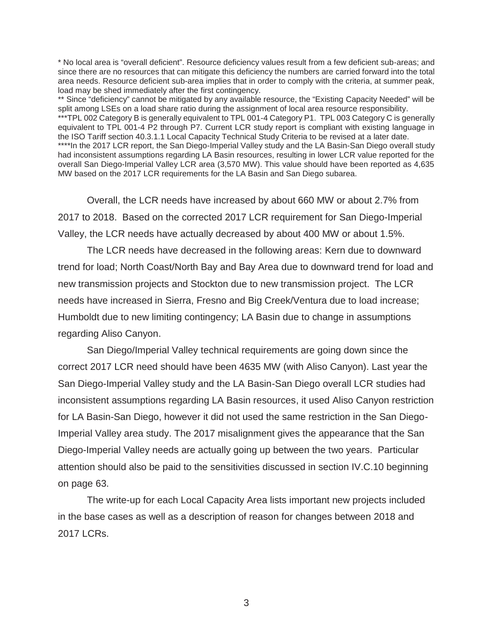\* No local area is "overall deficient". Resource deficiency values result from a few deficient sub-areas; and since there are no resources that can mitigate this deficiency the numbers are carried forward into the total area needs. Resource deficient sub-area implies that in order to comply with the criteria, at summer peak, load may be shed immediately after the first contingency.

\*\* Since "deficiency" cannot be mitigated by any available resource, the "Existing Capacity Needed" will be split among LSEs on a load share ratio during the assignment of local area resource responsibility. \*\*\*TPL 002 Category B is generally equivalent to TPL 001-4 Category P1. TPL 003 Category C is generally equivalent to TPL 001-4 P2 through P7. Current LCR study report is compliant with existing language in the ISO Tariff section 40.3.1.1 Local Capacity Technical Study Criteria to be revised at a later date. \*\*\*\*In the 2017 LCR report, the San Diego-Imperial Valley study and the LA Basin-San Diego overall study had inconsistent assumptions regarding LA Basin resources, resulting in lower LCR value reported for the overall San Diego-Imperial Valley LCR area (3,570 MW). This value should have been reported as 4,635 MW based on the 2017 LCR requirements for the LA Basin and San Diego subarea.

Overall, the LCR needs have increased by about 660 MW or about 2.7% from 2017 to 2018. Based on the corrected 2017 LCR requirement for San Diego-Imperial Valley, the LCR needs have actually decreased by about 400 MW or about 1.5%.

The LCR needs have decreased in the following areas: Kern due to downward trend for load; North Coast/North Bay and Bay Area due to downward trend for load and new transmission projects and Stockton due to new transmission project. The LCR needs have increased in Sierra, Fresno and Big Creek/Ventura due to load increase; Humboldt due to new limiting contingency; LA Basin due to change in assumptions regarding Aliso Canyon.

San Diego/Imperial Valley technical requirements are going down since the correct 2017 LCR need should have been 4635 MW (with Aliso Canyon). Last year the San Diego-Imperial Valley study and the LA Basin-San Diego overall LCR studies had inconsistent assumptions regarding LA Basin resources, it used Aliso Canyon restriction for LA Basin-San Diego, however it did not used the same restriction in the San Diego-Imperial Valley area study. The 2017 misalignment gives the appearance that the San Diego-Imperial Valley needs are actually going up between the two years. Particular attention should also be paid to the sensitivities discussed in section IV.C.10 beginning on page 63.

The write-up for each Local Capacity Area lists important new projects included in the base cases as well as a description of reason for changes between 2018 and 2017 LCRs.

3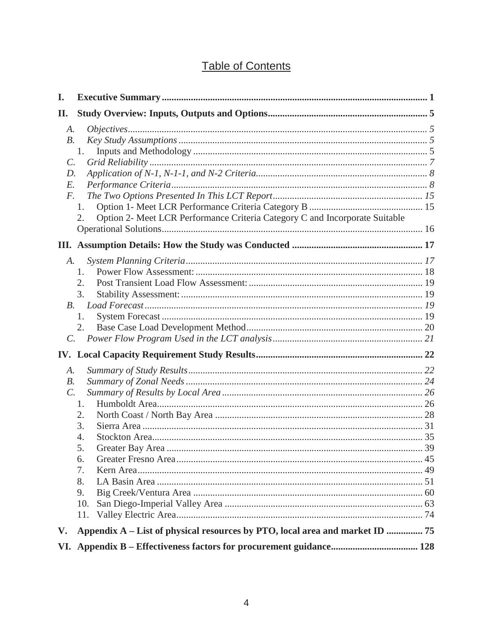# **Table of Contents**

| I.                                               |                                                                                               |  |
|--------------------------------------------------|-----------------------------------------------------------------------------------------------|--|
| П.                                               |                                                                                               |  |
| A.<br>$B$ .<br>$\mathcal{C}$ .<br>D.<br>E.<br>F. | 1.<br>1.<br>Option 2- Meet LCR Performance Criteria Category C and Incorporate Suitable<br>2. |  |
|                                                  |                                                                                               |  |
| $A$ .<br><i>B.</i><br>$\mathcal{C}$ .            | 1.<br>2.<br>3.<br>1.<br>2.                                                                    |  |
|                                                  |                                                                                               |  |
| A.<br>$B$ .<br>$\mathcal{C}$ .                   | 1.<br>2.<br>3.<br>4.<br>5.<br>6.<br>7.<br>8.<br>9.<br>10.<br>11.                              |  |
| V.                                               | Appendix A - List of physical resources by PTO, local area and market ID  75                  |  |
|                                                  |                                                                                               |  |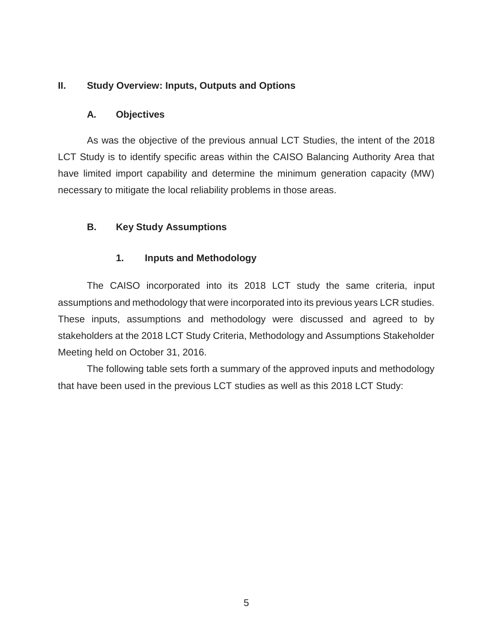#### **II. Study Overview: Inputs, Outputs and Options**

#### **A. Objectives**

As was the objective of the previous annual LCT Studies, the intent of the 2018 LCT Study is to identify specific areas within the CAISO Balancing Authority Area that have limited import capability and determine the minimum generation capacity (MW) necessary to mitigate the local reliability problems in those areas.

#### **B. Key Study Assumptions**

#### **1. Inputs and Methodology**

The CAISO incorporated into its 2018 LCT study the same criteria, input assumptions and methodology that were incorporated into its previous years LCR studies. These inputs, assumptions and methodology were discussed and agreed to by stakeholders at the 2018 LCT Study Criteria, Methodology and Assumptions Stakeholder Meeting held on October 31, 2016.

The following table sets forth a summary of the approved inputs and methodology that have been used in the previous LCT studies as well as this 2018 LCT Study: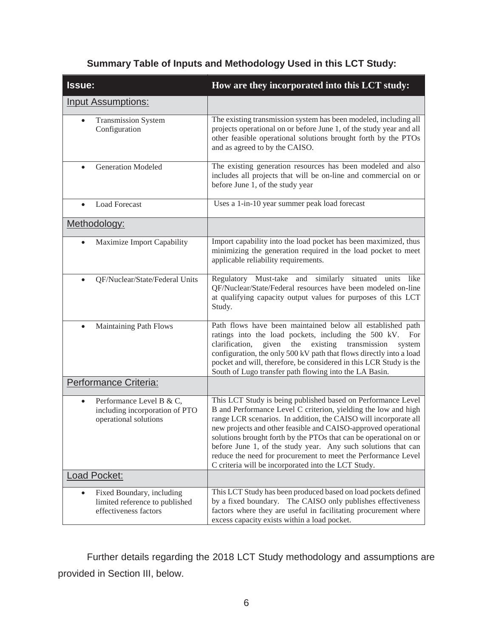| Issue:                                                                                            | How are they incorporated into this LCT study:                                                                                                                                                                                                                                                                                                                                                                                                                                                                                     |
|---------------------------------------------------------------------------------------------------|------------------------------------------------------------------------------------------------------------------------------------------------------------------------------------------------------------------------------------------------------------------------------------------------------------------------------------------------------------------------------------------------------------------------------------------------------------------------------------------------------------------------------------|
| <b>Input Assumptions:</b>                                                                         |                                                                                                                                                                                                                                                                                                                                                                                                                                                                                                                                    |
| <b>Transmission System</b><br>$\bullet$<br>Configuration                                          | The existing transmission system has been modeled, including all<br>projects operational on or before June 1, of the study year and all<br>other feasible operational solutions brought forth by the PTOs<br>and as agreed to by the CAISO.                                                                                                                                                                                                                                                                                        |
| <b>Generation Modeled</b><br>$\bullet$                                                            | The existing generation resources has been modeled and also<br>includes all projects that will be on-line and commercial on or<br>before June 1, of the study year                                                                                                                                                                                                                                                                                                                                                                 |
| <b>Load Forecast</b><br>$\bullet$                                                                 | Uses a 1-in-10 year summer peak load forecast                                                                                                                                                                                                                                                                                                                                                                                                                                                                                      |
| Methodology:                                                                                      |                                                                                                                                                                                                                                                                                                                                                                                                                                                                                                                                    |
| Maximize Import Capability<br>$\bullet$                                                           | Import capability into the load pocket has been maximized, thus<br>minimizing the generation required in the load pocket to meet<br>applicable reliability requirements.                                                                                                                                                                                                                                                                                                                                                           |
| QF/Nuclear/State/Federal Units                                                                    | Regulatory Must-take and similarly situated units like<br>QF/Nuclear/State/Federal resources have been modeled on-line<br>at qualifying capacity output values for purposes of this LCT<br>Study.                                                                                                                                                                                                                                                                                                                                  |
| Maintaining Path Flows                                                                            | Path flows have been maintained below all established path<br>ratings into the load pockets, including the 500 kV.<br>For<br>given<br>the<br>existing<br>clarification,<br>transmission<br>system<br>configuration, the only 500 kV path that flows directly into a load<br>pocket and will, therefore, be considered in this LCR Study is the<br>South of Lugo transfer path flowing into the LA Basin.                                                                                                                           |
| Performance Criteria:                                                                             |                                                                                                                                                                                                                                                                                                                                                                                                                                                                                                                                    |
| Performance Level B & C,<br>$\bullet$<br>including incorporation of PTO<br>operational solutions  | This LCT Study is being published based on Performance Level<br>B and Performance Level C criterion, yielding the low and high<br>range LCR scenarios. In addition, the CAISO will incorporate all<br>new projects and other feasible and CAISO-approved operational<br>solutions brought forth by the PTOs that can be operational on or<br>before June 1, of the study year. Any such solutions that can<br>reduce the need for procurement to meet the Performance Level<br>C criteria will be incorporated into the LCT Study. |
| <b>Load Pocket:</b>                                                                               |                                                                                                                                                                                                                                                                                                                                                                                                                                                                                                                                    |
| Fixed Boundary, including<br>$\bullet$<br>limited reference to published<br>effectiveness factors | This LCT Study has been produced based on load pockets defined<br>by a fixed boundary. The CAISO only publishes effectiveness<br>factors where they are useful in facilitating procurement where<br>excess capacity exists within a load pocket.                                                                                                                                                                                                                                                                                   |

# **Summary Table of Inputs and Methodology Used in this LCT Study:**

Further details regarding the 2018 LCT Study methodology and assumptions are provided in Section III, below.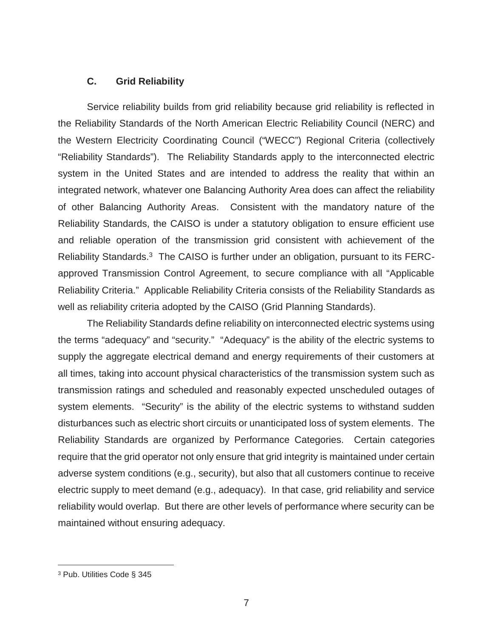#### **C. Grid Reliability**

Service reliability builds from grid reliability because grid reliability is reflected in the Reliability Standards of the North American Electric Reliability Council (NERC) and the Western Electricity Coordinating Council ("WECC") Regional Criteria (collectively "Reliability Standards"). The Reliability Standards apply to the interconnected electric system in the United States and are intended to address the reality that within an integrated network, whatever one Balancing Authority Area does can affect the reliability of other Balancing Authority Areas. Consistent with the mandatory nature of the Reliability Standards, the CAISO is under a statutory obligation to ensure efficient use and reliable operation of the transmission grid consistent with achievement of the Reliability Standards.3 The CAISO is further under an obligation, pursuant to its FERCapproved Transmission Control Agreement, to secure compliance with all "Applicable Reliability Criteria." Applicable Reliability Criteria consists of the Reliability Standards as well as reliability criteria adopted by the CAISO (Grid Planning Standards).

The Reliability Standards define reliability on interconnected electric systems using the terms "adequacy" and "security." "Adequacy" is the ability of the electric systems to supply the aggregate electrical demand and energy requirements of their customers at all times, taking into account physical characteristics of the transmission system such as transmission ratings and scheduled and reasonably expected unscheduled outages of system elements. "Security" is the ability of the electric systems to withstand sudden disturbances such as electric short circuits or unanticipated loss of system elements. The Reliability Standards are organized by Performance Categories. Certain categories require that the grid operator not only ensure that grid integrity is maintained under certain adverse system conditions (e.g., security), but also that all customers continue to receive electric supply to meet demand (e.g., adequacy). In that case, grid reliability and service reliability would overlap. But there are other levels of performance where security can be maintained without ensuring adequacy.

 $\overline{a}$ 

<sup>3</sup> Pub. Utilities Code § 345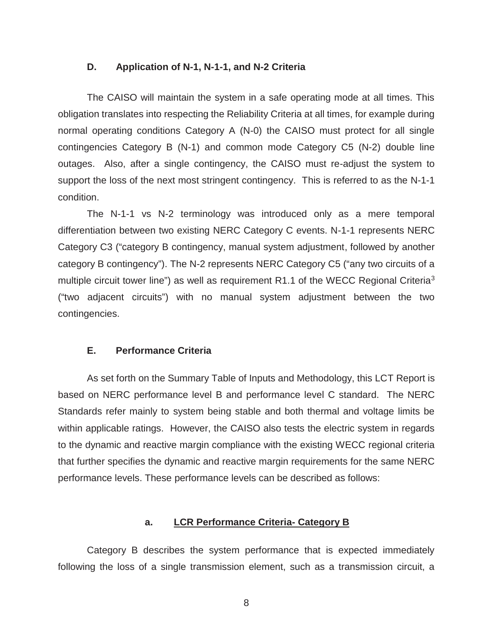#### **D. Application of N-1, N-1-1, and N-2 Criteria**

The CAISO will maintain the system in a safe operating mode at all times. This obligation translates into respecting the Reliability Criteria at all times, for example during normal operating conditions Category A (N-0) the CAISO must protect for all single contingencies Category B (N-1) and common mode Category C5 (N-2) double line outages. Also, after a single contingency, the CAISO must re-adjust the system to support the loss of the next most stringent contingency. This is referred to as the N-1-1 condition.

The N-1-1 vs N-2 terminology was introduced only as a mere temporal differentiation between two existing NERC Category C events. N-1-1 represents NERC Category C3 ("category B contingency, manual system adjustment, followed by another category B contingency"). The N-2 represents NERC Category C5 ("any two circuits of a multiple circuit tower line") as well as requirement R1.1 of the WECC Regional Criteria<sup>3</sup> ("two adjacent circuits") with no manual system adjustment between the two contingencies.

#### **E. Performance Criteria**

As set forth on the Summary Table of Inputs and Methodology, this LCT Report is based on NERC performance level B and performance level C standard. The NERC Standards refer mainly to system being stable and both thermal and voltage limits be within applicable ratings. However, the CAISO also tests the electric system in regards to the dynamic and reactive margin compliance with the existing WECC regional criteria that further specifies the dynamic and reactive margin requirements for the same NERC performance levels. These performance levels can be described as follows:

#### **a. LCR Performance Criteria- Category B**

Category B describes the system performance that is expected immediately following the loss of a single transmission element, such as a transmission circuit, a

8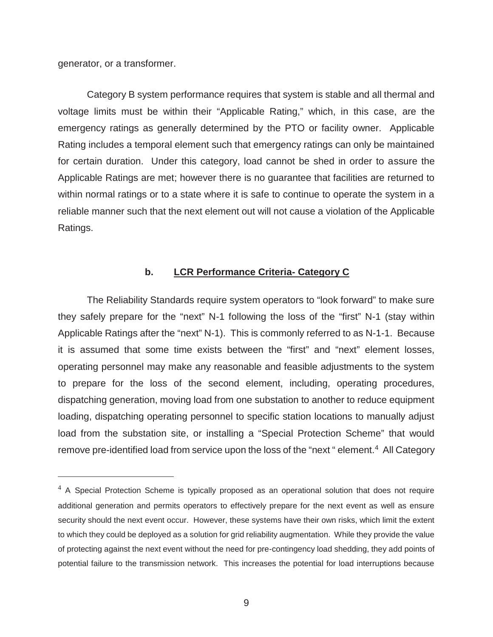generator, or a transformer.

 $\overline{a}$ 

Category B system performance requires that system is stable and all thermal and voltage limits must be within their "Applicable Rating," which, in this case, are the emergency ratings as generally determined by the PTO or facility owner. Applicable Rating includes a temporal element such that emergency ratings can only be maintained for certain duration. Under this category, load cannot be shed in order to assure the Applicable Ratings are met; however there is no guarantee that facilities are returned to within normal ratings or to a state where it is safe to continue to operate the system in a reliable manner such that the next element out will not cause a violation of the Applicable Ratings.

#### **b. LCR Performance Criteria- Category C**

The Reliability Standards require system operators to "look forward" to make sure they safely prepare for the "next" N-1 following the loss of the "first" N-1 (stay within Applicable Ratings after the "next" N-1). This is commonly referred to as N-1-1. Because it is assumed that some time exists between the "first" and "next" element losses, operating personnel may make any reasonable and feasible adjustments to the system to prepare for the loss of the second element, including, operating procedures, dispatching generation, moving load from one substation to another to reduce equipment loading, dispatching operating personnel to specific station locations to manually adjust load from the substation site, or installing a "Special Protection Scheme" that would remove pre-identified load from service upon the loss of the "next" element.<sup>4</sup> All Category

 $4\,$  A Special Protection Scheme is typically proposed as an operational solution that does not require additional generation and permits operators to effectively prepare for the next event as well as ensure security should the next event occur. However, these systems have their own risks, which limit the extent to which they could be deployed as a solution for grid reliability augmentation. While they provide the value of protecting against the next event without the need for pre-contingency load shedding, they add points of potential failure to the transmission network. This increases the potential for load interruptions because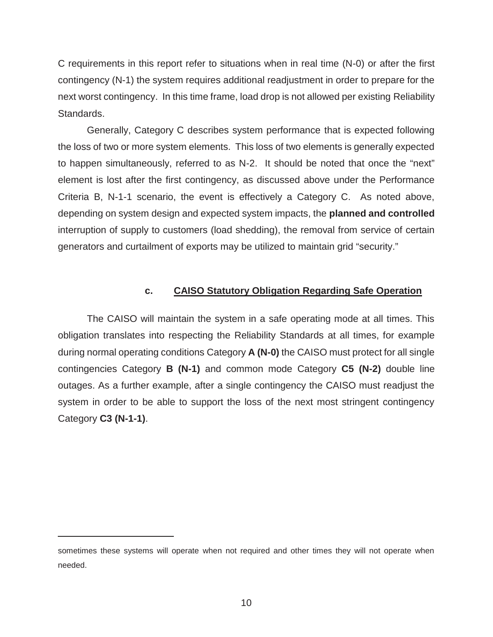C requirements in this report refer to situations when in real time (N-0) or after the first contingency (N-1) the system requires additional readjustment in order to prepare for the next worst contingency. In this time frame, load drop is not allowed per existing Reliability Standards.

Generally, Category C describes system performance that is expected following the loss of two or more system elements. This loss of two elements is generally expected to happen simultaneously, referred to as N-2. It should be noted that once the "next" element is lost after the first contingency, as discussed above under the Performance Criteria B, N-1-1 scenario, the event is effectively a Category C. As noted above, depending on system design and expected system impacts, the **planned and controlled** interruption of supply to customers (load shedding), the removal from service of certain generators and curtailment of exports may be utilized to maintain grid "security."

#### **c. CAISO Statutory Obligation Regarding Safe Operation**

The CAISO will maintain the system in a safe operating mode at all times. This obligation translates into respecting the Reliability Standards at all times, for example during normal operating conditions Category **A (N-0)** the CAISO must protect for all single contingencies Category **B (N-1)** and common mode Category **C5 (N-2)** double line outages. As a further example, after a single contingency the CAISO must readjust the system in order to be able to support the loss of the next most stringent contingency Category **C3 (N-1-1)**.

 $\overline{a}$ 

sometimes these systems will operate when not required and other times they will not operate when needed.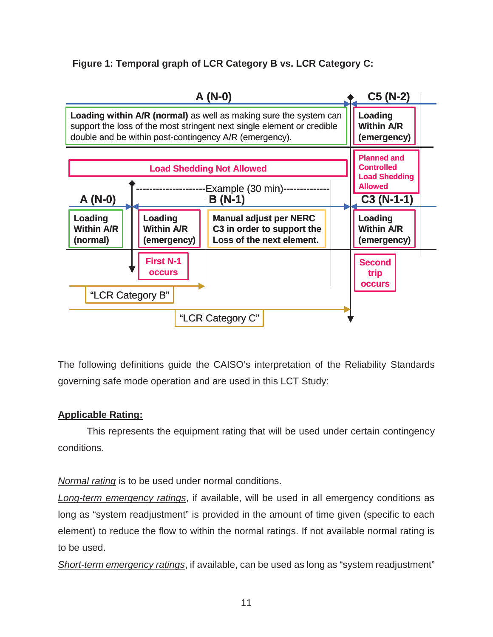**Figure 1: Temporal graph of LCR Category B vs. LCR Category C:**



The following definitions guide the CAISO's interpretation of the Reliability Standards governing safe mode operation and are used in this LCT Study:

### **Applicable Rating:**

This represents the equipment rating that will be used under certain contingency conditions.

*Normal rating* is to be used under normal conditions.

*Long-term emergency ratings*, if available, will be used in all emergency conditions as long as "system readjustment" is provided in the amount of time given (specific to each element) to reduce the flow to within the normal ratings. If not available normal rating is to be used.

*Short-term emergency ratings*, if available, can be used as long as "system readjustment"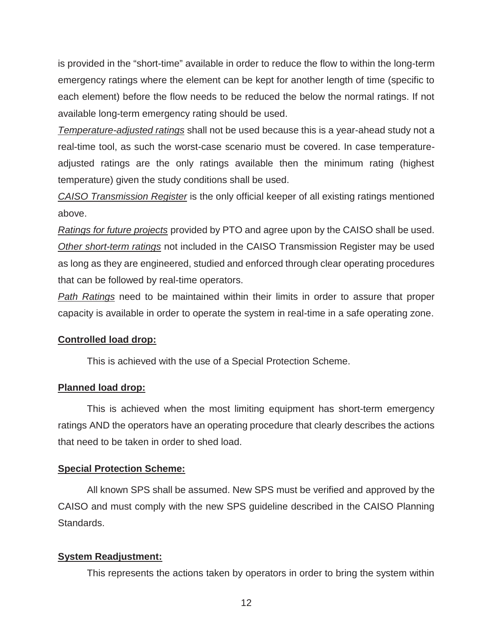is provided in the "short-time" available in order to reduce the flow to within the long-term emergency ratings where the element can be kept for another length of time (specific to each element) before the flow needs to be reduced the below the normal ratings. If not available long-term emergency rating should be used.

*Temperature-adjusted ratings* shall not be used because this is a year-ahead study not a real-time tool, as such the worst-case scenario must be covered. In case temperatureadjusted ratings are the only ratings available then the minimum rating (highest temperature) given the study conditions shall be used.

*CAISO Transmission Register* is the only official keeper of all existing ratings mentioned above.

*Ratings for future projects* provided by PTO and agree upon by the CAISO shall be used. *Other short-term ratings* not included in the CAISO Transmission Register may be used as long as they are engineered, studied and enforced through clear operating procedures that can be followed by real-time operators.

*Path Ratings* need to be maintained within their limits in order to assure that proper capacity is available in order to operate the system in real-time in a safe operating zone.

#### **Controlled load drop:**

This is achieved with the use of a Special Protection Scheme.

#### **Planned load drop:**

This is achieved when the most limiting equipment has short-term emergency ratings AND the operators have an operating procedure that clearly describes the actions that need to be taken in order to shed load.

#### **Special Protection Scheme:**

All known SPS shall be assumed. New SPS must be verified and approved by the CAISO and must comply with the new SPS guideline described in the CAISO Planning Standards.

#### **System Readjustment:**

This represents the actions taken by operators in order to bring the system within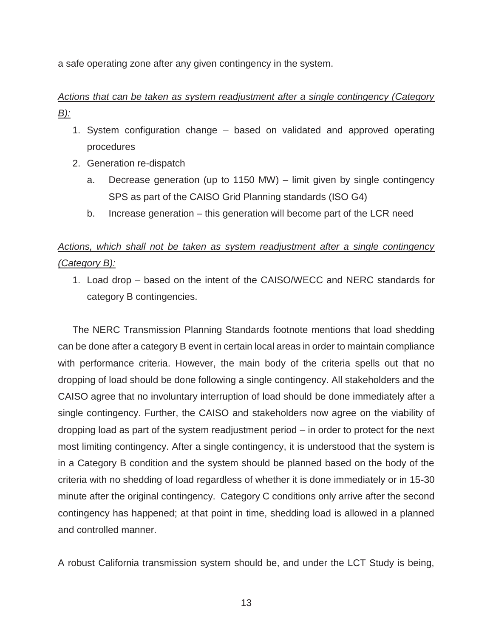a safe operating zone after any given contingency in the system.

# *Actions that can be taken as system readjustment after a single contingency (Category B):*

- 1. System configuration change based on validated and approved operating procedures
- 2. Generation re-dispatch
	- a. Decrease generation (up to 1150 MW) limit given by single contingency SPS as part of the CAISO Grid Planning standards (ISO G4)
	- b. Increase generation this generation will become part of the LCR need

# *Actions, which shall not be taken as system readjustment after a single contingency (Category B):*

1. Load drop – based on the intent of the CAISO/WECC and NERC standards for category B contingencies.

The NERC Transmission Planning Standards footnote mentions that load shedding can be done after a category B event in certain local areas in order to maintain compliance with performance criteria. However, the main body of the criteria spells out that no dropping of load should be done following a single contingency. All stakeholders and the CAISO agree that no involuntary interruption of load should be done immediately after a single contingency. Further, the CAISO and stakeholders now agree on the viability of dropping load as part of the system readjustment period – in order to protect for the next most limiting contingency. After a single contingency, it is understood that the system is in a Category B condition and the system should be planned based on the body of the criteria with no shedding of load regardless of whether it is done immediately or in 15-30 minute after the original contingency. Category C conditions only arrive after the second contingency has happened; at that point in time, shedding load is allowed in a planned and controlled manner.

A robust California transmission system should be, and under the LCT Study is being,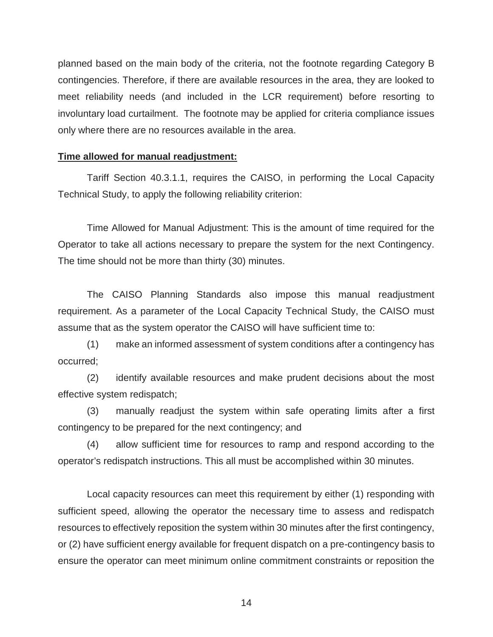planned based on the main body of the criteria, not the footnote regarding Category B contingencies. Therefore, if there are available resources in the area, they are looked to meet reliability needs (and included in the LCR requirement) before resorting to involuntary load curtailment. The footnote may be applied for criteria compliance issues only where there are no resources available in the area.

#### **Time allowed for manual readjustment:**

Tariff Section 40.3.1.1, requires the CAISO, in performing the Local Capacity Technical Study, to apply the following reliability criterion:

Time Allowed for Manual Adjustment: This is the amount of time required for the Operator to take all actions necessary to prepare the system for the next Contingency. The time should not be more than thirty (30) minutes.

The CAISO Planning Standards also impose this manual readjustment requirement. As a parameter of the Local Capacity Technical Study, the CAISO must assume that as the system operator the CAISO will have sufficient time to:

(1) make an informed assessment of system conditions after a contingency has occurred;

(2) identify available resources and make prudent decisions about the most effective system redispatch;

(3) manually readjust the system within safe operating limits after a first contingency to be prepared for the next contingency; and

(4) allow sufficient time for resources to ramp and respond according to the operator's redispatch instructions. This all must be accomplished within 30 minutes.

Local capacity resources can meet this requirement by either (1) responding with sufficient speed, allowing the operator the necessary time to assess and redispatch resources to effectively reposition the system within 30 minutes after the first contingency, or (2) have sufficient energy available for frequent dispatch on a pre-contingency basis to ensure the operator can meet minimum online commitment constraints or reposition the

 $\sim$  14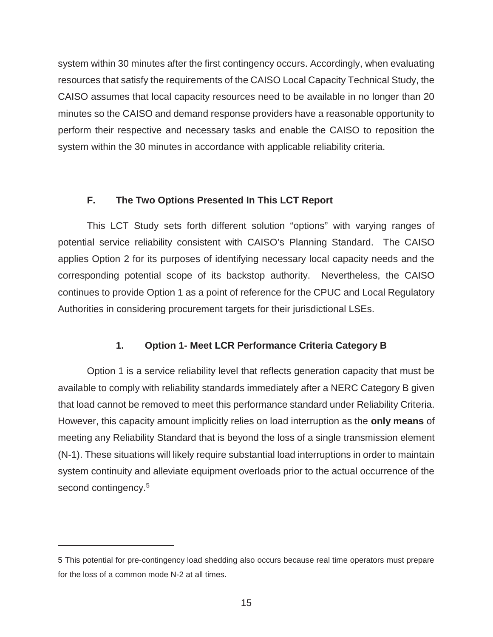system within 30 minutes after the first contingency occurs. Accordingly, when evaluating resources that satisfy the requirements of the CAISO Local Capacity Technical Study, the CAISO assumes that local capacity resources need to be available in no longer than 20 minutes so the CAISO and demand response providers have a reasonable opportunity to perform their respective and necessary tasks and enable the CAISO to reposition the system within the 30 minutes in accordance with applicable reliability criteria.

#### **F. The Two Options Presented In This LCT Report**

This LCT Study sets forth different solution "options" with varying ranges of potential service reliability consistent with CAISO's Planning Standard. The CAISO applies Option 2 for its purposes of identifying necessary local capacity needs and the corresponding potential scope of its backstop authority. Nevertheless, the CAISO continues to provide Option 1 as a point of reference for the CPUC and Local Regulatory Authorities in considering procurement targets for their jurisdictional LSEs.

#### **1. Option 1- Meet LCR Performance Criteria Category B**

Option 1 is a service reliability level that reflects generation capacity that must be available to comply with reliability standards immediately after a NERC Category B given that load cannot be removed to meet this performance standard under Reliability Criteria. However, this capacity amount implicitly relies on load interruption as the **only means** of meeting any Reliability Standard that is beyond the loss of a single transmission element (N-1). These situations will likely require substantial load interruptions in order to maintain system continuity and alleviate equipment overloads prior to the actual occurrence of the second contingency.<sup>5</sup>

 $\overline{a}$ 

<sup>5</sup> This potential for pre-contingency load shedding also occurs because real time operators must prepare for the loss of a common mode N-2 at all times.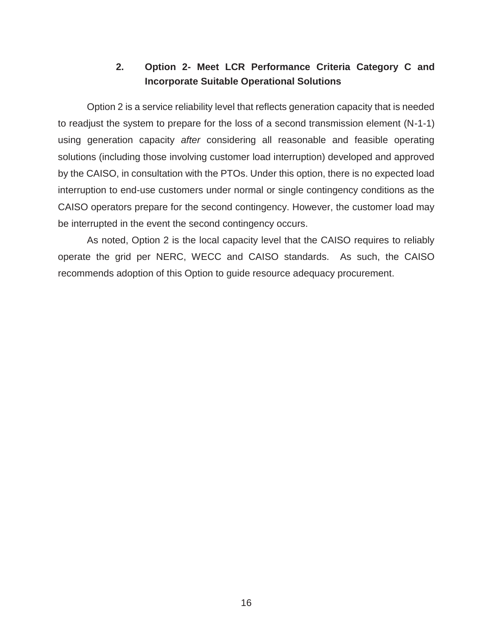# **2. Option 2- Meet LCR Performance Criteria Category C and Incorporate Suitable Operational Solutions**

Option 2 is a service reliability level that reflects generation capacity that is needed to readjust the system to prepare for the loss of a second transmission element (N-1-1) using generation capacity *after* considering all reasonable and feasible operating solutions (including those involving customer load interruption) developed and approved by the CAISO, in consultation with the PTOs. Under this option, there is no expected load interruption to end-use customers under normal or single contingency conditions as the CAISO operators prepare for the second contingency. However, the customer load may be interrupted in the event the second contingency occurs.

As noted, Option 2 is the local capacity level that the CAISO requires to reliably operate the grid per NERC, WECC and CAISO standards. As such, the CAISO recommends adoption of this Option to guide resource adequacy procurement.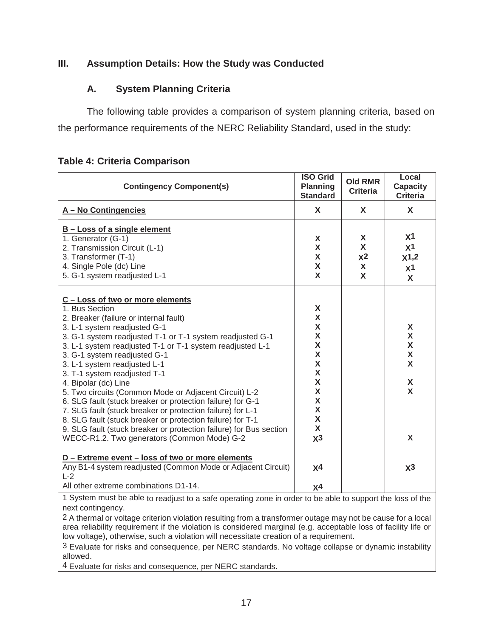#### **III. Assumption Details: How the Study was Conducted**

#### **A. System Planning Criteria**

The following table provides a comparison of system planning criteria, based on the performance requirements of the NERC Reliability Standard, used in the study:

| <b>Contingency Component(s)</b>                                                                                                                                                                                                                                                                                                                                                                                                                                                                                                                                                                                                                                                                                                                        | <b>ISO Grid</b><br><b>Planning</b><br><b>Standard</b>                       | <b>Old RMR</b><br><b>Criteria</b>  | Local<br><b>Capacity</b><br><b>Criteria</b>                           |
|--------------------------------------------------------------------------------------------------------------------------------------------------------------------------------------------------------------------------------------------------------------------------------------------------------------------------------------------------------------------------------------------------------------------------------------------------------------------------------------------------------------------------------------------------------------------------------------------------------------------------------------------------------------------------------------------------------------------------------------------------------|-----------------------------------------------------------------------------|------------------------------------|-----------------------------------------------------------------------|
| A - No Contingencies                                                                                                                                                                                                                                                                                                                                                                                                                                                                                                                                                                                                                                                                                                                                   | X                                                                           | X                                  | X                                                                     |
| <b>B-Loss of a single element</b><br>1. Generator (G-1)<br>2. Transmission Circuit (L-1)<br>3. Transformer (T-1)<br>4. Single Pole (dc) Line<br>5. G-1 system readjusted L-1                                                                                                                                                                                                                                                                                                                                                                                                                                                                                                                                                                           | X<br>X<br>X<br>X<br>X                                                       | X<br>X<br>X <sup>2</sup><br>X<br>X | x <sub>1</sub><br>x <sub>1</sub><br>x1,2<br>X <sup>1</sup><br>X       |
| C - Loss of two or more elements<br>1. Bus Section<br>2. Breaker (failure or internal fault)<br>3. L-1 system readjusted G-1<br>3. G-1 system readjusted T-1 or T-1 system readjusted G-1<br>3. L-1 system readjusted T-1 or T-1 system readjusted L-1<br>3. G-1 system readjusted G-1<br>3. L-1 system readjusted L-1<br>3. T-1 system readjusted T-1<br>4. Bipolar (dc) Line<br>5. Two circuits (Common Mode or Adjacent Circuit) L-2<br>6. SLG fault (stuck breaker or protection failure) for G-1<br>7. SLG fault (stuck breaker or protection failure) for L-1<br>8. SLG fault (stuck breaker or protection failure) for T-1<br>9. SLG fault (stuck breaker or protection failure) for Bus section<br>WECC-R1.2. Two generators (Common Mode) G-2 | X<br>X<br>X<br>X<br>X<br>X<br>X<br>X<br>X<br>X<br>X<br>X<br>X<br>X<br>$x^3$ |                                    | X<br>$\mathsf{X}$<br>$\mathsf{X}$<br>$\mathsf{X}$<br>X<br>X<br>X<br>X |
| D - Extreme event - loss of two or more elements<br>Any B1-4 system readjusted (Common Mode or Adjacent Circuit)<br>$L-2$<br>All other extreme combinations D1-14.                                                                                                                                                                                                                                                                                                                                                                                                                                                                                                                                                                                     | X <sup>4</sup><br>X <sup>4</sup>                                            |                                    | $x^3$                                                                 |

#### **Table 4: Criteria Comparison**

1 System must be able to readjust to a safe operating zone in order to be able to support the loss of the next contingency.

2 A thermal or voltage criterion violation resulting from a transformer outage may not be cause for a local area reliability requirement if the violation is considered marginal (e.g. acceptable loss of facility life or low voltage), otherwise, such a violation will necessitate creation of a requirement.

3 Evaluate for risks and consequence, per NERC standards. No voltage collapse or dynamic instability allowed.

4 Evaluate for risks and consequence, per NERC standards.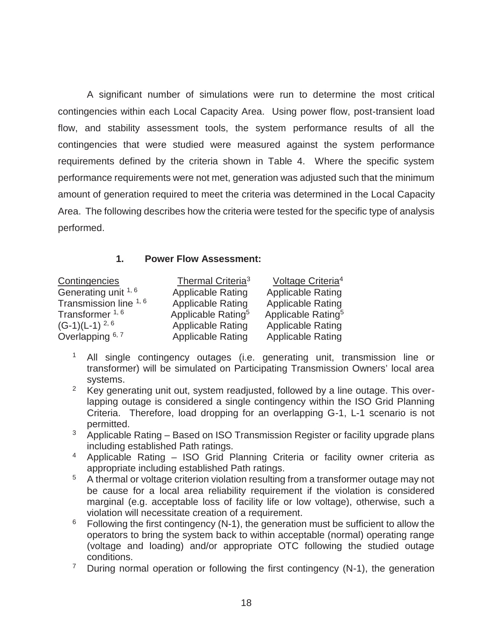A significant number of simulations were run to determine the most critical contingencies within each Local Capacity Area. Using power flow, post-transient load flow, and stability assessment tools, the system performance results of all the contingencies that were studied were measured against the system performance requirements defined by the criteria shown in Table 4. Where the specific system performance requirements were not met, generation was adjusted such that the minimum amount of generation required to meet the criteria was determined in the Local Capacity Area. The following describes how the criteria were tested for the specific type of analysis performed.

#### **1. Power Flow Assessment:**

| Contingencies              | Thermal Criteria <sup>3</sup>  | Voltage Criteria <sup>4</sup>  |
|----------------------------|--------------------------------|--------------------------------|
| Generating unit 1, 6       | <b>Applicable Rating</b>       | <b>Applicable Rating</b>       |
| Transmission line 1, 6     | <b>Applicable Rating</b>       | <b>Applicable Rating</b>       |
| Transformer <sup>1,6</sup> | Applicable Rating <sup>5</sup> | Applicable Rating <sup>5</sup> |
| $(G-1)(L-1)^{2, 6}$        | <b>Applicable Rating</b>       | <b>Applicable Rating</b>       |
| Overlapping 6, 7           | <b>Applicable Rating</b>       | <b>Applicable Rating</b>       |

- <sup>1</sup> All single contingency outages (i.e. generating unit, transmission line or transformer) will be simulated on Participating Transmission Owners' local area systems.
- <sup>2</sup> Key generating unit out, system readjusted, followed by a line outage. This overlapping outage is considered a single contingency within the ISO Grid Planning Criteria. Therefore, load dropping for an overlapping G-1, L-1 scenario is not permitted.
- $3$  Applicable Rating Based on ISO Transmission Register or facility upgrade plans including established Path ratings.
- 4 Applicable Rating ISO Grid Planning Criteria or facility owner criteria as appropriate including established Path ratings.
- $\frac{5}{10}$  A thermal or voltage criterion violation resulting from a transformer outage may not be cause for a local area reliability requirement if the violation is considered marginal (e.g. acceptable loss of facility life or low voltage), otherwise, such a violation will necessitate creation of a requirement.
- $6$  Following the first contingency (N-1), the generation must be sufficient to allow the operators to bring the system back to within acceptable (normal) operating range (voltage and loading) and/or appropriate OTC following the studied outage conditions.
- <sup>7</sup> During normal operation or following the first contingency (N-1), the generation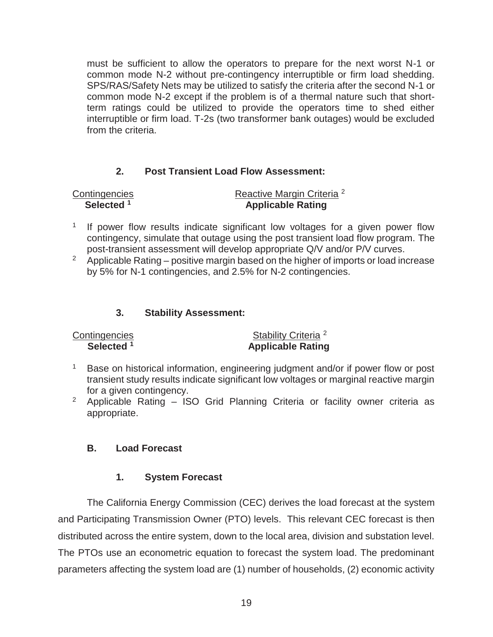must be sufficient to allow the operators to prepare for the next worst N-1 or common mode N-2 without pre-contingency interruptible or firm load shedding. SPS/RAS/Safety Nets may be utilized to satisfy the criteria after the second N-1 or common mode N-2 except if the problem is of a thermal nature such that shortterm ratings could be utilized to provide the operators time to shed either interruptible or firm load. T-2s (two transformer bank outages) would be excluded from the criteria.

#### **2. Post Transient Load Flow Assessment:**

Contingencies Reactive Margin Criteria<sup>2</sup> **Selected 1 Applicable Rating** 

- <sup>1</sup> If power flow results indicate significant low voltages for a given power flow contingency, simulate that outage using the post transient load flow program. The post-transient assessment will develop appropriate Q/V and/or P/V curves.
- $2$  Applicable Rating positive margin based on the higher of imports or load increase by 5% for N-1 contingencies, and 2.5% for N-2 contingencies.

#### **3. Stability Assessment:**

| Contingencies         | Stability Criteria <sup>2</sup> |
|-----------------------|---------------------------------|
| Selected <sup>1</sup> | <b>Applicable Rating</b>        |

- <sup>1</sup> Base on historical information, engineering judgment and/or if power flow or post transient study results indicate significant low voltages or marginal reactive margin for a given contingency.
- <sup>2</sup> Applicable Rating  $-$  ISO Grid Planning Criteria or facility owner criteria as appropriate.

#### **B. Load Forecast**

#### **1. System Forecast**

The California Energy Commission (CEC) derives the load forecast at the system and Participating Transmission Owner (PTO) levels. This relevant CEC forecast is then distributed across the entire system, down to the local area, division and substation level. The PTOs use an econometric equation to forecast the system load. The predominant parameters affecting the system load are (1) number of households, (2) economic activity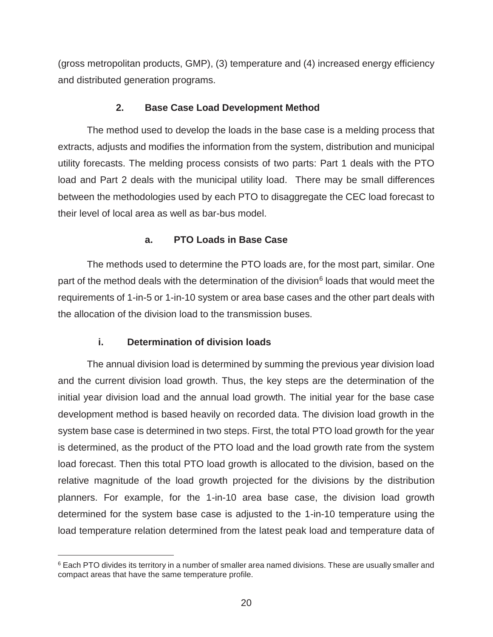(gross metropolitan products, GMP), (3) temperature and (4) increased energy efficiency and distributed generation programs.

#### **2. Base Case Load Development Method**

The method used to develop the loads in the base case is a melding process that extracts, adjusts and modifies the information from the system, distribution and municipal utility forecasts. The melding process consists of two parts: Part 1 deals with the PTO load and Part 2 deals with the municipal utility load. There may be small differences between the methodologies used by each PTO to disaggregate the CEC load forecast to their level of local area as well as bar-bus model.

#### **a. PTO Loads in Base Case**

The methods used to determine the PTO loads are, for the most part, similar. One part of the method deals with the determination of the division<sup>6</sup> loads that would meet the requirements of 1-in-5 or 1-in-10 system or area base cases and the other part deals with the allocation of the division load to the transmission buses.

#### **i. Determination of division loads**

 $\overline{a}$ 

The annual division load is determined by summing the previous year division load and the current division load growth. Thus, the key steps are the determination of the initial year division load and the annual load growth. The initial year for the base case development method is based heavily on recorded data. The division load growth in the system base case is determined in two steps. First, the total PTO load growth for the year is determined, as the product of the PTO load and the load growth rate from the system load forecast. Then this total PTO load growth is allocated to the division, based on the relative magnitude of the load growth projected for the divisions by the distribution planners. For example, for the 1-in-10 area base case, the division load growth determined for the system base case is adjusted to the 1-in-10 temperature using the load temperature relation determined from the latest peak load and temperature data of

<sup>&</sup>lt;sup>6</sup> Each PTO divides its territory in a number of smaller area named divisions. These are usually smaller and compact areas that have the same temperature profile.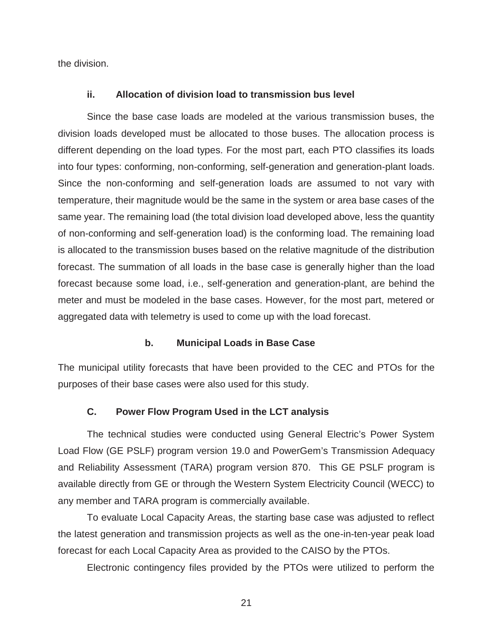the division.

#### **ii. Allocation of division load to transmission bus level**

Since the base case loads are modeled at the various transmission buses, the division loads developed must be allocated to those buses. The allocation process is different depending on the load types. For the most part, each PTO classifies its loads into four types: conforming, non-conforming, self-generation and generation-plant loads. Since the non-conforming and self-generation loads are assumed to not vary with temperature, their magnitude would be the same in the system or area base cases of the same year. The remaining load (the total division load developed above, less the quantity of non-conforming and self-generation load) is the conforming load. The remaining load is allocated to the transmission buses based on the relative magnitude of the distribution forecast. The summation of all loads in the base case is generally higher than the load forecast because some load, i.e., self-generation and generation-plant, are behind the meter and must be modeled in the base cases. However, for the most part, metered or aggregated data with telemetry is used to come up with the load forecast.

#### **b. Municipal Loads in Base Case**

The municipal utility forecasts that have been provided to the CEC and PTOs for the purposes of their base cases were also used for this study.

#### **C. Power Flow Program Used in the LCT analysis**

The technical studies were conducted using General Electric's Power System Load Flow (GE PSLF) program version 19.0 and PowerGem's Transmission Adequacy and Reliability Assessment (TARA) program version 870. This GE PSLF program is available directly from GE or through the Western System Electricity Council (WECC) to any member and TARA program is commercially available.

To evaluate Local Capacity Areas, the starting base case was adjusted to reflect the latest generation and transmission projects as well as the one-in-ten-year peak load forecast for each Local Capacity Area as provided to the CAISO by the PTOs.

Electronic contingency files provided by the PTOs were utilized to perform the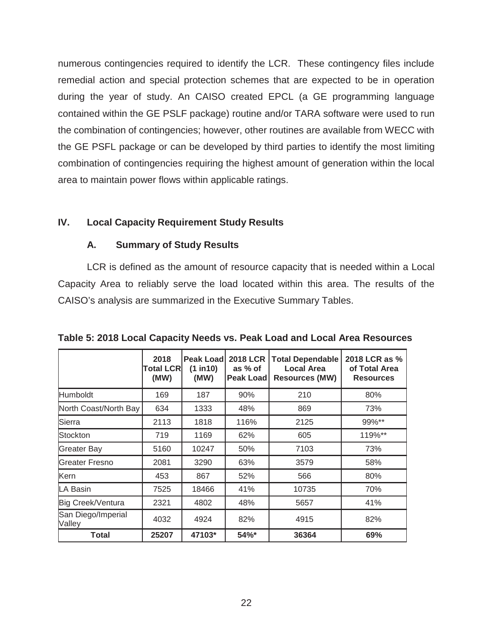numerous contingencies required to identify the LCR. These contingency files include remedial action and special protection schemes that are expected to be in operation during the year of study. An CAISO created EPCL (a GE programming language contained within the GE PSLF package) routine and/or TARA software were used to run the combination of contingencies; however, other routines are available from WECC with the GE PSFL package or can be developed by third parties to identify the most limiting combination of contingencies requiring the highest amount of generation within the local area to maintain power flows within applicable ratings.

#### **IV. Local Capacity Requirement Study Results**

#### **A. Summary of Study Results**

LCR is defined as the amount of resource capacity that is needed within a Local Capacity Area to reliably serve the load located within this area. The results of the CAISO's analysis are summarized in the Executive Summary Tables.

|                              | 2018<br>Total LCRI<br>(MW) | Peak Load<br>(1 in 10)<br>(MW) | 2018 LCR<br>as % of<br><b>Peak Loadl</b> | <b>Total Dependable</b><br>Local Area<br><b>Resources (MW)</b> | 2018 LCR as %<br>of Total Area<br><b>Resources</b> |
|------------------------------|----------------------------|--------------------------------|------------------------------------------|----------------------------------------------------------------|----------------------------------------------------|
| <b>Humboldt</b>              | 169                        | 187                            | 90%                                      | 210                                                            | 80%                                                |
| North Coast/North Bay        | 634                        | 1333                           | 48%                                      | 869                                                            | 73%                                                |
| Sierra                       | 2113                       | 1818                           | 116%                                     | 2125                                                           | 99%**                                              |
| Stockton                     | 719                        | 1169                           | 62%                                      | 605                                                            | 119%**                                             |
| <b>Greater Bay</b>           | 5160                       | 10247                          | 50%                                      | 7103                                                           | 73%                                                |
| <b>Greater Fresno</b>        | 2081                       | 3290                           | 63%                                      | 3579                                                           | 58%                                                |
| Kern                         | 453                        | 867                            | 52%                                      | 566                                                            | 80%                                                |
| LA Basin                     | 7525                       | 18466                          | 41%                                      | 10735                                                          | 70%                                                |
| Big Creek/Ventura            | 2321                       | 4802                           | 48%                                      | 5657                                                           | 41%                                                |
| San Diego/Imperial<br>Valley | 4032                       | 4924                           | 82%                                      | 4915                                                           | 82%                                                |
| <b>Total</b>                 | 25207                      | 47103*                         | 54%*                                     | 36364                                                          | 69%                                                |

**Table 5: 2018 Local Capacity Needs vs. Peak Load and Local Area Resources**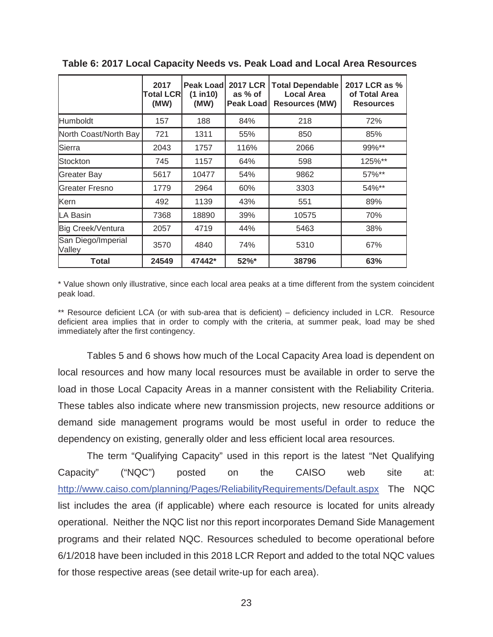|                              | 2017<br><b>Total LCRI</b><br>(MW) | <b>Peak Loadl</b><br>(1 in 10)<br>(MW) | 2017 LCR<br>as % of<br><b>Peak Loadl</b> | <b>Total Dependable</b><br><b>Local Area</b><br><b>Resources (MW)</b> | 2017 LCR as %<br>of Total Area<br><b>Resources</b> |
|------------------------------|-----------------------------------|----------------------------------------|------------------------------------------|-----------------------------------------------------------------------|----------------------------------------------------|
| <b>Humboldt</b>              | 157                               | 188                                    | 84%                                      | 218                                                                   | 72%                                                |
| North Coast/North Bay        | 721                               | 1311                                   | 55%                                      | 850                                                                   | 85%                                                |
| Sierra                       | 2043                              | 1757                                   | 116%                                     | 2066                                                                  | 99%**                                              |
| Stockton                     | 745                               | 1157                                   | 64%                                      | 598                                                                   | 125%**                                             |
| <b>Greater Bay</b>           | 5617                              | 10477                                  | 54%                                      | 9862                                                                  | 57%**                                              |
| <b>Greater Fresno</b>        | 1779                              | 2964                                   | 60%                                      | 3303                                                                  | 54%**                                              |
| Kern                         | 492                               | 1139                                   | 43%                                      | 551                                                                   | 89%                                                |
| LA Basin                     | 7368                              | 18890                                  | 39%                                      | 10575                                                                 | 70%                                                |
| Big Creek/Ventura            | 2057                              | 4719                                   | 44%                                      | 5463                                                                  | 38%                                                |
| San Diego/Imperial<br>Valley | 3570                              | 4840                                   | 74%                                      | 5310                                                                  | 67%                                                |
| Total                        | 24549                             | 47442*                                 | 52%*                                     | 38796                                                                 | 63%                                                |

**Table 6: 2017 Local Capacity Needs vs. Peak Load and Local Area Resources** 

\* Value shown only illustrative, since each local area peaks at a time different from the system coincident peak load.

\*\* Resource deficient LCA (or with sub-area that is deficient) – deficiency included in LCR. Resource deficient area implies that in order to comply with the criteria, at summer peak, load may be shed immediately after the first contingency.

Tables 5 and 6 shows how much of the Local Capacity Area load is dependent on local resources and how many local resources must be available in order to serve the load in those Local Capacity Areas in a manner consistent with the Reliability Criteria. These tables also indicate where new transmission projects, new resource additions or demand side management programs would be most useful in order to reduce the dependency on existing, generally older and less efficient local area resources*.*

The term "Qualifying Capacity" used in this report is the latest "Net Qualifying Capacity" ("NQC") posted on the CAISO web site at: http://www.caiso.com/planning/Pages/ReliabilityRequirements/Default.aspx The NQC list includes the area (if applicable) where each resource is located for units already operational. Neither the NQC list nor this report incorporates Demand Side Management programs and their related NQC. Resources scheduled to become operational before 6/1/2018 have been included in this 2018 LCR Report and added to the total NQC values for those respective areas (see detail write-up for each area).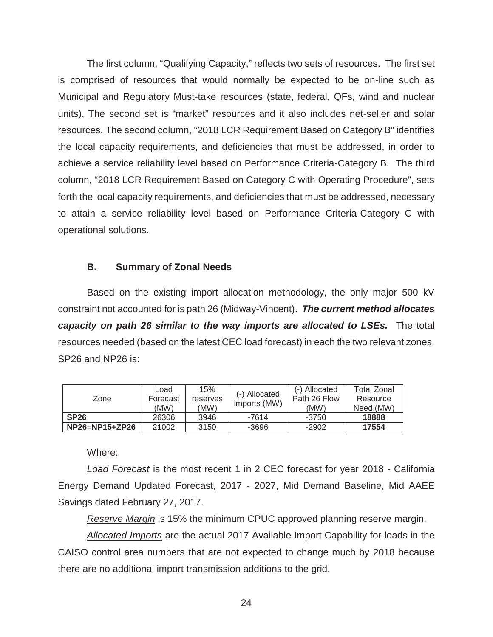The first column, "Qualifying Capacity," reflects two sets of resources. The first set is comprised of resources that would normally be expected to be on-line such as Municipal and Regulatory Must-take resources (state, federal, QFs, wind and nuclear units). The second set is "market" resources and it also includes net-seller and solar resources. The second column, "2018 LCR Requirement Based on Category B" identifies the local capacity requirements, and deficiencies that must be addressed, in order to achieve a service reliability level based on Performance Criteria-Category B. The third column, "2018 LCR Requirement Based on Category C with Operating Procedure", sets forth the local capacity requirements, and deficiencies that must be addressed, necessary to attain a service reliability level based on Performance Criteria-Category C with operational solutions.

#### **B. Summary of Zonal Needs**

Based on the existing import allocation methodology, the only major 500 kV constraint not accounted for is path 26 (Midway-Vincent). *The current method allocates capacity on path 26 similar to the way imports are allocated to LSEs.* The total resources needed (based on the latest CEC load forecast) in each the two relevant zones, SP26 and NP26 is:

| Zone                 | Load<br>Forecast<br>(MW) | 15%<br>reserves<br>(MW) | (-) Allocated<br>imports (MW) | (-) Allocated<br>Path 26 Flow<br>(MW) | Total Zonal<br>Resource<br>Need (MW) |
|----------------------|--------------------------|-------------------------|-------------------------------|---------------------------------------|--------------------------------------|
| SP26                 | 26306                    | 3946                    | -7614                         | -3750                                 | 18888                                |
| $NP26 = NP15 + ZP26$ | 21002                    | 3150                    | $-3696$                       | $-2902$                               | 17554                                |

Where:

*Load Forecast* is the most recent 1 in 2 CEC forecast for year 2018 - California Energy Demand Updated Forecast, 2017 - 2027, Mid Demand Baseline, Mid AAEE Savings dated February 27, 2017.

*Reserve Margin* is 15% the minimum CPUC approved planning reserve margin.

*Allocated Imports* are the actual 2017 Available Import Capability for loads in the CAISO control area numbers that are not expected to change much by 2018 because there are no additional import transmission additions to the grid.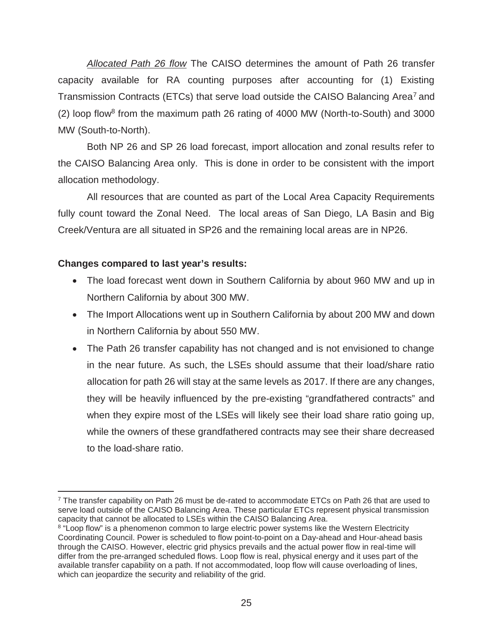*Allocated Path 26 flow* The CAISO determines the amount of Path 26 transfer capacity available for RA counting purposes after accounting for (1) Existing Transmission Contracts (ETCs) that serve load outside the CAISO Balancing Area<sup>7</sup> and (2) loop flow8 from the maximum path 26 rating of 4000 MW (North-to-South) and 3000 MW (South-to-North).

Both NP 26 and SP 26 load forecast, import allocation and zonal results refer to the CAISO Balancing Area only. This is done in order to be consistent with the import allocation methodology.

All resources that are counted as part of the Local Area Capacity Requirements fully count toward the Zonal Need. The local areas of San Diego, LA Basin and Big Creek/Ventura are all situated in SP26 and the remaining local areas are in NP26.

#### **Changes compared to last year's results:**

- The load forecast went down in Southern California by about 960 MW and up in Northern California by about 300 MW.
- The Import Allocations went up in Southern California by about 200 MW and down in Northern California by about 550 MW.
- The Path 26 transfer capability has not changed and is not envisioned to change in the near future. As such, the LSEs should assume that their load/share ratio allocation for path 26 will stay at the same levels as 2017. If there are any changes, they will be heavily influenced by the pre-existing "grandfathered contracts" and when they expire most of the LSEs will likely see their load share ratio going up, while the owners of these grandfathered contracts may see their share decreased to the load-share ratio.

 $\overline{a}$  $7$  The transfer capability on Path 26 must be de-rated to accommodate ETCs on Path 26 that are used to serve load outside of the CAISO Balancing Area. These particular ETCs represent physical transmission capacity that cannot be allocated to LSEs within the CAISO Balancing Area.

<sup>&</sup>lt;sup>8</sup> "Loop flow" is a phenomenon common to large electric power systems like the Western Electricity Coordinating Council. Power is scheduled to flow point-to-point on a Day-ahead and Hour-ahead basis through the CAISO. However, electric grid physics prevails and the actual power flow in real-time will differ from the pre-arranged scheduled flows. Loop flow is real, physical energy and it uses part of the available transfer capability on a path. If not accommodated, loop flow will cause overloading of lines, which can jeopardize the security and reliability of the grid.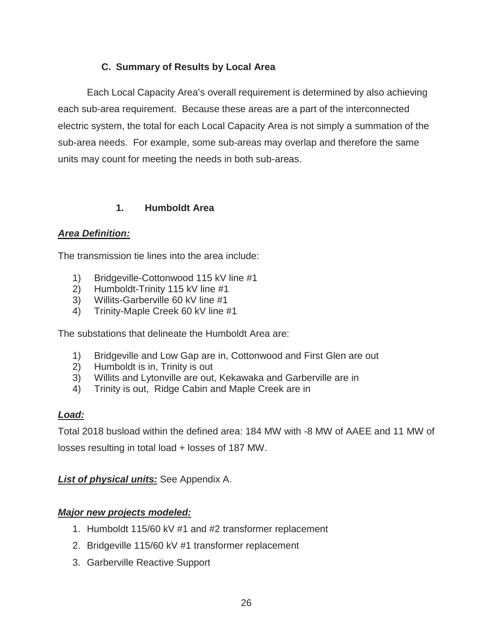### **C. Summary of Results by Local Area**

Each Local Capacity Area's overall requirement is determined by also achieving each sub-area requirement. Because these areas are a part of the interconnected electric system, the total for each Local Capacity Area is not simply a summation of the sub-area needs. For example, some sub-areas may overlap and therefore the same units may count for meeting the needs in both sub-areas.

#### **1. Humboldt Area**

#### *Area Definition:*

The transmission tie lines into the area include:

- 1) Bridgeville-Cottonwood 115 kV line #1
- 2) Humboldt-Trinity 115 kV line #1
- 3) Willits-Garberville 60 kV line #1
- 4) Trinity-Maple Creek 60 kV line #1

The substations that delineate the Humboldt Area are:

- 1) Bridgeville and Low Gap are in, Cottonwood and First Glen are out
- 2) Humboldt is in, Trinity is out
- 3) Willits and Lytonville are out, Kekawaka and Garberville are in
- 4) Trinity is out, Ridge Cabin and Maple Creek are in

### *Load:*

Total 2018 busload within the defined area: 184 MW with -8 MW of AAEE and 11 MW of

losses resulting in total load + losses of 187 MW.

#### *List of physical units:* See Appendix A.

### *Major new projects modeled:*

- 1. Humboldt 115/60 kV #1 and #2 transformer replacement
- 2. Bridgeville 115/60 kV #1 transformer replacement
- 3. Garberville Reactive Support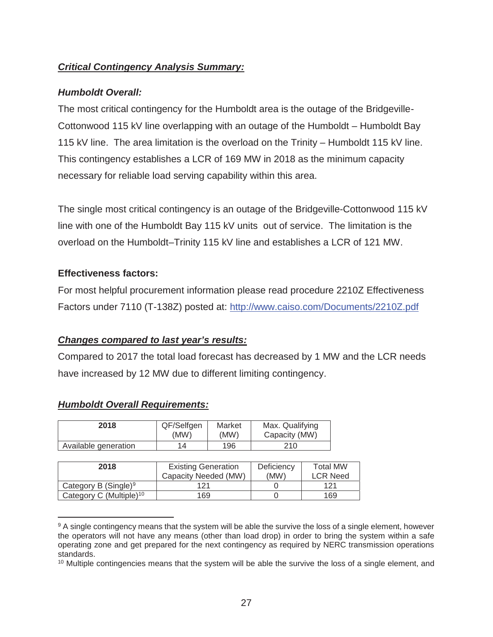#### *Critical Contingency Analysis Summary:*

#### *Humboldt Overall:*

The most critical contingency for the Humboldt area is the outage of the Bridgeville-Cottonwood 115 kV line overlapping with an outage of the Humboldt – Humboldt Bay 115 kV line. The area limitation is the overload on the Trinity – Humboldt 115 kV line. This contingency establishes a LCR of 169 MW in 2018 as the minimum capacity necessary for reliable load serving capability within this area.

The single most critical contingency is an outage of the Bridgeville-Cottonwood 115 kV line with one of the Humboldt Bay 115 kV units out of service. The limitation is the overload on the Humboldt–Trinity 115 kV line and establishes a LCR of 121 MW.

#### **Effectiveness factors:**

For most helpful procurement information please read procedure 2210Z Effectiveness Factors under 7110 (T-138Z) posted at: http://www.caiso.com/Documents/2210Z.pdf

#### *Changes compared to last year's results:*

Compared to 2017 the total load forecast has decreased by 1 MW and the LCR needs have increased by 12 MW due to different limiting contingency.

| <b>Humboldt Overall Requirements:</b> |
|---------------------------------------|
|---------------------------------------|

 $\overline{a}$ 

| 2018                 | QF/Selfgen | Market | Max. Qualifying |
|----------------------|------------|--------|-----------------|
|                      | (MW)       | (MW)   | Capacity (MW)   |
| Available generation | 14         | 196    | 210             |

| 2018                                | <b>Existing Generation</b><br>Capacity Needed (MW) | Deficiency<br>(MW) | <b>Total MW</b><br><b>LCR Need</b> |
|-------------------------------------|----------------------------------------------------|--------------------|------------------------------------|
| Category B $(Single)^9$             | 121                                                |                    | 121                                |
| Category C (Multiple) <sup>10</sup> | 169                                                |                    | 169                                |

<sup>&</sup>lt;sup>9</sup> A single contingency means that the system will be able the survive the loss of a single element, however the operators will not have any means (other than load drop) in order to bring the system within a safe operating zone and get prepared for the next contingency as required by NERC transmission operations standards.

<sup>&</sup>lt;sup>10</sup> Multiple contingencies means that the system will be able the survive the loss of a single element, and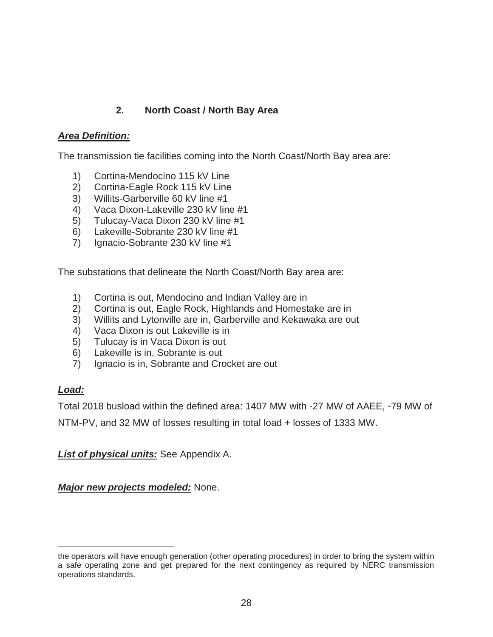### **2. North Coast / North Bay Area**

#### *Area Definition:*

The transmission tie facilities coming into the North Coast/North Bay area are:

- 1) Cortina-Mendocino 115 kV Line
- 2) Cortina-Eagle Rock 115 kV Line
- 3) Willits-Garberville 60 kV line #1
- 4) Vaca Dixon-Lakeville 230 kV line #1
- 5) Tulucay-Vaca Dixon 230 kV line #1
- 6) Lakeville-Sobrante 230 kV line #1
- 7) Ignacio-Sobrante 230 kV line #1

The substations that delineate the North Coast/North Bay area are:

- 1) Cortina is out, Mendocino and Indian Valley are in
- 2) Cortina is out, Eagle Rock, Highlands and Homestake are in
- 3) Willits and Lytonville are in, Garberville and Kekawaka are out
- 4) Vaca Dixon is out Lakeville is in
- 5) Tulucay is in Vaca Dixon is out
- 6) Lakeville is in, Sobrante is out
- 7) Ignacio is in, Sobrante and Crocket are out

#### *Load:*

 $\overline{a}$ 

Total 2018 busload within the defined area: 1407 MW with -27 MW of AAEE, -79 MW of

NTM-PV, and 32 MW of losses resulting in total load + losses of 1333 MW.

#### *List of physical units:* See Appendix A.

*Major new projects modeled:* None.

the operators will have enough generation (other operating procedures) in order to bring the system within a safe operating zone and get prepared for the next contingency as required by NERC transmission operations standards.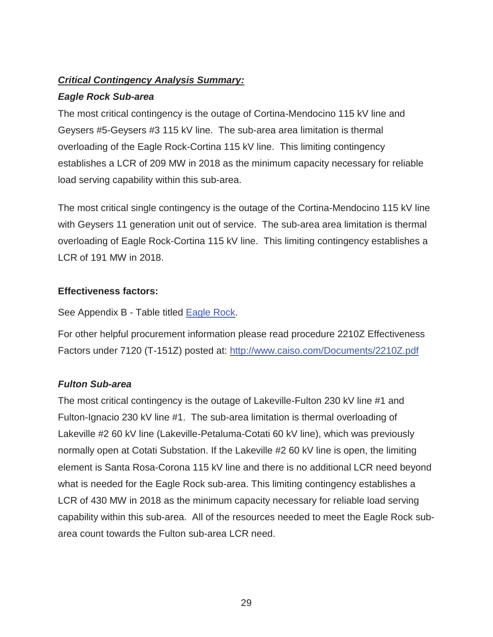#### *Critical Contingency Analysis Summary:*

#### *Eagle Rock Sub-area*

The most critical contingency is the outage of Cortina-Mendocino 115 kV line and Geysers #5-Geysers #3 115 kV line. The sub-area area limitation is thermal overloading of the Eagle Rock-Cortina 115 kV line. This limiting contingency establishes a LCR of 209 MW in 2018 as the minimum capacity necessary for reliable load serving capability within this sub-area.

The most critical single contingency is the outage of the Cortina-Mendocino 115 kV line with Geysers 11 generation unit out of service. The sub-area area limitation is thermal overloading of Eagle Rock-Cortina 115 kV line. This limiting contingency establishes a LCR of 191 MW in 2018.

#### **Effectiveness factors:**

See Appendix B - Table titled **Eagle Rock**.

For other helpful procurement information please read procedure 2210Z Effectiveness Factors under 7120 (T-151Z) posted at: http://www.caiso.com/Documents/2210Z.pdf

#### *Fulton Sub-area*

The most critical contingency is the outage of Lakeville-Fulton 230 kV line #1 and Fulton-Ignacio 230 kV line #1. The sub-area limitation is thermal overloading of Lakeville #2 60 kV line (Lakeville-Petaluma-Cotati 60 kV line), which was previously normally open at Cotati Substation. If the Lakeville #2 60 kV line is open, the limiting element is Santa Rosa-Corona 115 kV line and there is no additional LCR need beyond what is needed for the Eagle Rock sub-area. This limiting contingency establishes a LCR of 430 MW in 2018 as the minimum capacity necessary for reliable load serving capability within this sub-area. All of the resources needed to meet the Eagle Rock subarea count towards the Fulton sub-area LCR need.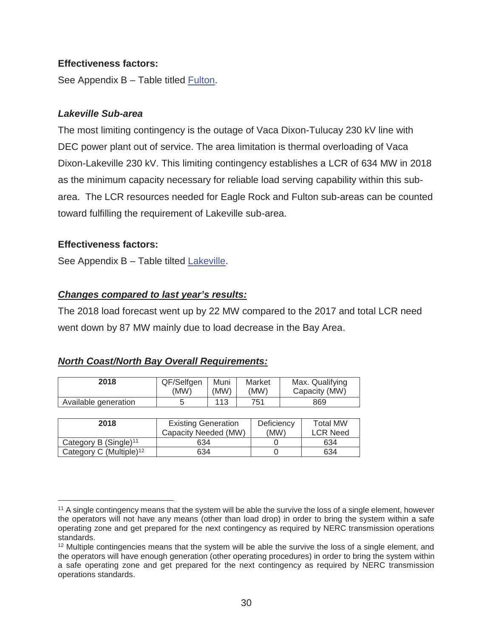#### **Effectiveness factors:**

See Appendix B – Table titled Fulton.

#### *Lakeville Sub-area*

The most limiting contingency is the outage of Vaca Dixon-Tulucay 230 kV line with DEC power plant out of service. The area limitation is thermal overloading of Vaca Dixon-Lakeville 230 kV. This limiting contingency establishes a LCR of 634 MW in 2018 as the minimum capacity necessary for reliable load serving capability within this subarea. The LCR resources needed for Eagle Rock and Fulton sub-areas can be counted toward fulfilling the requirement of Lakeville sub-area.

#### **Effectiveness factors:**

 $\overline{a}$ 

See Appendix B – Table tilted Lakeville.

#### *Changes compared to last year's results:*

The 2018 load forecast went up by 22 MW compared to the 2017 and total LCR need went down by 87 MW mainly due to load decrease in the Bay Area.

#### *North Coast/North Bay Overall Requirements:*

| 2018                 | QF/Selfgen | Muni | Market | Max. Qualifying |
|----------------------|------------|------|--------|-----------------|
|                      | (MW)       | (MW) | (MW)   | Capacity (MW)   |
| Available generation |            | 113  | 751    | 869             |

| 2018                                | <b>Existing Generation</b> | Deficiency | <b>Total MW</b> |
|-------------------------------------|----------------------------|------------|-----------------|
|                                     | Capacity Needed (MW)       | (MW)       | <b>LCR Need</b> |
| Category B (Single) <sup>11</sup>   | 634                        |            | 634             |
| Category C (Multiple) <sup>12</sup> | 634                        |            | 634             |

<sup>11</sup> A single contingency means that the system will be able the survive the loss of a single element, however the operators will not have any means (other than load drop) in order to bring the system within a safe operating zone and get prepared for the next contingency as required by NERC transmission operations standards.

<sup>&</sup>lt;sup>12</sup> Multiple contingencies means that the system will be able the survive the loss of a single element, and the operators will have enough generation (other operating procedures) in order to bring the system within a safe operating zone and get prepared for the next contingency as required by NERC transmission operations standards.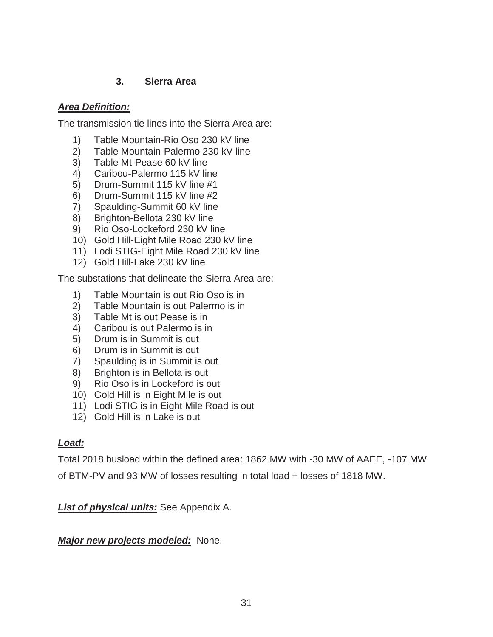#### **3. Sierra Area**

#### *Area Definition:*

The transmission tie lines into the Sierra Area are:

- 1) Table Mountain-Rio Oso 230 kV line
- 2) Table Mountain-Palermo 230 kV line
- 3) Table Mt-Pease 60 kV line
- 4) Caribou-Palermo 115 kV line
- 5) Drum-Summit 115 kV line #1
- 6) Drum-Summit 115 kV line #2
- 7) Spaulding-Summit 60 kV line
- 8) Brighton-Bellota 230 kV line
- 9) Rio Oso-Lockeford 230 kV line
- 10) Gold Hill-Eight Mile Road 230 kV line
- 11) Lodi STIG-Eight Mile Road 230 kV line
- 12) Gold Hill-Lake 230 kV line

The substations that delineate the Sierra Area are:

- 1) Table Mountain is out Rio Oso is in
- 2) Table Mountain is out Palermo is in
- 3) Table Mt is out Pease is in
- 4) Caribou is out Palermo is in
- 5) Drum is in Summit is out
- 6) Drum is in Summit is out
- 7) Spaulding is in Summit is out
- 8) Brighton is in Bellota is out
- 9) Rio Oso is in Lockeford is out
- 10) Gold Hill is in Eight Mile is out
- 11) Lodi STIG is in Eight Mile Road is out
- 12) Gold Hill is in Lake is out

#### *Load:*

Total 2018 busload within the defined area: 1862 MW with -30 MW of AAEE, -107 MW

of BTM-PV and 93 MW of losses resulting in total load + losses of 1818 MW.

#### *List of physical units:* See Appendix A.

#### *Major new projects modeled:*None.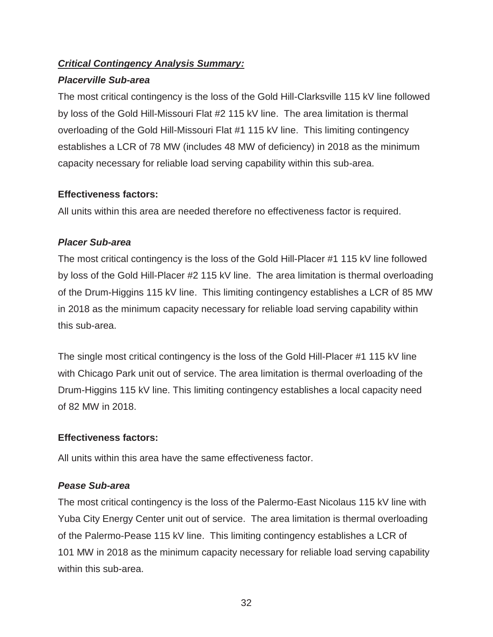#### *Critical Contingency Analysis Summary:*

#### *Placerville Sub-area*

The most critical contingency is the loss of the Gold Hill-Clarksville 115 kV line followed by loss of the Gold Hill-Missouri Flat #2 115 kV line. The area limitation is thermal overloading of the Gold Hill-Missouri Flat #1 115 kV line. This limiting contingency establishes a LCR of 78 MW (includes 48 MW of deficiency) in 2018 as the minimum capacity necessary for reliable load serving capability within this sub-area.

#### **Effectiveness factors:**

All units within this area are needed therefore no effectiveness factor is required.

### *Placer Sub-area*

The most critical contingency is the loss of the Gold Hill-Placer #1 115 kV line followed by loss of the Gold Hill-Placer #2 115 kV line. The area limitation is thermal overloading of the Drum-Higgins 115 kV line. This limiting contingency establishes a LCR of 85 MW in 2018 as the minimum capacity necessary for reliable load serving capability within this sub-area.

The single most critical contingency is the loss of the Gold Hill-Placer #1 115 kV line with Chicago Park unit out of service. The area limitation is thermal overloading of the Drum-Higgins 115 kV line. This limiting contingency establishes a local capacity need of 82 MW in 2018.

### **Effectiveness factors:**

All units within this area have the same effectiveness factor.

### *Pease Sub-area*

The most critical contingency is the loss of the Palermo-East Nicolaus 115 kV line with Yuba City Energy Center unit out of service. The area limitation is thermal overloading of the Palermo-Pease 115 kV line. This limiting contingency establishes a LCR of 101 MW in 2018 as the minimum capacity necessary for reliable load serving capability within this sub-area.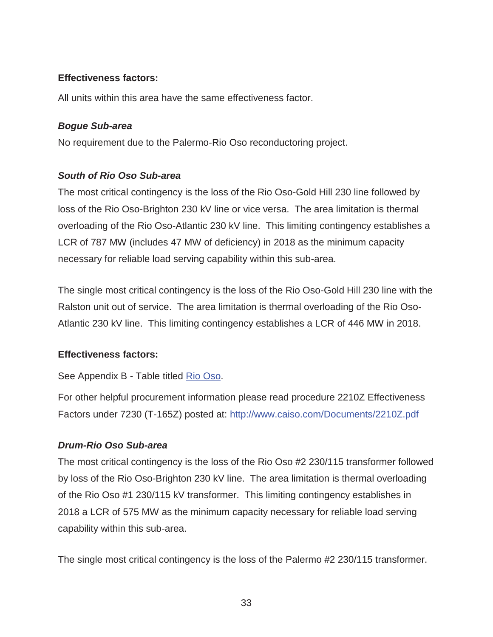#### **Effectiveness factors:**

All units within this area have the same effectiveness factor.

#### *Bogue Sub-area*

No requirement due to the Palermo-Rio Oso reconductoring project.

#### *South of Rio Oso Sub-area*

The most critical contingency is the loss of the Rio Oso-Gold Hill 230 line followed by loss of the Rio Oso-Brighton 230 kV line or vice versa. The area limitation is thermal overloading of the Rio Oso-Atlantic 230 kV line. This limiting contingency establishes a LCR of 787 MW (includes 47 MW of deficiency) in 2018 as the minimum capacity necessary for reliable load serving capability within this sub-area.

The single most critical contingency is the loss of the Rio Oso-Gold Hill 230 line with the Ralston unit out of service. The area limitation is thermal overloading of the Rio Oso-Atlantic 230 kV line. This limiting contingency establishes a LCR of 446 MW in 2018.

#### **Effectiveness factors:**

See Appendix B - Table titled Rio Oso.

For other helpful procurement information please read procedure 2210Z Effectiveness Factors under 7230 (T-165Z) posted at: http://www.caiso.com/Documents/2210Z.pdf

#### *Drum-Rio Oso Sub-area*

The most critical contingency is the loss of the Rio Oso #2 230/115 transformer followed by loss of the Rio Oso-Brighton 230 kV line. The area limitation is thermal overloading of the Rio Oso #1 230/115 kV transformer. This limiting contingency establishes in 2018 a LCR of 575 MW as the minimum capacity necessary for reliable load serving capability within this sub-area.

The single most critical contingency is the loss of the Palermo #2 230/115 transformer.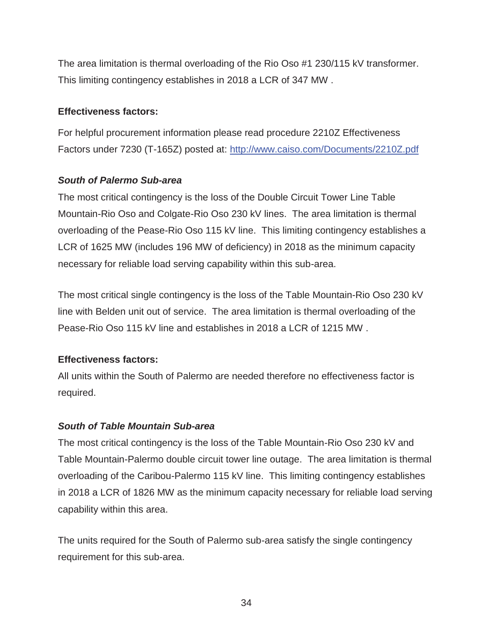The area limitation is thermal overloading of the Rio Oso #1 230/115 kV transformer. This limiting contingency establishes in 2018 a LCR of 347 MW .

## **Effectiveness factors:**

For helpful procurement information please read procedure 2210Z Effectiveness Factors under 7230 (T-165Z) posted at: http://www.caiso.com/Documents/2210Z.pdf

# *South of Palermo Sub-area*

The most critical contingency is the loss of the Double Circuit Tower Line Table Mountain-Rio Oso and Colgate-Rio Oso 230 kV lines. The area limitation is thermal overloading of the Pease-Rio Oso 115 kV line. This limiting contingency establishes a LCR of 1625 MW (includes 196 MW of deficiency) in 2018 as the minimum capacity necessary for reliable load serving capability within this sub-area.

The most critical single contingency is the loss of the Table Mountain-Rio Oso 230 kV line with Belden unit out of service. The area limitation is thermal overloading of the Pease-Rio Oso 115 kV line and establishes in 2018 a LCR of 1215 MW .

# **Effectiveness factors:**

All units within the South of Palermo are needed therefore no effectiveness factor is required.

# *South of Table Mountain Sub-area*

The most critical contingency is the loss of the Table Mountain-Rio Oso 230 kV and Table Mountain-Palermo double circuit tower line outage. The area limitation is thermal overloading of the Caribou-Palermo 115 kV line. This limiting contingency establishes in 2018 a LCR of 1826 MW as the minimum capacity necessary for reliable load serving capability within this area.

The units required for the South of Palermo sub-area satisfy the single contingency requirement for this sub-area.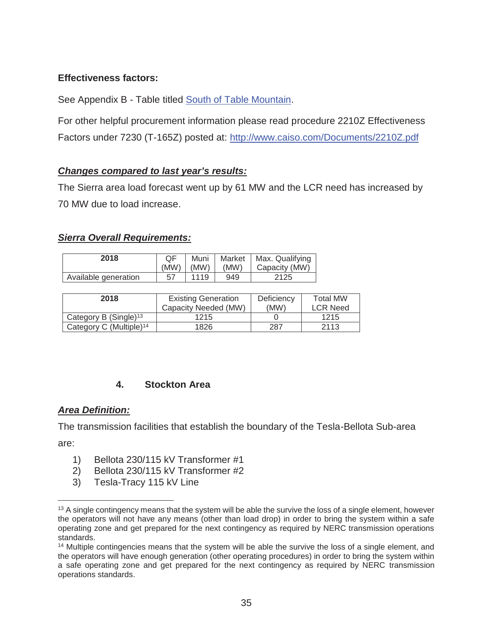# **Effectiveness factors:**

See Appendix B - Table titled South of Table Mountain.

For other helpful procurement information please read procedure 2210Z Effectiveness Factors under 7230 (T-165Z) posted at: http://www.caiso.com/Documents/2210Z.pdf

## *Changes compared to last year's results:*

The Sierra area load forecast went up by 61 MW and the LCR need has increased by 70 MW due to load increase.

# *Sierra Overall Requirements:*

| 2018                 | ΟF<br>(MW) | Muni<br>IMW | (MW) | Market   Max. Qualifying<br>Capacity (MW) |
|----------------------|------------|-------------|------|-------------------------------------------|
| Available generation | 57         | 1119        | 949  | 2125                                      |

| 2018                                | <b>Existing Generation</b> | Deficiency | <b>Total MW</b> |
|-------------------------------------|----------------------------|------------|-----------------|
|                                     | Capacity Needed (MW)       | (MW)       | <b>LCR Need</b> |
| Category B (Single) <sup>13</sup>   | 1215                       |            | 1215            |
| Category C (Multiple) <sup>14</sup> | 1826                       | 287        | 2113            |

# **4. Stockton Area**

## *Area Definition:*

The transmission facilities that establish the boundary of the Tesla-Bellota Sub-area

are:

 $\overline{a}$ 

- 1) Bellota 230/115 kV Transformer #1
- 2) Bellota 230/115 kV Transformer #2
- 3) Tesla-Tracy 115 kV Line

<sup>&</sup>lt;sup>13</sup> A single contingency means that the system will be able the survive the loss of a single element, however the operators will not have any means (other than load drop) in order to bring the system within a safe operating zone and get prepared for the next contingency as required by NERC transmission operations standards.

<sup>&</sup>lt;sup>14</sup> Multiple contingencies means that the system will be able the survive the loss of a single element, and the operators will have enough generation (other operating procedures) in order to bring the system within a safe operating zone and get prepared for the next contingency as required by NERC transmission operations standards.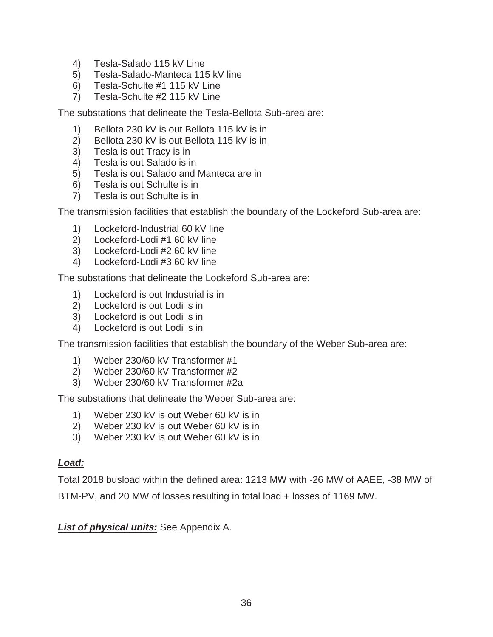- 4) Tesla-Salado 115 kV Line
- 5) Tesla-Salado-Manteca 115 kV line
- 6) Tesla-Schulte #1 115 kV Line
- 7) Tesla-Schulte #2 115 kV Line

The substations that delineate the Tesla-Bellota Sub-area are:

- 1) Bellota 230 kV is out Bellota 115 kV is in
- 2) Bellota 230 kV is out Bellota 115 kV is in
- 3) Tesla is out Tracy is in
- 4) Tesla is out Salado is in
- 5) Tesla is out Salado and Manteca are in
- 6) Tesla is out Schulte is in
- 7) Tesla is out Schulte is in

The transmission facilities that establish the boundary of the Lockeford Sub-area are:

- 1) Lockeford-Industrial 60 kV line
- 2) Lockeford-Lodi #1 60 kV line
- 3) Lockeford-Lodi #2 60 kV line
- 4) Lockeford-Lodi #3 60 kV line

The substations that delineate the Lockeford Sub-area are:

- 1) Lockeford is out Industrial is in
- 2) Lockeford is out Lodi is in
- 3) Lockeford is out Lodi is in
- 4) Lockeford is out Lodi is in

The transmission facilities that establish the boundary of the Weber Sub-area are:

- 1) Weber 230/60 kV Transformer #1
- 2) Weber 230/60 kV Transformer #2
- 3) Weber 230/60 kV Transformer #2a

The substations that delineate the Weber Sub-area are:

- 1) Weber 230 kV is out Weber 60 kV is in
- 2) Weber 230 kV is out Weber 60 kV is in
- 3) Weber 230 kV is out Weber 60 kV is in

#### *Load:*

Total 2018 busload within the defined area: 1213 MW with -26 MW of AAEE, -38 MW of BTM-PV, and 20 MW of losses resulting in total load + losses of 1169 MW.

*List of physical units:* See Appendix A.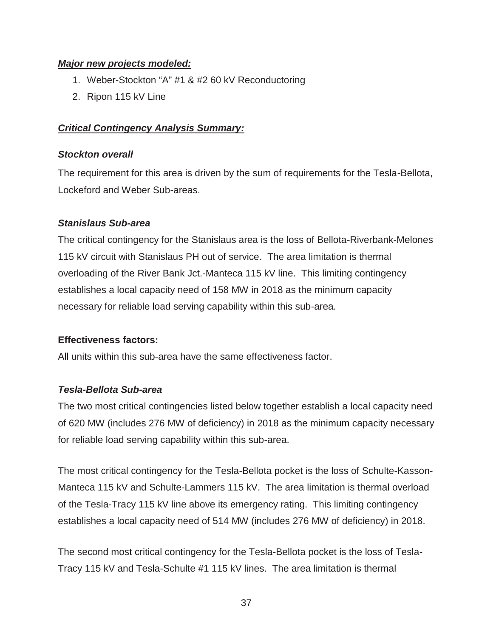#### *Major new projects modeled:*

- 1. Weber-Stockton "A" #1 & #2 60 kV Reconductoring
- 2. Ripon 115 kV Line

## *Critical Contingency Analysis Summary:*

#### *Stockton overall*

The requirement for this area is driven by the sum of requirements for the Tesla-Bellota, Lockeford and Weber Sub-areas.

#### *Stanislaus Sub-area*

The critical contingency for the Stanislaus area is the loss of Bellota-Riverbank-Melones 115 kV circuit with Stanislaus PH out of service. The area limitation is thermal overloading of the River Bank Jct.-Manteca 115 kV line. This limiting contingency establishes a local capacity need of 158 MW in 2018 as the minimum capacity necessary for reliable load serving capability within this sub-area.

#### **Effectiveness factors:**

All units within this sub-area have the same effectiveness factor.

## *Tesla-Bellota Sub-area*

The two most critical contingencies listed below together establish a local capacity need of 620 MW (includes 276 MW of deficiency) in 2018 as the minimum capacity necessary for reliable load serving capability within this sub-area.

The most critical contingency for the Tesla-Bellota pocket is the loss of Schulte-Kasson-Manteca 115 kV and Schulte-Lammers 115 kV. The area limitation is thermal overload of the Tesla-Tracy 115 kV line above its emergency rating. This limiting contingency establishes a local capacity need of 514 MW (includes 276 MW of deficiency) in 2018.

The second most critical contingency for the Tesla-Bellota pocket is the loss of Tesla-Tracy 115 kV and Tesla-Schulte #1 115 kV lines. The area limitation is thermal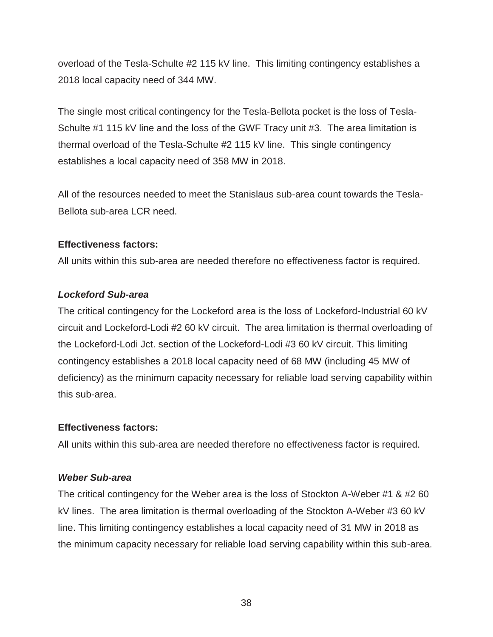overload of the Tesla-Schulte #2 115 kV line. This limiting contingency establishes a 2018 local capacity need of 344 MW.

The single most critical contingency for the Tesla-Bellota pocket is the loss of Tesla-Schulte #1 115 kV line and the loss of the GWF Tracy unit #3. The area limitation is thermal overload of the Tesla-Schulte #2 115 kV line. This single contingency establishes a local capacity need of 358 MW in 2018.

All of the resources needed to meet the Stanislaus sub-area count towards the Tesla-Bellota sub-area LCR need.

#### **Effectiveness factors:**

All units within this sub-area are needed therefore no effectiveness factor is required.

#### *Lockeford Sub-area*

The critical contingency for the Lockeford area is the loss of Lockeford-Industrial 60 kV circuit and Lockeford-Lodi #2 60 kV circuit. The area limitation is thermal overloading of the Lockeford-Lodi Jct. section of the Lockeford-Lodi #3 60 kV circuit. This limiting contingency establishes a 2018 local capacity need of 68 MW (including 45 MW of deficiency) as the minimum capacity necessary for reliable load serving capability within this sub-area.

## **Effectiveness factors:**

All units within this sub-area are needed therefore no effectiveness factor is required.

## *Weber Sub-area*

The critical contingency for the Weber area is the loss of Stockton A-Weber #1 & #2 60 kV lines. The area limitation is thermal overloading of the Stockton A-Weber #3 60 kV line. This limiting contingency establishes a local capacity need of 31 MW in 2018 as the minimum capacity necessary for reliable load serving capability within this sub-area.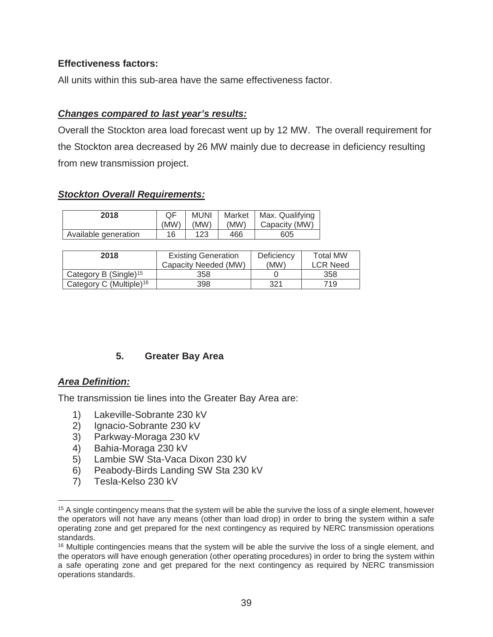#### **Effectiveness factors:**

All units within this sub-area have the same effectiveness factor.

#### *Changes compared to last year's results:*

Overall the Stockton area load forecast went up by 12 MW. The overall requirement for the Stockton area decreased by 26 MW mainly due to decrease in deficiency resulting from new transmission project.

#### *Stockton Overall Requirements:*

| 2018                 | (MW) | <b>MUNI</b><br>(MW) | (MW) | Market   Max. Qualifying<br>Capacity (MW) |
|----------------------|------|---------------------|------|-------------------------------------------|
| Available generation | 16   | 123                 | 466  | 605                                       |

| 2018                                | <b>Existing Generation</b><br>Capacity Needed (MW) | Deficiency<br>(MW) | <b>Total MW</b><br><b>LCR Need</b> |
|-------------------------------------|----------------------------------------------------|--------------------|------------------------------------|
| Category B (Single) <sup>15</sup>   | 358                                                |                    | 358                                |
| Category C (Multiple) <sup>16</sup> | 398                                                | 321                | 719.                               |

## **5. Greater Bay Area**

#### *Area Definition:*

 $\overline{a}$ 

The transmission tie lines into the Greater Bay Area are:

- 1) Lakeville-Sobrante 230 kV
- 
- 2) Ignacio-Sobrante 230 kV 3) Parkway-Moraga 230 kV
- 4) Bahia-Moraga 230 kV
- 5) Lambie SW Sta-Vaca Dixon 230 kV
- 6) Peabody-Birds Landing SW Sta 230 kV
- 7) Tesla-Kelso 230 kV

<sup>&</sup>lt;sup>15</sup> A single contingency means that the system will be able the survive the loss of a single element, however the operators will not have any means (other than load drop) in order to bring the system within a safe operating zone and get prepared for the next contingency as required by NERC transmission operations standards.

<sup>&</sup>lt;sup>16</sup> Multiple contingencies means that the system will be able the survive the loss of a single element, and the operators will have enough generation (other operating procedures) in order to bring the system within a safe operating zone and get prepared for the next contingency as required by NERC transmission operations standards.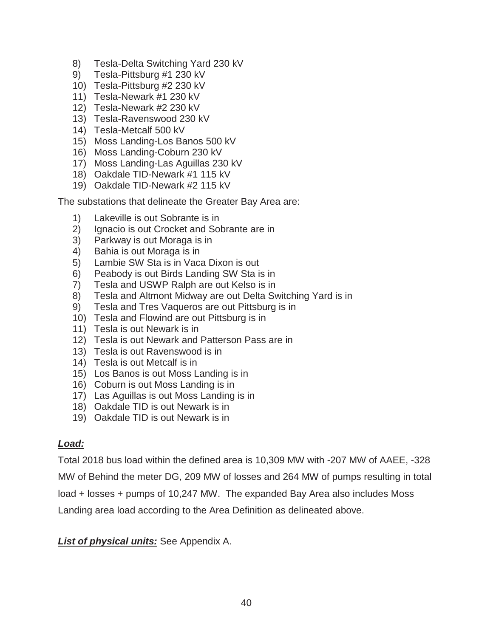- 8) Tesla-Delta Switching Yard 230 kV
- 9) Tesla-Pittsburg #1 230 kV
- 10) Tesla-Pittsburg #2 230 kV
- 11) Tesla-Newark #1 230 kV
- 12) Tesla-Newark #2 230 kV
- 13) Tesla-Ravenswood 230 kV
- 14) Tesla-Metcalf 500 kV
- 15) Moss Landing-Los Banos 500 kV
- 16) Moss Landing-Coburn 230 kV
- 17) Moss Landing-Las Aguillas 230 kV
- 18) Oakdale TID-Newark #1 115 kV
- 19) Oakdale TID-Newark #2 115 kV

The substations that delineate the Greater Bay Area are:

- 1) Lakeville is out Sobrante is in
- 2) Ignacio is out Crocket and Sobrante are in
- 3) Parkway is out Moraga is in
- 4) Bahia is out Moraga is in
- 5) Lambie SW Sta is in Vaca Dixon is out
- 6) Peabody is out Birds Landing SW Sta is in
- 7) Tesla and USWP Ralph are out Kelso is in
- 8) Tesla and Altmont Midway are out Delta Switching Yard is in
- 9) Tesla and Tres Vaqueros are out Pittsburg is in
- 10) Tesla and Flowind are out Pittsburg is in
- 11) Tesla is out Newark is in
- 12) Tesla is out Newark and Patterson Pass are in
- 13) Tesla is out Ravenswood is in
- 14) Tesla is out Metcalf is in
- 15) Los Banos is out Moss Landing is in
- 16) Coburn is out Moss Landing is in
- 17) Las Aguillas is out Moss Landing is in
- 18) Oakdale TID is out Newark is in
- 19) Oakdale TID is out Newark is in

## *Load:*

Total 2018 bus load within the defined area is 10,309 MW with -207 MW of AAEE, -328 MW of Behind the meter DG, 209 MW of losses and 264 MW of pumps resulting in total load + losses + pumps of 10,247 MW. The expanded Bay Area also includes Moss Landing area load according to the Area Definition as delineated above.

*List of physical units:* See Appendix A.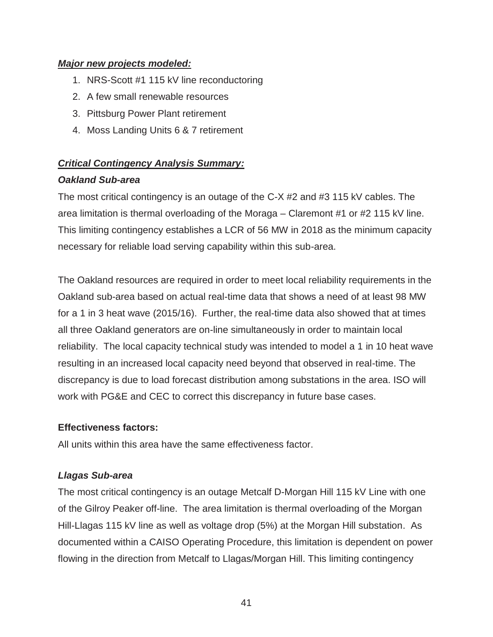#### *Major new projects modeled:*

- 1. NRS-Scott #1 115 kV line reconductoring
- 2. A few small renewable resources
- 3. Pittsburg Power Plant retirement
- 4. Moss Landing Units 6 & 7 retirement

# *Critical Contingency Analysis Summary:*

#### *Oakland Sub-area*

The most critical contingency is an outage of the C-X #2 and #3 115 kV cables. The area limitation is thermal overloading of the Moraga – Claremont #1 or #2 115 kV line. This limiting contingency establishes a LCR of 56 MW in 2018 as the minimum capacity necessary for reliable load serving capability within this sub-area.

The Oakland resources are required in order to meet local reliability requirements in the Oakland sub-area based on actual real-time data that shows a need of at least 98 MW for a 1 in 3 heat wave (2015/16). Further, the real-time data also showed that at times all three Oakland generators are on-line simultaneously in order to maintain local reliability. The local capacity technical study was intended to model a 1 in 10 heat wave resulting in an increased local capacity need beyond that observed in real-time. The discrepancy is due to load forecast distribution among substations in the area. ISO will work with PG&E and CEC to correct this discrepancy in future base cases.

## **Effectiveness factors:**

All units within this area have the same effectiveness factor.

## *Llagas Sub-area*

The most critical contingency is an outage Metcalf D-Morgan Hill 115 kV Line with one of the Gilroy Peaker off-line. The area limitation is thermal overloading of the Morgan Hill-Llagas 115 kV line as well as voltage drop (5%) at the Morgan Hill substation. As documented within a CAISO Operating Procedure, this limitation is dependent on power flowing in the direction from Metcalf to Llagas/Morgan Hill. This limiting contingency

41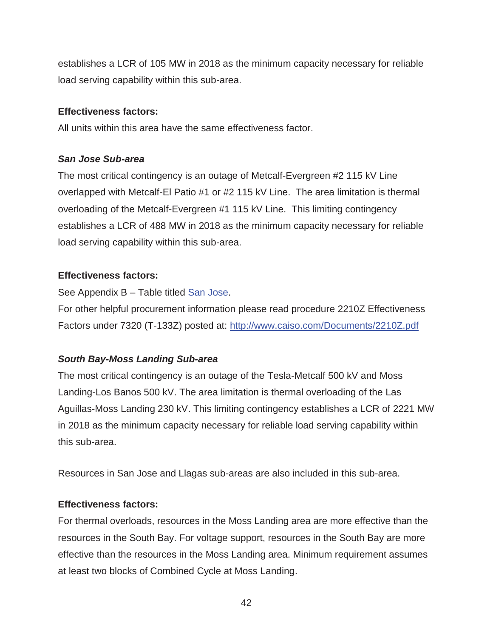establishes a LCR of 105 MW in 2018 as the minimum capacity necessary for reliable load serving capability within this sub-area.

#### **Effectiveness factors:**

All units within this area have the same effectiveness factor.

# *San Jose Sub-area*

The most critical contingency is an outage of Metcalf-Evergreen #2 115 kV Line overlapped with Metcalf-El Patio #1 or #2 115 kV Line. The area limitation is thermal overloading of the Metcalf-Evergreen #1 115 kV Line. This limiting contingency establishes a LCR of 488 MW in 2018 as the minimum capacity necessary for reliable load serving capability within this sub-area.

# **Effectiveness factors:**

See Appendix B – Table titled San Jose.

For other helpful procurement information please read procedure 2210Z Effectiveness Factors under 7320 (T-133Z) posted at: http://www.caiso.com/Documents/2210Z.pdf

# *South Bay-Moss Landing Sub-area*

The most critical contingency is an outage of the Tesla-Metcalf 500 kV and Moss Landing-Los Banos 500 kV. The area limitation is thermal overloading of the Las Aguillas-Moss Landing 230 kV. This limiting contingency establishes a LCR of 2221 MW in 2018 as the minimum capacity necessary for reliable load serving capability within this sub-area.

Resources in San Jose and Llagas sub-areas are also included in this sub-area.

# **Effectiveness factors:**

For thermal overloads, resources in the Moss Landing area are more effective than the resources in the South Bay. For voltage support, resources in the South Bay are more effective than the resources in the Moss Landing area. Minimum requirement assumes at least two blocks of Combined Cycle at Moss Landing.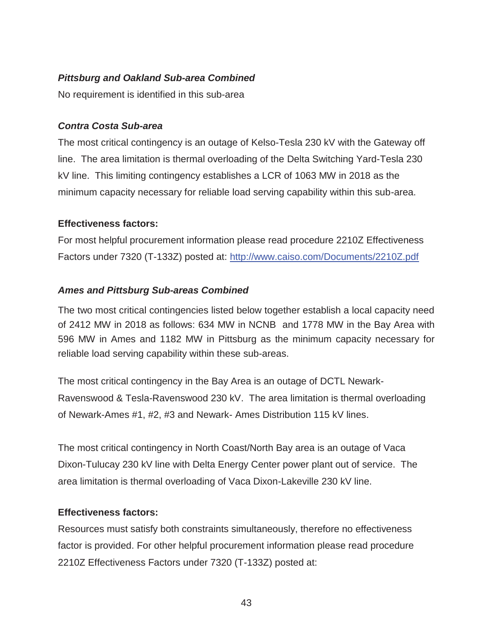# *Pittsburg and Oakland Sub-area Combined*

No requirement is identified in this sub-area

# *Contra Costa Sub-area*

The most critical contingency is an outage of Kelso-Tesla 230 kV with the Gateway off line. The area limitation is thermal overloading of the Delta Switching Yard-Tesla 230 kV line. This limiting contingency establishes a LCR of 1063 MW in 2018 as the minimum capacity necessary for reliable load serving capability within this sub-area.

# **Effectiveness factors:**

For most helpful procurement information please read procedure 2210Z Effectiveness Factors under 7320 (T-133Z) posted at: http://www.caiso.com/Documents/2210Z.pdf

# *Ames and Pittsburg Sub-areas Combined*

The two most critical contingencies listed below together establish a local capacity need of 2412 MW in 2018 as follows: 634 MW in NCNB and 1778 MW in the Bay Area with 596 MW in Ames and 1182 MW in Pittsburg as the minimum capacity necessary for reliable load serving capability within these sub-areas.

The most critical contingency in the Bay Area is an outage of DCTL Newark-Ravenswood & Tesla-Ravenswood 230 kV. The area limitation is thermal overloading of Newark-Ames #1, #2, #3 and Newark- Ames Distribution 115 kV lines.

The most critical contingency in North Coast/North Bay area is an outage of Vaca Dixon-Tulucay 230 kV line with Delta Energy Center power plant out of service. The area limitation is thermal overloading of Vaca Dixon-Lakeville 230 kV line.

# **Effectiveness factors:**

Resources must satisfy both constraints simultaneously, therefore no effectiveness factor is provided. For other helpful procurement information please read procedure 2210Z Effectiveness Factors under 7320 (T-133Z) posted at: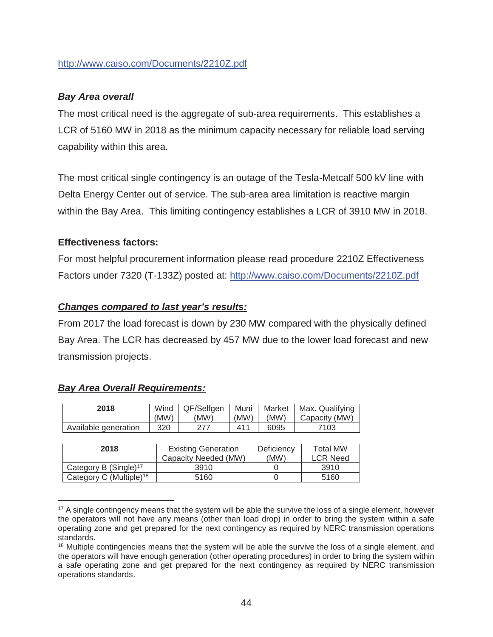#### http://www.caiso.com/Documents/2210Z.pdf

## *Bay Area overall*

The most critical need is the aggregate of sub-area requirements. This establishes a LCR of 5160 MW in 2018 as the minimum capacity necessary for reliable load serving capability within this area.

The most critical single contingency is an outage of the Tesla-Metcalf 500 kV line with Delta Energy Center out of service. The sub-area area limitation is reactive margin within the Bay Area. This limiting contingency establishes a LCR of 3910 MW in 2018.

#### **Effectiveness factors:**

For most helpful procurement information please read procedure 2210Z Effectiveness Factors under 7320 (T-133Z) posted at: http://www.caiso.com/Documents/2210Z.pdf

#### *Changes compared to last year's results:*

From 2017 the load forecast is down by 230 MW compared with the physically defined Bay Area. The LCR has decreased by 457 MW due to the lower load forecast and new transmission projects.

| 2018                                | Wind<br>(MW) | QF/Selfgen<br>Muni<br>(MW)<br>(MW) |     | Market<br>(MW) | Max. Qualifying<br>Capacity (MW) |  |  |
|-------------------------------------|--------------|------------------------------------|-----|----------------|----------------------------------|--|--|
| Available generation                | 320          | 277                                | 411 | 6095           | 7103                             |  |  |
|                                     |              |                                    |     |                |                                  |  |  |
| 2018                                |              | <b>Existing Generation</b>         |     | Deficiency     | <b>Total MW</b>                  |  |  |
|                                     |              | Capacity Needed (MW)               |     | (MW)           | <b>LCR Need</b>                  |  |  |
| Category B (Single) <sup>17</sup>   |              | 3910                               |     |                | 3910                             |  |  |
| Category C (Multiple) <sup>18</sup> |              | 5160                               |     |                | 5160                             |  |  |

#### *Bay Area Overall Requirements:*

 $\overline{a}$ 

<sup>&</sup>lt;sup>17</sup> A single contingency means that the system will be able the survive the loss of a single element, however the operators will not have any means (other than load drop) in order to bring the system within a safe operating zone and get prepared for the next contingency as required by NERC transmission operations standards.

<sup>&</sup>lt;sup>18</sup> Multiple contingencies means that the system will be able the survive the loss of a single element, and the operators will have enough generation (other operating procedures) in order to bring the system within a safe operating zone and get prepared for the next contingency as required by NERC transmission operations standards.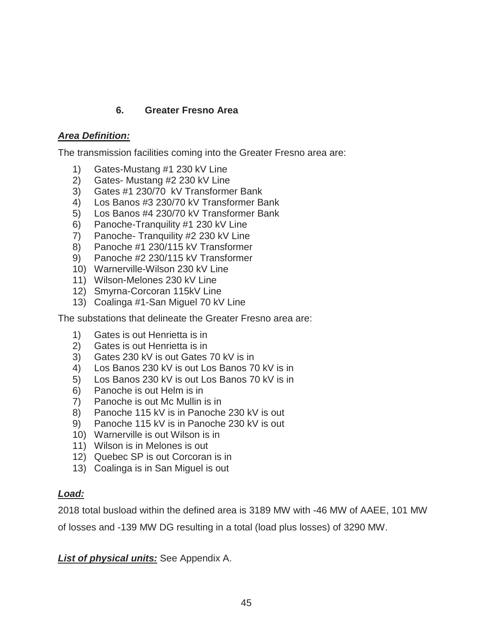# **6. Greater Fresno Area**

# *Area Definition:*

The transmission facilities coming into the Greater Fresno area are:

- 1) Gates-Mustang #1 230 kV Line
- 2) Gates- Mustang #2 230 kV Line
- 3) Gates #1 230/70 kV Transformer Bank
- 4) Los Banos #3 230/70 kV Transformer Bank
- 5) Los Banos #4 230/70 kV Transformer Bank
- 6) Panoche-Tranquility #1 230 kV Line
- 7) Panoche- Tranquility #2 230 kV Line
- 8) Panoche #1 230/115 kV Transformer
- 9) Panoche #2 230/115 kV Transformer
- 10) Warnerville-Wilson 230 kV Line
- 11) Wilson-Melones 230 kV Line
- 12) Smyrna-Corcoran 115kV Line
- 13) Coalinga #1-San Miguel 70 kV Line

The substations that delineate the Greater Fresno area are:

- 1) Gates is out Henrietta is in
- 2) Gates is out Henrietta is in
- 3) Gates 230 kV is out Gates 70 kV is in
- 4) Los Banos 230 kV is out Los Banos 70 kV is in
- 5) Los Banos 230 kV is out Los Banos 70 kV is in
- 6) Panoche is out Helm is in
- 7) Panoche is out Mc Mullin is in
- 8) Panoche 115 kV is in Panoche 230 kV is out
- 9) Panoche 115 kV is in Panoche 230 kV is out
- 10) Warnerville is out Wilson is in
- 11) Wilson is in Melones is out
- 12) Quebec SP is out Corcoran is in
- 13) Coalinga is in San Miguel is out

## *Load:*

2018 total busload within the defined area is 3189 MW with -46 MW of AAEE, 101 MW

of losses and -139 MW DG resulting in a total (load plus losses) of 3290 MW.

*List of physical units:* See Appendix A.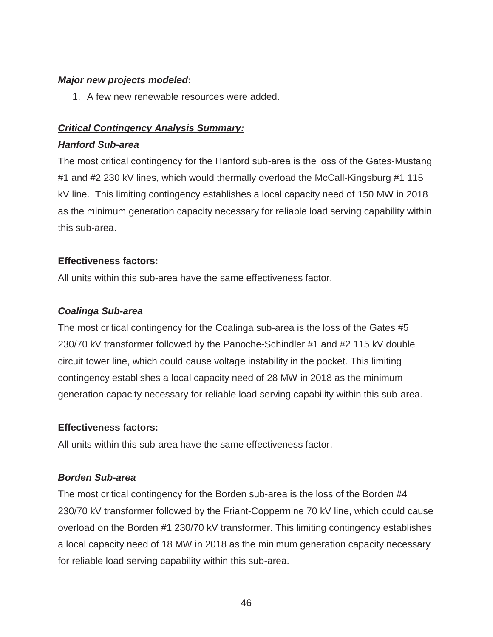#### *Major new projects modeled***:**

1. A few new renewable resources were added.

# *Critical Contingency Analysis Summary:*

#### *Hanford Sub-area*

The most critical contingency for the Hanford sub-area is the loss of the Gates-Mustang #1 and #2 230 kV lines, which would thermally overload the McCall-Kingsburg #1 115 kV line. This limiting contingency establishes a local capacity need of 150 MW in 2018 as the minimum generation capacity necessary for reliable load serving capability within this sub-area.

## **Effectiveness factors:**

All units within this sub-area have the same effectiveness factor.

# *Coalinga Sub-area*

The most critical contingency for the Coalinga sub-area is the loss of the Gates #5 230/70 kV transformer followed by the Panoche-Schindler #1 and #2 115 kV double circuit tower line, which could cause voltage instability in the pocket. This limiting contingency establishes a local capacity need of 28 MW in 2018 as the minimum generation capacity necessary for reliable load serving capability within this sub-area.

## **Effectiveness factors:**

All units within this sub-area have the same effectiveness factor.

# *Borden Sub-area*

The most critical contingency for the Borden sub-area is the loss of the Borden #4 230/70 kV transformer followed by the Friant-Coppermine 70 kV line, which could cause overload on the Borden #1 230/70 kV transformer. This limiting contingency establishes a local capacity need of 18 MW in 2018 as the minimum generation capacity necessary for reliable load serving capability within this sub-area.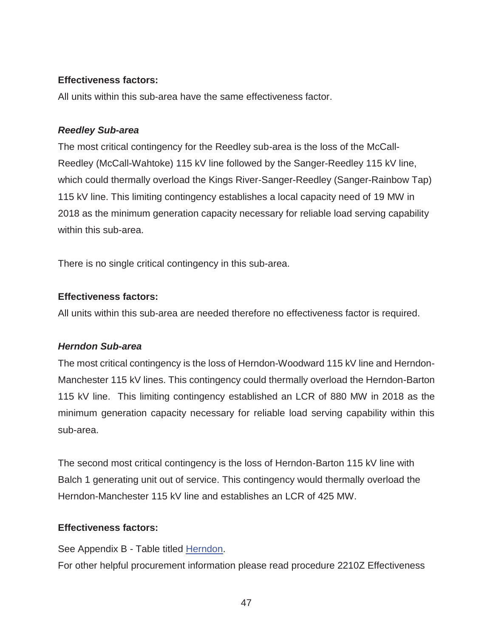#### **Effectiveness factors:**

All units within this sub-area have the same effectiveness factor.

#### *Reedley Sub-area*

The most critical contingency for the Reedley sub-area is the loss of the McCall-Reedley (McCall-Wahtoke) 115 kV line followed by the Sanger-Reedley 115 kV line, which could thermally overload the Kings River-Sanger-Reedley (Sanger-Rainbow Tap) 115 kV line. This limiting contingency establishes a local capacity need of 19 MW in 2018 as the minimum generation capacity necessary for reliable load serving capability within this sub-area.

There is no single critical contingency in this sub-area.

## **Effectiveness factors:**

All units within this sub-area are needed therefore no effectiveness factor is required.

## *Herndon Sub-area*

The most critical contingency is the loss of Herndon-Woodward 115 kV line and Herndon-Manchester 115 kV lines. This contingency could thermally overload the Herndon-Barton 115 kV line. This limiting contingency established an LCR of 880 MW in 2018 as the minimum generation capacity necessary for reliable load serving capability within this sub-area.

The second most critical contingency is the loss of Herndon-Barton 115 kV line with Balch 1 generating unit out of service. This contingency would thermally overload the Herndon-Manchester 115 kV line and establishes an LCR of 425 MW.

## **Effectiveness factors:**

See Appendix B - Table titled Herndon. For other helpful procurement information please read procedure 2210Z Effectiveness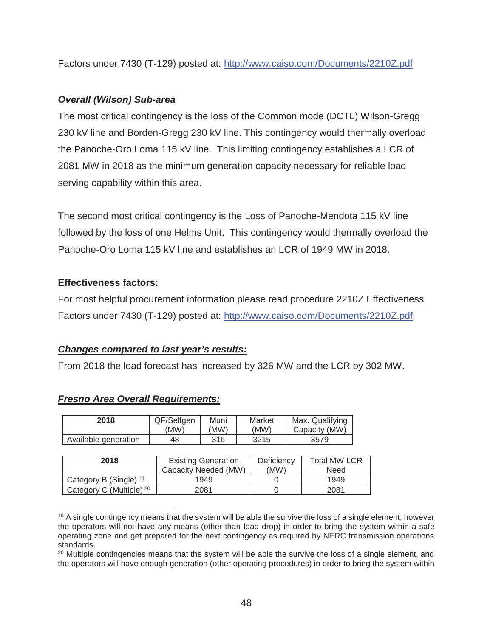Factors under 7430 (T-129) posted at: http://www.caiso.com/Documents/2210Z.pdf

# *Overall (Wilson) Sub-area*

The most critical contingency is the loss of the Common mode (DCTL) Wilson-Gregg 230 kV line and Borden-Gregg 230 kV line. This contingency would thermally overload the Panoche-Oro Loma 115 kV line. This limiting contingency establishes a LCR of 2081 MW in 2018 as the minimum generation capacity necessary for reliable load serving capability within this area.

The second most critical contingency is the Loss of Panoche-Mendota 115 kV line followed by the loss of one Helms Unit. This contingency would thermally overload the Panoche-Oro Loma 115 kV line and establishes an LCR of 1949 MW in 2018.

## **Effectiveness factors:**

For most helpful procurement information please read procedure 2210Z Effectiveness Factors under 7430 (T-129) posted at: http://www.caiso.com/Documents/2210Z.pdf

## *Changes compared to last year's results:*

From 2018 the load forecast has increased by 326 MW and the LCR by 302 MW.

| 2018                                | QF/Selfgen           | Muni                       |  | Market     | Max. Qualifying     |  |
|-------------------------------------|----------------------|----------------------------|--|------------|---------------------|--|
|                                     | (MW)                 | (MW)                       |  | (MW)       | Capacity (MW)       |  |
| Available generation                | 48                   | 316                        |  | 3215       | 3579                |  |
|                                     |                      |                            |  |            |                     |  |
| 2018                                |                      | <b>Existing Generation</b> |  | Deficiency | <b>Total MW LCR</b> |  |
|                                     | Capacity Needed (MW) |                            |  | (MW)       | <b>Need</b>         |  |
| Category B (Single) <sup>19</sup>   |                      | 1949                       |  |            | 1949                |  |
| Category C (Multiple) <sup>20</sup> | 2081                 |                            |  |            | 2081                |  |

#### *Fresno Area Overall Requirements:*

Market

 $M_{\text{max}}$ . Qualifying

 $\overline{a}$  $19$  A single contingency means that the system will be able the survive the loss of a single element, however the operators will not have any means (other than load drop) in order to bring the system within a safe operating zone and get prepared for the next contingency as required by NERC transmission operations standards.

<sup>&</sup>lt;sup>20</sup> Multiple contingencies means that the system will be able the survive the loss of a single element, and the operators will have enough generation (other operating procedures) in order to bring the system within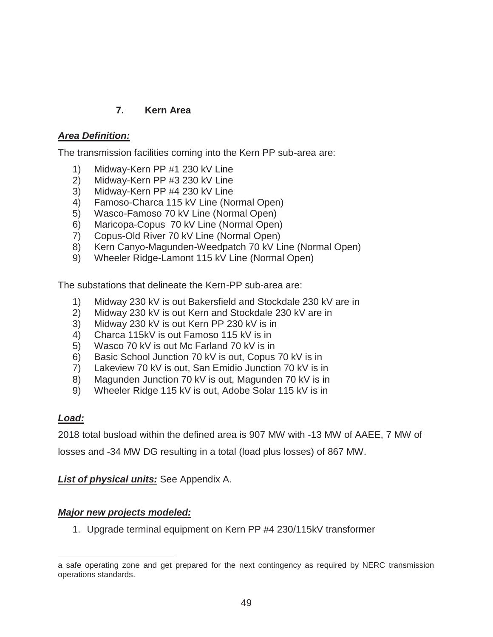## **7. Kern Area**

## *Area Definition:*

The transmission facilities coming into the Kern PP sub-area are:

- 1) Midway-Kern PP #1 230 kV Line
- 2) Midway-Kern PP #3 230 kV Line
- 3) Midway-Kern PP #4 230 kV Line
- 4) Famoso-Charca 115 kV Line (Normal Open)
- 5) Wasco-Famoso 70 kV Line (Normal Open)
- 6) Maricopa-Copus 70 kV Line (Normal Open)
- 7) Copus-Old River 70 kV Line (Normal Open)
- 8) Kern Canyo-Magunden-Weedpatch 70 kV Line (Normal Open)
- 9) Wheeler Ridge-Lamont 115 kV Line (Normal Open)

The substations that delineate the Kern-PP sub-area are:

- 1) Midway 230 kV is out Bakersfield and Stockdale 230 kV are in
- 2) Midway 230 kV is out Kern and Stockdale 230 kV are in
- 3) Midway 230 kV is out Kern PP 230 kV is in
- 4) Charca 115kV is out Famoso 115 kV is in
- 5) Wasco 70 kV is out Mc Farland 70 kV is in
- 6) Basic School Junction 70 kV is out, Copus 70 kV is in
- 7) Lakeview 70 kV is out, San Emidio Junction 70 kV is in
- 8) Magunden Junction 70 kV is out, Magunden 70 kV is in
- 9) Wheeler Ridge 115 kV is out, Adobe Solar 115 kV is in

## *Load:*

 $\overline{a}$ 

2018 total busload within the defined area is 907 MW with -13 MW of AAEE, 7 MW of

losses and -34 MW DG resulting in a total (load plus losses) of 867 MW.

## *List of physical units:* See Appendix A.

## *Major new projects modeled:*

1. Upgrade terminal equipment on Kern PP #4 230/115kV transformer

a safe operating zone and get prepared for the next contingency as required by NERC transmission operations standards.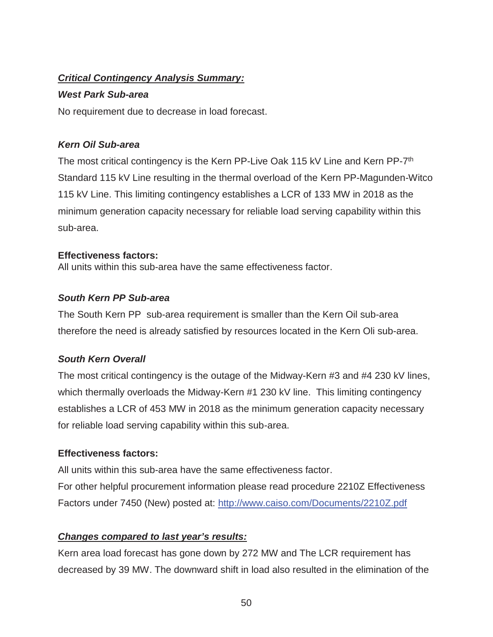# *Critical Contingency Analysis Summary:*

#### *West Park Sub-area*

No requirement due to decrease in load forecast.

## *Kern Oil Sub-area*

The most critical contingency is the Kern PP-Live Oak 115 kV Line and Kern PP-7<sup>th</sup> Standard 115 kV Line resulting in the thermal overload of the Kern PP-Magunden-Witco 115 kV Line. This limiting contingency establishes a LCR of 133 MW in 2018 as the minimum generation capacity necessary for reliable load serving capability within this sub-area.

#### **Effectiveness factors:**

All units within this sub-area have the same effectiveness factor.

## *South Kern PP Sub-area*

The South Kern PP sub-area requirement is smaller than the Kern Oil sub-area therefore the need is already satisfied by resources located in the Kern Oli sub-area.

## *South Kern Overall*

The most critical contingency is the outage of the Midway-Kern #3 and #4 230 kV lines, which thermally overloads the Midway-Kern #1 230 kV line. This limiting contingency establishes a LCR of 453 MW in 2018 as the minimum generation capacity necessary for reliable load serving capability within this sub-area.

## **Effectiveness factors:**

All units within this sub-area have the same effectiveness factor. For other helpful procurement information please read procedure 2210Z Effectiveness Factors under 7450 (New) posted at: http://www.caiso.com/Documents/2210Z.pdf

## *Changes compared to last year's results:*

Kern area load forecast has gone down by 272 MW and The LCR requirement has decreased by 39 MW. The downward shift in load also resulted in the elimination of the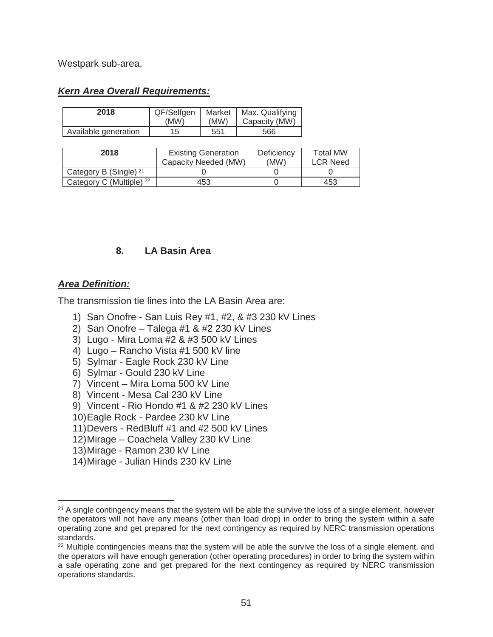Westpark sub-area.

#### *Kern Area Overall Requirements:*

| 2018                 | QF/Selfgen | Market | Max. Qualifying |
|----------------------|------------|--------|-----------------|
|                      | 'MW)       | (MW)   | Capacity (MW)   |
| Available generation | 15         | 551    | 566             |

| 2018                                | <b>Existing Generation</b><br>Capacity Needed (MW) | Deficiency<br>(MW) | <b>Total MW</b><br><b>LCR Need</b> |
|-------------------------------------|----------------------------------------------------|--------------------|------------------------------------|
| Category B (Single) <sup>21</sup>   |                                                    |                    |                                    |
| Category C (Multiple) <sup>22</sup> | 453                                                |                    | 453                                |

#### **8. LA Basin Area**

#### *Area Definition:*

 $\overline{a}$ 

The transmission tie lines into the LA Basin Area are:

- 1) San Onofre San Luis Rey #1, #2, & #3 230 kV Lines
- 2) San Onofre Talega #1 & #2 230 kV Lines
- 3) Lugo Mira Loma #2 & #3 500 kV Lines
- 4) Lugo Rancho Vista #1 500 kV line
- 5) Sylmar Eagle Rock 230 kV Line
- 6) Sylmar Gould 230 kV Line
- 7) Vincent Mira Loma 500 kV Line
- 8) Vincent Mesa Cal 230 kV Line
- 9) Vincent Rio Hondo #1 & #2 230 kV Lines
- 10) Eagle Rock Pardee 230 kV Line
- 11) Devers RedBluff #1 and #2 500 kV Lines
- 12) Mirage Coachela Valley 230 kV Line
- 13) Mirage Ramon 230 kV Line
- 14) Mirage Julian Hinds 230 kV Line

 $21$  A single contingency means that the system will be able the survive the loss of a single element, however the operators will not have any means (other than load drop) in order to bring the system within a safe operating zone and get prepared for the next contingency as required by NERC transmission operations standards.

<sup>&</sup>lt;sup>22</sup> Multiple contingencies means that the system will be able the survive the loss of a single element, and the operators will have enough generation (other operating procedures) in order to bring the system within a safe operating zone and get prepared for the next contingency as required by NERC transmission operations standards.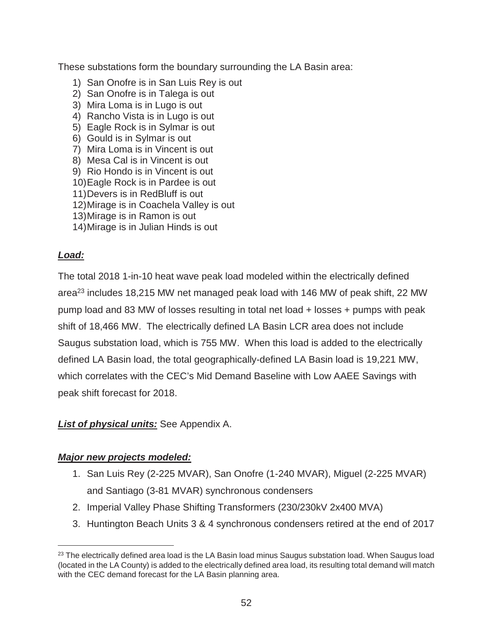These substations form the boundary surrounding the LA Basin area:

- 1) San Onofre is in San Luis Rey is out
- 2) San Onofre is in Talega is out
- 3) Mira Loma is in Lugo is out
- 4) Rancho Vista is in Lugo is out
- 5) Eagle Rock is in Sylmar is out
- 6) Gould is in Sylmar is out
- 7) Mira Loma is in Vincent is out
- 8) Mesa Cal is in Vincent is out
- 9) Rio Hondo is in Vincent is out
- 10) Eagle Rock is in Pardee is out
- 11) Devers is in RedBluff is out
- 12) Mirage is in Coachela Valley is out
- 13) Mirage is in Ramon is out
- 14) Mirage is in Julian Hinds is out

## *Load:*

 $\overline{a}$ 

The total 2018 1-in-10 heat wave peak load modeled within the electrically defined area<sup>23</sup> includes 18,215 MW net managed peak load with 146 MW of peak shift, 22 MW pump load and 83 MW of losses resulting in total net load + losses + pumps with peak shift of 18,466 MW. The electrically defined LA Basin LCR area does not include Saugus substation load, which is 755 MW. When this load is added to the electrically defined LA Basin load, the total geographically-defined LA Basin load is 19,221 MW, which correlates with the CEC's Mid Demand Baseline with Low AAEE Savings with peak shift forecast for 2018.

## *List of physical units:* See Appendix A.

#### *Major new projects modeled:*

- 1. San Luis Rey (2-225 MVAR), San Onofre (1-240 MVAR), Miguel (2-225 MVAR) and Santiago (3-81 MVAR) synchronous condensers
- 2. Imperial Valley Phase Shifting Transformers (230/230kV 2x400 MVA)
- 3. Huntington Beach Units 3 & 4 synchronous condensers retired at the end of 2017

<sup>&</sup>lt;sup>23</sup> The electrically defined area load is the LA Basin load minus Saugus substation load. When Saugus load (located in the LA County) is added to the electrically defined area load, its resulting total demand will match with the CEC demand forecast for the LA Basin planning area.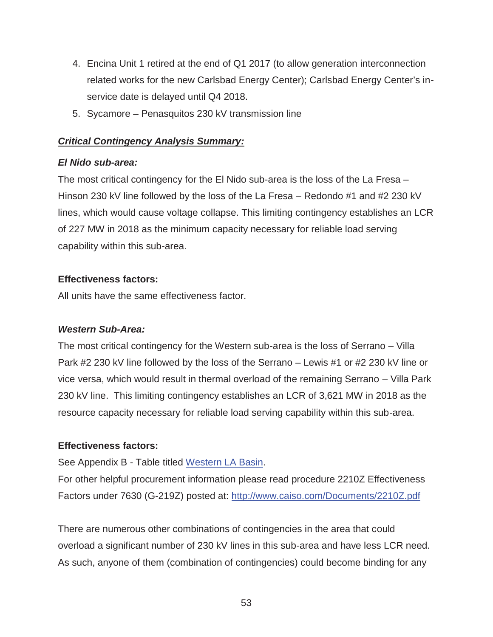- 4. Encina Unit 1 retired at the end of Q1 2017 (to allow generation interconnection related works for the new Carlsbad Energy Center); Carlsbad Energy Center's inservice date is delayed until Q4 2018.
- 5. Sycamore Penasquitos 230 kV transmission line

# *Critical Contingency Analysis Summary:*

# *El Nido sub-area:*

The most critical contingency for the El Nido sub-area is the loss of the La Fresa – Hinson 230 kV line followed by the loss of the La Fresa – Redondo #1 and #2 230 kV lines, which would cause voltage collapse. This limiting contingency establishes an LCR of 227 MW in 2018 as the minimum capacity necessary for reliable load serving capability within this sub-area.

# **Effectiveness factors:**

All units have the same effectiveness factor.

# *Western Sub-Area:*

The most critical contingency for the Western sub-area is the loss of Serrano – Villa Park #2 230 kV line followed by the loss of the Serrano – Lewis #1 or #2 230 kV line or vice versa, which would result in thermal overload of the remaining Serrano – Villa Park 230 kV line. This limiting contingency establishes an LCR of 3,621 MW in 2018 as the resource capacity necessary for reliable load serving capability within this sub-area.

# **Effectiveness factors:**

See Appendix B - Table titled Western LA Basin.

For other helpful procurement information please read procedure 2210Z Effectiveness Factors under 7630 (G-219Z) posted at: http://www.caiso.com/Documents/2210Z.pdf

There are numerous other combinations of contingencies in the area that could overload a significant number of 230 kV lines in this sub-area and have less LCR need. As such, anyone of them (combination of contingencies) could become binding for any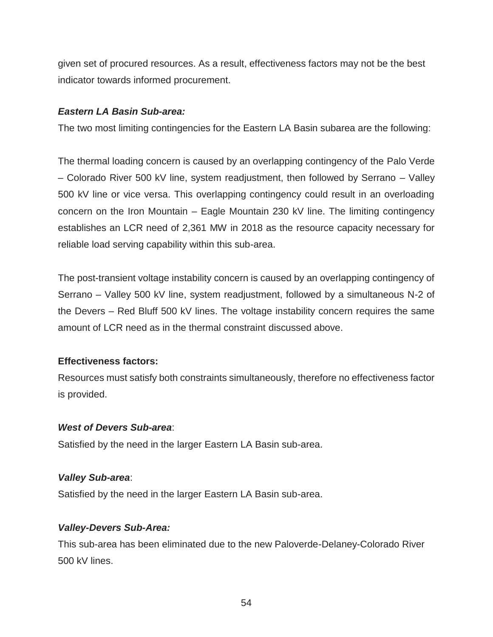given set of procured resources. As a result, effectiveness factors may not be the best indicator towards informed procurement.

#### *Eastern LA Basin Sub-area:*

The two most limiting contingencies for the Eastern LA Basin subarea are the following:

The thermal loading concern is caused by an overlapping contingency of the Palo Verde – Colorado River 500 kV line, system readjustment, then followed by Serrano – Valley 500 kV line or vice versa. This overlapping contingency could result in an overloading concern on the Iron Mountain – Eagle Mountain 230 kV line. The limiting contingency establishes an LCR need of 2,361 MW in 2018 as the resource capacity necessary for reliable load serving capability within this sub-area.

The post-transient voltage instability concern is caused by an overlapping contingency of Serrano – Valley 500 kV line, system readjustment, followed by a simultaneous N-2 of the Devers – Red Bluff 500 kV lines. The voltage instability concern requires the same amount of LCR need as in the thermal constraint discussed above.

## **Effectiveness factors:**

Resources must satisfy both constraints simultaneously, therefore no effectiveness factor is provided.

#### *West of Devers Sub-area*:

Satisfied by the need in the larger Eastern LA Basin sub-area.

## *Valley Sub-area*:

Satisfied by the need in the larger Eastern LA Basin sub-area.

## *Valley-Devers Sub-Area:*

This sub-area has been eliminated due to the new Paloverde-Delaney-Colorado River 500 kV lines.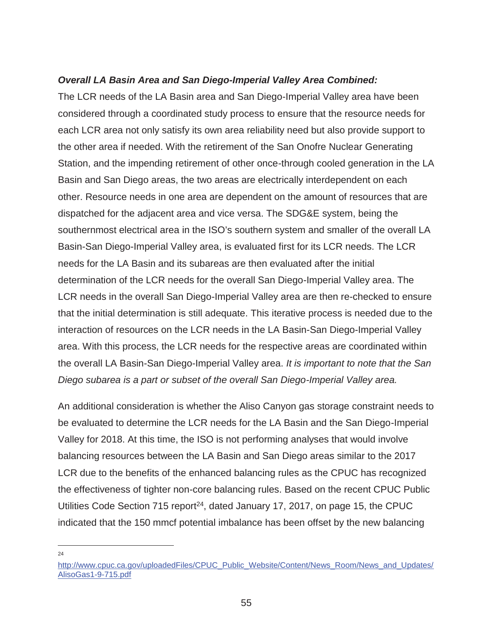#### *Overall LA Basin Area and San Diego-Imperial Valley Area Combined:*

The LCR needs of the LA Basin area and San Diego-Imperial Valley area have been considered through a coordinated study process to ensure that the resource needs for each LCR area not only satisfy its own area reliability need but also provide support to the other area if needed. With the retirement of the San Onofre Nuclear Generating Station, and the impending retirement of other once-through cooled generation in the LA Basin and San Diego areas, the two areas are electrically interdependent on each other. Resource needs in one area are dependent on the amount of resources that are dispatched for the adjacent area and vice versa. The SDG&E system, being the southernmost electrical area in the ISO's southern system and smaller of the overall LA Basin-San Diego-Imperial Valley area, is evaluated first for its LCR needs. The LCR needs for the LA Basin and its subareas are then evaluated after the initial determination of the LCR needs for the overall San Diego-Imperial Valley area. The LCR needs in the overall San Diego-Imperial Valley area are then re-checked to ensure that the initial determination is still adequate. This iterative process is needed due to the interaction of resources on the LCR needs in the LA Basin-San Diego-Imperial Valley area. With this process, the LCR needs for the respective areas are coordinated within the overall LA Basin-San Diego-Imperial Valley area. *It is important to note that the San Diego subarea is a part or subset of the overall San Diego-Imperial Valley area.*

An additional consideration is whether the Aliso Canyon gas storage constraint needs to be evaluated to determine the LCR needs for the LA Basin and the San Diego-Imperial Valley for 2018. At this time, the ISO is not performing analyses that would involve balancing resources between the LA Basin and San Diego areas similar to the 2017 LCR due to the benefits of the enhanced balancing rules as the CPUC has recognized the effectiveness of tighter non-core balancing rules. Based on the recent CPUC Public Utilities Code Section 715 report<sup>24</sup>, dated January 17, 2017, on page 15, the CPUC indicated that the 150 mmcf potential imbalance has been offset by the new balancing

 $\overline{a}$  $24$ 

http://www.cpuc.ca.gov/uploadedFiles/CPUC\_Public\_Website/Content/News\_Room/News\_and\_Updates/ AlisoGas1-9-715.pdf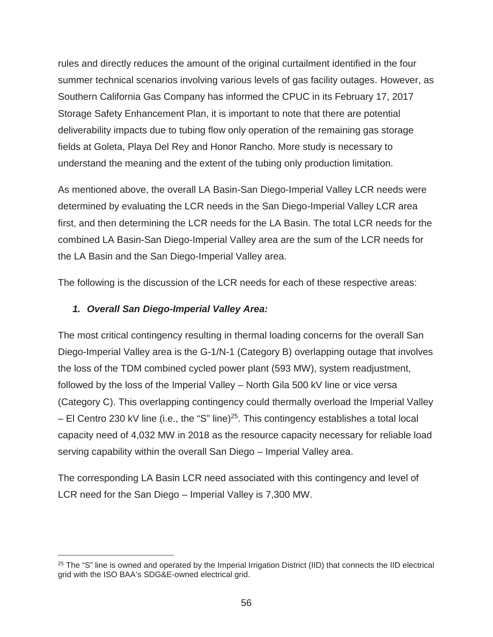rules and directly reduces the amount of the original curtailment identified in the four summer technical scenarios involving various levels of gas facility outages. However, as Southern California Gas Company has informed the CPUC in its February 17, 2017 Storage Safety Enhancement Plan, it is important to note that there are potential deliverability impacts due to tubing flow only operation of the remaining gas storage fields at Goleta, Playa Del Rey and Honor Rancho. More study is necessary to understand the meaning and the extent of the tubing only production limitation.

As mentioned above, the overall LA Basin-San Diego-Imperial Valley LCR needs were determined by evaluating the LCR needs in the San Diego-Imperial Valley LCR area first, and then determining the LCR needs for the LA Basin. The total LCR needs for the combined LA Basin-San Diego-Imperial Valley area are the sum of the LCR needs for the LA Basin and the San Diego-Imperial Valley area.

The following is the discussion of the LCR needs for each of these respective areas:

#### *1. Overall San Diego-Imperial Valley Area:*

 $\overline{a}$ 

The most critical contingency resulting in thermal loading concerns for the overall San Diego-Imperial Valley area is the G-1/N-1 (Category B) overlapping outage that involves the loss of the TDM combined cycled power plant (593 MW), system readjustment, followed by the loss of the Imperial Valley – North Gila 500 kV line or vice versa (Category C). This overlapping contingency could thermally overload the Imperial Valley  $-$  El Centro 230 kV line (i.e., the "S" line)<sup>25</sup>. This contingency establishes a total local capacity need of 4,032 MW in 2018 as the resource capacity necessary for reliable load serving capability within the overall San Diego – Imperial Valley area.

The corresponding LA Basin LCR need associated with this contingency and level of LCR need for the San Diego – Imperial Valley is 7,300 MW.

<sup>&</sup>lt;sup>25</sup> The "S" line is owned and operated by the Imperial Irrigation District (IID) that connects the IID electrical grid with the ISO BAA's SDG&E-owned electrical grid.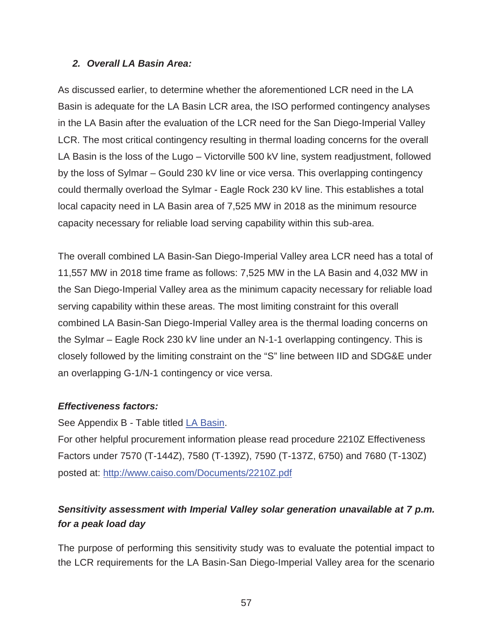#### *2. Overall LA Basin Area:*

As discussed earlier, to determine whether the aforementioned LCR need in the LA Basin is adequate for the LA Basin LCR area, the ISO performed contingency analyses in the LA Basin after the evaluation of the LCR need for the San Diego-Imperial Valley LCR. The most critical contingency resulting in thermal loading concerns for the overall LA Basin is the loss of the Lugo – Victorville 500 kV line, system readjustment, followed by the loss of Sylmar – Gould 230 kV line or vice versa. This overlapping contingency could thermally overload the Sylmar - Eagle Rock 230 kV line. This establishes a total local capacity need in LA Basin area of 7,525 MW in 2018 as the minimum resource capacity necessary for reliable load serving capability within this sub-area.

The overall combined LA Basin-San Diego-Imperial Valley area LCR need has a total of 11,557 MW in 2018 time frame as follows: 7,525 MW in the LA Basin and 4,032 MW in the San Diego-Imperial Valley area as the minimum capacity necessary for reliable load serving capability within these areas. The most limiting constraint for this overall combined LA Basin-San Diego-Imperial Valley area is the thermal loading concerns on the Sylmar – Eagle Rock 230 kV line under an N-1-1 overlapping contingency. This is closely followed by the limiting constraint on the "S" line between IID and SDG&E under an overlapping G-1/N-1 contingency or vice versa.

## *Effectiveness factors:*

See Appendix B - Table titled LA Basin.

For other helpful procurement information please read procedure 2210Z Effectiveness Factors under 7570 (T-144Z), 7580 (T-139Z), 7590 (T-137Z, 6750) and 7680 (T-130Z) posted at: http://www.caiso.com/Documents/2210Z.pdf

# *Sensitivity assessment with Imperial Valley solar generation unavailable at 7 p.m. for a peak load day*

The purpose of performing this sensitivity study was to evaluate the potential impact to the LCR requirements for the LA Basin-San Diego-Imperial Valley area for the scenario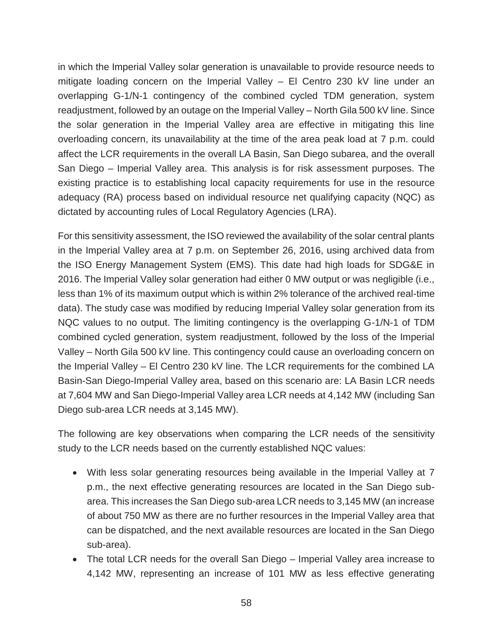in which the Imperial Valley solar generation is unavailable to provide resource needs to mitigate loading concern on the Imperial Valley – El Centro 230 kV line under an overlapping G-1/N-1 contingency of the combined cycled TDM generation, system readjustment, followed by an outage on the Imperial Valley – North Gila 500 kV line. Since the solar generation in the Imperial Valley area are effective in mitigating this line overloading concern, its unavailability at the time of the area peak load at 7 p.m. could affect the LCR requirements in the overall LA Basin, San Diego subarea, and the overall San Diego – Imperial Valley area. This analysis is for risk assessment purposes. The existing practice is to establishing local capacity requirements for use in the resource adequacy (RA) process based on individual resource net qualifying capacity (NQC) as dictated by accounting rules of Local Regulatory Agencies (LRA).

For this sensitivity assessment, the ISO reviewed the availability of the solar central plants in the Imperial Valley area at 7 p.m. on September 26, 2016, using archived data from the ISO Energy Management System (EMS). This date had high loads for SDG&E in 2016. The Imperial Valley solar generation had either 0 MW output or was negligible (i.e., less than 1% of its maximum output which is within 2% tolerance of the archived real-time data). The study case was modified by reducing Imperial Valley solar generation from its NQC values to no output. The limiting contingency is the overlapping G-1/N-1 of TDM combined cycled generation, system readjustment, followed by the loss of the Imperial Valley – North Gila 500 kV line. This contingency could cause an overloading concern on the Imperial Valley – El Centro 230 kV line. The LCR requirements for the combined LA Basin-San Diego-Imperial Valley area, based on this scenario are: LA Basin LCR needs at 7,604 MW and San Diego-Imperial Valley area LCR needs at 4,142 MW (including San Diego sub-area LCR needs at 3,145 MW).

The following are key observations when comparing the LCR needs of the sensitivity study to the LCR needs based on the currently established NQC values:

- With less solar generating resources being available in the Imperial Valley at 7 p.m., the next effective generating resources are located in the San Diego subarea. This increases the San Diego sub-area LCR needs to 3,145 MW (an increase of about 750 MW as there are no further resources in the Imperial Valley area that can be dispatched, and the next available resources are located in the San Diego sub-area).
- The total LCR needs for the overall San Diego Imperial Valley area increase to 4,142 MW, representing an increase of 101 MW as less effective generating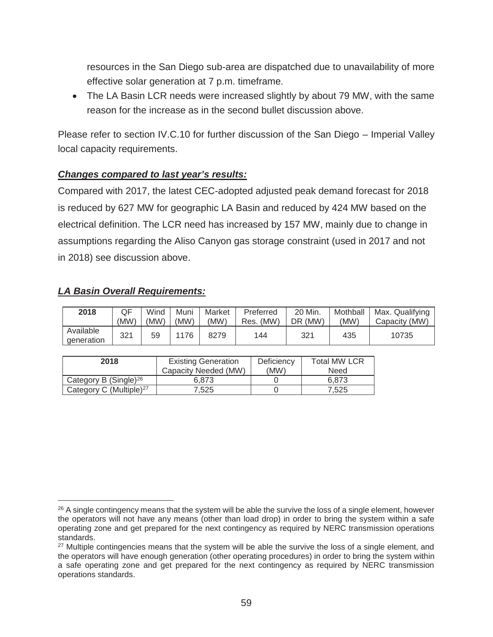resources in the San Diego sub-area are dispatched due to unavailability of more effective solar generation at 7 p.m. timeframe.

• The LA Basin LCR needs were increased slightly by about 79 MW, with the same reason for the increase as in the second bullet discussion above.

Please refer to section IV.C.10 for further discussion of the San Diego – Imperial Valley local capacity requirements.

#### *Changes compared to last year's results:*

Compared with 2017, the latest CEC-adopted adjusted peak demand forecast for 2018 is reduced by 627 MW for geographic LA Basin and reduced by 424 MW based on the electrical definition. The LCR need has increased by 157 MW, mainly due to change in assumptions regarding the Aliso Canyon gas storage constraint (used in 2017 and not in 2018) see discussion above.

#### *LA Basin Overall Requirements:*

 $\overline{a}$ 

| 2018                    | QF<br>(MW) | Wind<br>(MW) | Muni<br>(MW) | Market<br>'MW) | Preferred<br>Res. (MW) | 20 Min.<br>(MW)<br>DR | Mothball<br>(MW) | Max. Qualifying<br>Capacity (MW) |
|-------------------------|------------|--------------|--------------|----------------|------------------------|-----------------------|------------------|----------------------------------|
| Available<br>generation | 321        | 59           | 76           | 8279           | 144                    | 321                   | 435              | 10735                            |

| 2018                                | <b>Existing Generation</b> | Deficiency | <b>Total MW LCR</b> |
|-------------------------------------|----------------------------|------------|---------------------|
|                                     | Capacity Needed (MW)       | (MW)       | Need                |
| Category B (Single) <sup>26</sup>   | 6.873                      |            | 6.873               |
| Category C (Multiple) <sup>27</sup> | 7.525                      |            | 7.525               |

<sup>&</sup>lt;sup>26</sup> A single contingency means that the system will be able the survive the loss of a single element, however the operators will not have any means (other than load drop) in order to bring the system within a safe operating zone and get prepared for the next contingency as required by NERC transmission operations standards.

<sup>&</sup>lt;sup>27</sup> Multiple contingencies means that the system will be able the survive the loss of a single element, and the operators will have enough generation (other operating procedures) in order to bring the system within a safe operating zone and get prepared for the next contingency as required by NERC transmission operations standards.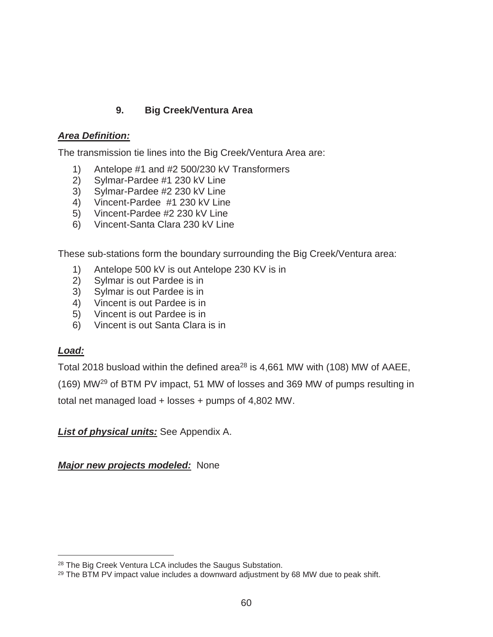# **9. Big Creek/Ventura Area**

## *Area Definition:*

The transmission tie lines into the Big Creek/Ventura Area are:

- 1) Antelope #1 and #2 500/230 kV Transformers
- 2) Sylmar-Pardee #1 230 kV Line
- 3) Sylmar-Pardee #2 230 kV Line
- 4) Vincent-Pardee #1 230 kV Line
- 5) Vincent-Pardee #2 230 kV Line
- 6) Vincent-Santa Clara 230 kV Line

These sub-stations form the boundary surrounding the Big Creek/Ventura area:

- 1) Antelope 500 kV is out Antelope 230 KV is in
- 2) Sylmar is out Pardee is in
- 3) Sylmar is out Pardee is in
- 4) Vincent is out Pardee is in
- 5) Vincent is out Pardee is in
- 6) Vincent is out Santa Clara is in

## *Load:*

 $\overline{a}$ 

Total 2018 busload within the defined area<sup>28</sup> is 4,661 MW with (108) MW of AAEE,

(169) MW29 of BTM PV impact, 51 MW of losses and 369 MW of pumps resulting in

total net managed load + losses + pumps of 4,802 MW.

*List of physical units:* See Appendix A.

*Major new projects modeled:* None

<sup>28</sup> The Big Creek Ventura LCA includes the Saugus Substation.

<sup>&</sup>lt;sup>29</sup> The BTM PV impact value includes a downward adjustment by 68 MW due to peak shift.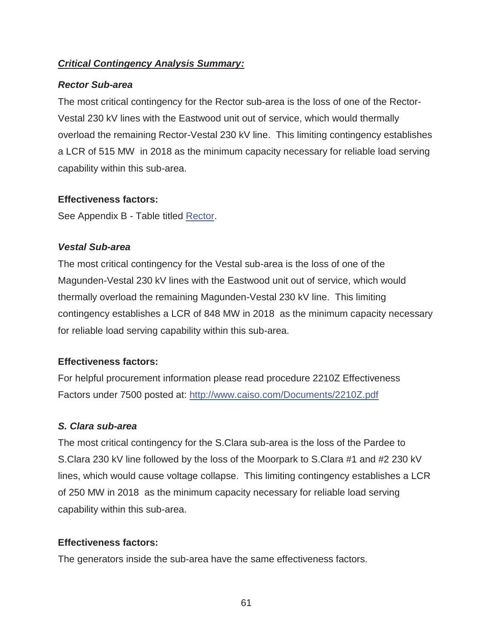# *Critical Contingency Analysis Summary:*

#### *Rector Sub-area*

The most critical contingency for the Rector sub-area is the loss of one of the Rector-Vestal 230 kV lines with the Eastwood unit out of service, which would thermally overload the remaining Rector-Vestal 230 kV line. This limiting contingency establishes a LCR of 515 MW in 2018 as the minimum capacity necessary for reliable load serving capability within this sub-area.

## **Effectiveness factors:**

See Appendix B - Table titled Rector.

# *Vestal Sub-area*

The most critical contingency for the Vestal sub-area is the loss of one of the Magunden-Vestal 230 kV lines with the Eastwood unit out of service, which would thermally overload the remaining Magunden-Vestal 230 kV line. This limiting contingency establishes a LCR of 848 MW in 2018 as the minimum capacity necessary for reliable load serving capability within this sub-area.

# **Effectiveness factors:**

For helpful procurement information please read procedure 2210Z Effectiveness Factors under 7500 posted at: http://www.caiso.com/Documents/2210Z.pdf

# *S. Clara sub-area*

The most critical contingency for the S.Clara sub-area is the loss of the Pardee to S.Clara 230 kV line followed by the loss of the Moorpark to S.Clara #1 and #2 230 kV lines, which would cause voltage collapse. This limiting contingency establishes a LCR of 250 MW in 2018 as the minimum capacity necessary for reliable load serving capability within this sub-area.

# **Effectiveness factors:**

The generators inside the sub-area have the same effectiveness factors.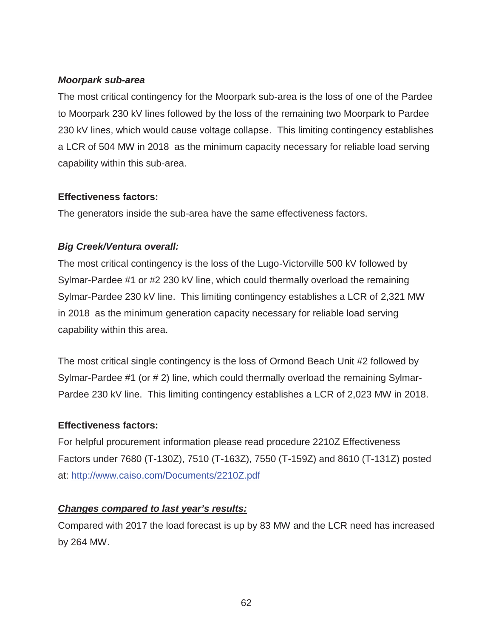## *Moorpark sub-area*

The most critical contingency for the Moorpark sub-area is the loss of one of the Pardee to Moorpark 230 kV lines followed by the loss of the remaining two Moorpark to Pardee 230 kV lines, which would cause voltage collapse. This limiting contingency establishes a LCR of 504 MW in 2018 as the minimum capacity necessary for reliable load serving capability within this sub-area.

## **Effectiveness factors:**

The generators inside the sub-area have the same effectiveness factors.

# *Big Creek/Ventura overall:*

The most critical contingency is the loss of the Lugo-Victorville 500 kV followed by Sylmar-Pardee #1 or #2 230 kV line, which could thermally overload the remaining Sylmar-Pardee 230 kV line. This limiting contingency establishes a LCR of 2,321 MW in 2018 as the minimum generation capacity necessary for reliable load serving capability within this area.

The most critical single contingency is the loss of Ormond Beach Unit #2 followed by Sylmar-Pardee #1 (or # 2) line, which could thermally overload the remaining Sylmar-Pardee 230 kV line. This limiting contingency establishes a LCR of 2,023 MW in 2018.

## **Effectiveness factors:**

For helpful procurement information please read procedure 2210Z Effectiveness Factors under 7680 (T-130Z), 7510 (T-163Z), 7550 (T-159Z) and 8610 (T-131Z) posted at: http://www.caiso.com/Documents/2210Z.pdf

## *Changes compared to last year's results:*

Compared with 2017 the load forecast is up by 83 MW and the LCR need has increased by 264 MW.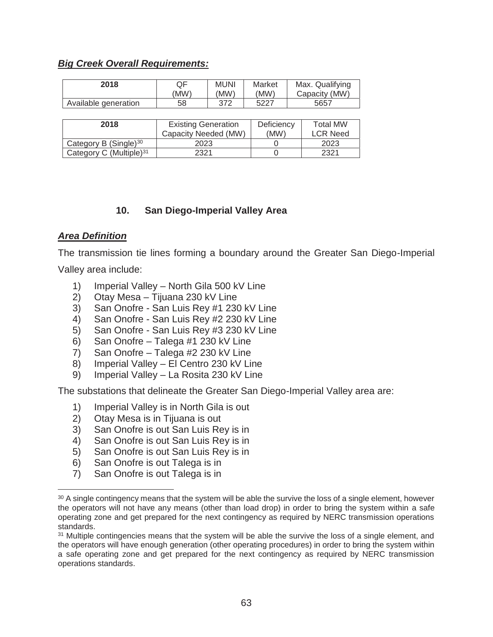## *Big Creek Overall Requirements:*

| 2018                 | QF   | <b>MUNI</b> | Market | Max. Qualifying |
|----------------------|------|-------------|--------|-----------------|
|                      | (MW) | 'MW)        | (MW)   | Capacity (MW)   |
| Available generation | 58   | 372         | 5227   | 5657            |

| 2018                                | <b>Existing Generation</b><br>Capacity Needed (MW) | Deficiency<br>(MW) | <b>Total MW</b><br><b>LCR Need</b> |
|-------------------------------------|----------------------------------------------------|--------------------|------------------------------------|
| Category B $(Single)^{30}$          | 2023                                               |                    | 2023                               |
| Category C (Multiple) <sup>31</sup> | 2321                                               |                    | 2321                               |

#### **10. San Diego-Imperial Valley Area**

#### *Area Definition*

The transmission tie lines forming a boundary around the Greater San Diego-Imperial

Valley area include:

 $\overline{a}$ 

- 1) Imperial Valley North Gila 500 kV Line
- 2) Otay Mesa Tijuana 230 kV Line
- 3) San Onofre San Luis Rey #1 230 kV Line
- 4) San Onofre San Luis Rey #2 230 kV Line
- 5) San Onofre San Luis Rey #3 230 kV Line
- 6) San Onofre Talega #1 230 kV Line
- 7) San Onofre Talega #2 230 kV Line
- 8) Imperial Valley El Centro 230 kV Line
- 9) Imperial Valley La Rosita 230 kV Line

The substations that delineate the Greater San Diego-Imperial Valley area are:

- 1) Imperial Valley is in North Gila is out
- 2) Otay Mesa is in Tijuana is out
- 3) San Onofre is out San Luis Rey is in
- 4) San Onofre is out San Luis Rey is in
- 5) San Onofre is out San Luis Rey is in
- 6) San Onofre is out Talega is in
- 7) San Onofre is out Talega is in

<sup>&</sup>lt;sup>30</sup> A single contingency means that the system will be able the survive the loss of a single element, however the operators will not have any means (other than load drop) in order to bring the system within a safe operating zone and get prepared for the next contingency as required by NERC transmission operations standards.

<sup>&</sup>lt;sup>31</sup> Multiple contingencies means that the system will be able the survive the loss of a single element, and the operators will have enough generation (other operating procedures) in order to bring the system within a safe operating zone and get prepared for the next contingency as required by NERC transmission operations standards.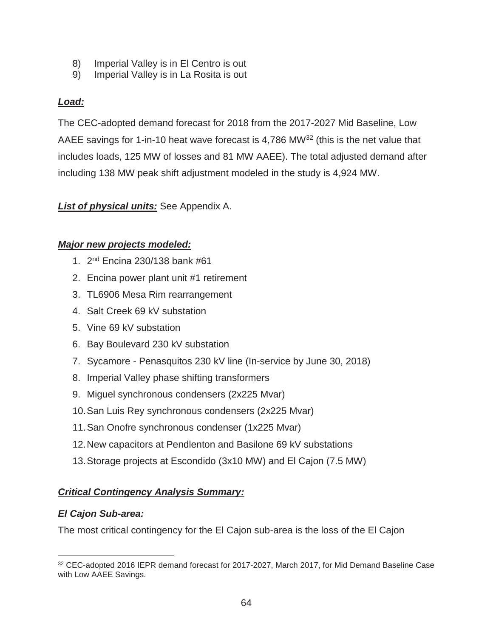- 8) Imperial Valley is in El Centro is out
- 9) Imperial Valley is in La Rosita is out

# *Load:*

The CEC-adopted demand forecast for 2018 from the 2017-2027 Mid Baseline, Low AAEE savings for 1-in-10 heat wave forecast is 4,786 MW<sup>32</sup> (this is the net value that includes loads, 125 MW of losses and 81 MW AAEE). The total adjusted demand after including 138 MW peak shift adjustment modeled in the study is 4,924 MW.

# *List of physical units:* See Appendix A.

# *Major new projects modeled:*

- 1. 2nd Encina 230/138 bank #61
- 2. Encina power plant unit #1 retirement
- 3. TL6906 Mesa Rim rearrangement
- 4. Salt Creek 69 kV substation
- 5. Vine 69 kV substation
- 6. Bay Boulevard 230 kV substation
- 7. Sycamore Penasquitos 230 kV line (In-service by June 30, 2018)
- 8. Imperial Valley phase shifting transformers
- 9. Miguel synchronous condensers (2x225 Mvar)
- 10. San Luis Rey synchronous condensers (2x225 Mvar)
- 11. San Onofre synchronous condenser (1x225 Mvar)
- 12. New capacitors at Pendlenton and Basilone 69 kV substations
- 13. Storage projects at Escondido (3x10 MW) and El Cajon (7.5 MW)

## *Critical Contingency Analysis Summary:*

## *El Cajon Sub-area:*

 $\overline{a}$ 

The most critical contingency for the El Cajon sub-area is the loss of the El Cajon

<sup>32</sup> CEC-adopted 2016 IEPR demand forecast for 2017-2027, March 2017, for Mid Demand Baseline Case with Low AAEE Savings.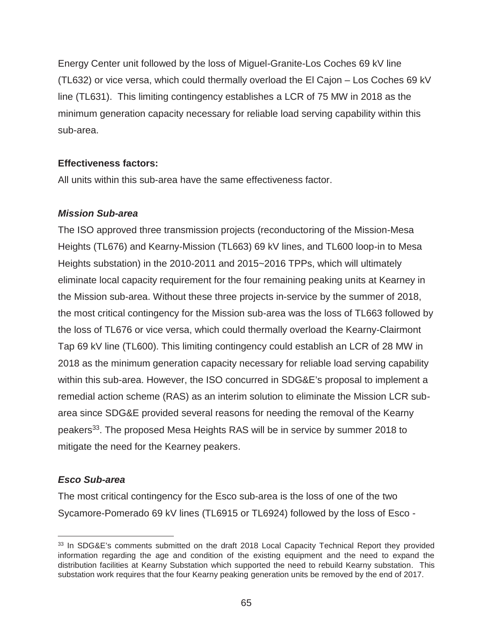Energy Center unit followed by the loss of Miguel-Granite-Los Coches 69 kV line (TL632) or vice versa, which could thermally overload the El Cajon – Los Coches 69 kV line (TL631). This limiting contingency establishes a LCR of 75 MW in 2018 as the minimum generation capacity necessary for reliable load serving capability within this sub-area.

#### **Effectiveness factors:**

All units within this sub-area have the same effectiveness factor.

#### *Mission Sub-area*

The ISO approved three transmission projects (reconductoring of the Mission-Mesa Heights (TL676) and Kearny-Mission (TL663) 69 kV lines, and TL600 loop-in to Mesa Heights substation) in the 2010-2011 and 2015~2016 TPPs, which will ultimately eliminate local capacity requirement for the four remaining peaking units at Kearney in the Mission sub-area. Without these three projects in-service by the summer of 2018, the most critical contingency for the Mission sub-area was the loss of TL663 followed by the loss of TL676 or vice versa, which could thermally overload the Kearny-Clairmont Tap 69 kV line (TL600). This limiting contingency could establish an LCR of 28 MW in 2018 as the minimum generation capacity necessary for reliable load serving capability within this sub-area. However, the ISO concurred in SDG&E's proposal to implement a remedial action scheme (RAS) as an interim solution to eliminate the Mission LCR subarea since SDG&E provided several reasons for needing the removal of the Kearny peakers<sup>33</sup>. The proposed Mesa Heights RAS will be in service by summer 2018 to mitigate the need for the Kearney peakers.

## *Esco Sub-area*

 $\overline{a}$ 

The most critical contingency for the Esco sub-area is the loss of one of the two Sycamore-Pomerado 69 kV lines (TL6915 or TL6924) followed by the loss of Esco -

<sup>&</sup>lt;sup>33</sup> In SDG&E's comments submitted on the draft 2018 Local Capacity Technical Report they provided information regarding the age and condition of the existing equipment and the need to expand the distribution facilities at Kearny Substation which supported the need to rebuild Kearny substation. This substation work requires that the four Kearny peaking generation units be removed by the end of 2017.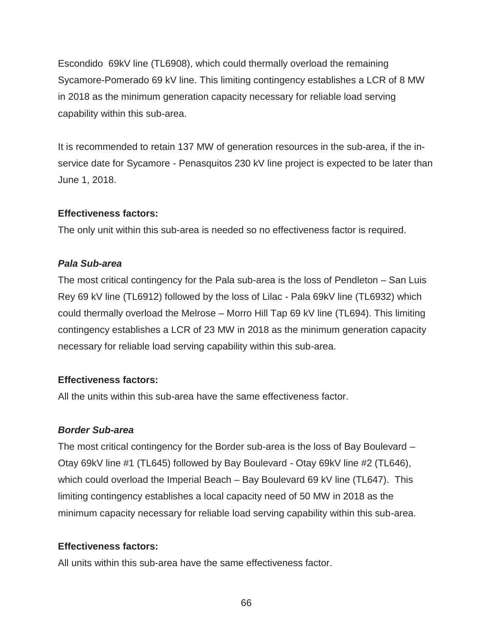Escondido 69kV line (TL6908), which could thermally overload the remaining Sycamore-Pomerado 69 kV line. This limiting contingency establishes a LCR of 8 MW in 2018 as the minimum generation capacity necessary for reliable load serving capability within this sub-area.

It is recommended to retain 137 MW of generation resources in the sub-area, if the inservice date for Sycamore - Penasquitos 230 kV line project is expected to be later than June 1, 2018.

#### **Effectiveness factors:**

The only unit within this sub-area is needed so no effectiveness factor is required.

## *Pala Sub-area*

The most critical contingency for the Pala sub-area is the loss of Pendleton – San Luis Rey 69 kV line (TL6912) followed by the loss of Lilac - Pala 69kV line (TL6932) which could thermally overload the Melrose – Morro Hill Tap 69 kV line (TL694). This limiting contingency establishes a LCR of 23 MW in 2018 as the minimum generation capacity necessary for reliable load serving capability within this sub-area.

## **Effectiveness factors:**

All the units within this sub-area have the same effectiveness factor.

## *Border Sub-area*

The most critical contingency for the Border sub-area is the loss of Bay Boulevard – Otay 69kV line #1 (TL645) followed by Bay Boulevard - Otay 69kV line #2 (TL646), which could overload the Imperial Beach – Bay Boulevard 69 kV line (TL647). This limiting contingency establishes a local capacity need of 50 MW in 2018 as the minimum capacity necessary for reliable load serving capability within this sub-area.

# **Effectiveness factors:**

All units within this sub-area have the same effectiveness factor.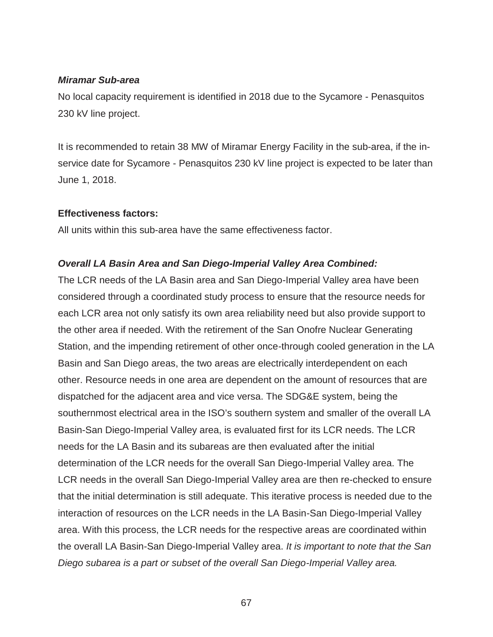#### *Miramar Sub-area*

No local capacity requirement is identified in 2018 due to the Sycamore - Penasquitos 230 kV line project.

It is recommended to retain 38 MW of Miramar Energy Facility in the sub-area, if the inservice date for Sycamore - Penasquitos 230 kV line project is expected to be later than June 1, 2018.

#### **Effectiveness factors:**

All units within this sub-area have the same effectiveness factor.

#### *Overall LA Basin Area and San Diego-Imperial Valley Area Combined:*

The LCR needs of the LA Basin area and San Diego-Imperial Valley area have been considered through a coordinated study process to ensure that the resource needs for each LCR area not only satisfy its own area reliability need but also provide support to the other area if needed. With the retirement of the San Onofre Nuclear Generating Station, and the impending retirement of other once-through cooled generation in the LA Basin and San Diego areas, the two areas are electrically interdependent on each other. Resource needs in one area are dependent on the amount of resources that are dispatched for the adjacent area and vice versa. The SDG&E system, being the southernmost electrical area in the ISO's southern system and smaller of the overall LA Basin-San Diego-Imperial Valley area, is evaluated first for its LCR needs. The LCR needs for the LA Basin and its subareas are then evaluated after the initial determination of the LCR needs for the overall San Diego-Imperial Valley area. The LCR needs in the overall San Diego-Imperial Valley area are then re-checked to ensure that the initial determination is still adequate. This iterative process is needed due to the interaction of resources on the LCR needs in the LA Basin-San Diego-Imperial Valley area. With this process, the LCR needs for the respective areas are coordinated within the overall LA Basin-San Diego-Imperial Valley area. *It is important to note that the San Diego subarea is a part or subset of the overall San Diego-Imperial Valley area.*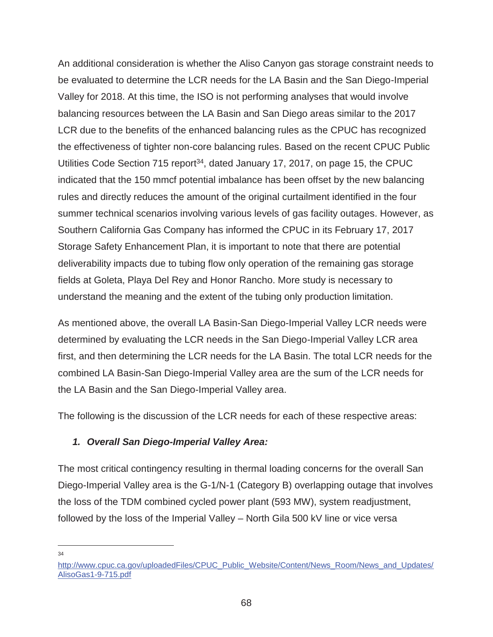An additional consideration is whether the Aliso Canyon gas storage constraint needs to be evaluated to determine the LCR needs for the LA Basin and the San Diego-Imperial Valley for 2018. At this time, the ISO is not performing analyses that would involve balancing resources between the LA Basin and San Diego areas similar to the 2017 LCR due to the benefits of the enhanced balancing rules as the CPUC has recognized the effectiveness of tighter non-core balancing rules. Based on the recent CPUC Public Utilities Code Section 715 report<sup>34</sup>, dated January 17, 2017, on page 15, the CPUC indicated that the 150 mmcf potential imbalance has been offset by the new balancing rules and directly reduces the amount of the original curtailment identified in the four summer technical scenarios involving various levels of gas facility outages. However, as Southern California Gas Company has informed the CPUC in its February 17, 2017 Storage Safety Enhancement Plan, it is important to note that there are potential deliverability impacts due to tubing flow only operation of the remaining gas storage fields at Goleta, Playa Del Rey and Honor Rancho. More study is necessary to understand the meaning and the extent of the tubing only production limitation.

As mentioned above, the overall LA Basin-San Diego-Imperial Valley LCR needs were determined by evaluating the LCR needs in the San Diego-Imperial Valley LCR area first, and then determining the LCR needs for the LA Basin. The total LCR needs for the combined LA Basin-San Diego-Imperial Valley area are the sum of the LCR needs for the LA Basin and the San Diego-Imperial Valley area.

The following is the discussion of the LCR needs for each of these respective areas:

## *1. Overall San Diego-Imperial Valley Area:*

The most critical contingency resulting in thermal loading concerns for the overall San Diego-Imperial Valley area is the G-1/N-1 (Category B) overlapping outage that involves the loss of the TDM combined cycled power plant (593 MW), system readjustment, followed by the loss of the Imperial Valley – North Gila 500 kV line or vice versa

 $\overline{a}$ 34

http://www.cpuc.ca.gov/uploadedFiles/CPUC\_Public\_Website/Content/News\_Room/News\_and\_Updates/ AlisoGas1-9-715.pdf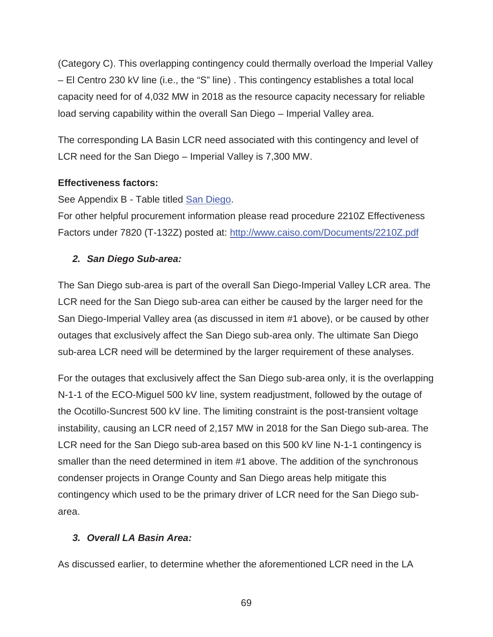(Category C). This overlapping contingency could thermally overload the Imperial Valley – El Centro 230 kV line (i.e., the "S" line) . This contingency establishes a total local capacity need for of 4,032 MW in 2018 as the resource capacity necessary for reliable load serving capability within the overall San Diego – Imperial Valley area.

The corresponding LA Basin LCR need associated with this contingency and level of LCR need for the San Diego – Imperial Valley is 7,300 MW.

#### **Effectiveness factors:**

See Appendix B - Table titled San Diego.

For other helpful procurement information please read procedure 2210Z Effectiveness Factors under 7820 (T-132Z) posted at: http://www.caiso.com/Documents/2210Z.pdf

#### *2. San Diego Sub-area:*

The San Diego sub-area is part of the overall San Diego-Imperial Valley LCR area. The LCR need for the San Diego sub-area can either be caused by the larger need for the San Diego-Imperial Valley area (as discussed in item #1 above), or be caused by other outages that exclusively affect the San Diego sub-area only. The ultimate San Diego sub-area LCR need will be determined by the larger requirement of these analyses.

For the outages that exclusively affect the San Diego sub-area only, it is the overlapping N-1-1 of the ECO-Miguel 500 kV line, system readjustment, followed by the outage of the Ocotillo-Suncrest 500 kV line. The limiting constraint is the post-transient voltage instability, causing an LCR need of 2,157 MW in 2018 for the San Diego sub-area. The LCR need for the San Diego sub-area based on this 500 kV line N-1-1 contingency is smaller than the need determined in item #1 above. The addition of the synchronous condenser projects in Orange County and San Diego areas help mitigate this contingency which used to be the primary driver of LCR need for the San Diego subarea.

## *3. Overall LA Basin Area:*

As discussed earlier, to determine whether the aforementioned LCR need in the LA

69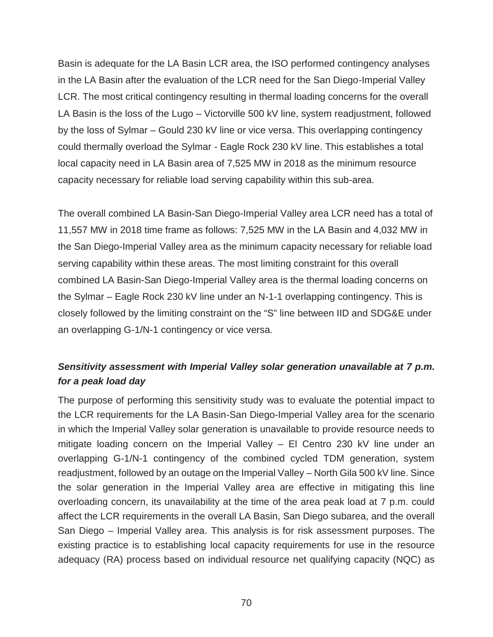Basin is adequate for the LA Basin LCR area, the ISO performed contingency analyses in the LA Basin after the evaluation of the LCR need for the San Diego-Imperial Valley LCR. The most critical contingency resulting in thermal loading concerns for the overall LA Basin is the loss of the Lugo – Victorville 500 kV line, system readjustment, followed by the loss of Sylmar – Gould 230 kV line or vice versa. This overlapping contingency could thermally overload the Sylmar - Eagle Rock 230 kV line. This establishes a total local capacity need in LA Basin area of 7,525 MW in 2018 as the minimum resource capacity necessary for reliable load serving capability within this sub-area.

The overall combined LA Basin-San Diego-Imperial Valley area LCR need has a total of 11,557 MW in 2018 time frame as follows: 7,525 MW in the LA Basin and 4,032 MW in the San Diego-Imperial Valley area as the minimum capacity necessary for reliable load serving capability within these areas. The most limiting constraint for this overall combined LA Basin-San Diego-Imperial Valley area is the thermal loading concerns on the Sylmar – Eagle Rock 230 kV line under an N-1-1 overlapping contingency. This is closely followed by the limiting constraint on the "S" line between IID and SDG&E under an overlapping G-1/N-1 contingency or vice versa.

# *Sensitivity assessment with Imperial Valley solar generation unavailable at 7 p.m. for a peak load day*

The purpose of performing this sensitivity study was to evaluate the potential impact to the LCR requirements for the LA Basin-San Diego-Imperial Valley area for the scenario in which the Imperial Valley solar generation is unavailable to provide resource needs to mitigate loading concern on the Imperial Valley – El Centro 230 kV line under an overlapping G-1/N-1 contingency of the combined cycled TDM generation, system readjustment, followed by an outage on the Imperial Valley – North Gila 500 kV line. Since the solar generation in the Imperial Valley area are effective in mitigating this line overloading concern, its unavailability at the time of the area peak load at 7 p.m. could affect the LCR requirements in the overall LA Basin, San Diego subarea, and the overall San Diego – Imperial Valley area. This analysis is for risk assessment purposes. The existing practice is to establishing local capacity requirements for use in the resource adequacy (RA) process based on individual resource net qualifying capacity (NQC) as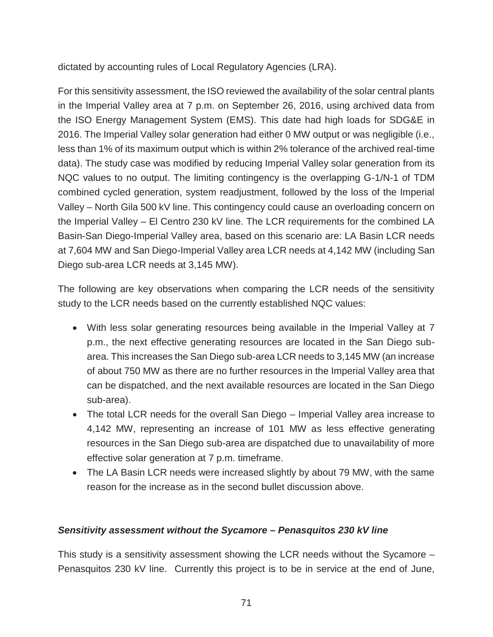dictated by accounting rules of Local Regulatory Agencies (LRA).

For this sensitivity assessment, the ISO reviewed the availability of the solar central plants in the Imperial Valley area at 7 p.m. on September 26, 2016, using archived data from the ISO Energy Management System (EMS). This date had high loads for SDG&E in 2016. The Imperial Valley solar generation had either 0 MW output or was negligible (i.e., less than 1% of its maximum output which is within 2% tolerance of the archived real-time data). The study case was modified by reducing Imperial Valley solar generation from its NQC values to no output. The limiting contingency is the overlapping G-1/N-1 of TDM combined cycled generation, system readjustment, followed by the loss of the Imperial Valley – North Gila 500 kV line. This contingency could cause an overloading concern on the Imperial Valley – El Centro 230 kV line. The LCR requirements for the combined LA Basin-San Diego-Imperial Valley area, based on this scenario are: LA Basin LCR needs at 7,604 MW and San Diego-Imperial Valley area LCR needs at 4,142 MW (including San Diego sub-area LCR needs at 3,145 MW).

The following are key observations when comparing the LCR needs of the sensitivity study to the LCR needs based on the currently established NQC values:

- With less solar generating resources being available in the Imperial Valley at 7 p.m., the next effective generating resources are located in the San Diego subarea. This increases the San Diego sub-area LCR needs to 3,145 MW (an increase of about 750 MW as there are no further resources in the Imperial Valley area that can be dispatched, and the next available resources are located in the San Diego sub-area).
- The total LCR needs for the overall San Diego Imperial Valley area increase to 4,142 MW, representing an increase of 101 MW as less effective generating resources in the San Diego sub-area are dispatched due to unavailability of more effective solar generation at 7 p.m. timeframe.
- The LA Basin LCR needs were increased slightly by about 79 MW, with the same reason for the increase as in the second bullet discussion above.

## *Sensitivity assessment without the Sycamore – Penasquitos 230 kV line*

This study is a sensitivity assessment showing the LCR needs without the Sycamore – Penasquitos 230 kV line. Currently this project is to be in service at the end of June,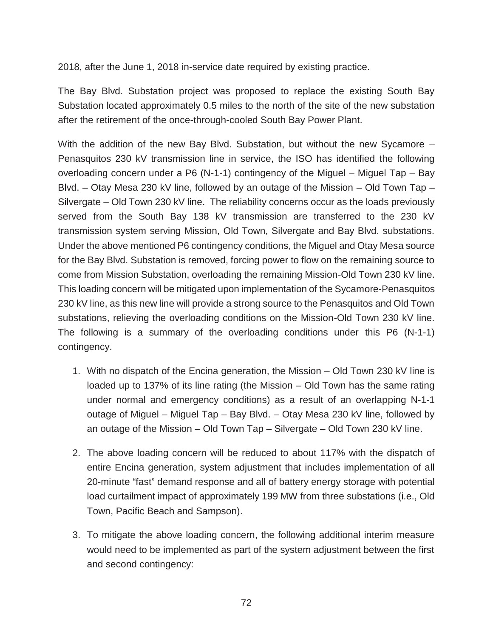2018, after the June 1, 2018 in-service date required by existing practice.

The Bay Blvd. Substation project was proposed to replace the existing South Bay Substation located approximately 0.5 miles to the north of the site of the new substation after the retirement of the once-through-cooled South Bay Power Plant.

With the addition of the new Bay Blvd. Substation, but without the new Sycamore – Penasquitos 230 kV transmission line in service, the ISO has identified the following overloading concern under a P6 (N-1-1) contingency of the Miguel – Miguel Tap – Bay Blvd. – Otay Mesa 230 kV line, followed by an outage of the Mission – Old Town Tap – Silvergate – Old Town 230 kV line. The reliability concerns occur as the loads previously served from the South Bay 138 kV transmission are transferred to the 230 kV transmission system serving Mission, Old Town, Silvergate and Bay Blvd. substations. Under the above mentioned P6 contingency conditions, the Miguel and Otay Mesa source for the Bay Blvd. Substation is removed, forcing power to flow on the remaining source to come from Mission Substation, overloading the remaining Mission-Old Town 230 kV line. This loading concern will be mitigated upon implementation of the Sycamore-Penasquitos 230 kV line, as this new line will provide a strong source to the Penasquitos and Old Town substations, relieving the overloading conditions on the Mission-Old Town 230 kV line. The following is a summary of the overloading conditions under this P6 (N-1-1) contingency.

- 1. With no dispatch of the Encina generation, the Mission Old Town 230 kV line is loaded up to 137% of its line rating (the Mission – Old Town has the same rating under normal and emergency conditions) as a result of an overlapping N-1-1 outage of Miguel – Miguel Tap – Bay Blvd. – Otay Mesa 230 kV line, followed by an outage of the Mission – Old Town Tap – Silvergate – Old Town 230 kV line.
- 2. The above loading concern will be reduced to about 117% with the dispatch of entire Encina generation, system adjustment that includes implementation of all 20-minute "fast" demand response and all of battery energy storage with potential load curtailment impact of approximately 199 MW from three substations (i.e., Old Town, Pacific Beach and Sampson).
- 3. To mitigate the above loading concern, the following additional interim measure would need to be implemented as part of the system adjustment between the first and second contingency: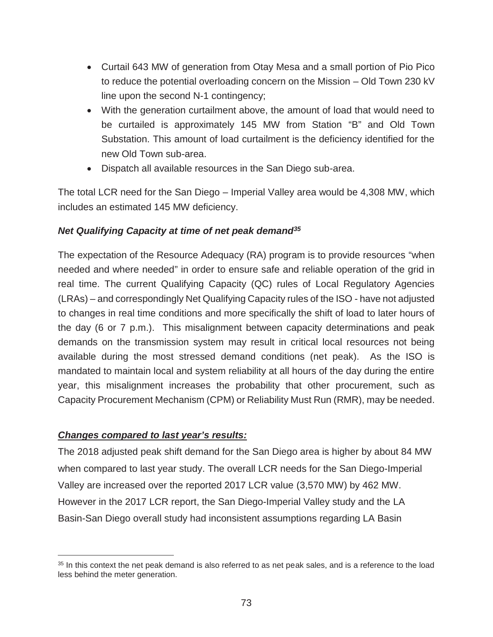- Curtail 643 MW of generation from Otay Mesa and a small portion of Pio Pico to reduce the potential overloading concern on the Mission – Old Town 230 kV line upon the second N-1 contingency;
- With the generation curtailment above, the amount of load that would need to be curtailed is approximately 145 MW from Station "B" and Old Town Substation. This amount of load curtailment is the deficiency identified for the new Old Town sub-area.
- Dispatch all available resources in the San Diego sub-area.

The total LCR need for the San Diego – Imperial Valley area would be 4,308 MW, which includes an estimated 145 MW deficiency.

## *Net Qualifying Capacity at time of net peak demand35*

The expectation of the Resource Adequacy (RA) program is to provide resources "when needed and where needed" in order to ensure safe and reliable operation of the grid in real time. The current Qualifying Capacity (QC) rules of Local Regulatory Agencies (LRAs) – and correspondingly Net Qualifying Capacity rules of the ISO - have not adjusted to changes in real time conditions and more specifically the shift of load to later hours of the day (6 or 7 p.m.). This misalignment between capacity determinations and peak demands on the transmission system may result in critical local resources not being available during the most stressed demand conditions (net peak). As the ISO is mandated to maintain local and system reliability at all hours of the day during the entire year, this misalignment increases the probability that other procurement, such as Capacity Procurement Mechanism (CPM) or Reliability Must Run (RMR), may be needed.

## *Changes compared to last year's results:*

 $\overline{a}$ 

The 2018 adjusted peak shift demand for the San Diego area is higher by about 84 MW when compared to last year study. The overall LCR needs for the San Diego-Imperial Valley are increased over the reported 2017 LCR value (3,570 MW) by 462 MW. However in the 2017 LCR report, the San Diego-Imperial Valley study and the LA Basin-San Diego overall study had inconsistent assumptions regarding LA Basin

<sup>&</sup>lt;sup>35</sup> In this context the net peak demand is also referred to as net peak sales, and is a reference to the load less behind the meter generation.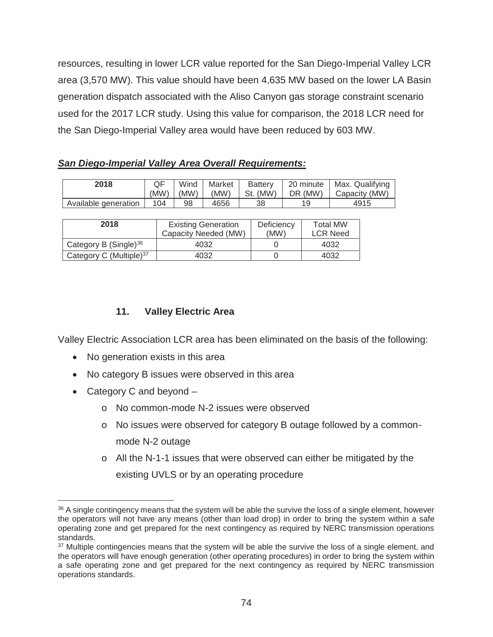resources, resulting in lower LCR value reported for the San Diego-Imperial Valley LCR area (3,570 MW). This value should have been 4,635 MW based on the lower LA Basin generation dispatch associated with the Aliso Canyon gas storage constraint scenario used for the 2017 LCR study. Using this value for comparison, the 2018 LCR need for the San Diego-Imperial Valley area would have been reduced by 603 MW.

|  | <b>San Diego-Imperial Valley Area Overall Requirements:</b> |
|--|-------------------------------------------------------------|
|--|-------------------------------------------------------------|

| 2018                 | (MW) | Wind<br>(MW) | Market<br>(MW) | <b>Battery</b><br>St. (MW) | 20 minute<br>DR (MW) | Max. Qualifying<br>Capacity (MW) |
|----------------------|------|--------------|----------------|----------------------------|----------------------|----------------------------------|
| Available generation | 104  | 98           | 4656           | 38                         |                      | 4915                             |

| 2018                                | <b>Existing Generation</b><br>Capacity Needed (MW) | Deficiency<br>(MW) | <b>Total MW</b><br><b>LCR Need</b> |
|-------------------------------------|----------------------------------------------------|--------------------|------------------------------------|
| Category B $(Single)^{36}$          | 4032                                               |                    | 4032                               |
| Category C (Multiple) <sup>37</sup> | 4032                                               |                    | 4032                               |

# **11. Valley Electric Area**

Valley Electric Association LCR area has been eliminated on the basis of the following:

- No generation exists in this area
- No category B issues were observed in this area
- Category C and beyond  $-$

 $\overline{a}$ 

- o No common-mode N-2 issues were observed
- o No issues were observed for category B outage followed by a commonmode N-2 outage
- $\circ$  All the N-1-1 issues that were observed can either be mitigated by the existing UVLS or by an operating procedure

<sup>&</sup>lt;sup>36</sup> A single contingency means that the system will be able the survive the loss of a single element, however the operators will not have any means (other than load drop) in order to bring the system within a safe operating zone and get prepared for the next contingency as required by NERC transmission operations standards.

<sup>&</sup>lt;sup>37</sup> Multiple contingencies means that the system will be able the survive the loss of a single element, and the operators will have enough generation (other operating procedures) in order to bring the system within a safe operating zone and get prepared for the next contingency as required by NERC transmission operations standards.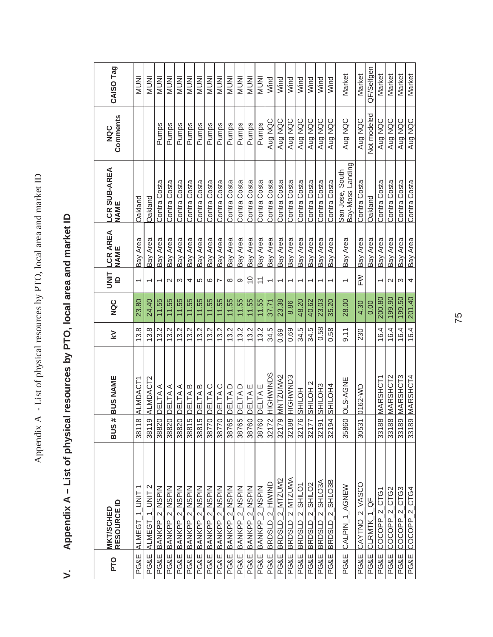| PTO             | <b>MKT/SCHED<br/>RESOURCE ID</b>        | <b>SUS</b>             | # BUS NAME            | $\geq$ | NQC    | $rac{1}{2}$              | <b>LCR AREA</b><br><b>NAME</b> | LCR SUB-AREA<br>NAME                | Comments<br>NQC | CAISO Tag    |
|-----------------|-----------------------------------------|------------------------|-----------------------|--------|--------|--------------------------|--------------------------------|-------------------------------------|-----------------|--------------|
| PG&E            | ALMEGT 1 UNIT                           |                        | 38118 ALMDACT1        | 13.8   | 23.80  |                          | Bay Area                       | Oakland                             |                 | <b>INUNI</b> |
| <b>PG&amp;E</b> | ALMEGT_1_UNIT 2                         | 19 <sub>1</sub><br>381 | ALMDACT2              | 13.8   | 24.40  |                          | Bay Area                       | Oakland                             |                 | <b>NUNI</b>  |
| <b>PG&amp;E</b> | BANKPP <sub>2</sub> NSPIN               |                        | 38820 DELTA A         | 13.2   | 11.55  |                          | Bay Area                       | Contra Costa                        | Pumps           | <b>INUNI</b> |
| PG&E            | BANKPP <sub>2</sub> NSPIN               |                        | 38820 DELTA A         | 13.2   | 11.55  | $\mathbf{\Omega}$        | Bay Area                       | Contra Costa                        | Pumps           | NUNI         |
| PG&E            | BANKPP_2_NSPIN                          |                        | 38820 DELTA A         | 13.2   | 11.55  | $\infty$                 | Bay Area                       | Contra Costa                        | Pumps           | <b>NUNI</b>  |
| <b>PG&amp;E</b> | BANKPP_2_NSPIN                          |                        | 38815 DELTAB          | 13.2   | 11.55  | 4                        | Bay Area                       | Contra Costa                        | Pumps           | <b>INUNI</b> |
|                 | PG&E BANKPP_2 NSPIN                     |                        | 38815 DELTAB          | 13.2   | 11.55  | 5                        | Bay Area                       | Contra Costa                        | Pumps           | <b>NUNI</b>  |
| PG&E            | BANKPP_2_NSPIN                          | 3877                   | 70 <b>PELTA C</b>     | 13.2   | 11.55  | $\mathbf{\circ}$         | Bay Area                       | Contra Costa                        | Pumps           | INUNI        |
| PG&E            | BANKPP <sub>2</sub> NSPIN               |                        | 38770 DELTAC          | 13.2   | 11.55  | $\overline{\phantom{0}}$ | Bay Area                       | Contra Costa                        | Pumps           | <b>INUNI</b> |
|                 | PG&E BANKPP_2_NSPIN                     |                        | 38765 DELTAD          | 13.2   | 11.55  | $\infty$                 | Bay Area                       | Contra Costa                        | Pumps           | <b>NUNI</b>  |
| PG&E            | BANKPP_2_NSPIN                          | 387                    | 65 DELTA D            | 13.2   | 11.55  | တ                        | Bay Area                       | Contra Costa                        | Pumps           | <b>NUNI</b>  |
|                 | PG&E BANKPP_2_NSPIN                     | 387                    | 60 DELTAE             | 13.2   | 11.55  | $\frac{0}{1}$            | Bay Area                       | Contra Costa                        | Pumps           | <b>INUNI</b> |
| PG&E            | BANKPP_2_NSPIN                          | 387                    | 60 DELTAE             | 13.2   | 11.55  | $\overline{1}$           | Bay Area                       | Contra Costa                        | Pumps           | NUNI         |
| PG&E            | animh <sup>—</sup> 7 <sup>a</sup> nsaya |                        | 32172 HIGHWINDS       | 34.5   | 37.71  |                          | Bay Area                       | Contra Costa                        | Aug NQC         | Wind         |
| <b>PG&amp;E</b> | BRDSLD_2_MTZUM2                         |                        | 32179 MNTZUMA2        | 0.69   | 23.38  |                          | Bay Area                       | Contra Costa                        | Aug NQC         | Wind         |
| <b>PG&amp;E</b> | BRDSLD_2_MTZUMA                         |                        | 32188 HIGHWND3        | 0.69   | 8.86   |                          | Bay Area                       | Contra Costa                        | Aug NQC         | Wind         |
| <b>PG&amp;E</b> | BRDSLD_2_SHILO1                         |                        | 32176 SHILOH          | 34.5   | 48.20  |                          | Bay Area                       | Contra Costa                        | Aug NQC         | Wind         |
| <b>PG&amp;E</b> | BRDSLD_2_SHILO2                         |                        | 32177 SHILOH 2        | 34.5   | 40.62  |                          | Bay Area                       | Contra Costa                        | Aug NQC         | Wind         |
| <b>PG&amp;E</b> | BRDSLD_2_SHLO3A                         | 32191                  | SHILOH <sub>3</sub>   | 0.58   | 23.03  |                          | Bay Area                       | Contra Costa                        | Aug NQC         | Wind         |
| PG&E            | BRDSLD_2_SHLO3B                         |                        | 32194 SHILOH4         | 0.58   | 35.20  |                          | Bay Area                       | Contra Costa                        | Aug NQC         | Wind         |
| PG&E            | CALPIN_1_AGNEW                          |                        | 35860 <b>DLS-AGNE</b> | 9.11   | 28.00  | $\overline{\phantom{0}}$ | Bay Area                       | Bay-Moss Landing<br>San Jose, South | Aug NQC         | Market       |
| PG&E            | CAYTNO_2_VASCC                          |                        | 30531 0162-WD         | 230    | 4.30   | MH                       | Bay Area                       | Contra Costa                        | Aug NQC         | Market       |
|                 | PG&E CLRMTK_1_QF                        |                        |                       |        | 0.00   |                          | Bay Area                       | Oakland                             | Not modeled     | QF/Selfgen   |
| PG&E            | COCOPP <sub>2</sub> CTG1                |                        | 33188 MARSHCT1        | 16.4   | 200.80 |                          | Bay Area                       | Contra Costa                        | Aug NQC         | Market       |
| PG&E            | COCOPP <sub>2</sub> CTG2                |                        | 33188 MARSHCT2        | 16.4   | 199.90 | $\sim$                   | Bay Area                       | Contra Costa                        | Aug NQC         | Market       |
| <b>PG&amp;E</b> | COCOPP <sub>2</sub> CTG3                |                        | 33189 MARSHCT3        | 16.4   | 199.50 | S                        | Bay Area                       | Contra Costa                        | Aug NQC         | Market       |
|                 | PG&E COCOPP_2_CTG4                      |                        | 33189 MARSHCT4        | 16.4   | 201.40 | 4                        | Bay Area                       | Contra Costa                        | Aug NQC         | Market       |

# **– List of physical resources by PTO, local area and market ID**  Appendix A - List of physical resources by PTO, local area and market ID **V. Appendix A**   $\overline{ }$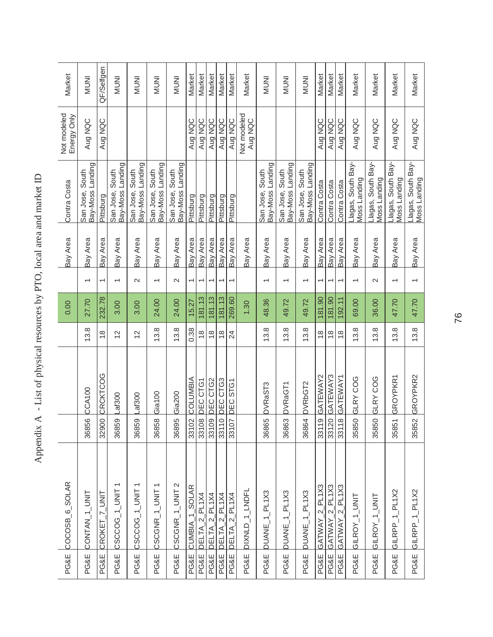| ׇ֚֘                                 |
|-------------------------------------|
|                                     |
| こくりょう りょく くりょく<br>;                 |
| ļ<br>i<br>l                         |
| くしょ                                 |
|                                     |
|                                     |
|                                     |
|                                     |
| くくく<br>I                            |
|                                     |
| I                                   |
| .<br>.<br>.<br>$\frac{1}{2}$<br>ׇ֘֒ |
| $\frac{1}{2}$<br>$\frac{1}{2}$      |
|                                     |
| $\frac{1}{2}$                       |
| j<br>l                              |
|                                     |
|                                     |
| ł<br>ł                              |
| l                                   |

| PG&E            | COCOSB <sub>6</sub> SOLAR |       |                 |                | 0.00   |                          | Bay Area | Contra Costa                           | Not modeled<br>Energy Only | Market       |
|-----------------|---------------------------|-------|-----------------|----------------|--------|--------------------------|----------|----------------------------------------|----------------------------|--------------|
| PG&E            | CONTAN_1_UNT              | 36856 | <b>CCA100</b>   | 13.8           | 27.70  | $\overline{ }$           | Bay Area | Bay-Moss Landing<br>South<br>San Jose, | Aug NQC                    | <b>INUNI</b> |
| <b>PG&amp;E</b> | CROKET_7_UNIT             | 32900 | CRCKTCOG        | $\frac{8}{1}$  | 232.78 | $\overline{\phantom{0}}$ | Bay Area | Pittsburg                              | Aug NQC                    | QF/Selfgen   |
| PG&E            | CSCCOG_1_UNIT1            | 36859 | Laf300          | $\overline{c}$ | 3.00   | $\overline{\phantom{0}}$ | Bay Area | San Jose, South<br>Bay-Moss Landing    |                            | <b>INUNI</b> |
| PG&E            | CSCCOG_1_UNIT1            | 36859 | Lat300          | $\overline{2}$ | 3.00   | $\sim$                   | Bay Area | San Jose, South<br>Bay-Moss Landing    |                            | <b>INUNI</b> |
| PG&E            | CSCGNR_1_UNIT1            | 36858 | Gia100          | 13.8           | 24.00  | $\overline{ }$           | Bay Area | Bay-Moss Landing<br>San Jose, South    |                            | <b>INUNI</b> |
| PG&E            | CSCGNR_1_UNIT 2           | 36895 | Gia200          | 13.8           | 24.00  | $\sim$                   | Bay Area | San Jose, South<br>Bay-Moss Landing    |                            | <b>INUNI</b> |
| <b>PG&amp;E</b> | CUMBIA 1 SOLAR            | 33102 | COLUMBIA        | 0.38           | 15.27  | $\overline{ }$           | Bay Area | Pittsburg                              | Aug NQC                    | Market       |
| PG&E            | DELTA_2_PL1X4             | 33108 | DEC CTG1        | $\frac{8}{1}$  | 181.13 | $\overline{\phantom{0}}$ | Bay Area | Pittsburg                              | Aug NQC                    | Market       |
| <b>PG&amp;E</b> | DELTA_2_PL1X4             | 33109 | DEC CTG2        | $\frac{8}{1}$  | 181.13 | Ļ                        | Bay Area | Pittsburg                              | Aug NQC                    | Market       |
| PG&E            | 2 PL1X4<br>DELTA          | 33110 | DEC CTG3        | $\frac{8}{1}$  | 181.13 | $\overline{\phantom{0}}$ | Bay Area | Pittsburg                              | Aug NQC                    | Market       |
| <b>PG&amp;E</b> | $2$ PL1X4<br><b>DELTA</b> | 33107 | DEC STG1        | 24             | 269.60 | ۳                        | Bay Area | Pittsburg                              | Aug NQC                    | Market       |
| PG&E            | DIXNLD_1_LNDFL            |       |                 |                | 1.30   |                          | Bay Area |                                        | Not modeled<br>Aug NQC     | Market       |
| PG&E            | DUANE_1_PL1X3             | 36865 | DVRaST3         | 13.8           | 48.36  | $\overline{\phantom{0}}$ | Bay Area | Bay-Moss Landing<br>San Jose, South    |                            | <b>INUNI</b> |
| PG&E            | DUANE_1_PL1X3             | 36863 | DVRaGT1         | 13.8           | 49.72  | $\overline{\phantom{0}}$ | Bay Area | Bay-Moss Landing<br>San Jose, South    |                            | <b>INUNI</b> |
| PG&E            | DUANE_1_PL1X3             | 36864 | DVRbGT2         | 13.8           | 49.72  | $\overline{\phantom{0}}$ | Bay Area | Bay-Moss Landing<br>San Jose, South    |                            | <b>INUNI</b> |
| PG&E            | GATWAY_2_PL1X3            | 33119 | GATEWAY2        | $\frac{8}{1}$  | 181.90 | $\overline{\phantom{0}}$ | Bay Area | Contra Costa                           | Aug NQC                    | Market       |
| <b>PG&amp;E</b> | GATWAY 2_PL1X3            | 33120 | GATEWAY3        | $\frac{8}{1}$  | 181.90 | $\overline{\phantom{0}}$ | Bay Area | Contra Costa                           | Aug NQC                    | Market       |
| <b>PG&amp;E</b> | GATWAY_2_PL1X3            | 33118 | <b>GATEWAY1</b> | $\frac{8}{1}$  | 192.11 |                          | Bay Area | Contra Costa                           | Aug NQC                    | Market       |
| <b>PG&amp;E</b> | GILROY_1_UNIT             | 35850 | <b>GLRY COG</b> | 13.8           | 69.00  | $\overline{\phantom{0}}$ | Bay Area | -lagas, South Bay-<br>Vloss Landing    | Aug NQC                    | Market       |
| <b>PG&amp;E</b> | GILROY_1_UNIT             | 35850 | GLRY COG        | 13.8           | 36.00  | $\sim$                   | Bay Area | -lagas, South Bay-<br>Vloss Landing    | Aug NQC                    | Market       |
| <b>PG&amp;E</b> | GILRPP_1_PL1X2            | 35851 | GROYPKR1        | 13.8           | 47.70  | $\overline{\phantom{0}}$ | Bay Area | -lagas, South Bay-<br>Vloss Landing    | Aug NQC                    | Market       |
| PG&E            | GILRPP_1_PL1X2            | 35852 | GROYPKR2        | 13.8           | 47.70  | $\overline{\phantom{0}}$ | Bay Area | Llagas, South Bay-<br>Moss Landing     | Aug NQC                    | Market       |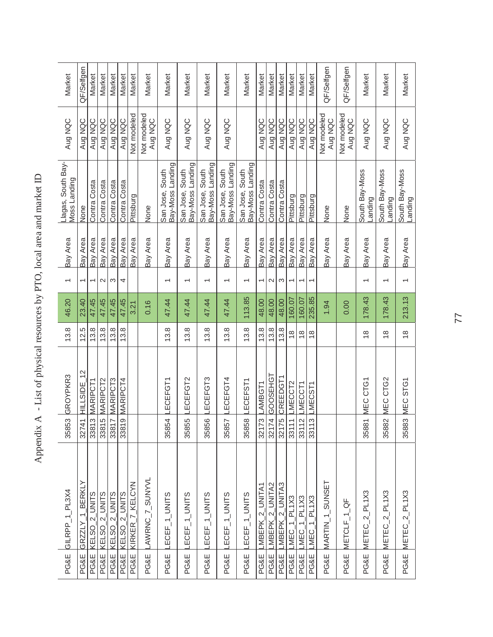| PG&E            | GILRPP_1_PL3X4               | 35853            | GROYPKR3                              | 13.8          | 46.20  | $\overline{\phantom{0}}$ | Bay Area | Llagas, South Bay-<br>Moss Landing  | Aug NQC                | Market     |
|-----------------|------------------------------|------------------|---------------------------------------|---------------|--------|--------------------------|----------|-------------------------------------|------------------------|------------|
| PG&E            | GRZZLY 1 BERKLY              | 32741            | $\scriptstyle\sim$<br><b>HILLSIDE</b> | 12.5          | 23.40  | $\overline{ }$           | Bay Area | None                                | Aug NQC                | QF/Selfgen |
| PG&E            | KELSO <sub>_2</sub> _UNITS   |                  | 33813 MARIPCT1                        | 13.8          | 47.45  | $\overline{\phantom{0}}$ | Bay Area | Contra Costa                        | Aug NQC                | Market     |
| <b>PG&amp;E</b> | KELSO <sub>2</sub> UNITS     | 33815            | MARIPCT2                              | 13.8          | 47.45  | $\sim$                   | Bay Area | Contra Costa                        | Aug NQC                | Market     |
| PG&E            | KELSO_2_UNITS                |                  | 33817 MARIPCT3                        | 13.8          | 47.45  | S                        | Bay Area | Contra Costa                        | Aug NQC                | Market     |
| PG&E            | $2$ UNITS<br>KELSO           | 3381             | 9 MARIPCT4                            | 13.8          | 47.45  | 4                        | Bay Area | Contra Costa                        | Aug NQC                | Market     |
| PG&E            | KIRKER_7_KELCYN              |                  |                                       |               | 3.21   |                          | Bay Area | Pittsburg                           | Not modeled            | Market     |
| PG&E            | AWRNC_7_SUNYVL               |                  |                                       |               | 0.16   |                          | Bay Area | None                                | Not modeled<br>Aug NQC | Market     |
| PG&E            | ECEF_1_UNITS                 | 35854            | ECEFGT1                               | 13.8          | 47.44  |                          | Bay Area | San Jose, South<br>Bay-Moss Landing | Aug NQC                | Market     |
| <b>PG&amp;E</b> | ECEF_1_UNITS                 | 5<br>3585        | ECEFGT2                               | 13.8          | 47.44  |                          | Bay Area | San Jose, South<br>Bay-Moss Landing | Aug NQC                | Market     |
| <b>PG&amp;E</b> | ECEF_1_UNITS                 | $\circ$<br>3585  | ECEFGT3                               | 13.8          | 47.44  | $\overline{\phantom{0}}$ | Bay Area | San Jose, South<br>Bay-Moss Landing | Aug NQC                | Market     |
| <b>PG&amp;E</b> | ECEF_1_UNITS                 | 35857            | LECEFGT4                              | 13.8          | 47.44  | $\overline{\phantom{0}}$ | Bay Area | Bay-Moss Landing<br>San Jose, South | Aug NQC                | Market     |
| <b>PG&amp;E</b> | ECEF_1_UNITS                 | $\infty$<br>3585 | ECEFST1                               | 13.8          | 113.85 | $\overline{\phantom{0}}$ | Bay Area | Bay-Moss Landing<br>San Jose, South |                        | Market     |
| PG&E            | 2 UNITA1<br><b>MBEPK</b>     | 32173            | AMBGT1                                | 13.8          | 48.00  | $\overline{\phantom{0}}$ | Bay Area | Contra Costa                        | Aug NQC                | Market     |
| PG&E            | _MBEPK_2_UNITA2              | 32174            | GOOSEHG <sup>-</sup>                  | 13.8          | 48.00  | $\sim$                   | Bay Area | Contra Costa                        | Aug NQC                | Market     |
| PG&E            | MBEPK_2_UNITA3               | 32175            | <b>CREEDGT1</b>                       | 13.8          | 48.00  | S                        | Bay Area | Contra Costa                        | Aug NQC                | Market     |
| PG&E            | $MEC_1$ PL1X3                | 33111            | LMECCT2                               | $\frac{8}{1}$ | 160.07 | $\overline{\phantom{0}}$ | Bay Area | Pittsburg                           | Aug NQC                | Market     |
| PG&E            | $MEC_1$ PL1X3                | 3311             | 2 LMECCT1                             | $\frac{8}{1}$ | 160.07 | ᡪ                        | Bay Area | Pittsburg                           | Aug NQC                | Market     |
| <b>PG&amp;E</b> | LMEC <sub>1</sub> PL1X3      | 3311             | 3 LMECST1                             | $\frac{8}{1}$ | 235.85 |                          | Bay Area | Pittsburg                           | Aug NQC                | Market     |
| PG&E            | MARTIN <sub>-1-</sub> SUNSET |                  |                                       |               | 1.94   |                          | Bay Area | None                                | Not modeled<br>Aug NQC | QF/Selfgen |
| PG&E            | METCLF_1_QF                  |                  |                                       |               | 0.00   |                          | Bay Area | None                                | Not modeled<br>Aug NQC | QF/Selfgen |
| <b>PG&amp;E</b> | METEC_2_PL1X3                | 35881            | MEC CTG1                              | $\frac{8}{1}$ | 178.43 | $\overline{\phantom{0}}$ | Bay Area | South Bay-Moss<br>anding            | Aug NQC                | Market     |
| PG&E            | $METEC_2PL1X3$               | 35882            | CTG <sub>2</sub><br>MEC               | $\frac{8}{1}$ | 178.43 |                          | Bay Area | South Bay-Moss<br>anding            | Aug NQC                | Market     |
| <b>PG&amp;E</b> | METEC_2_PL1X3                | 35883            | MEC STG1                              | $\frac{8}{1}$ | 213.13 |                          | Bay Area | South Bay-Moss<br>Landing           | Aug NQC                | Market     |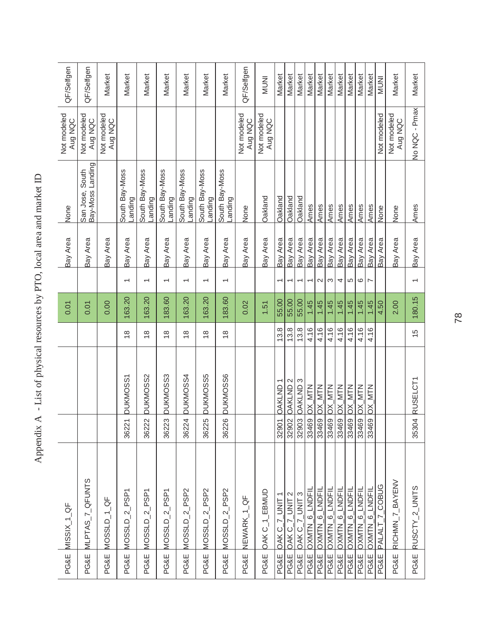| QF/Selfgen<br>QF/Selfgen<br>Not modeled<br>Aug NQC<br>Aug NQC |
|---------------------------------------------------------------|
| Bay-Moss Landing<br>San Jose, South<br>None                   |
| Bay Area                                                      |
|                                                               |
| 0.01                                                          |
|                                                               |
|                                                               |
|                                                               |
| MLPTAS_7_QFUNTS<br>PG&E MISSIX_1_QF                           |
|                                                               |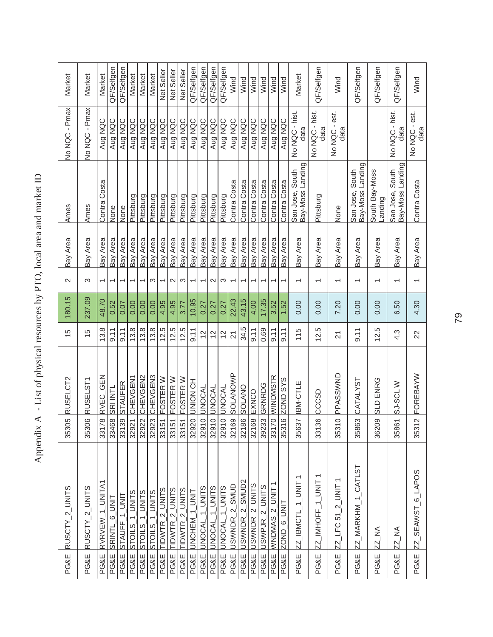| ļ                                |
|----------------------------------|
| こうくうち てんさく くりく                   |
|                                  |
| $\vdots$                         |
| $\frac{1}{2}$                    |
|                                  |
|                                  |
| $\frac{1}{2}$                    |
|                                  |
|                                  |
|                                  |
|                                  |
|                                  |
|                                  |
|                                  |
| こくくりょう                           |
| I                                |
|                                  |
| I                                |
|                                  |
| $\vdots$                         |
| l                                |
| $-0.75777772$<br> <br> <br> <br> |
|                                  |
| $\ddot{\phantom{0}}$             |
|                                  |
| l<br>I                           |
|                                  |
|                                  |
|                                  |
|                                  |
|                                  |
|                                  |
| I<br>I                           |
| i                                |
|                                  |

| Market            | Market                    | Market                   | QF/Selfgen               | QF/Selfgen                 | Market                   | Market         | Market         | Net Seller               | Net Seller     | Net Seller       | QF/Selfgen                                  | QF/Selfgen               | QF/Selfgen               | QF/Selfgen             | Wind                                    | Wind                                         | Wind                                            | Wind                        | Wind                               | Wind            | Market                              |                  | QF/Selfgen             | Wind                  | QF/Selfgen         | QF/Selfgen                                   | QF/Selfgen                          |
|-------------------|---------------------------|--------------------------|--------------------------|----------------------------|--------------------------|----------------|----------------|--------------------------|----------------|------------------|---------------------------------------------|--------------------------|--------------------------|------------------------|-----------------------------------------|----------------------------------------------|-------------------------------------------------|-----------------------------|------------------------------------|-----------------|-------------------------------------|------------------|------------------------|-----------------------|--------------------|----------------------------------------------|-------------------------------------|
| No NQC - Pmax     | No NQC - Pmax             | Aug NQC                  | Aug NQC                  | Aug NQC                    | Aug NQC                  | Aug NQC        | Aug NQC        | Aug NQC                  | Aug NQC        | Aug NQC          | Aug NQC                                     | Aug NQC                  | Aug NQC                  | Aug NQC                | Aug NQC                                 | Aug NQC                                      | Aug NQC                                         | Aug NQC                     | Aug NQC                            | Aug NQC         | No NQC - hist.<br>data              |                  | No NQC - hist.<br>data | No NQC - est.<br>data |                    |                                              | No NQC - hist.<br>data              |
| Ames              | Ames                      | Contra Costa             | None                     | None                       | Pittsburg                | Pittsburg      | Pittsburg      | Pittsburg                | Pittsburg      | Pittsburg        | Pittsburg                                   | Pittsburg                | Pittsburg                | Pittsburg              | Contra Costa                            | Contra Costa                                 | Contra Costa                                    | Contra Costa                | Contra Costa                       | Contra Costa    | Bay-Moss Landing<br>San Jose, South |                  | Pittsburg              | None                  | San Jose, South    | Bay-Moss Landing<br>South Bay-Moss<br>anding | Bay-Moss Landing<br>San Jose, South |
| Bay Area          | Bay Area                  | Bay Area                 | Bay Area                 | Bay Area                   | Bay Area                 | Bay Area       | Bay Area       | Bay Area                 | Bay Area       | Bay Area         | Bay Area                                    | Bay Area                 | Bay Area                 | Bay Area               | Bay Area                                | Bay Area                                     | Bay Area                                        | Bay Area                    | Bay Area                           | Bay Area        | Bay Area                            |                  | Bay Area               | Bay Area              | Bay Area           | Bay Area                                     | Bay Area                            |
| $\mathbf{\Omega}$ | S                         | $\overline{\phantom{0}}$ | $\overline{\phantom{0}}$ | $\overline{\phantom{0}}$   | $\overline{\phantom{0}}$ | $\overline{ }$ | S              | $\overline{\phantom{0}}$ | $\sim$         | S                | ᡪ                                           |                          | $\mathbf{\sim}$          | S                      | $\overline{\phantom{0}}$                | $\overline{\phantom{0}}$                     | $\overline{\phantom{0}}$                        | ᡪ                           |                                    |                 |                                     |                  |                        |                       |                    |                                              |                                     |
| 180.15            | 237.09                    | 48.70                    | 0.52                     | 0.07                       | 0.00                     | 0.00           | 0.00           | 4.95                     | 4.95           | 3.77             | 10.95                                       | 0.27                     | 0.27                     | 0.27                   | 22.43                                   | 43.15                                        | 4.00                                            | 17.35                       | 3.52                               | 1.52            | 0.00                                |                  | 0.00                   | 7.20                  | 0.00               | 0.00                                         | 6.50                                |
| $\frac{5}{3}$     | $\frac{5}{1}$             | 13.8                     | 9.11                     | 9.11                       | 13.8                     | 13.8           | 13.8           | 12.5                     | 12.5           | 12.5             | 9.11                                        | $\frac{2}{3}$            | $\frac{2}{3}$            | $\frac{2}{3}$          | $\overline{2}$                          | 34.5                                         | $-6.11$                                         | 0.69                        | 9.11                               | 9.11            | 115                                 |                  | 12.5                   | $\overline{2}$        | $-9.11$            | 12.5                                         | 4.3                                 |
| RUSELCT2          | RUSELST1                  | RVEC GEN                 | <b>SRIINTL</b>           | <b>STAUFER</b>             | CHEVGEN1                 | CHEVGEN2       | CHEVGEN3       | FOSTER W                 | FOSTER W       | FOSTER W         | <b>HO NOIND</b>                             | <b>UNOCAL</b>            | <b>UNOCAL</b>            | <b>UNOCAL</b>          | SOLANOWP                                | <b>SOLANO</b>                                | EXNCO                                           | GRNRDG                      | WINDMSTR                           | <b>ZOND SYS</b> | BM-CTLE                             |                  | CCCSD                  | PPASSWND              | CATALYST           | ENRG<br>$rac{D}{\infty}$                     | SJ-SCLW                             |
| ഉ<br>3530         | 35306                     | 33178                    | 33468                    | 33139                      | 32921                    | 32922          | 32923          | 33151                    | 33151          | 33151            | 32920                                       | 32910                    | 32910                    | 32910                  | 32169                                   | 32186                                        |                                                 | 32168                       | 33170                              | 35316           | 35637                               |                  | 33136                  | $\circ$<br>3531       | 35863              | 36209                                        | 35861                               |
| RUSCTY_2_UNITS    | RUSCTY <sub>2</sub> UNITS | RVRVEW 1 UNITA1          | SRINTL_6_UNIT            | STAUFF <sub>-1-</sub> UNIT | STOILS_1_UNITS           | STOILS_1_UNITS | STOILS_1_UNITS | TIDWTR_2_UNITS           | TIDWTR_2_UNITS | $TDWTR_2_$ UNITS | lik<br>S<br>$\overline{a}$<br><b>JNCHEM</b> | 1_UNITS<br><b>JNOCAL</b> | 1 UNITS<br><b>JNOCAL</b> | <b>UNITS</b><br>JNOCAL | <b>GINNS</b><br>$\sim$<br><b>JSWNDR</b> | SMUD <sub>2</sub><br>$\sim$<br><b>JSWNDR</b> | <b>UNITS</b><br>$\mathbf{N}_i$<br><b>JSWNDR</b> | $2$ _UNITS<br><b>JSWPJR</b> | $\overline{S}$<br>$\sim$<br>WNDMAS | ZOND_6_UNIT     | $Z_2$ _IBMCTL_1_UNIT                | ZZ_IMHOFF_1_UNIT |                        | $ZZ$ LFC 51_2_UNIT 1  | ZZ_MARKHM_1_CATLST | ZZ_NA                                        | <b>ZZ_NA</b>                        |
| PG&E              | PG&E                      | PG&E                     | <b>PG&amp;E</b>          | PG&E                       | PG&E                     | PG&E           | PG&E           | <b>PG&amp;E</b>          | PG&E           | <b>PG&amp;E</b>  | PG&E                                        | <b>PG&amp;E</b>          | PG&E                     | PG&E                   | PG&E                                    | PG&E                                         | <b>PG&amp;E</b>                                 | PG&E                        | PG&E                               | <b>PG&amp;E</b> | PG&E                                | PG&E             |                        | PG&E                  | PG&E               | PG&E                                         | PG&E                                |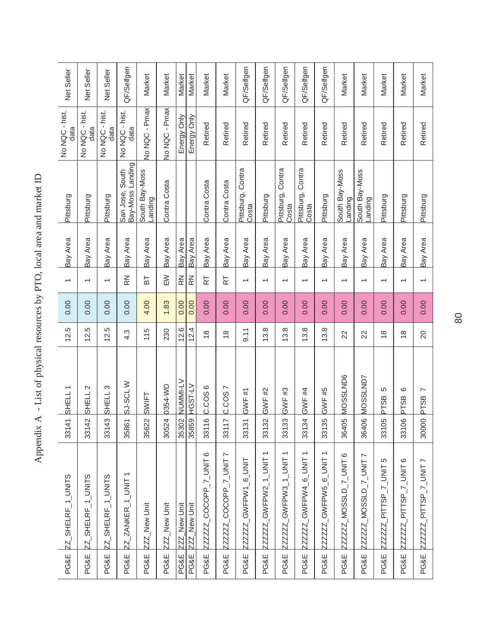| <b>PG&amp;E</b> | ZZ_SHELRF_1_UNITS                                          | 33141                    | $\overline{\phantom{0}}$<br><b>SHELL</b> | 12.5          | 0.00 | $\overline{\phantom{0}}$ | Bay Area | Pittsburg                           | No NQC - hist.<br>data | Net Seller |
|-----------------|------------------------------------------------------------|--------------------------|------------------------------------------|---------------|------|--------------------------|----------|-------------------------------------|------------------------|------------|
| <b>PG&amp;E</b> | $Z_2$ SHELRF_1_UNITS                                       | Ņ<br>3314                | $\sim$<br>SHELL                          | 12.5          | 0.00 | $\overline{\phantom{0}}$ | Bay Area | Pittsburg                           | No NQC - hist.<br>data | Net Seller |
| <b>PG&amp;E</b> | ZZ_SHELRF_1_UNITS                                          | ღ<br>3314                | ო<br>SHELL                               | 12.5          | 0.00 | $\overline{ }$           | Bay Area | Pittsburg                           | No NQC - hist.<br>data | Net Seller |
| PG&E            | ZZ_ZANKER_1_UNIT1                                          | 35861                    | SJ-SCLW                                  | 4.3           | 0.00 | $\mathbb{R}^2$           | Bay Area | Bay-Moss Landing<br>San Jose, South | No NQC - hist.<br>data | QF/Selfgen |
| <b>PG&amp;E</b> | ZZZ_New Unit                                               | 35622                    | SWIFT                                    | 115           | 4.00 | БT                       | Bay Area | South Bay-Moss<br>anding            | No NQC - Pmax          | Market     |
| <b>PG&amp;E</b> | ZZZ_New Unit                                               | 30524                    | 0354-WD                                  | 230           | 1.83 | $\geq$                   | Bay Area | Contra Costa                        | No NQC - Pmax          | Market     |
| PG&E            | New Unit<br>222                                            | 35302                    | NUMMI-LV                                 | 12.6          | 0.00 | $\mathbb{R}^2$           | Bay Area |                                     | Energy Only            | Market     |
| PG&E            | ZZZ_New Unit                                               | 35859                    | HGST-LV                                  | 12.4          | 0.00 | $\mathbb{R}^2$           | Bay Area |                                     | Energy Only            | Market     |
| <b>PG&amp;E</b> | ZZZZZZ_COCOPP_7_UNIT 6                                     | $\circ$<br>3311          | $\circ$<br>C.COS                         | $^\infty$     | 0.00 | 눉                        | Bay Area | Contra Costa                        | Retired                | Market     |
| PG&E            | ZZZZZZ_COCOPP_7_UNIT7                                      | $\sim$<br>3311           | L<br>C.COS                               | $^\infty$     | 0.00 | 눉                        | Bay Area | Contra Costa                        | Retired                | Market     |
| PG&E            | ZZZZZZ_GWFPW1_6_UNIT                                       | 33131                    | GWF #1                                   | 9.11          | 0.00 | $\overline{\phantom{0}}$ | Bay Area | Pittsburg, Contra<br>Costa          | Retired                | QF/Selfgen |
| <b>PG&amp;E</b> | ZZZZZZ_GWFPW2_1_UNIT1                                      | $\tilde{\Omega}$<br>3313 | GWF #2                                   | 13.8          | 0.00 | $\overline{\phantom{0}}$ | Bay Area | Pittsburg                           | Retired                | QF/Selfgen |
| <b>PG&amp;E</b> | ZZZZZ_GWFPW3_1_UNIT1                                       | 33133                    | GWF #3                                   | 13.8          | 0.00 | $\overline{ }$           | Bay Area | Pittsburg, Contra<br>Costa          | Retired                | QF/Selfgen |
| <b>PG&amp;E</b> | $\overline{\phantom{0}}$<br>GWFPW4_6_UNIT<br><b>ZZZZZZ</b> | 33134                    | GWF #4                                   | 13.8          | 0.00 | $\overline{\phantom{0}}$ | Bay Area | Pittsburg, Contra<br>Costa          | Retired                | QF/Selfgen |
| <b>PG&amp;E</b> | GWFPW5_6_UNIT1<br><b>ZZZZZZ</b>                            | $\overline{5}$<br>3313   | GWF #5                                   | 13.8          | 0.00 | $\overline{\phantom{0}}$ | Bay Area | Pittsburg                           | Retired                | QF/Selfgen |
| PG&E            | ZZZZZ_MOSSLD_7_UNIT 6                                      | Ю<br>3640                | MOSSLND6                                 | 22            | 0.00 | $\overline{\phantom{0}}$ | Bay Area | South Bay-Moss<br>Landing           | Retired                | Market     |
| <b>PG&amp;E</b> | 7_UNU_7_OJSSON_2ZZZ_                                       | $\mathbf{Q}$<br>3640     | MOSSLND7                                 | 22            | 0.00 | $\overline{\phantom{0}}$ | Bay Area | South Bay-Moss<br>anding            | Retired                | Market     |
| <b>PG&amp;E</b> | Ю<br>PITTSP_7_UNIT<br><b>ZZZZZZ</b>                        | Ю<br>3310                | 5<br><b>PTSB</b>                         | $^\infty$     | 0.00 | $\overline{\phantom{0}}$ | Bay Area | Pittsburg                           | Retired                | Market     |
| PG&E            | PITTSP_7_UNIT6<br><b>ZZZZZZ</b>                            | $\overline{Q}$<br>3310   | ဖ<br>PTSB                                | $\frac{8}{1}$ | 0.00 | $\overline{\phantom{0}}$ | Bay Area | Pittsburg                           | Retired                | Market     |
| <b>PG&amp;E</b> | ZZZZZZ_PITTSP_7_UNIT7                                      | 30000                    | $\overline{ }$<br><b>PTSB</b>            | 20            | 0.00 | $\overline{\phantom{0}}$ | Bay Area | Pittsburg                           | Retired                | Market     |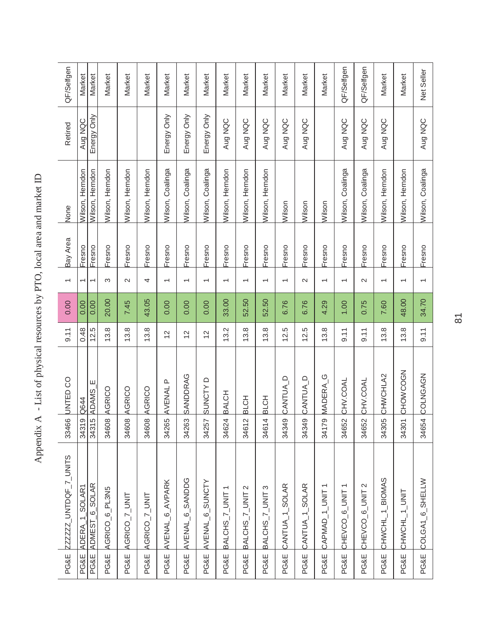| <b>PG&amp;E</b> | ZZZZZZ_UNTDQF_7_UNITS        | 33466            | UNTED CO             | 9.11          | 0.00  | $\overline{\phantom{0}}$ | Bay Area | None             | Retired     | QF/Selfgen |
|-----------------|------------------------------|------------------|----------------------|---------------|-------|--------------------------|----------|------------------|-------------|------------|
| PG&E            | ADERA_1_SOLAR1               | ၜ<br>3431        | Q644                 | 0.48          | 0.00  | $\overline{\phantom{0}}$ | Fresno   | Wilson, Herndon  | Aug NQC     | Market     |
| PG&E            | ADMEST <sub>_6_SOLAR</sub>   | ဖ<br>3431        | Ш<br><b>ADAMS</b>    | 12.5          | 0.00  | $\overline{ }$           | Fresno   | Wilson, Herndon  | Energy Only | Market     |
| <b>PG&amp;E</b> | AGRICO <sub>_</sub> 6_PL3N5  | 34608            | AGRICO               | 13.8          | 20.00 | S                        | Fresno   | Wilson, Herndon  |             | Market     |
| <b>PG&amp;E</b> | AGRICO_7_UNIT                | 34608            | AGRICO               | 13.8          | 7.45  | $\sim$                   | Fresno   | Wilson, Herndon  |             | Market     |
| PG&E            | AGRICO_7_UNIT                | 34608            | AGRICO               | 13.8          | 43.05 | 4                        | Fresno   | Wilson, Herndon  |             | Market     |
| PG&E            | AVENAL 6 AVPARK              | 34265            | AVENAL P             | $\frac{2}{3}$ | 0.00  | $\overline{ }$           | Fresno   | Wilson, Coalinga | Energy Only | Market     |
| <b>PG&amp;E</b> | AVENAL_6_SANDDG              | 34263            | <b>SANDDRAG</b>      | $\frac{2}{3}$ | 0.00  | $\overline{\phantom{0}}$ | Fresno   | Wilson, Coalinga | Energy Only | Market     |
| <b>PG&amp;E</b> | AVENAL 6_SUNCTY              | 34257            | SUNCTY D             | $\frac{2}{3}$ | 0.00  | $\overline{ }$           | Fresno   | Wilson, Coalinga | Energy Only | Market     |
| PG&E            | BALCHS_7_UNIT                | 34624            | BALCH                | 13.2          | 33.00 | $\overline{\phantom{0}}$ | Fresno   | Wilson, Herndon  | Aug NQC     | Market     |
| <b>PG&amp;E</b> | BALCHS_7_UNIT 2              | $\sim$<br>3461   | BLCH                 | 13.8          | 52.50 | $\overline{\phantom{0}}$ | Fresno   | Wilson, Herndon  | Aug NQC     | Market     |
| PG&E            | S<br>BALCHS_7_UNIT           | 4<br>3461        | BLCH                 | 13.8          | 52.50 | $\overline{ }$           | Fresno   | Wilson, Herndon  | Aug NQC     | Market     |
| PG&E            | CANTUA_1_SOLAR               | 34349            | $\cup$<br>CANTUA     | 12.5          | 6.76  | $\overline{\phantom{0}}$ | Fresno   | Wilson           | Aug NQC     | Market     |
| <b>PG&amp;E</b> | CANTUA_1_SOLAR               | $\infty$<br>3434 | CANTUA_D             | 12.5          | 6.76  | $\mathbf{\Omega}$        | Fresno   | Wilson           | Aug NQC     | Market     |
| PG&E            | CAPMAD_1_UNIT1               | 34179            | MADERA <sub>_G</sub> | 13.8          | 4.29  | $\overline{ }$           | Fresno   | Wilson           |             | Market     |
| <b>PG&amp;E</b> | CHEVCO_6_UNIT1               | 34652            | CHV.COAL             | 9.11          | 1.00  | $\overline{\phantom{0}}$ | Fresno   | Wilson, Coalinga | Aug NQC     | QF/Selfgen |
| <b>PG&amp;E</b> | CHEVCO <sub>_6</sub> _UNIT 2 | 34652            | CHV.COAL             | 9.11          | 0.75  | $\sim$                   | Fresno   | Wilson, Coalinga | Aug NQC     | QF/Selfgen |
| <b>PG&amp;E</b> | CHWCHL_1_BIOMAS              | 34305            | CHWCHLA2             | 13.8          | 7.60  | $\overline{\phantom{0}}$ | Fresno   | Wilson, Herndon  | Aug NQC     | Market     |
| PG&E            | CHWCHL_1_UNIT                | 34301            | CHOWCOGN             | 13.8          | 48.00 | $\overline{ }$           | Fresno   | Wilson, Herndon  |             | Market     |
| PG&E            | COLGA1_6_SHELLW              | 34654            | COLNGAGN             | 9.11          | 34.70 | $\overline{ }$           | Fresno   | Wilson, Coalinga | Aug NQC     | Net Seller |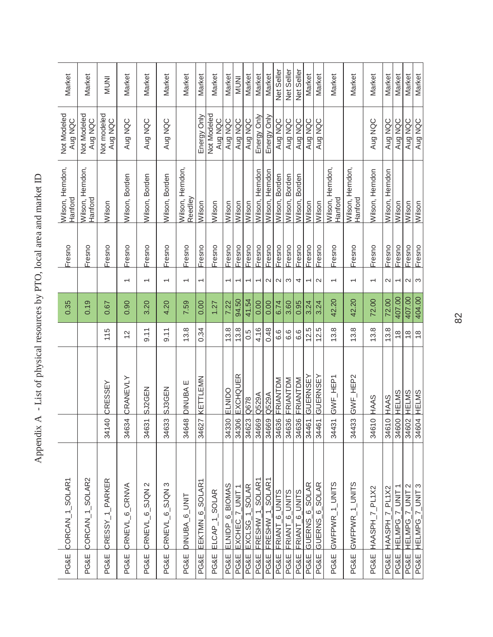| PG&E            | CORCAN_1_SOLAR1              |       |                |                | 0.35   |                          | Fresno | Wilson, Herndon,<br>Hanford        | Not Modeled<br>Aug NQC | Market       |
|-----------------|------------------------------|-------|----------------|----------------|--------|--------------------------|--------|------------------------------------|------------------------|--------------|
| <b>PG&amp;E</b> | CORCAN_1_SOLAR2              |       |                |                | 0.19   |                          | Fresno | Wilson, Herndon,<br><b>Hanford</b> | Not Modeled<br>Aug NQC | Market       |
| <b>PG&amp;E</b> | CRESSY_1_PARKER              | 34140 | CRESSEY        | 115            | 0.67   |                          | Fresno | Wilson                             | Not modeled<br>Aug NQC | <b>INUNI</b> |
| PG&E            | CRNEVL <sub>6</sub> CRNVA    | 34634 | CRANEVLY       | $\overline{c}$ | 0.90   | $\overline{ }$           | Fresno | Wilson, Borden                     | Aug NQC                | Market       |
| <b>PG&amp;E</b> | CRNEVL <sub>6</sub> SJQN2    | 34631 | SJ2GEN         | 9.11           | 3.20   | $\overline{ }$           | Fresno | Wilson, Borden                     | Aug NQC                | Market       |
| <b>PG&amp;E</b> | CRNEVL_6_SJQN 3              | 34633 | <b>SJ3GEN</b>  | 9.11           | 4.20   | $\overline{ }$           | Fresno | Wilson, Borden                     | Aug NQC                | Market       |
| PG&E            | DINUBA_6_UNIT                | 34648 | DINUBA E       | 13.8           | 7.59   | $\overline{\phantom{0}}$ | Fresno | Wilson, Herndon,<br>Reedley        |                        | Market       |
| PG&E            | EEKTMN_6_SOLAR               |       | 34627 KETTLEMN | 0.34           | 0.00   | ᡪ                        | Fresno | Wilson                             | Energy Only            | Market       |
| PG&E            | ELCAP <sub>1</sub> SOLAR     |       |                |                | 1.27   |                          | Fresno | Wilson                             | Not Modeled<br>Aug NQC | Market       |
| <b>PG&amp;E</b> | ELNIDP <sub>_6</sub> _BIOMAS | 34330 | ELNIDO         | 13.8           | 7.22   | $\overline{\phantom{0}}$ | Fresno | Wilson                             | Aug NQC                | Market       |
| <b>PG&amp;E</b> | EXCHEC_7_UNIT1               | 34306 | EXCHQUER       | 13.8           | 94.50  | $\overline{\phantom{0}}$ | Fresno | Wilson                             | Aug NQC                | <b>INUM</b>  |
| PG&E            | $EXCLSG_1$ _SOLAR            | 34623 | Q678           | 0.5            | 41.54  |                          | Fresno | Wilson                             | Aug NQC                | Market       |
| <b>PG&amp;E</b> | FRESHW_1_SOLAR1              | 34669 | Q529A          | 4.16           | 0.00   |                          | Fresno | Wilson, Herndon                    | Energy Only            | Market       |
| <b>PG&amp;E</b> | FRESHW 1 SOLAR1              | 34669 | Q529A          | 0.48           | 0.00   | $\sim$                   | Fresno | Wilson, Herndon                    | Energy Only            | Market       |
| <b>PG&amp;E</b> | FRIANT <sub>_6</sub> _UNITS  | 34636 | FRIANTDM       | 6.6            | 6.74   | $\sim$                   | Fresno | Wilson, Borden                     | Aug NQC                | Net Seller   |
| PG&E            | FRIANT <sub>-6</sub> UNITS   |       | 34636 FRIANTDM | 6.6            | 3.60   | S                        | Fresno | Wilson, Borden                     | Aug NQC                | Net Seller   |
| PG&E            | FRIANT <sub>6_UNITS</sub>    | 34636 | FRIANTDM       | 6.6            | 0.95   | 4                        | Fresno | Wilson, Borden                     | Aug NQC                | Net Seller   |
| PG&E            | GUERNS 6_SOLAR               | 34461 | GUERNSEY       | 12.5           | 3.24   | $\overline{\phantom{0}}$ | Fresno | Wilson                             | Aug NQC                | Market       |
| PG&E            | GUERNS <sub>6</sub> SOLAR    | 34461 | GUERNSEY       | 12.5           | 3.24   | $\mathbf{\Omega}$        | Fresno | Wilson                             | Aug NQC                | Market       |
| PG&E            | GWFPWR_1_UNITS               |       | 34431 GWF_HEP1 | 13.8           | 42.20  | $\overline{\phantom{0}}$ | Fresno | Wilson, Herndon,<br>Hanford        |                        | Market       |
| PG&E            | GWFPWR_1_UNITS               | 34433 | GWF_HEP2       | 13.8           | 42.20  | $\overline{}$            | Fresno | Wilson, Herndon,<br>Hanford        |                        | Market       |
| PG&E            | HAASPH_7_PL1X2               | 34610 | HAAS           | 13.8           | 72.00  | $\overline{\phantom{0}}$ | Fresno | Wilson, Herndon                    | Aug NQC                | Market       |
| PG&E            | HAASPH 7 PL1X2               | 34610 | HAAS           | 13.8           | 72.00  | $\mathbf{\Omega}$        | Fresno | Herndon<br>Wilson,                 | Aug NQC                | Market       |
| PG&E            | 7 UNIT 1<br><b>HELMPG</b>    | 34600 | HELMS          | $\frac{8}{1}$  | 407.00 |                          | Fresno | Wilson                             | Aug NQC                | Market       |
| PG&E            | <b>SPIRE</b><br><b>FLMPG</b> | 34602 | HELMS          | $\frac{8}{1}$  | 407.00 | $\sim$                   | Fresno | Wilson                             | Aug NQC                | Market       |
| PG&E            | HELMPG_7_UNIT3               |       | 34604 HELMS    | $\frac{8}{1}$  | 404.00 | $\infty$                 | Fresno | Wilson                             | Aug NQC                | Market       |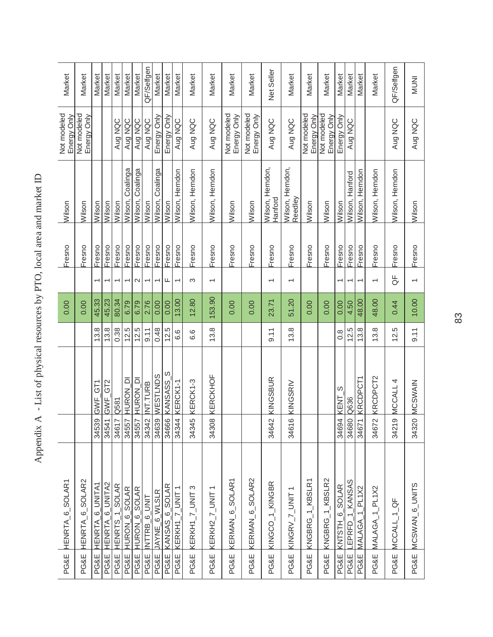| Market                      | Market                     | Market                   | Market                       | Market                   | Market                   | Market              | QF/Selfgen               | Market                   | Market         | Market                   | Market          | Market                   | Market                      | Market                     | Net Seller                  | Market                      | Market                     | Market                                                                                                                                                                                                                                                                     | Market                   | Market          | Market                                          | Market                   | QF/Selfgen                   | <b>INUNI</b>             |
|-----------------------------|----------------------------|--------------------------|------------------------------|--------------------------|--------------------------|---------------------|--------------------------|--------------------------|----------------|--------------------------|-----------------|--------------------------|-----------------------------|----------------------------|-----------------------------|-----------------------------|----------------------------|----------------------------------------------------------------------------------------------------------------------------------------------------------------------------------------------------------------------------------------------------------------------------|--------------------------|-----------------|-------------------------------------------------|--------------------------|------------------------------|--------------------------|
| Not modeled<br>Energy Only  | Not modeled<br>Energy Only |                          |                              | Aug NQC                  | Aug NQC                  | Aug NQC             | Aug NQC                  | Energy Only              | Energy Only    | Aug NQC                  | Aug NQC         | Aug NQC                  | Not modeled<br>Energy Only  | Not modeled<br>Energy Only | Aug NQC                     | Aug NQC                     | Not modeled<br>Energy Only | Not modeled<br>Energy Only                                                                                                                                                                                                                                                 | Energy Only              | Aug NQC         |                                                 |                          | Aug NQC                      | Aug NQC                  |
| Wilson                      | Wilson                     | Wilson                   | Wilson                       | Wilson                   | Coalinga<br>Wilson,      | Coalinga<br>Wilson, | Wilson                   | Coalinga<br>Wilson,      | Wilson         | Wilson, Herndon          | Wilson, Herndon | Wilson, Herndon          | Wilson                      | Wilson                     | Wilson, Herndon,<br>Hanford | Wilson, Herndon,<br>Reedley | Wilson                     | Wilson                                                                                                                                                                                                                                                                     | Wilson                   | Wilson, Hanford | Wilson, Herndon                                 | Wilson, Herndon          | Wilson, Herndon              | Wilson                   |
| Fresno                      | Fresno                     | Fresno                   | Fresno                       | Fresno                   | Fresno                   | Fresno              | Fresno                   | Fresno                   | Fresno         | Fresno                   | Fresno          | Fresno                   | Fresno                      | Fresno                     | Fresno                      | Fresno                      | Fresno                     | Fresno                                                                                                                                                                                                                                                                     | Fresno                   | Fresno          | Fresno                                          | Fresno                   | Fresno                       | Fresno                   |
|                             |                            | $\overline{\phantom{0}}$ | $\overline{\phantom{0}}$     | $\overline{\phantom{0}}$ | $\overline{\phantom{0}}$ | $\mathbf{\Omega}$   | $\overline{\phantom{0}}$ | $\overline{\phantom{0}}$ | щ              | $\overline{\phantom{0}}$ | S               | $\overline{\phantom{0}}$ |                             |                            | $\overline{\phantom{0}}$    | $\overline{\phantom{0}}$    |                            |                                                                                                                                                                                                                                                                            | $\overline{\phantom{0}}$ | ᠇               | ٣                                               | $\overline{\phantom{0}}$ | ₩                            | $\overline{\phantom{0}}$ |
| 0.00                        | 0.00                       | 45.33                    | 45.23                        | 80.34                    | 6.79                     | 6.79                | 2.76                     | 0.00                     | 0.00           | 13.00                    | 12.80           | 153.90                   | 0.00                        | 0.00                       | 23.71                       | 51.20                       | 0.00                       | 0.00                                                                                                                                                                                                                                                                       | 0.00                     | 4.50            | 48.00                                           | 48.00                    | 0.44                         | 10.00                    |
|                             |                            | 13.8                     | 13.8                         | 0.38                     | 12.5                     | 12.5                | $-9.11$                  | 0.48                     | 12.5           | 6.6                      | 6.6             | 13.8                     |                             |                            | $-9.11$                     | 13.8                        |                            |                                                                                                                                                                                                                                                                            | $0.\overline{8}$         | 12.5            | 13.8                                            | 13.8                     | 12.5                         | 9.11                     |
|                             |                            | GWF_GT1                  | GWF_GT2                      | Q581                     | HURON DI                 | HURON DI            | <b>INT.TURB</b>          | <b>SANTLSEM</b>          | w<br>KANSASS   | KERCK1-1                 | KERCK1-3        | KERCKHOF                 |                             |                            | KINGSBUR                    | KINGSRIV                    |                            |                                                                                                                                                                                                                                                                            | S<br>KENT                | Q636            | <b>KRCDPCT1</b>                                 | KRCDPCT2                 | MCCALL 4                     | <b>MCSWAIN</b>           |
|                             |                            | 34539                    | 34541                        | 34617                    | 34557                    | 34557               | 34342                    | 34639                    | 34666          | 34344                    | 34345           | 34308                    |                             |                            | 34642                       | $\circ$<br>3461             |                            |                                                                                                                                                                                                                                                                            | 34694                    | 34680           | 34671                                           | 34672                    | $\infty$<br>3421             | 34320                    |
| HENRTA <sub>-6-SOLAR1</sub> | <b>HENRTA 6 SOLAR2</b>     | HENRTA_6_UNITA1          | HENRTA <sub>_</sub> 6_UNITA2 | HENRTS_1_SOLAR           | HURON 6 SOLAR            | HURON 6_SOLAR       | NTTRB 6 UNIT             | JAYNE_6_WLSLR            | KANSAS_6_SOLAR | $KERKHT_2_UNIT$ 1        | KERKH1_7_UNIT 3 | KERKH2_ $7$ _UNIT 1      | KERMAN <sub>-6-SOLAR1</sub> | KERMAN 6 SOLAR2            | KINGCO_1_KINGBR             | KINGRV $_{\_}$ JNIT1        | KNGBRG 1 KBSLR1            | <ngbrg_1_kbslr2< td=""><td>KNTSTH_6_SOLAR</td><td>EPRFD_1_KANSAS</td><td><math>1</math><sub>-PL1</sub><math>\times</math>2<br/><b>MALAGA</b></td><td>MALAGA_1_PL1X2</td><td><math>MCCALL_1</math><sub>-</sub><math>QF</math></td><td>MCSWAN_6_UNITS</td></ngbrg_1_kbslr2<> | KNTSTH_6_SOLAR           | EPRFD_1_KANSAS  | $1$ <sub>-PL1</sub> $\times$ 2<br><b>MALAGA</b> | MALAGA_1_PL1X2           | $MCCALL_1$ <sub>-</sub> $QF$ | MCSWAN_6_UNITS           |
| <b>PG&amp;E</b>             | PG&E                       | PG&E                     | PG&E                         | PG&E                     | <b>PG&amp;E</b>          | PG&E                | PG&E                     | PG&E                     | PG&E           | <b>PG&amp;E</b>          | <b>PG&amp;E</b> | <b>PG&amp;E</b>          | PG&E                        | PG&E                       | PG&E                        | PG&E                        | PG&E                       | PG&E                                                                                                                                                                                                                                                                       | PG&E                     | <b>PG&amp;E</b> | <b>PG&amp;E</b>                                 | <b>PG&amp;E</b>          | PG&E                         | PG&E                     |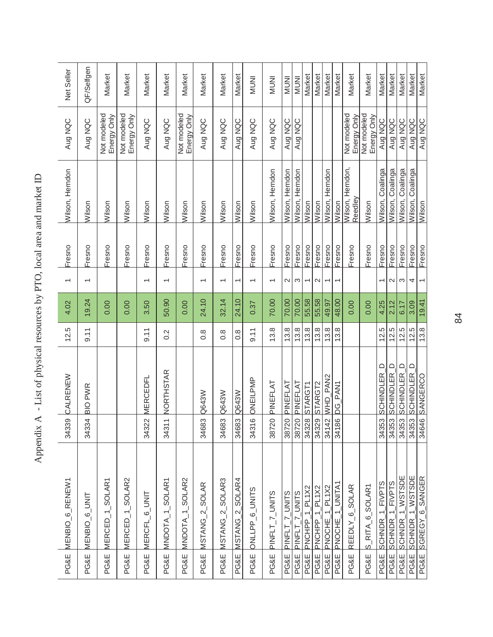|                 | PG&E MENBIO_6_RENEW1        | 34339                            | CALRENEW                   | 12.5              | 4.02  | $\overline{\phantom{0}}$ | Fresno | Wilson, Herndon             | Aug NQC                           | Net Seller   |
|-----------------|-----------------------------|----------------------------------|----------------------------|-------------------|-------|--------------------------|--------|-----------------------------|-----------------------------------|--------------|
| PG&E            | MENBIO_6_UNIT               | 34334                            | <b>BIO PWR</b>             | 9.11              | 19.24 | $\overline{\phantom{0}}$ | Fresno | Wilson                      | Aug NQC                           | QF/Selfgen   |
| PG&E            | MERCED <sub>-1-SOLAR1</sub> |                                  |                            |                   | 0.00  |                          | Fresno | Wilson                      | <b>Not modeled</b><br>Energy Only | Market       |
| <b>PG&amp;E</b> | MERCED_1_SOLAR2             |                                  |                            |                   | 0.00  |                          | Fresno | Wilson                      | Not modeled<br>Energy Only        | Market       |
| <b>PG&amp;E</b> | MERCFL_6_UNIT               | 34322                            | <b>MERCEDFL</b>            | 9.11              | 3.50  | $\overline{\phantom{0}}$ | Fresno | Wilson                      | Aug NQC                           | Market       |
| <b>PG&amp;E</b> | MNDOTA_1_SOLAR1             | $\overline{\phantom{0}}$<br>3431 | <b>NORTHSTAR</b>           | 0.2               | 50.90 | $\overline{\phantom{0}}$ | Fresno | Wilson                      | Aug NQC                           | Market       |
| <b>PG&amp;E</b> | MNDOTA_1_SOLAR2             |                                  |                            |                   | 0.00  |                          | Fresno | Wilson                      | Not modeled<br>Energy Only        | Market       |
| <b>PG&amp;E</b> | MSTANG_2_SOLAR              | 34683                            | Q643W                      | $\frac{8}{2}$     | 24.10 | $\overline{}$            | Fresno | Wilson                      | Aug NQC                           | Market       |
| PG&E            | MSTANG_2_SOLAR3             | 34683                            | Q643W                      | $0.\overline{8}$  | 32.14 | $\overline{}$            | Fresno | Wilson                      | Aug NQC                           | Market       |
| <b>PG&amp;E</b> | MSTANG_2_SOLAR4             | 34683                            | Q643W                      | $0.\overline{8}$  | 24.10 | $\overline{\phantom{0}}$ | Fresno | Wilson                      | Aug NQC                           | Market       |
| <b>PG&amp;E</b> | ONLLPP_6_UNITS              | $\circ$<br>3431                  | ONEILPMP                   | $\frac{1}{9}$ .11 | 0.37  | $\overline{\phantom{0}}$ | Fresno | Wilson                      | Aug NQC                           | <b>INUNI</b> |
| PG&E            | PINFLT_7_UNITS              | 38720                            | PINEFLAT                   | 13.8              | 70.00 | $\overline{ }$           | Fresno | Wilson, Herndon             | Aug NQC                           | <b>INUNI</b> |
| PG&E            | PINFLT_7_UNITS              | 38720                            | PINEFLAT                   | 13.8              | 70.00 | 2                        | Fresno | Wilson, Herndon             | Aug NQC                           | <b>INUM</b>  |
| <b>PG&amp;E</b> | PINFLT_7_UNITS              | 38720                            | PINEFLAT                   | 13.8              | 70.00 | S                        | Fresno | Wilson, Herndon             | Aug NQC                           | <b>INUNI</b> |
| PG&E            | PNCHPP <sub>1</sub> PL1X2   | 34328                            | <b>STARGT1</b>             | 13.8              | 55.58 | $\overline{\phantom{0}}$ | Fresno | Wilson                      |                                   | Market       |
| PG&E            | PNCHPP 1 PL1X2              | 34329                            | STARGT <sub>2</sub>        | 13.8              | 55.58 | $\mathbf{\Omega}$        | Fresno | Wilson                      |                                   | Market       |
| PG&E            | PNOCHE_1_PL1X2              | 34142                            | WHD PAN2                   | 13.8              | 49.97 | T                        | Fresno | Herndon<br>Wilson,          |                                   | Market       |
| PG&E            | PNOCHE_1_UNITA1             | 34186                            | DG_PAN1                    | 13.8              | 48.00 | T                        | Fresno | Wilson                      |                                   | Market       |
| <b>PG&amp;E</b> | REEDLY <sub>_6_SOLAR</sub>  |                                  |                            |                   | 0.00  |                          | Fresno | Wilson, Herndon,<br>Reedley | Not modeled<br>Energy Only        | Market       |
| PG&E            | RITA_6_SOLAR1<br>$\omega$   |                                  |                            |                   | 0.00  |                          | Fresno | Wilson                      | Not modeled<br>Energy Only        | Market       |
| <b>PG&amp;E</b> | SCHNDR_1_FIVPTS             | 34353                            | $\Box$<br><b>SCHINDLER</b> | 12.5              | 4.25  | $\overline{ }$           | Fresno | Wilson, Coalinga            | Aug NQC                           | Market       |
| <b>PG&amp;E</b> | SCHNDR_1_FIVPTS             | 34353                            | $\cup$<br><b>SCHINDLER</b> | 12.5              | 2.12  | $\mathbf{\Omega}$        | Fresno | Coalinga<br>Wilson,         | Aug NQC                           | Market       |
| <b>PG&amp;E</b> | SCHNDR_1_WSTSDE             | 34353                            | <b>SCHINDLER_D</b>         | 12.5              | 6.17  | S                        | Fresno | Coalinga<br>Wilson,         | Aug NQC                           | Market       |
| PG&E            | 1 WSTSDE<br><b>SCHNDR</b>   | 34353                            | $\cup$<br><b>SCHINDLER</b> | 12.5              | 3.09  | 4                        | Fresno | Coalinga<br>Wilson,         | Aug NQC                           | Market       |
| PG&E            | SGREGY_6_SANGER             |                                  | 34646 SANGERCO             | 13.8              | 19.41 | $\overline{\phantom{0}}$ | Fresno | Wilson                      | Aug NQC                           | Market       |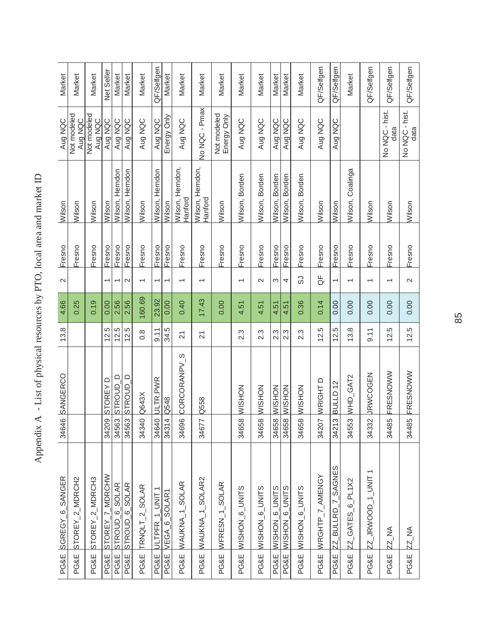| <b>PG&amp;E</b> | SGREGY <sub>-6-</sub> SANGER | $\overline{6}$<br>3464 | SANGERCO                | 13.8             | 4.66   | $\mathbf{\Omega}$        | Fresno | Wilson                      | Aug NQC                    | Market     |
|-----------------|------------------------------|------------------------|-------------------------|------------------|--------|--------------------------|--------|-----------------------------|----------------------------|------------|
| <b>PG&amp;E</b> | STOREY_2_MDRCH2              |                        |                         |                  | 0.25   |                          | Fresno | Wilson                      | Not modeled<br>Aug NQC     | Market     |
| <b>PG&amp;E</b> | STOREY_2_MDRCH3              |                        |                         |                  | 0.19   |                          | Fresno | Wilson                      | Not modeled<br>Aug NQC     | Market     |
| <b>PG&amp;E</b> | STOREY_7_MDRCHW              | 34209                  | STOREY D                | 12.5             | 0.00   | $\overline{ }$           | Fresno | Wilson                      | Aug NQC                    | Net Seller |
| PG&E            | <b>STROUD_6_SOLAR</b>        | 34563                  | $\cup$<br><b>STROUD</b> | 12.5             | 2.56   | ۳                        | Fresno | Herndon<br>Wilson, I        | Aug NQC                    | Market     |
| <b>PG&amp;E</b> | STROUD_6_SOLAR               | 34563                  | $\Box$<br><b>STROUD</b> | 12.5             | 2.56   | $\sim$                   | Fresno | Wilson, Herndon             | Aug NQC                    | Market     |
| <b>PG&amp;E</b> | TRNQLT_2_SOLAR               | 34340                  | Q643X                   | $0.\overline{8}$ | 160.69 |                          | Fresno | Wilson                      | Aug NQC                    | Market     |
| PG&E            | JLTPFR_1_UNIT                | 34640                  | <b>JLTR.PWR</b>         | $-9.11$          | 23.92  | ᡪ                        | Fresno | Wilson, Herndon             | Aug NQC                    | QF/Selfgen |
| <b>PG&amp;E</b> | VEGA <sub>6</sub> SOLAR1     | $\overline{a}$<br>3431 | Q548                    | 34.5             | 0.00   | ٣                        | Fresno | Wilson                      | Energy Only                | Market     |
| PG&E            | WAUKNA_1_SOLAR               | 34696                  | CORCORANPV_S            | $\overline{2}1$  | 0.40   | ᡪ                        | Fresno | Wilson, Herndon,<br>Hanford | Aug NQC                    | Market     |
| <b>PG&amp;E</b> | WAUKNA_1_SOLAR2              | 34677                  | Q558                    | $\overline{2}$   | 17.43  | $\overline{\phantom{0}}$ | Fresno | Wilson, Herndon,<br>Hanford | No NQC - Pmax              | Market     |
| PG&E            | WFRESN_1_SOLAR               |                        |                         |                  | 0.00   |                          | Fresno | Wilson                      | Not modeled<br>Energy Only | Market     |
| PG&E            | WISHON_6_UNITS               | 34658                  | <b>MOHSIM</b>           | $2.\overline{3}$ | 4.51   | $\overline{\phantom{0}}$ | Fresno | Wilson, Borden              | Aug NQC                    | Market     |
| <b>PG&amp;E</b> | VISHON_6_UNITS               | $\infty$<br>3465       | <b>MOHSIM</b>           | $2.\overline{3}$ | 4.51   | $\sim$                   | Fresno | Wilson, Borden              | Aug NQC                    | Market     |
| PG&E            | <b>WISHON 6 UNITS</b>        | 34658                  | <b>MOHSIM</b>           | $2.\overline{3}$ | 4.51   | ω                        | Fresno | Wilson, Borden              | Aug NQC                    | Market     |
| PG&E            | WISHON_6_UNITS               | 34658                  | <b>WISHON</b>           | $2.\overline{3}$ | 4.51   | 4                        | Fresno | Wilson, Borden              | Aug NQC                    | Market     |
| PG&E            | <b>WISHON_6_UNITS</b>        | $\mathfrak{D}$<br>3465 | <b>WISHON</b>           | 2.3              | 0.36   | 2                        | Fresno | Wilson, Borden              | Aug NQC                    | Market     |
| PG&E            | WRGHTP_7_AMENGY              | 34207                  | WRIGHT D                | 12.5             | 0.14   | ₩                        | Fresno | Wilson                      | Aug NQC                    | QF/Selfgen |
| <b>PG&amp;E</b> | $Z_$ BULLRD_ $7$ _SAGNES     | $\infty$<br>3421       | <b>BULLD12</b>          | 12.5             | 0.00   | ᡪ                        | Fresno | Wilson                      | Aug NQC                    | QF/Selfgen |
| <b>PG&amp;E</b> | ZZ_GATES_6_PL1X2             | 34553                  | WHD_GAT2                | 13.8             | 0.00   |                          | Fresno | Wilson, Coalinga            |                            | Market     |
| PG&E            | $ZZ$ _JRWOOD_1_UNIT          | $\overline{Q}$<br>3433 | <b>JRWCOGEN</b>         | 9.11             | 0.00   |                          | Fresno | Wilson                      |                            | QF/Selfgen |
| <b>PG&amp;E</b> | <b>ZZ_NA</b>                 | Ю<br>3448              | FRESNOWW                | 12.5             | 0.00   |                          | Fresno | Wilson                      | No NQC - hist.<br>data     | QF/Selfgen |
| <b>PG&amp;E</b> | ZZ_NA                        | 34485                  | FRESNOWW                | 12.5             | 0.00   | $\sim$                   | Fresno | Wilson                      | No NQC - hist.<br>data     | QF/Selfgen |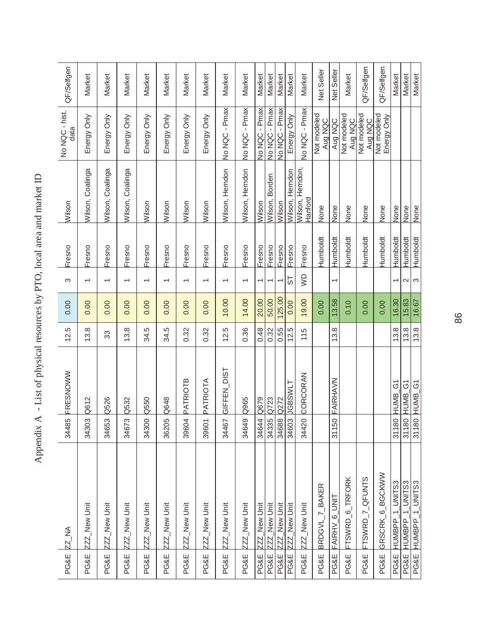|                 | PG&E ZZ_NA                 | 34485 | FRESNOWW                      | 12.5 | 0.00   | S                        | Fresno          | Wilson                      | No NQC - hist.<br>data     | QF/Selfgen |
|-----------------|----------------------------|-------|-------------------------------|------|--------|--------------------------|-----------------|-----------------------------|----------------------------|------------|
| <b>PG&amp;E</b> | ZZZ_New Unit               | 34303 | Q612                          | 13.8 | 0.00   | $\overline{ }$           | Fresno          | Wilson, Coalinga            | Energy Only                | Market     |
| PG&E            | ZZZ_New Unit               | 34653 | Q526                          | 33   | 0.00   | $\overline{ }$           | Fresno          | Wilson, Coalinga            | Energy Only                | Market     |
| <b>PG&amp;E</b> | ZZZ_New Unit               | 34673 | Q532                          | 13.8 | 0.00   | $\overline{\phantom{0}}$ | Fresno          | Wilson, Coalinga            | Energy Only                | Market     |
| <b>PG&amp;E</b> | ZZZ_New Unit               | 34300 | Q550                          | 34.5 | 0.00   | $\overline{ }$           | Fresno          | Wilson                      | Energy Only                | Market     |
| PG&E            | ZZZ_New Unit               | 36205 | Q648                          | 34.5 | 0.00   | $\overline{\phantom{0}}$ | Fresno          | Wilson                      | Energy Only                | Market     |
| <b>PG&amp;E</b> | ZZZ_New Unit               | 39604 | <b>PATRIOTB</b>               | 0.32 | 0.00   | $\overline{\phantom{0}}$ | Fresno          | Wilson                      | Energy Only                | Market     |
| PG&E            | ZZZ_New Unit               | 39601 | PATRIOTA                      | 0.32 | 0.00   | $\overline{ }$           | Fresno          | Wilson                      | Energy Only                | Market     |
| <b>PG&amp;E</b> | ZZZ_New Unit               | 34467 | GIFFEN_DIST                   | 12.5 | 10.00  | $\overline{\phantom{0}}$ | Fresno          | Wilson, Herndon             | No NQC - Pmax              | Market     |
| PG&E            | ZZZ_New Unit               | 34649 | Q965                          | 0.36 | 14.00  | $\overline{}$            | Fresno          | Wilson, Herndon             | No NQC - Pmax              | Market     |
| <b>PG&amp;E</b> | ZZZ_New Unit               | 34644 | Q679                          | 0.48 | 20.00  | $\overline{\phantom{0}}$ | Fresno          | Wilson                      | No NQC - Pmax              | Market     |
| PG&E            | ZZZ_New Unit               | 34335 | Q723                          | 0.32 | 50.00  | ᡪ                        | Fresno          | Wilson, Borden              | No NQC - Pmax              | Market     |
| PG&E            | 2Z_New Unit                | 34688 | Q272                          | 0.55 | 125.00 | $\overline{ }$           | Fresno          | Wilson                      | No NQC - Pmax              | Market     |
| PG&E            | ZZZ_New Unit               | 34603 | <b>TIMSSPIT</b>               | 12.5 | 0.00   | 5                        | Fresno          | Wilson, Herndon             | Energy Only                | Market     |
| <b>PG&amp;E</b> | ZZZ_New Unit               | 34420 | CORCORAN                      | 115  | 19.00  | gw                       | Fresno          | Wilson, Herndon,<br>Hanford | No NQC - Pmax              | Market     |
| PG&E            | BRDGVL_7_BAKER             |       |                               |      | 0.00   |                          | <b>Humboldt</b> | None                        | Not modeled<br>Aug NQC     | Net Seller |
| PG&E            | FAIRHV <sub>_6</sub> _UNIT | 31150 | FAIRHAVN                      | 13.8 | 13.58  | $\overline{\phantom{0}}$ | Humboldt        | None                        | Aug NQC                    | Net Seller |
| <b>PG&amp;E</b> | FTSWRD_6_TRFORK            |       |                               |      | 0.10   |                          | Humboldt        | None                        | Not modeled<br>Aug NQC     | Market     |
| PG&E            | FTSWRD_7_QFUNTS            |       |                               |      | 0.00   |                          | Humboldt        | None                        | Not modeled<br>Aug NQC     | QF/Selfgen |
| PG&E            | GRSCRK 6 BGCKWW            |       |                               |      | 0.00   |                          | <b>Humboldt</b> | None                        | Not modeled<br>Energy Only | QF/Selfgen |
| PG&E            | HUMBPP 1 UNITS3            | 31180 | <b>HUMB G1</b>                | 13.8 | 16.30  | $\overline{\phantom{0}}$ | Humboldt        | None                        |                            | Market     |
| <b>PG&amp;E</b> | UNITS3<br><b>HUMBPP</b>    | 31180 | $\overline{6}$<br><b>HUMB</b> | 13.8 | 15.83  | $\sim$                   | Humboldt        | None                        |                            | Market     |
| PG&E            | HUMBPP_1_UNITS3            |       | 31180 HUMB_G1                 | 13.8 | 16.67  | $\infty$                 | Humboldt        | None                        |                            | Market     |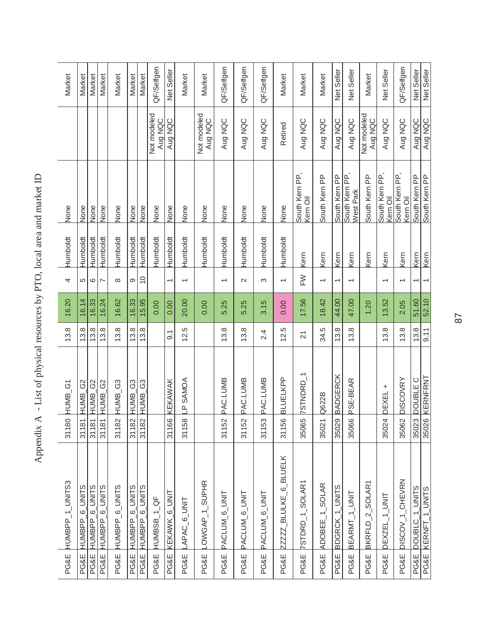| HUMBPP_1_UNITS3            | 31180 HUMB_G1                    | 13.8             | 16.20 | 4                        | Humboldt        | None                       |                        | Market     |
|----------------------------|----------------------------------|------------------|-------|--------------------------|-----------------|----------------------------|------------------------|------------|
|                            | HUMB_G2<br>31181                 | 13.8             | 16.14 | 5                        | Humboldt        | None                       |                        | Market     |
| HUMBPP <sub>_6_UNITS</sub> | HUMB_G2<br>31181                 | 13.8             | 16.33 | $\circ$                  | Humboldt        | None                       |                        | Market     |
|                            | 31181 HUMB_G2                    | 13.8             | 16.24 | $\overline{ }$           | Humboldt        | None                       |                        | Market     |
| HUMBPP_6_UNITS             | HUMB_G3<br>31182                 | 13.8             | 16.62 | $\infty$                 | Humboldt        | None                       |                        | Market     |
| PG&E HUMBPP_6_UNITS        |                                  | 13.8             | 16.33 | $\infty$                 | Humboldt        | None                       |                        | Market     |
| PG&E HUMBPP_6_UNITS        | 31182 HUMB_G3<br>31182 HUMB_G3   | 13.8             | 15.95 | $\overline{0}$           | Humboldt        | None                       |                        | Market     |
|                            |                                  |                  | 0.00  |                          | <b>Humboldt</b> | None                       | Not modeled<br>Aug NQC | QF/Selfgen |
|                            | KEKAWAK<br>31166                 | $\overline{9}$ . | 0.00  | $\overline{\phantom{0}}$ | Humboldt        | None                       | Aug NQC                | Net Seller |
|                            | LP SAMOA<br>31158                | 12.5             | 20.00 | $\overline{\phantom{0}}$ | Humboldt        | None                       |                        | Market     |
| LOWGAP_1_SUPHR             |                                  |                  | 0.00  |                          | Humboldt        | None                       | Not modeled<br>Aug NQC | Market     |
| PACLUM_6_UNIT              | PAC.LUMB<br>31152                | 13.8             | 5.25  | $\overline{ }$           | Humboldt        | None                       | Aug NQC                | QF/Selfgen |
| PACLUM_6_UNIT              | PAC.LUMB<br>31152                | 13.8             | 5.25  | $\sim$                   | Humboldt        | None                       | Aug NQC                | QF/Selfgen |
| PACLUM_6_UNIT              | PAC.LUMB<br>31153                | 2.4              | 3.15  | S                        | Humboldt        | None                       | Aug NQC                | QF/Selfgen |
| 22222_BLULKE_6_BLUELK      | <b>BLUELKPP</b><br>31156         | 12.5             | 0.00  | $\overline{\phantom{0}}$ | Humboldt        | None                       | Retired                | Market     |
| 7STDRD_1_SOLAR1            | 7STNDRD_1<br>35065               | $\overline{21}$  | 17.56 | $\geq$                   | Kern            | South Kem PP,<br>Kern Oil  | Aug NQC                | Market     |
| ADOBEE_1_SOLAR             | Q622B<br>35021                   | 34.5             | 18.42 | $\overline{\phantom{0}}$ | Kern            | South Kem PP               | Aug NQC                | Market     |
| BDGRCK_1_UNITS             | <b>BADGERCK</b><br>35029         | 13.8             | 44.00 | ᡪ                        | Kern            | South Kem PP               | Aug NQC                | Net Seller |
| BEARMT_1_UNIT              | PSE-BEAR<br>35066                | 13.8             | 47.00 |                          | Kern            | South Kem PP,<br>West Park | Aug NQC                | Net Seller |
| $B$ KRFLD $-2$ _SOLAR1     |                                  |                  | 1.20  |                          | Kern            | South Kem PP               | Not modeled<br>Aug NQC | Market     |
| DEXZEL_1_UNIT              | DEXEL +<br>35024                 | 13.8             | 13.52 | $\overline{\phantom{0}}$ | Kern            | South Kem PP,<br>Kern Oil  | Aug NQC                | Net Seller |
| DISCOV_1_CHEVRN            | <b>DISCOVRY</b><br>35062         | 13.8             | 2.05  | $\overline{\phantom{0}}$ | <b>Kern</b>     | South Kem PP,<br>Kern Oil  | Aug NQC                | QF/Selfgen |
| DOUBLC_1_UNITS             | 35023 DOUBLE C<br>35026 KERNFRNT | 13.8             | 51.60 |                          | Kern            | South Kem PP               | Aug NQC                | Net Seller |
| PG&E KERNFT_1_UNITS        |                                  | 9.11             | 52.10 | $\overline{\phantom{0}}$ | Kern            | South Kem PP               | Aug NQC                | Net Seller |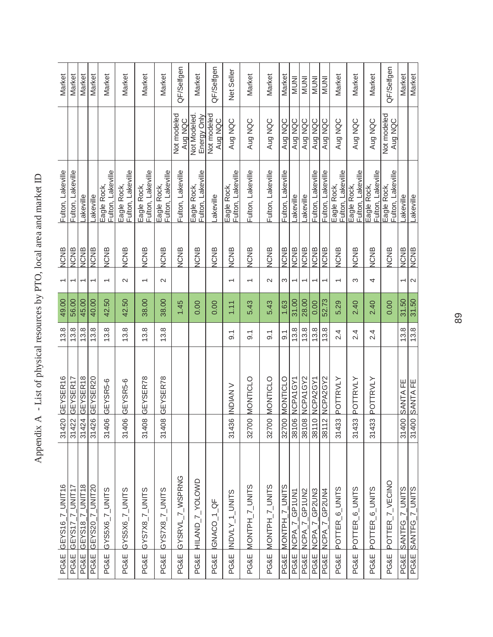| Market                   | Market                             | Market                             | Market                             | Market                           | Market                           | Market                                | Market                            | QF/Selfgen                         | Market                           | QF/Selfgen                      | Net Seller                        | Market                            | Market                            | Market                 | <b>INUMI</b>          | <b>INUNI</b>             | <b>INUNI</b>                     | <b>INUNI</b>             | Market                           | Market                           | Market                           | QF/Selfgen                         | Market                            | Market                            |
|--------------------------|------------------------------------|------------------------------------|------------------------------------|----------------------------------|----------------------------------|---------------------------------------|-----------------------------------|------------------------------------|----------------------------------|---------------------------------|-----------------------------------|-----------------------------------|-----------------------------------|------------------------|-----------------------|--------------------------|----------------------------------|--------------------------|----------------------------------|----------------------------------|----------------------------------|------------------------------------|-----------------------------------|-----------------------------------|
|                          |                                    |                                    |                                    |                                  |                                  |                                       |                                   | Not modeled<br>Aug NQC             | Not Modeled<br>Energy Only       | Not modeled<br>Aug NQC          | Aug NQC                           | Aug NQC                           | Aug NQC                           | Aug NQC                | Aug NQC               | Aug NQC                  | Aug NQC                          | Aug NQC                  | Aug NQC                          | Aug NQC                          | Aug NQC                          | Not modeled<br>Aug NQC             |                                   |                                   |
| Fulton, Lakeville        | Fulton, Lakeville                  | akeville                           | akeville                           | Fulton, Lakeville<br>Eagle Rock, | Fulton, Lakeville<br>Eagle Rock, | Eagle Rock,<br>Fulton, Lakeville      | Fulton, Lakeville<br>Eagle Rock,  | Fulton, Lakeville                  | Eagle Rock,<br>Fulton, Lakeville | -akeville                       | Fulton, Lakeville<br>Eagle Rock,  | Fulton, Lakeville                 | Fulton, Lakeville                 | Fulton, Lakeville      | Lakeville             | -akeville                | Fulton, Lakeville                | Fulton, Lakeville        | Fulton, Lakeville<br>Eagle Rock, | Fulton, Lakeville<br>Eagle Rock, | Fulton, Lakeville<br>Eagle Rock, | Fulton, Lakeville<br>Eagle Rock,   | -akeville                         | Lakeville                         |
| <b>NCNB</b>              | <b>NCNB</b>                        | <b>NCNB</b>                        | <b>NCNB</b>                        | <b>NCNB</b>                      | <b>NCNB</b>                      | <b>NCNB</b>                           | <b>NCNB</b>                       | <b>NCNB</b>                        | <b>NCNB</b>                      | <b>NCNB</b>                     | <b>NCNB</b>                       | <b>NCNB</b>                       | <b>NCNB</b>                       | <b>NCNB</b>            | <b>NCNB</b>           | <b>NCNB</b>              | <b>NCNB</b>                      | <b>NCNB</b>              | <b>NCNB</b>                      | <b>NCNB</b>                      | <b>NCNB</b>                      | <b>NCNB</b>                        | <b>NCNB</b>                       | <b>NCNB</b>                       |
| $\overline{\phantom{0}}$ |                                    | ᡪ                                  |                                    | $\overline{\phantom{0}}$         | $\sim$                           | $\overline{\phantom{0}}$              | $\mathbf{\Omega}$                 |                                    |                                  |                                 | $\overline{\phantom{0}}$          | $\overline{\phantom{0}}$          | $\mathbf{\Omega}$                 | 3                      | $\overline{ }$        | $\overline{\phantom{0}}$ | ᡪ                                | $\overline{\phantom{0}}$ | $\overline{ }$                   | S                                | 4                                |                                    | $\overline{ }$                    | $\mathbf{\Omega}$                 |
| 49.00                    | 56.00                              | 45.00                              | 40.00                              | 42.50                            | 42.50                            | 38.00                                 | 38.00                             | 1.45                               | 0.00                             | 0.00                            | 1.11                              | 5.43                              | 5.43                              | 1.63                   | 31.00                 | 28.00                    | 0.00                             | 52.73                    | 5.29                             | 2.40                             | 2.40                             | 0.00                               | 31.50                             | 31.50                             |
| 13.8                     | 13.8                               | 13.8                               | 13.8                               | 13.8                             | 13.8                             | 13.8                                  | 13.8                              |                                    |                                  |                                 | $\overline{9}$ .                  | $\overline{9}$ .                  | $\overline{9}$ .                  | $\overline{9}$ .       | 13.8                  | 13.8                     | 13.8                             | 13.8                     | 2.4                              | 2.4                              | 2.4                              |                                    | 13.8                              | 13.8                              |
| GEYSER16                 | GEYSER17                           | GEYSER18                           | GEYSER20                           | GEYSR5-6                         | GEYSR5-6                         | GEYSER78                              | GEYSER78                          |                                    |                                  |                                 | 31436 NDIAN V                     | 32700 MONTICLO                    | 32700 MONTICLO                    | 32700 MONTICLO         | 38106 NCPA1GY1        | 38108 NCPA1GY2           | 0 NCPA2GY1                       | 2 NCPA2GY2               | 31433 POTTRVLY                   | POTTRVLY                         | 31433 POTTRVLY                   |                                    | 31400 SANTA FE                    | 31400 SANTA FE                    |
| 31420                    | 31422                              | 31424                              | 31426                              | 31406                            | 31406                            | 31408                                 | 31408                             |                                    |                                  |                                 |                                   |                                   |                                   |                        |                       |                          | 3811                             | 3811                     |                                  | 31433                            |                                  |                                    |                                   |                                   |
| GEYS16_7_UNIT16<br>PG&E  | GEYS17 7 UNIT17<br><b>PG&amp;E</b> | GEYS18_7_UNIT18<br><b>PG&amp;E</b> | GEYS20_7_UNIT20<br><b>PG&amp;E</b> | GYS5X6_7_UNITS<br>PG&E           | GYS5X6_7_UNITS<br>PG&E           | SLIND <sup>-7</sup><br>SX2SX9<br>PG&E | GYSZX8_7_UNITS<br><b>PG&amp;E</b> | GYSRVL_7_WSPRNG<br><b>PG&amp;E</b> | HILAND_7_YOLOWD<br>PG&E          | GNACO <sub>-1-</sub> QF<br>PG&E | INDVLY_1_UNITS<br><b>PG&amp;E</b> | MONTPH_7_UNITS<br><b>PG&amp;E</b> | MONTPH_7_UNITS<br><b>PG&amp;E</b> | MONTPH_7_UNITS<br>PG&E | NCPA_7_GP1UN1<br>PG&E | NCPA 7 GP1UN2<br>PG&E    | NCPA_7_GP2UN3<br><b>PG&amp;E</b> | NCPA_7_GP2UN4<br>PG&E    | POTTER_6_UNITS<br>PG&E           | POTTER_6_UNITS<br>PG&E           | POTTER_6_UNITS<br>PG&E           | POTTER_7_VECINO<br><b>PG&amp;E</b> | SANTFG_7_UNITS<br><b>PG&amp;E</b> | SANTFG_7_UNITS<br><b>PG&amp;E</b> |
|                          |                                    |                                    |                                    |                                  |                                  |                                       |                                   |                                    |                                  |                                 |                                   |                                   |                                   |                        |                       |                          |                                  |                          |                                  |                                  |                                  |                                    |                                   |                                   |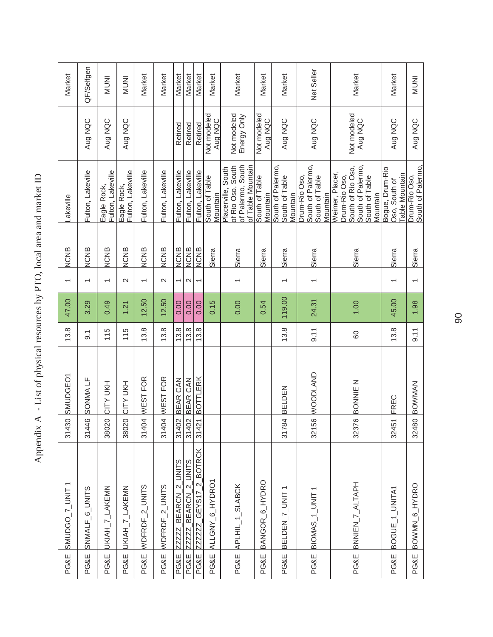| PG&E            | SMUDGO_7_UNIT1              | 31430 | <b>SMUDGEO1</b> | 13.8               | 47.00  | $\overline{\phantom{0}}$ | <b>NCNB</b> | Lakeville                                                                                                 |                            | Market       |
|-----------------|-----------------------------|-------|-----------------|--------------------|--------|--------------------------|-------------|-----------------------------------------------------------------------------------------------------------|----------------------------|--------------|
| <b>PG&amp;E</b> | SNMALF_6_UNITS              | 31446 | SONMA LF        | $\overline{9}$ . 1 | 3.29   | $\overline{ }$           | <b>NCNB</b> | Fulton, Lakeville                                                                                         | Aug NQC                    | QF/Selfgen   |
| <b>PG&amp;E</b> | UKIAH_7_LAKEMN              | 38020 | CITY UKH        | 115                | 0.49   | $\overline{ }$           | <b>NCNB</b> | Fulton, Lakeville<br>Eagle Rock,                                                                          | Aug NQC                    | <b>INUNI</b> |
| <b>PG&amp;E</b> | UKIAH_7_LAKEMN              | 38020 | CITY UKH        | 115                | 1.21   | $\sim$                   | <b>NCNB</b> | Fulton, Lakeville<br>Eagle Rock,                                                                          | Aug NQC                    | <b>INUNI</b> |
| PG&E            | WDFRDF_2_UNITS              | 31404 | WEST FOR        | 13.8               | 12.50  | $\overline{ }$           | <b>NCNB</b> | Fulton, Lakeville                                                                                         |                            | Market       |
| PG&E            | WDFRDF_2_UNITS              | 31404 | WEST FOR        | 13.8               | 12.50  | $\sim$                   | <b>NCNB</b> | Fulton, Lakeville                                                                                         |                            | Market       |
| <b>PG&amp;E</b> | ZZZZZ_BEARCN_2_UNITS        | 31402 | BEAR CAN        | 13.8               | 0.00   | $\overline{\phantom{0}}$ | <b>NCNB</b> | Fulton, Lakeville                                                                                         | Retired                    | Market       |
| PG&E            | ZZZZ_BEARCN_2_UNITS         | 31402 | BEAR CAN        | 13.8               | 0.00   | $\mathbf{\Omega}$        | <b>NCNB</b> | Fulton, Lakeville                                                                                         | Retired                    | Market       |
| PG&E            | ZZZZZZ_GEYS17_2_BOTRCK      | 31421 | BOTTLERK        | 13.8               | 0.00   | $\overline{ }$           | <b>NCNB</b> | Fulton, Lakeville                                                                                         | Retired                    | Market       |
| <b>PG&amp;E</b> | ALLGNY_6_HYDRO1             |       |                 |                    | 0.15   |                          | Sierra      | South of Table<br>Mountain                                                                                | Not modeled<br>Aug NQC     | Market       |
| <b>PG&amp;E</b> | APLHIL_1_SLABCK             |       |                 |                    | 0.00   |                          | Sierra      | of Palermo, South<br>of Table Mountain<br>of Rio Oso, South<br>Placerville, South                         | Not modeled<br>Energy Only | Market       |
| <b>PG&amp;E</b> | BANGOR <sub>_6_</sub> HYDRO |       |                 |                    | 0.54   |                          | Sierra      | South of Table<br>Mountain                                                                                | Not modeled<br>Aug NQC     | Market       |
| <b>PG&amp;E</b> | BELDEN <sub>_7_UNIT1</sub>  | 31784 | BELDEN          | 13.8               | 119.00 |                          | Sierra      | South of Palermo,<br>South of Table<br>Vlountain                                                          | Aug NQC                    | Market       |
|                 | PG&E BIOMAS_1_UNIT1         | 32156 | <b>WOODLAND</b> | 9.11               | 24.31  |                          | Sierra      | South of Palermo,<br>Drum-Rio Oso,<br>South of Table<br>Mountain                                          | Aug NQC                    | Net Seller   |
| <b>PG&amp;E</b> | BNNIEN_7_ALTAPH             | 32376 | N<br>BONNE      | 60                 | 1.00   |                          | Sierra      | South of Palermo,<br>South of Rio Oso,<br>Weimer, Placer,<br>Drum-Rio Oso,<br>South of Table<br>Vlountain | Not modeled<br>Aug NQC     | Market       |
| PG&E            | BOGUE_1_UNITA1              | 32451 | FREC            | 13.8               | 45.00  | $\overline{\phantom{0}}$ | Sierra      | Bogue, Drum-Rio<br><b>Table Mountain</b><br>Oso, South of                                                 | Aug NQC                    | Market       |
| <b>PG&amp;E</b> | BOWMN_6_HYDRO               | 32480 | <b>BOWMAN</b>   | 9.11               | 1.98   | $\overline{\phantom{0}}$ | Sierra      | South of Palermo,<br>Drum-Rio Oso,                                                                        | Aug NQC                    | <b>INUNI</b> |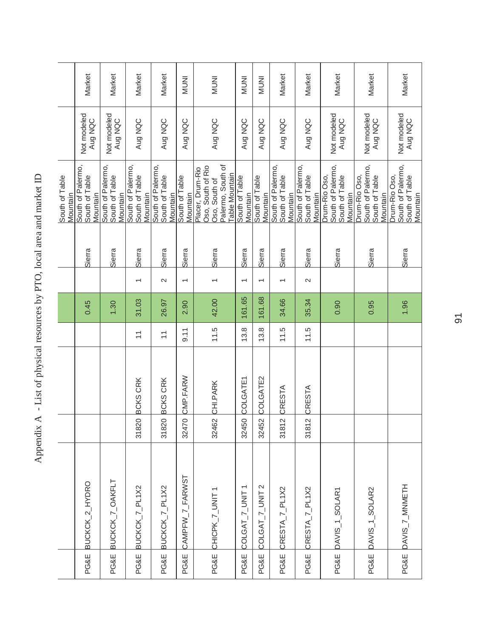|                                 |          |                         |        |                          |        | South of Table<br>Mountain                                                                           |                        |              |
|---------------------------------|----------|-------------------------|--------|--------------------------|--------|------------------------------------------------------------------------------------------------------|------------------------|--------------|
|                                 |          |                         | 0.45   |                          | Sierra | South of Palermo,<br>South of Table<br>Vlountain                                                     | Not modeled<br>Aug NQC | Market       |
|                                 |          |                         | 1.30   |                          | Sierra | South of Palermo,<br>South of Table<br>Mountain                                                      | Not modeled<br>Aug NQC | Market       |
| 31820                           | BCKS CRK | $\overline{a}$          | 31.03  |                          | Sierra | South of Palermo,<br>South of Table<br>Mountain                                                      | Aug NQC                | Market       |
| 31820                           | BCKS CRK | $\overline{\mathbf{r}}$ | 26.97  | $\sim$                   | Sierra | South of Palermo,<br>South of Table<br>Mountain                                                      | Aug NQC                | Market       |
| 32470                           | CMP.FARW | 9.11                    | 2.90   | $\overline{ }$           | Sierra | South of Table<br>Mountain                                                                           | Aug NQC                | <b>INUNI</b> |
| 32462                           | CHI.PARK | 11.5                    | 42.00  |                          | Sierra | Palermo, South of<br>Oso, South of Rio<br>Placer, Drum-Rio<br><b>Table Mountain</b><br>Oso, South of | Aug NQC                | <b>INUNI</b> |
| 32450                           | COLGATE1 | 13.8                    | 161.65 | $\overline{\phantom{0}}$ | Sierra | South of Table<br>Mountain                                                                           | Aug NQC                | <b>INUNI</b> |
| 32452                           | COLGATE2 | 13.8                    | 161.68 | $\overline{\phantom{0}}$ | Sierra | South of Table<br>Mountain                                                                           | Aug NQC                | <b>INUNI</b> |
| $\overline{\mathsf{N}}$<br>3181 | CRESTA   | 11.5                    | 34.66  |                          | Sierra | South of Palermo,<br>South of Table<br>Mountain                                                      | Aug NQC                | Market       |
| 31812                           | CRESTA   | 11.5                    | 35.34  | $\sim$                   | Sierra | South of Palermo,<br>South of Table<br>Mountain                                                      | Aug NQC                | Market       |
|                                 |          |                         | 0.90   |                          | Sierra | South of Palermo,<br>Drum-Rio Oso,<br>South of Table<br>Vlountain                                    | Not modeled<br>Aug NQC | Market       |
|                                 |          |                         | 0.95   |                          | Sierra | South of Palermo,<br>Drum-Rio Oso,<br>South of Table<br>Vlountain                                    | Not modeled<br>Aug NQC | Market       |
|                                 |          |                         | 1.96   |                          | Sierra | South of Palermo,<br>Drum-Rio Oso,<br>South of Table<br>Mountain                                     | Not modeled<br>Aug NQC | Market       |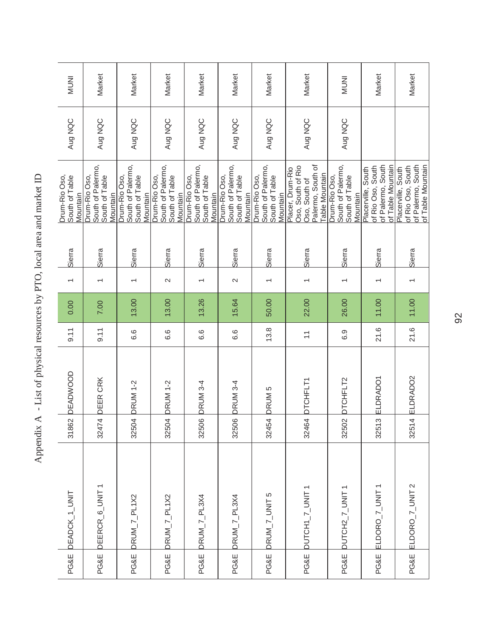| PG&E            | DEADCK_1_UNIT    | 31862                  | <b>DEADWOOD</b>   | 9.11                      | 0.00  | $\overline{\phantom{0}}$ | Sierra | Drum-Rio Oso,<br>South of Table<br>Mountain                                                          | Aug NQC | <b>INUNI</b> |
|-----------------|------------------|------------------------|-------------------|---------------------------|-------|--------------------------|--------|------------------------------------------------------------------------------------------------------|---------|--------------|
| PG&E            | DEERCR_6_UNIT1   | 32474                  | DEER CRK          | 9.11                      | 7.00  |                          | Sierra | South of Palermo,<br>Drum-Rio Oso,<br>South of Table<br>Mountain                                     | Aug NQC | Market       |
| <b>PG&amp;E</b> | DRUM_ $7$ _PL1X2 | 32504                  | <b>DRUM 1-2</b>   | 6.6                       | 13.00 |                          | Sierra | South of Palermo,<br>Drum-Rio Oso,<br>South of Table<br>Mountain                                     | Aug NQC | Market       |
| PG&E            | DRUM_7_PL1X2     |                        | 32504 DRUM 1-2    | 6.6                       | 13.00 | $\sim$                   | Sierra | South of Palermo,<br>Drum-Rio Oso,<br>South of Table<br>Mountain                                     | Aug NQC | Market       |
| <b>PG&amp;E</b> | DRUM_7_PL3X4     | 32506                  | <b>DRUM 3-4</b>   | 6.6                       | 13.26 | $\overline{\phantom{0}}$ | Sierra | South of Palermo,<br>Drum-Rio Oso,<br>South of Table<br>Mountain                                     | Aug NQC | Market       |
| PG&E            | DRUM_7_PL3X4     | 32506                  | <b>DRUM 3-4</b>   | 6.6                       | 15.64 | $\sim$                   | Sierra | South of Palermo,<br>Drum-Rio Oso,<br>South of Table<br>Mountain                                     | Aug NQC | Market       |
| PG&E            | DRUM_7_UNIT5     | 32454                  | DRUM <sub>5</sub> | 13.8                      | 50.00 |                          | Sierra | South of Palermo,<br>Drum-Rio Oso,<br>South of Table<br>Mountain                                     | Aug NQC | Market       |
| PG&E            | DUTCH1_7_UNIT1   |                        | 32464 DTCHFLT1    | $\overline{\overline{a}}$ | 22.00 |                          | Sierra | Palermo, South of<br>Oso, South of Rio<br>Placer, Drum-Rio<br><b>Table Mountain</b><br>Oso, South of | Aug NQC | Market       |
| PG&E            | DUTCH2_7_UNIT1   | 32502                  | DTCHFLT2          | 6.9                       | 26.00 | $\overline{\phantom{0}}$ | Sierra | South of Palermo,<br>Drum-Rio Oso,<br>South of Table<br>Mountain                                     | Aug NQC | <b>INUMI</b> |
| PG&E            | ELDORO_7_UNIT1   | $\infty$<br>3251       | ELDRADO1          | 21.6                      | 11.00 |                          | Sierra | of Palermo, South<br>of Rio Oso, South<br>of Table Mountain<br>Placerville, South                    |         | Market       |
| PG&E            | ELDORO_7_UNIT 2  | $\overline{4}$<br>3251 | ELDRADO2          | 21.6                      | 11.00 | $\overline{ }$           | Sierra | of Palermo, South<br>of Table Mountain<br>of Rio Oso, South<br>Placerville, South                    |         | Market       |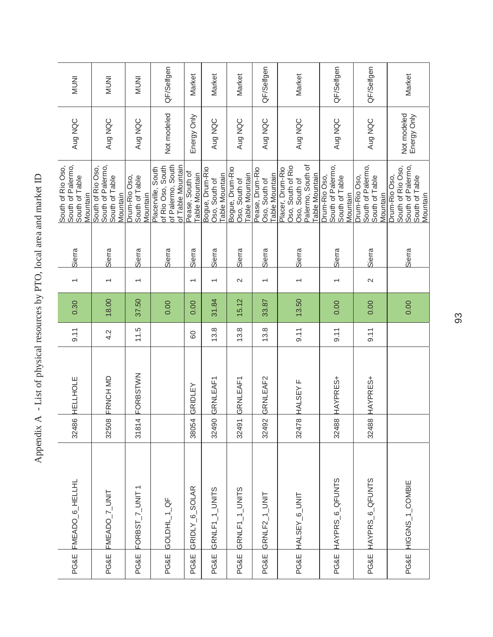| PG&E            | FMEADO <sub>_6</sub> _HELLHL | 32486 | HELLHOLE | 9.11 | 0.30  |                          | Sierra | South of Palermo,<br>South of Rio Oso,<br>South of Table<br>Mountain                                 | Aug NQC                    | <b>INUM</b>  |
|-----------------|------------------------------|-------|----------|------|-------|--------------------------|--------|------------------------------------------------------------------------------------------------------|----------------------------|--------------|
| PG&E            | FMEADO_7_UNIT                | 32508 | FRNCH MD | 4.2  | 18.00 |                          | Sierra | South of Palermo,<br>South of Rio Oso,<br>South of Table<br>Mountain                                 | Aug NQC                    | <b>INUNI</b> |
| <b>PG&amp;E</b> | FORBST_7_UNIT1               | 31814 | FORBSTWN | 11.5 | 37.50 | $\overline{\phantom{0}}$ | Sierra | Drum-Rio Oso,<br>South of Table<br>Mountain                                                          | Aug NQC                    | <b>INUMI</b> |
| PG&E            | GOLDHL_1_QF                  |       |          |      | 0.00  |                          | Sierra | of Palermo, South<br>of Rio Oso, South<br>of Table Mountain<br>Placerville, South                    | Not modeled                | QF/Selfgen   |
| <b>PG&amp;E</b> | GRIDLY_6_SOLAR               | 38054 | GRIDLEY  | 60   | 0.00  | $\overline{\phantom{0}}$ | Sierra | Pease, South of<br><b>Table Mountain</b>                                                             | Energy Only                | Market       |
| <b>PG&amp;E</b> | GRNLF1_1_UNITS               | 32490 | GRNLEAF1 | 13.8 | 31.84 | $\overline{\phantom{0}}$ | Sierra | Bogue, Drum-Rio<br><b>Table Mountain</b><br>Oso, South of                                            | Aug NQC                    | Market       |
| <b>PG&amp;E</b> | GRNLF1_1_UNITS               | 32491 | GRNLEAF1 | 13.8 | 15.12 | $\sim$                   | Sierra | Bogue, Drum-Rio<br>Table Mountain<br>Oso, South of                                                   | Aug NQC                    | Market       |
| <b>PG&amp;E</b> | GRNLF2_1_UNIT                | 32492 | GRNLEAF2 | 13.8 | 33.87 | $\overline{\phantom{0}}$ | Sierra | Pease, Drum-Rio<br>Table Mountain<br>Oso, South of                                                   | Aug NQC                    | QF/Selfgen   |
| PG&E            | HALSEY_6_UNIT                | 32478 | HALSEY F | 9.11 | 13.50 |                          | Sierra | Palermo, South of<br>Oso, South of Rio<br>Placer, Drum-Rio<br><b>Table Mountain</b><br>Oso, South of | Aug NQC                    | Market       |
| PG&E            | HAYPRS_6_QFUNTS              | 32488 | HAYPRES+ | 9.11 | 0.00  |                          | Sierra | South of Palermo,<br>Drum-Rio Oso,<br>South of Table<br>Mountain                                     | Aug NQC                    | QF/Selfgen   |
| <b>PG&amp;E</b> | HAYPRS_6_QFUNTS              | 32488 | HAYPRES+ | 9.11 | 0.00  | $\sim$                   | Sierra | South of Palermo,<br>Drum-Rio Oso,<br>South of Table<br>Mountain                                     | Aug NQC                    | QF/Selfgen   |
| PG&E            | HIGGNS_1_COMBIE              |       |          |      | 0.00  |                          | Sierra | South of Palermo,<br>South of Rio Oso,<br>South of Table<br>Drum-Rio Oso,<br>Mountain                | Not modeled<br>Energy Only | Market       |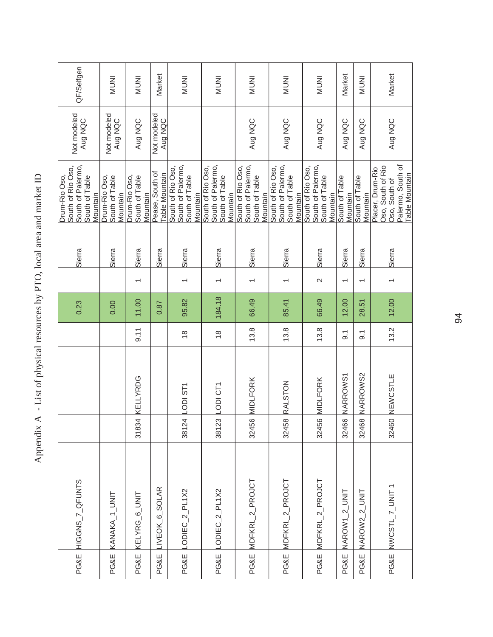| QF/Selfgen                                                                            | <b>INUNI</b>                                | <b>INUNI</b>                                | Market                            | <b>INUNI</b>                                                         | <b>INUNI</b>                                                         | <b>INUNI</b>                                                         | <b>INUMI</b>                                                         | <b>INUNI</b>                                                         | Market                     | <b>ININI</b>               | Market                                                                                               |
|---------------------------------------------------------------------------------------|---------------------------------------------|---------------------------------------------|-----------------------------------|----------------------------------------------------------------------|----------------------------------------------------------------------|----------------------------------------------------------------------|----------------------------------------------------------------------|----------------------------------------------------------------------|----------------------------|----------------------------|------------------------------------------------------------------------------------------------------|
| Not modeled<br>Aug NQC                                                                | Not modeled<br>Aug NQC                      | Aug NQC                                     | Not modeled<br>Aug NQC            |                                                                      |                                                                      | Aug NQC                                                              | Aug NQC                                                              | Aug NQC                                                              | Aug NQC                    | Aug NQC                    | Aug NQC                                                                                              |
| South of Rio Oso,<br>South of Palermo,<br>Drum-Rio Oso,<br>South of Table<br>Mountain | Drum-Rio Oso,<br>South of Table<br>Mountain | Drum-Rio Oso,<br>South of Table<br>Mountain | Pease, South of<br>Table Mountain | South of Palermo,<br>South of Rio Oso,<br>South of Table<br>Mountain | South of Palermo,<br>South of Rio Oso,<br>South of Table<br>Mountain | South of Palermo,<br>South of Rio Oso,<br>South of Table<br>Mountain | South of Palermo,<br>South of Rio Oso,<br>South of Table<br>Mountain | South of Palermo,<br>South of Rio Oso,<br>South of Table<br>Mountain | South of Table<br>Mountain | South of Table<br>Mountain | Palermo, South of<br>Oso, South of Rio<br>Placer, Drum-Rio<br><b>Table Mountain</b><br>Oso, South of |
| Sierra                                                                                | Sierra                                      | Sierra                                      | Sierra                            | Sierra                                                               | Sierra                                                               | Sierra                                                               | Sierra                                                               | Sierra                                                               | Sierra                     | Sierra                     | Sierra                                                                                               |
|                                                                                       |                                             |                                             |                                   |                                                                      |                                                                      |                                                                      |                                                                      | $\sim$                                                               | $\overline{\phantom{0}}$   | $\overline{\phantom{0}}$   |                                                                                                      |
| 0.23                                                                                  | 0.00                                        | 11.00                                       | 0.87                              | 95.82                                                                | 184.18                                                               | 66.49                                                                | 85.41                                                                | 66.49                                                                | 12.00                      | 28.51                      | 12.00                                                                                                |
|                                                                                       |                                             | 9.11                                        |                                   | $\frac{8}{1}$                                                        | $\frac{8}{1}$                                                        | 13.8                                                                 | 13.8                                                                 | 13.8                                                                 | $\overline{9}$ .           | $\overline{9}$ .           | 13.2                                                                                                 |
|                                                                                       |                                             | <b>KELLYRDG</b>                             |                                   | LODI ST1                                                             | LODI CT1                                                             | 32456 MIDLFORK                                                       | 32458 RALSTON                                                        | <b>MIDLFORK</b>                                                      | NARROWS1                   | NARROWS2                   | 32460 NEWCSTLE                                                                                       |
|                                                                                       |                                             | 31834                                       |                                   | 38124                                                                | 38123                                                                |                                                                      |                                                                      | 32456                                                                | 32466                      | 32468                      |                                                                                                      |
| HIGGNS_7_QFUNTS                                                                       | KANAKA_1_UNIT                               | KELYRG_6_UNIT                               | LIVEOK <sub>_6_SOLAR</sub>        | $-ODEC_2PL1X2$                                                       | LODIEC_2_PL1X2                                                       | MDFKRL_2_PROJCT                                                      | PG&E MDFKRL_2_PROJCT                                                 | MDFKRL_2_PROJCT                                                      | NAROW1_2_UNIT              | NAROW2_2_UNIT              | NWCSTL_7_UNIT1                                                                                       |
| PG&E                                                                                  | PG&E                                        | PG&E                                        | <b>PG&amp;E</b>                   | PG&E                                                                 | PG&E                                                                 | PG&E                                                                 |                                                                      | PG&E                                                                 | <b>PG&amp;E</b>            | <b>PG&amp;E</b>            | PG&E                                                                                                 |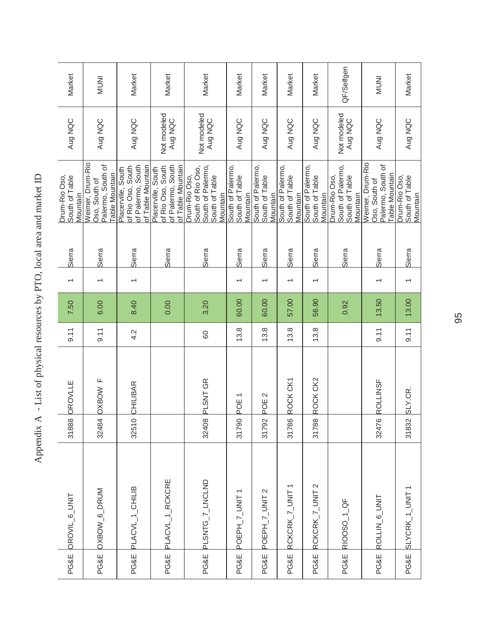| OROVIL_6_UNIT   |                 | 31888 | <b>OROVLLE</b>   | 9.11 | 7.50  | $\overline{\phantom{0}}$ | Sierra | Drum-Rio Oso,<br>South of Table<br>Mountain                                           | Aug NQC                | Market       |
|-----------------|-----------------|-------|------------------|------|-------|--------------------------|--------|---------------------------------------------------------------------------------------|------------------------|--------------|
| OXBOW_6_DRUM    |                 | 32484 | OXBOW F          | 9.11 | 6.00  |                          | Sierra | Weimer, Drum-Rio<br>Palermo, South of<br><b>Table Mountain</b><br>Oso, South of       | Aug NQC                | <b>INUNI</b> |
| PLACVL_1_CHILIB |                 | 32510 | CHILIBAR         | 4.2  | 8.40  |                          | Sierra | of Palermo, South<br>of Table Mountain<br>of Rio Oso, South<br>Placerville, South     | Aug NQC                | Market       |
|                 | PLACVL_1_RCKCRE |       |                  |      | 0.00  |                          | Sierra | of Palermo, South<br>of Table Mountain<br>of Rio Oso, South<br>Placerville, South     | Not modeled<br>Aug NQC | Market       |
|                 | PLSNTG_7_LNCLND | 32408 | PLSNT GR         | 80   | 3.20  |                          | Sierra | South of Rio Oso,<br>South of Palermo,<br>South of Table<br>Drum-Rio Oso,<br>Mountain | Not modeled<br>Aug NQC | Market       |
|                 | POEPH_7_UNIT1   | 31790 | POE <sub>1</sub> | 13.8 | 60.00 | $\overline{ }$           | Sierra | South of Palermo,<br>South of Table<br>Mountain                                       | Aug NQC                | Market       |
|                 | POEPH_7_UNIT 2  | 31792 | POE <sub>2</sub> | 13.8 | 60.00 |                          | Sierra | South of Palermo,<br>South of Table<br>Mountain                                       | Aug NQC                | Market       |
|                 | RCKCRK_7_UNIT1  | 31786 | ROCK CK1         | 13.8 | 57.00 |                          | Sierra | South of Palermo,<br>South of Table<br>Mountain                                       | Aug NQC                | Market       |
|                 | RCKCRK_7_UNIT 2 | 31788 | ROCK CK2         | 13.8 | 56.90 | $\overline{\phantom{0}}$ | Sierra | South of Palermo,<br>South of Table<br>Mountain                                       | Aug NQC                | Market       |
| RIOOSO_1_QF     |                 |       |                  |      | 0.92  |                          | Sierra | South of Palermo,<br>Drum-Rio Oso,<br>South of Table<br>Mountain                      | Not modeled<br>Aug NQC | QF/Selfgen   |
| ROLLIN 6_UNIT   |                 | 32476 | <b>ROLLINSF</b>  | 9.11 | 13.50 |                          | Sierra | Weimer, Drum-Rio<br>Palermo, South of<br><b>Table Mountain</b><br>Oso, South of       | Aug NQC                | <b>INUNI</b> |
|                 | SLYCRK_1_UNIT1  | 31832 | SLY.CR.          | 9.11 | 13.00 |                          | Sierra | Drum-Rio Oso,<br>South of Table<br>Mountain                                           | Aug NQC                | Market       |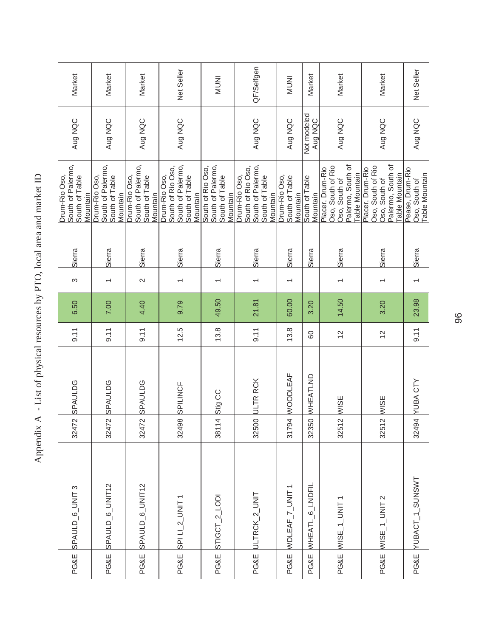| PG&E | SPAULD_6_UNIT 3                  | 32472         | <b>SPAULDG</b>  | 9.11           | 6.50  | S              | Sierra | South of Palermo,<br>Drum-Rio Oso,<br>South of Table<br>Mountain                                     | Aug NQC                | Market       |
|------|----------------------------------|---------------|-----------------|----------------|-------|----------------|--------|------------------------------------------------------------------------------------------------------|------------------------|--------------|
|      | PG&E SPAULD_6_UNIT12             | 32472         | <b>SPAULDG</b>  | 9.11           | 7.00  |                | Sierra | South of Palermo,<br>Drum-Rio Oso,<br>South of Table<br>Vlountain                                    | Aug NQC                | Market       |
| PG&E | SPAULD_6_UNIT12                  | 32472         | <b>SPAULDG</b>  | 9.11           | 4.40  | $\sim$         | Sierra | South of Palermo,<br>Drum-Rio Oso,<br>South of Table<br>Mountain                                     | Aug NQC                | Market       |
| PG&E | $SPILI_2$ _UNIT1                 | 32498         | SPILINCF        | 12.5           | 9.79  |                | Sierra | South of Palermo,<br>South of Rio Oso,<br>Drum-Rio Oso,<br>South of Table<br>Mountain                | Aug NQC                | Net Seller   |
|      | PG&E STIGCT_2_LODI               | 38114 Stig CC |                 | 13.8           | 49.50 |                | Sierra | South of Palermo,<br>South of Rio Oso,<br>South of Table<br>Mountain                                 |                        | <b>INUNI</b> |
|      | PG&E ULTRCK_2_UNIT               |               | 32500 ULTR RCK  | 9.11           | 21.81 |                | Sierra | South of Rio Oso,<br>South of Palermo,<br>Drum-Rio Oso,<br>South of Table<br>Vlountain               | Aug NQC                | QF/Selfgen   |
| PG&E | WDLEAF_7_UNIT1                   | 31794         | <b>WOODLEAF</b> | 13.8           | 60.00 |                | Sierra | Drum-Rio Oso,<br>South of Table<br>Mountain                                                          | Aug NQC                | <b>INUNI</b> |
| PG&E | <b>6_LNDFIL</b><br><b>WHEATL</b> | 32350         | WHEATLND        | 80             | 3.20  |                | Sierra | South of Table<br>Mountain                                                                           | Not modeled<br>Aug NQC | Market       |
| PG&E | $WISE_1_UWIT1$                   | 32512         | <b>WISE</b>     | $\overline{2}$ | 14.50 |                | Sierra | Palermo, South of<br>Oso, South of Rio<br>Placer, Drum-Rio<br><b>Table Mountain</b><br>Oso, South of | Aug NQC                | Market       |
| PG&E | WISE_1_UNIT 2                    | 32512 WISE    |                 | $\overline{c}$ | 3.20  | $\overline{ }$ | Sierra | Palermo, South of<br>Oso, South of Rio<br>Placer, Drum-Rio<br><b>Table Mountain</b><br>Oso, South of | Aug NQC                | Market       |
|      | PG&E YUBACT_1_SUNSWT             |               | 32494 YUBA CTY  | 9.11           | 23.98 |                | Sierra | Pease, Drum-Rio<br>Table Mountain<br>Oso, South of                                                   | Aug NQC                | Net Seller   |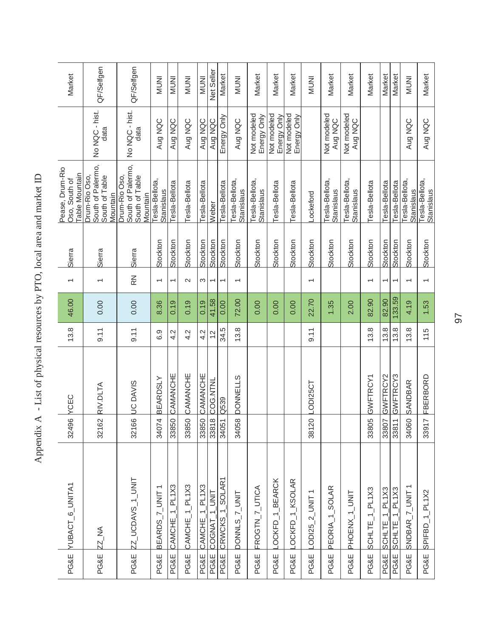|                 | PG&E <b>VUBACT_6_UNITA1</b>  | 32496 | <b>YCEC</b>     | 13.8          | 46.00  | $\overline{\phantom{0}}$ | Sierra   | Pease, Drum-Rio<br>Table Mountain<br>Oso, South of               |                            | Market       |
|-----------------|------------------------------|-------|-----------------|---------------|--------|--------------------------|----------|------------------------------------------------------------------|----------------------------|--------------|
| <b>PG&amp;E</b> | ZZ_NA                        | 32162 | RIV.DLTA        | 9.11          | 0.00   |                          | Sierra   | South of Palermo,<br>Drum-Rio Oso,<br>South of Table<br>Mountain | No NQC - hist.<br>data     | QF/Selfgen   |
| PG&E            | ZZ_UCDAVS_1_UNIT             | 32166 | <b>UC DAVIS</b> | 9.11          | 0.00   | $\mathbb{R}$             | Sierra   | South of Palermo,<br>Drum-Rio Oso,<br>South of Table<br>Mountain | No NQC - hist.<br>data     | QF/Selfgen   |
| PG&E            | BEARDS_7_UNIT1               | 34074 | <b>BEARDSLY</b> | 6.9           | 8.36   | $\overline{ }$           | Stockton | Tesla-Bellota,<br><b>Stanislaus</b>                              | Aug NQC                    | <b>INUNI</b> |
| PG&E            | CAMCHE_1_PL1X3               | 33850 | CAMANCHE        | 4.2           | 0.19   | $\overline{ }$           | Stockton | Tesla-Bellota                                                    | Aug NQC                    | <b>INUNI</b> |
| PG&E            | CAMCHE_1_PL1X3               | 33850 | CAMANCHE        | 4.2           | 0.19   | $\sim$                   | Stockton | Tesla-Bellota                                                    | Aug NQC                    | <b>INUNI</b> |
| <b>PG&amp;E</b> | CAMCHE_1_PL1X3               | 33850 | CAMANCHE        | 4.2           | 0.19   | S                        | Stockton | Tesla-Bellota                                                    | Aug NQC                    | <b>INUNI</b> |
| <b>PG&amp;E</b> | <b>UNIT</b><br><b>COGNAT</b> | 33818 | COG.NTNL        | $\frac{2}{3}$ | 41.58  | $\overline{\phantom{0}}$ | Stockton | Weber                                                            | Aug NQC                    | Net Seller   |
| <b>PG&amp;E</b> | CRWCKS_1_SOLAR1              | 34051 | Q539            | 34.5          | 0.00   | $\overline{\phantom{0}}$ | Stockton | Tesla-Bellota                                                    | Energy Only                | Market       |
| PG&E            | DONNLS_7_UNIT                | 34058 | <b>DONNELLS</b> | 13.8          | 72.00  | $\overline{\phantom{0}}$ | Stockton | Tesla-Bellota,<br>Stanislaus                                     | Aug NQC                    | <b>INUNI</b> |
| <b>PG&amp;E</b> | FROGTN_7_UTICA               |       |                 |               | 0.00   |                          | Stockton | Tesla-Bellota,<br>Stanislaus                                     | Not modeled<br>Energy Only | Market       |
| PG&E            | OCKFD_1_BEARCK               |       |                 |               | 0.00   |                          | Stockton | Tesla-Bellota                                                    | Not modeled<br>Energy Only | Market       |
| <b>PG&amp;E</b> | LOCKFD_1_KSOLAR              |       |                 |               | 0.00   |                          | Stockton | Tesla-Bellota                                                    | Not modeled<br>Energy Only | Market       |
| PG&E            | LODI25_2_UNIT1               | 38120 | LODI25CT        | 9.11          | 22.70  | $\overline{ }$           | Stockton | Lockeford                                                        |                            | <b>INUNI</b> |
| <b>PG&amp;E</b> | PEORIA_1_SOLAR               |       |                 |               | 1.35   |                          | Stockton | Tesla-Bellota,<br>Stanislaus                                     | Not modeled<br>Aug NQC     | Market       |
| <b>PG&amp;E</b> | PHOENX_1_UNIT                |       |                 |               | 2.00   |                          | Stockton | Tesla-Bellota,<br>Stanislaus                                     | Not modeled<br>Aug NQC     | Market       |
| PG&E            | SCHLTE_1_PL1X3               | 33805 | <b>GWFTRCY1</b> | 13.8          | 82.90  |                          | Stockton | Tesla-Bellota                                                    |                            | Market       |
| PG&E            | SCHLTE_1_PL1X3               | 33807 | GWFTRCY2        | 13.8          | 82.90  |                          | Stockton | Tesla-Bellota                                                    |                            | Market       |
| PG&E            | SCHLTE_1_PL1X3               | 33811 | GWFTRCY3        | 13.8          | 133.59 | $\overline{ }$           | Stockton | Tesla-Bellota                                                    |                            | Market       |
| <b>PG&amp;E</b> | SNDBAR_7_UNIT1               | 34060 | <b>SANDBAR</b>  | 13.8          | 4.19   | $\overline{\phantom{0}}$ | Stockton | Tesla-Bellota,<br><b>Stanislaus</b>                              | Aug NQC                    | <b>INUNI</b> |
| <b>PG&amp;E</b> | SPIFBD_1_PL1X2               | 33917 | FBERBORD        | 115           | 1.53   |                          | Stockton | Tesla-Bellota,<br>Stanislaus                                     | Aug NQC                    | Market       |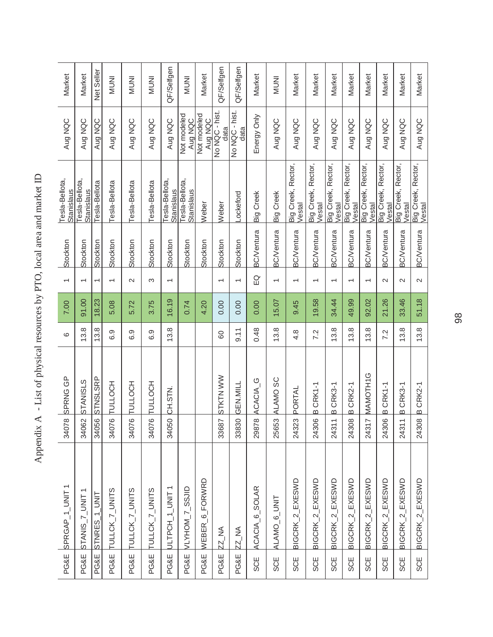| <b>PG&amp;E</b> | SPRGAP_1_UNIT1            | 34078            | SPRNG GP        | $\circ$ | 7.00  | $\overline{\phantom{0}}$ | Stockton          | Tesla-Bellota,<br>Stanislaus        | Aug NQC                | Market       |
|-----------------|---------------------------|------------------|-----------------|---------|-------|--------------------------|-------------------|-------------------------------------|------------------------|--------------|
| PG&E            | STANIS_7_UNIT             | 34062            | <b>STANISLS</b> | 13.8    | 91.00 | $\overline{ }$           | Stockton          | Tesla-Bellota,<br><b>Stanislaus</b> | Aug NQC                | Market       |
| <b>PG&amp;E</b> | STNRES_1_UNIT             | 34056            | STNSLSRP        | 13.8    | 18.23 | $\overline{\phantom{0}}$ | Stockton          | Tesla-Bellota                       | Aug NQC                | Net Seller   |
| <b>PG&amp;E</b> | TULLCK_7_UNITS            | 34076            | <b>LOCH</b>     | 6.9     | 5.08  | $\overline{\phantom{0}}$ | Stockton          | Tesla-Bellota                       | Aug NQC                | <b>INUNI</b> |
| PG&E            | TULLCK_7_UNITS            | $\circ$<br>34076 | <b>LOCH</b>     | 6.9     | 5.72  | $\mathbf{\Omega}$        | Stockton          | Tesla-Bellota                       | Aug NQC                | <b>INUNI</b> |
| PG&E            | TULLCK_7_UNITS            | $\circ$<br>34076 | <b>LOCH</b>     | 6.9     | 3.75  | S                        | Stockton          | Tesla-Bellota                       | Aug NQC                | <b>INUNI</b> |
| <b>PG&amp;E</b> | ULTPCH_1_UNIT             | 34050            | CH.STN          | 13.8    | 16.19 | $\overline{\phantom{0}}$ | Stockton          | Tesla-Bellota,<br>Stanislaus        | Aug NQC                | QF/Selfgen   |
| PG&E            | VLYHOM_7_SSJID            |                  |                 |         | 0.74  |                          | Stockton          | Tesla-Bellota,<br><b>Stanislaus</b> | Not modeled<br>Aug NQC | <b>INUNI</b> |
| PG&E            | WEBER_6_FORWRD            |                  |                 |         | 4.20  |                          | Stockton          | Weber                               | Not modeled<br>Aug NQC | Market       |
| <b>PG&amp;E</b> | ZZ_NA                     | 33687            | STKTN WW        | 80      | 0.00  | $\overline{\phantom{0}}$ | Stockton          | Weber                               | No NQC - hist.<br>data | QF/Selfgen   |
| <b>PG&amp;E</b> | ZZ_NA                     | 33830            | GEN.MILL        | 9.11    | 0.00  | $\overline{\phantom{0}}$ | Stockton          | <b>Lockeford</b>                    | No NQC - hist.<br>data | QF/Selfgen   |
| <b>SCE</b>      | ACACIA_6_SOLAR            | 29878            | ACACIA_G        | 0.48    | 0.00  | $\Omega$                 | <b>BC/Ventura</b> | <b>Big Creek</b>                    | Energy Only            | Market       |
| <b>SCE</b>      | ALAMO <sub>_6</sub> _UNIT | 25653            | ALAMO SC        | 13.8    | 15.07 | $\overline{ }$           | <b>BC/Ventura</b> | Big Creek                           | Aug NQC                | <b>INUNI</b> |
| SCE             | BIGCRK_2_EXESWD           | 24323            | PORTAL          | 4.8     | 9.45  | $\overline{\phantom{0}}$ | <b>BC/Ventura</b> | Big Creek, Rector,<br>Vestal        | Aug NQC                | Market       |
| <b>SCE</b>      | BIGCRK_2_EXESWD           | 24306            | BCRK1-1         | 7.2     | 19.58 | $\overline{\phantom{0}}$ | <b>BC/Ventura</b> | Big Creek, Rector,<br>Vestal        | Aug NQC                | Market       |
| <b>SCE</b>      | BIGCRK_2_EXESWD           | 2431             | B CRK3-1        | 13.8    | 34.44 | $\overline{\phantom{0}}$ | <b>BC/Ventura</b> | Big Creek, Rector,<br>Vestal        | Aug NQC                | Market       |
| SCE             | BIGCRK 2 EXESWD           | 24308            | B CRK2-1        | 13.8    | 49.99 | $\overline{\phantom{0}}$ | <b>BC/Ventura</b> | Big Creek, Rector,<br>Vestal        | Aug NQC                | Market       |
| <b>SCE</b>      | BIGCRK_2_EXESWD           | 24317            | MAMOTH1G        | 13.8    | 92.02 | $\overline{\phantom{0}}$ | <b>BC/Ventura</b> | Big Creek, Rector,<br>Vestal        | Aug NQC                | Market       |
| <b>SCE</b>      | BIGCRK_2_EXESWD           | 24306            | BCRK1-1         | 7.2     | 21.26 | $\sim$                   | <b>BC/Ventura</b> | Big Creek, Rector,<br>Vestal        | Aug NQC                | Market       |
| <b>SCE</b>      | BIGCRK_2_EXESWD           | 2431             | B CRK3-1        | 13.8    | 33.46 | $\mathbf{\Omega}$        | <b>BC/Ventura</b> | Big Creek, Rector,<br>Vestal        | Aug NQC                | Market       |
| <b>SCE</b>      | BIGCRK_2_EXESWD           | 24308            | BCRK2-1         | 13.8    | 51.18 | $\sim$                   | <b>BC/Ventura</b> | Big Creek, Rector,<br>Vestal        | Aug NQC                | Market       |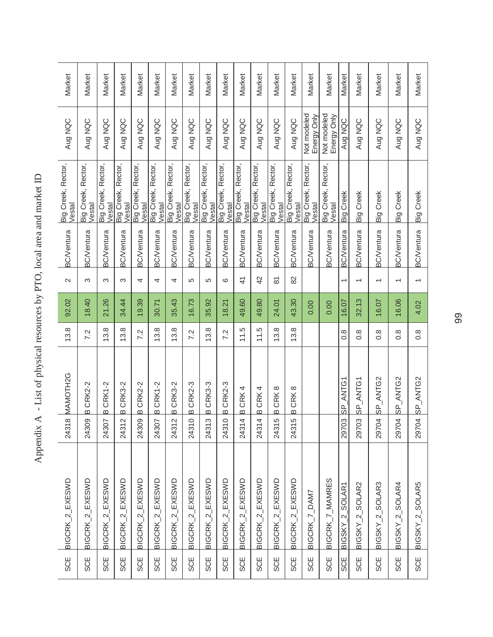| BIGCRK_2_EXESWD | $\infty$<br>2431 | MAMOTH2G                           | 13.8             | 92.02 | $\sim$                   | <b>BC/Ventura</b> | Big Creek, Rector,<br>Vestal | Aug NQC                    | Market |
|-----------------|------------------|------------------------------------|------------------|-------|--------------------------|-------------------|------------------------------|----------------------------|--------|
|                 | 24309            | BCRK2-2                            | 7.2              | 18.40 | က                        | <b>BC/Ventura</b> | Big Creek, Rector,<br>Vestal | Aug NQC                    | Market |
|                 | 24307            | BCRK1-2                            | 13.8             | 21.26 | ω                        | <b>BC/Ventura</b> | Big Creek, Rector,<br>Vestal | Aug NQC                    | Market |
|                 | $\sim$<br>2431   | <b>CRK3-2</b><br>$\overline{a}$    | 13.8             | 34.44 | က                        | <b>BC/Ventura</b> | Big Creek, Rector,<br>Vestal | Aug NQC                    | Market |
|                 | 24309            | <b>CRK2-2</b><br>$\omega$          | 7.2              | 19.39 | 4                        | <b>BC/Ventura</b> | Big Creek, Rector,<br>Vestal | Aug NQC                    | Market |
|                 | 24307            | B CRK1-2                           | 13.8             | 30.71 | 4                        | <b>BC/Ventura</b> | Big Creek, Rector,<br>Vestal | Aug NQC                    | Market |
|                 | $\sim$<br>2431   | <b>CRK3-2</b><br>$\omega$          | 13.8             | 35.43 | 4                        | <b>BC/Ventura</b> | Big Creek, Rector,<br>Vestal | Aug NQC                    | Market |
|                 | $\circ$<br>2431  | <b>CRK2-3</b><br>$\mathbf{\Omega}$ | 7.2              | 16.73 | 5                        | <b>BC/Ventura</b> | Big Creek, Rector,<br>Vestal | Aug NQC                    | Market |
|                 | က<br>2431        | B CRK3-3                           | 13.8             | 35.92 | 5                        | <b>BC/Ventura</b> | Big Creek, Rector,<br>Vestal | Aug NQC                    | Market |
|                 | $\circ$<br>2431  | B CRK2-3                           | 7.2              | 18.21 | ဖ                        | <b>BC/Ventura</b> | Big Creek, Rector,<br>Vestal | Aug NQC                    | Market |
|                 | 4<br>2431.       | CRK4<br>$\omega$                   | 11.5             | 49.60 | $\frac{4}{5}$            | <b>BC/Ventura</b> | Big Creek, Rector,<br>Vestal | Aug NQC                    | Market |
|                 | 4<br>2431        | CRK4<br>$\Omega$                   | 11.5             | 49.80 | 42                       | <b>BC/Ventura</b> | Big Creek, Rector,<br>Vestal | Aug NQC                    | Market |
|                 | LO<br>2431       | B CRK8                             | 13.8             | 24.01 | $\overline{\infty}$      | <b>BC/Ventura</b> | Big Creek, Rector,<br>Vestal | Aug NQC                    | Market |
|                 | မ<br>2431        | B CRK8                             | 13.8             | 43.30 | $\approx$                | <b>BC/Ventura</b> | Big Creek, Rector,<br>Vestal | Aug NQC                    | Market |
|                 |                  |                                    |                  | 0.00  |                          | <b>BC/Ventura</b> | Big Creek, Rector,<br>Vestal | Not modeled<br>Energy Only | Market |
|                 |                  |                                    |                  | 0.00  |                          | <b>BC/Ventura</b> | Big Creek, Rector,<br>Vestal | Not modeled<br>Energy Only | Market |
|                 |                  | 29703 SP_ANTG1                     | $0.\overline{8}$ | 16.07 | $\overline{ }$           | <b>BC/Ventura</b> | <b>Big Creek</b>             | Aug NQC                    | Market |
|                 | 29703            | SP_ANTG                            | $0.\overline{8}$ | 32.13 | $\overline{\phantom{0}}$ | <b>3C/Ventura</b> | Big Creek                    | Aug NQC                    | Market |
|                 | 29704            | ANTG2<br><u>გ'</u>                 | $0.\overline{8}$ | 16.07 | $\overline{\phantom{0}}$ | <b>BC/Ventura</b> | Creek<br>Big                 | Aug NQC                    | Market |
|                 | 29704            | ANTG2<br><u>გ'</u>                 | $0.\overline{8}$ | 16.06 | $\overline{ }$           | <b>BC/Ventura</b> | Creek<br>Big <sup>1</sup>    | Aug NQC                    | Market |
|                 | 29704            | SP_ANTG2                           | $0.\overline{8}$ | 4.02  | $\overline{ }$           | <b>BC/Ventura</b> | Big Creek                    | Aug NQC                    | Market |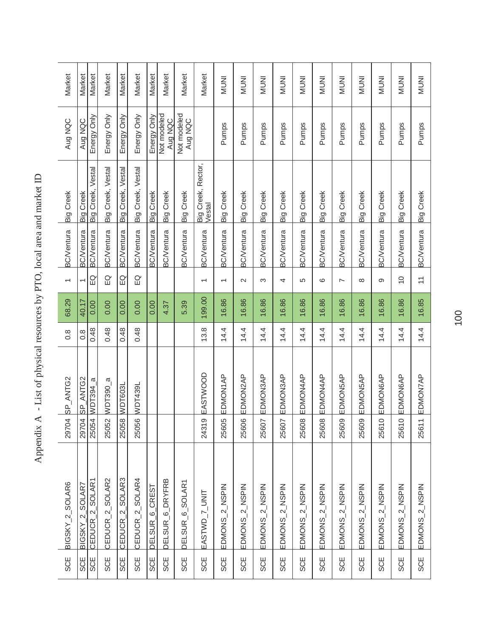| SCE        | BIGSKY_2_SOLAR6             | 29704                   | SP_ANTG2       | $\frac{8}{2}$ | 68.29  | $\overline{\phantom{0}}$  | <b>BC/Ventura</b> | <b>Big Creek</b>             | Aug NQC                | Market       |
|------------|-----------------------------|-------------------------|----------------|---------------|--------|---------------------------|-------------------|------------------------------|------------------------|--------------|
| SCE        | BIGSKY_2_SOLAR7             | 29704                   | SP_ANTG2       | $\frac{8}{2}$ | 40.17  |                           | <b>BC/Ventura</b> | Big Creek                    | Aug NQC                | Market       |
| <b>SCE</b> | CEDUCR_2_SOLAR1             |                         | 25054 WDT394_a | 0.48          | 0.00   | EQ                        | <b>BC/Ventura</b> | Big Creek, Vestal            | Energy Only            | Market       |
| SCE        | CEDUCR_2_SOLAR2             | 25052                   | $WDT390_a$     | 0.48          | 0.00   | $\overline{E}$            | <b>BC/Ventura</b> | Big Creek, Vestal            | Energy Only            | Market       |
| <b>SCE</b> | CEDUCR_2_SOLAR3             | 25058                   | WDT603L        | 0.48          | 0.00   | EQ                        | <b>BC/Ventura</b> | Big Creek, Vestal            | Energy Only            | Market       |
| <b>SCE</b> | CEDUCR_2_SOLAR4             | 25056                   | WDT439L        | 0.48          | 0.00   | $\Omega$                  | <b>BC/Ventura</b> | Big Creek, Vestal            | Energy Only            | Market       |
| <b>SCE</b> | DELSUR_6_CREST              |                         |                |               | 0.00   |                           | <b>BC/Ventura</b> | <b>Big Creek</b>             | Energy Only            | Market       |
| <b>SCE</b> | DELSUR_6_DRYFRB             |                         |                |               | 4.37   |                           | <b>BC/Ventura</b> | <b>Big Creek</b>             | Not modeled<br>Aug NQC | Market       |
| <b>SCE</b> | DELSUR <sub>_6_SOLAR1</sub> |                         |                |               | 5.39   |                           | <b>BC/Ventura</b> | Big Creek                    | Not modeled<br>Aug NQC | Market       |
| <b>SCE</b> | EASTWD_7_UNIT               | တ<br>2431               | EASTWOOD       | 13.8          | 199.00 | $\overline{\phantom{0}}$  | <b>BC/Ventura</b> | Big Creek, Rector,<br>Vestal |                        | Market       |
| <b>SCE</b> | EDMONS_2_NSPIN              | Ю<br>2560               | EDMON1AP       | 14.4          | 16.86  | $\overline{\phantom{0}}$  | <b>BC/Ventura</b> | Big Creek                    | Pumps                  | <b>INUNI</b> |
| <b>SCE</b> | EDMONS_2_NSPIN              | 25606                   | EDMON2AP       | 14.4          | 16.86  | $\sim$                    | <b>BC/Ventura</b> | Big Creek                    | Pumps                  | <b>INUNI</b> |
| <b>SCE</b> | EDMONS_2_NSPIN              | 25607                   | EDMON3AP       | 14.4          | 16.86  | S                         | <b>BC/Ventura</b> | Big Creek                    | Pumps                  | <b>INUNI</b> |
| <b>SCE</b> | 2_NSPIN<br>EDMONS           | 25607                   | EDMON3AP       | 14.4          | 16.86  | 4                         | <b>3C/Ventura</b> | Creek<br>Big <sup>1</sup>    | Pumps                  | <b>INUNI</b> |
| <b>SCE</b> | EDMONS_2_NSPIN              | $\infty$<br><b>2560</b> | EDMON4AP       | 14.4          | 16.86  | 5                         | <b>BC/Ventura</b> | Creek<br>ig (                | Pumps                  | <b>INUNI</b> |
| SCE        | EDMONS_2_NSPIN              | 25608                   | EDMON4AP       | 14.4          | 16.86  | ဖ                         | <b>BC/Ventura</b> | Creek<br>Dig                 | Pumps                  | <b>INUNI</b> |
| <b>SCE</b> | 2_NSPIN<br>EDMONS           | 25609                   | EDMON5AP       | 14.4          | 16.86  | $\overline{ }$            | <b>BC/Ventura</b> | Creek<br>Dig                 | Pumps                  | <b>INUNI</b> |
| <b>SCE</b> | 2_NSPIN<br>EDMONS           | 25609                   | EDMON5AP       | 14.4          | 16.86  | $\infty$                  | <b>BC/Ventura</b> | Big Creek                    | Pumps                  | <b>INUNI</b> |
| <b>SCE</b> | 2_NSPIN<br>EDMONS           | $\circ$<br>2561         | EDMON6AP       | 14.4          | 16.86  | တ                         | <b>BC/Ventura</b> | Creek<br>Big <sup>1</sup>    | Pumps                  | <b>INUNI</b> |
| <b>SCE</b> | 2_NSPIN<br>EDMONS           | $\circ$<br>2561         | EDMON6AP       | 14.4          | 16.86  | $\overline{C}$            | <b>BC/Ventura</b> | Creek<br>Big <sup>1</sup>    | Pumps                  | <b>INUNI</b> |
| <b>SCE</b> | EDMONS_2_NSPIN              | 25611                   | EDMON7AP       | 14.4          | 16.85  | $\overline{\overline{a}}$ | <b>BC/Ventura</b> | Big Creek                    | Pumps                  | <b>INUNI</b> |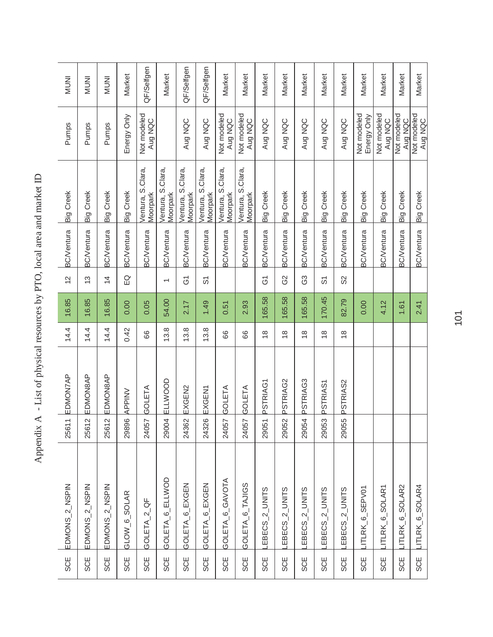| SCE        | EDMONS_2_NSPIN             | $\leftarrow$<br>2561      | EDMON7AP      | 14.4          | 16.85  | $\overline{2}$     | <b>BC/Ventura</b> | <b>Big Creek</b>              | Pumps                      | <b>INUMI</b> |
|------------|----------------------------|---------------------------|---------------|---------------|--------|--------------------|-------------------|-------------------------------|----------------------------|--------------|
| <b>SCE</b> | EDMONS_2_NSPIN             | $\mathbf{\Omega}$<br>2561 | EDMON8AP      | 14.4          | 16.85  | $\frac{1}{2}$      | <b>BC/Ventura</b> | Big Creek                     | Pumps                      | <b>INUNI</b> |
| SCE        | EDMONS_2_NSPIN             | $\mathbf{\Omega}$<br>2561 | EDMON8AP      | 14.4          | 16.85  | $\frac{4}{4}$      | <b>BC/Ventura</b> | <b>Big Creek</b>              | Pumps                      | <b>INUMI</b> |
| <b>SCE</b> | GLOW_6_SOLAR               | 29896                     | <b>APPINV</b> | 0.42          | 0.00   | $\Omega$           | <b>BC/Ventura</b> | Big Creek                     | Energy Only                | Market       |
| <b>SCE</b> | GOLETA_2_QF                | 24057                     | GOLETA        | 89            | 0.05   |                    | <b>BC/Ventura</b> | Ventura, S.Clara,<br>Moorpark | Not modeled<br>Aug NQC     | QF/Selfgen   |
| <b>SCE</b> | GOLETA_6_ELLWOD            | 29004                     | ELLWOOD       | 13.8          | 54.00  | $\overline{}$      | <b>BC/Ventura</b> | Ventura, S.Clara,<br>Moorpark |                            | Market       |
| <b>SCE</b> | GOLETA 6 EXGEN             | 24362                     | EXGEN2        | 13.8          | 2.17   | Ğ                  | <b>BC/Ventura</b> | Ventura, S.Clara,<br>Moorpark | Aug NQC                    | QF/Selfgen   |
| <b>SCE</b> | GOLETA_6_EXGEN             | 24326                     | EXGEN1        | 13.8          | 1.49   | တ်                 | <b>BC/Ventura</b> | Ventura, S.Clara,<br>Moorpark | Aug NQC                    | QF/Selfgen   |
| <b>SCE</b> | GOLETA_6_GAVOTA            | 24057                     | GOLETA        | 89            | 0.51   |                    | <b>BC/Ventura</b> | Ventura, S.Clara,<br>Moorpark | Not modeled<br>Aug NQC     | Market       |
| <b>SCE</b> | GOLETA_6_TAJIGS            | 24057                     | GOLETA        | 89            | 2.93   |                    | <b>BC/Ventura</b> | Ventura, S.Clara,<br>Moorpark | Not modeled<br>Aug NQC     | Market       |
| <b>SCE</b> | EBECS_2_UNITS              | 29051                     | PSTRIAG1      | $\frac{8}{1}$ | 165.58 | $\overline{6}$     | <b>BC/Ventura</b> | Big Creek                     | Aug NQC                    | Market       |
| <b>SCE</b> | EBECS_2_UNITS              | 29052                     | PSTRIAG2      | $\frac{8}{1}$ | 165.58 | G2                 | <b>BC/Ventura</b> | Big Creek                     | Aug NQC                    | Market       |
| <b>SCE</b> | EBECS_2_UNITS              | 29054                     | PSTRIAG3      | $\frac{8}{1}$ | 165.58 | G3                 | <b>BC/Ventura</b> | Big Creek                     | Aug NQC                    | Market       |
| <b>SCE</b> | EBECS_2_UNITS              | 29053                     | PSTRIAS1      | $\frac{8}{1}$ | 170.45 | $\overline{\circ}$ | <b>BC/Ventura</b> | Big Creek                     | Aug NQC                    | Market       |
| <b>SCE</b> | EBECS_2_UNITS              | 29055                     | PSTRIAS2      | $\frac{8}{1}$ | 82.79  | S <sub>2</sub>     | <b>BC/Ventura</b> | <b>Big Creek</b>              | Aug NQC                    | Market       |
| <b>SCE</b> | ITLRK <sub>6</sub> SEPV01  |                           |               |               | 0.00   |                    | <b>BC/Ventura</b> | <b>Big Creek</b>              | Not modeled<br>Energy Only | Market       |
| <b>SCE</b> | ITLRK_6_SOLAR1             |                           |               |               | 4.12   |                    | <b>BC/Ventura</b> | <b>Big Creek</b>              | Not modeled<br>Aug NQC     | Market       |
| <b>SCE</b> | LITLRK <sub>6</sub> SOLAR2 |                           |               |               | 1.61   |                    | <b>BC/Ventura</b> | <b>Big Creek</b>              | Not modeled<br>Aug NQC     | Market       |
| <b>SCE</b> | LITLRK_6_SOLAR4            |                           |               |               | 2.41   |                    | <b>BC/Ventura</b> | <b>Big Creek</b>              | Not modeled<br>Aug NQC     | Market       |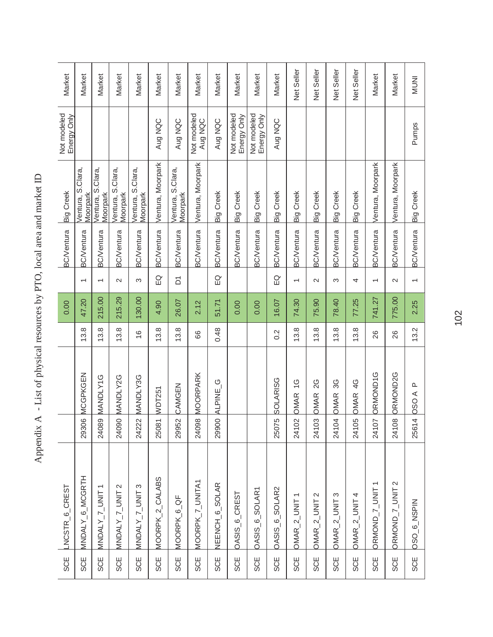| SCE        | LNCSTR <sub>_6</sub> _CREST |                                  |                              |               | 0.00   |                          | <b>BC/Ventura</b> | <b>Big Creek</b>               | Not modeled<br>Energy Only | Market       |
|------------|-----------------------------|----------------------------------|------------------------------|---------------|--------|--------------------------|-------------------|--------------------------------|----------------------------|--------------|
| <b>SCE</b> | MNDALY_6_MCGRTH             | $\overline{Q}$<br>2930           | MCGPKGEN                     | 13.8          | 47.20  | $\overline{\phantom{0}}$ | <b>BC/Ventura</b> | /entura, S.Clara,<br>Vloorpark |                            | Market       |
| SCE        | $MNDALY_1$ UNIT             | $\overline{\mathcal{Q}}$<br>2408 | <b>MANDLY1G</b>              | 13.8          | 215.00 | $\overline{\phantom{0}}$ | <b>BC/Ventura</b> | Ventura, S.Clara,<br>Moorpark  |                            | Market       |
| SCE        | MNDALY_7_UNIT 2             | 24090                            | MANDLY2G                     | 13.8          | 215.29 | $\sim$                   | <b>BC/Ventura</b> | /entura, S.Clara,<br>Moorpark  |                            | Market       |
| <b>SCE</b> | MNDALY_7_UNIT 3             | 24222                            | MANDLY3G                     | $\frac{6}{1}$ | 130.00 | S                        | <b>BC/Ventura</b> | /entura, S.Clara,<br>Moorpark  |                            | Market       |
| SCE        | MOORPK_2_CALABS             | 25081                            | WDT251                       | 13.8          | 4.90   | $\overline{E}$           | <b>BC/Ventura</b> | Ventura, Moorpark              | Aug NQC                    | Market       |
| <b>SCE</b> | MOORPK <sub>6</sub> QF      | 29952                            | CAMGEN                       | 13.8          | 26.07  | δ                        | <b>BC/Ventura</b> | Ventura, S.Clara,<br>Moorpark  | Aug NQC                    | Market       |
| SCE        | MOORPK_7_UNITA1             | $\infty$<br>2409                 | <b>MOORPARK</b>              | 88            | 2.12   |                          | <b>3C/Ventura</b> | Ventura, Moorpark              | Not modeled<br>Aug NQC     | Market       |
| <b>SCE</b> | NEENCH_6_SOLAR              | 29900                            | ALPINE <sub>S</sub>          | 0.48          | 51.71  | $\Xi$                    | <b>BC/Ventura</b> | Big Creek                      | Aug NQC                    | Market       |
| <b>SCE</b> | OASIS_6_CREST               |                                  |                              |               | 0.00   |                          | <b>BC/Ventura</b> | Big Creek                      | Not modeled<br>Energy Only | Market       |
| <b>SCE</b> | <b>DASIS_6_SOLAR1</b>       |                                  |                              |               | 0.00   |                          | <b>BC/Ventura</b> | Creek<br>Dig                   | Not modeled<br>Energy Only | Market       |
| <b>SCE</b> | <b>DASIS_6_SOLAR2</b>       | ယ<br>2507                        | <b>SOLARISG</b>              | 0.2           | 16.07  | $\Xi$                    | <b>BC/Ventura</b> | Big Creek                      | Aug NQC                    | Market       |
| SCE        | $OMAR_2_UNIT1$              | 24102                            | $\frac{0}{1}$<br><b>DMAR</b> | 13.8          | 74.30  | $\overline{\phantom{0}}$ | <b>BC/Ventura</b> | Creek<br>Big (                 |                            | Net Seller   |
| <b>SCE</b> | $OMAR_2$ _UNIT 2            | က<br>2410                        | 2G<br><b>DMAR</b>            | 13.8          | 75.90  | $\sim$                   | <b>BC/Ventura</b> | Creek<br>Dig                   |                            | Net Seller   |
| SCE        | $OMAR_2$ _UNIT 3            | 24104                            | 3G<br><b>OMAR</b>            | 13.8          | 78.40  | S                        | <b>BC/Ventura</b> | Creek<br>Dig                   |                            | Net Seller   |
| <b>SCE</b> | $OMAR_2$ _UNIT 4            | Ю<br>241 <sub>0</sub>            | $\frac{0}{4}$<br><b>OMAR</b> | 13.8          | 77.25  | 4                        | <b>BC/Ventura</b> | <b>Big Creek</b>               |                            | Net Seller   |
| <b>SCE</b> | DRMOND <sub>-7</sub> -UNIT1 | 24107                            | ORMOND1G                     | 26            | 741.27 | $\overline{\phantom{0}}$ | <b>BC/Ventura</b> | Ventura, Moorpark              |                            | Market       |
| SCE        | ORMOND_7_UNIT 2             | $\infty$<br>2410                 | ORMOND2G                     | 26            | 775.00 | $\sim$                   | <b>BC/Ventura</b> | Ventura, Moorpark              |                            | Market       |
| SCE        | OSO_6_NSPIN                 | 25614                            | $\Delta$<br><b>AOSO</b>      | 13.2          | 2.25   | $\overline{\phantom{0}}$ | <b>BC/Ventura</b> | Big Creek                      | Pumps                      | <b>INUNI</b> |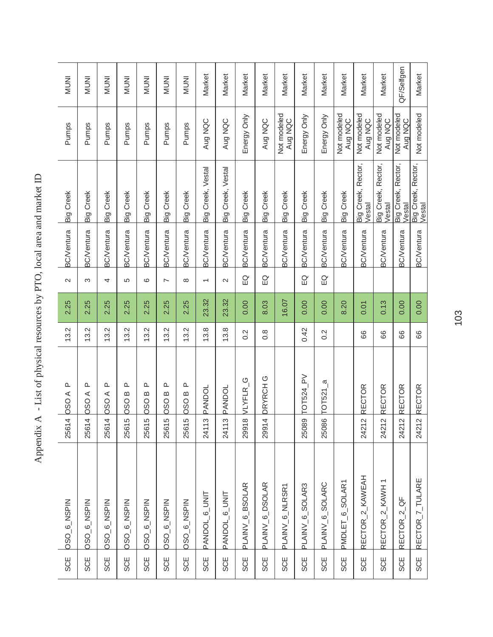| SCE        | <b>DSO_6_NSPIN</b>           | 4<br>2561                       | $\Delta$<br><b>AOSO</b>                             | 13.2             | 2.25  | $\sim$                   | <b>BC/Ventura</b> | <b>Big Creek</b>             | Pumps                  | <b>INUMI</b> |
|------------|------------------------------|---------------------------------|-----------------------------------------------------|------------------|-------|--------------------------|-------------------|------------------------------|------------------------|--------------|
| <b>SCE</b> | <b>DSO_6_NSPIN</b>           | 4<br>2561                       | ≏<br>$\prec$<br>0s <sub>O</sub>                     | 13.2             | 2.25  | ო                        | <b>BC/Ventura</b> | <b>Big Creek</b>             | Pumps                  | <b>INUNI</b> |
| <b>SCE</b> | OSO_6_NSPIN                  | 4<br>2561                       | ௨<br><b>AOSO</b>                                    | 13.2             | 2.25  | 4                        | <b>BC/Ventura</b> | Big Creek                    | Pumps                  | <b>INUNI</b> |
| <b>SCE</b> | OSO_6_NSPIN                  | 5<br>2561                       | ௳<br>$\boldsymbol{\underline{\infty}}$<br>080       | 13.2             | 2.25  | 5                        | <b>BC/Ventura</b> | <b>Big Creek</b>             | Pumps                  | <b>INUMI</b> |
| <b>SCE</b> | OSO_6_NSPIN                  | မ<br>2561                       | ௳<br>$\boldsymbol{\omega}$<br>$\overline{\text{c}}$ | 13.2             | 2.25  | $\circ$                  | <b>BC/Ventura</b> | Big Creek                    | Pumps                  | <b>INUMI</b> |
| <b>SCE</b> | OSO_6_NSPIN                  | 5<br>2561                       | ௳<br>$\bf{m}$<br><b>OSO</b>                         | 13.2             | 2.25  | $\sim$                   | <b>BC/Ventura</b> | <b>Big Creek</b>             | Pumps                  | <b>INUMI</b> |
| <b>SCE</b> | OSO_6_NSPIN                  | 5<br>2561                       | ≏<br>OSO <sub>B</sub>                               | 13.2             | 2.25  | $\infty$                 | <b>BC/Ventura</b> | <b>Big Creek</b>             | Pumps                  | <b>INUNI</b> |
| <b>SCE</b> | PANDOL <sub>6_UNIT</sub>     | က<br>2411                       | PANDOL                                              | 13.8             | 23.32 | $\overline{\phantom{0}}$ | <b>BC/Ventura</b> | Big Creek, Vestal            | Aug NQC                | Market       |
| <b>SCE</b> | PANDOL <sub>6</sub> _UNIT    | $\infty$<br>2411                | PANDOL                                              | 13.8             | 23.32 | $\sim$                   | <b>3C/Ventura</b> | Big Creek, Vestal            | Aug NQC                | Market       |
| <b>SCE</b> | PLAINV_6_BSOLAR              | $\infty$<br>2991                | VLYFLR <sub>S</sub>                                 | $0.\overline{2}$ | 0.00  | $\Omega$                 | <b>BC/Ventura</b> | <b>Big Creek</b>             | Energy Only            | Market       |
| <b>SCE</b> | PLAINV_6_DSOLAR              | $\overline{4}$<br>2991          | DRYRCH <sub>G</sub>                                 | $\frac{8}{2}$    | 8.03  | $\Xi$                    | <b>BC/Ventura</b> | Big Creek                    | Aug NQC                | Market       |
| <b>SCE</b> | PLAINV_6_NLRSR1              |                                 |                                                     |                  | 16.07 |                          | <b>3C/Ventura</b> | <b>Big Creek</b>             | Not modeled<br>Aug NQC | Market       |
| <b>SCE</b> | PLAINV_6_SOLAR3              | 25089                           | TOT524_PV                                           | 0.42             | 0.00  | $\Omega$                 | <b>BC/Ventura</b> | <b>Big Creek</b>             | Energy Only            | Market       |
| <b>SCE</b> | PLAINV <sub>-6-</sub> SOLARC | 25086                           | $\sigma$<br>TOT521                                  | 0.2              | 0.00  | $\overline{E}$           | <b>BC/Ventura</b> | Big Creek                    | Energy Only            | Market       |
| <b>SCE</b> | PMDLET_6_SOLAR1              |                                 |                                                     |                  | 8.20  |                          | <b>BC/Ventura</b> | <b>Big Creek</b>             | Not modeled<br>Aug NQC | Market       |
| <b>SCE</b> | RECTOR_2_KAWEAH              | $\mathbf{\Omega}$<br>2421       | <b>RECTOR</b>                                       | 88               | 0.01  |                          | <b>BC/Ventura</b> | Big Creek, Rector,<br>Vestal | Not modeled<br>Aug NQC | Market       |
| SCE        | RECTOR_2_KAWH                | $\sim$<br>2421                  | <b>RECTOR</b>                                       | 89               | 0.13  |                          | <b>BC/Ventura</b> | Big Creek, Rector,<br>Vestal | Not modeled<br>Aug NQC | Market       |
| <b>SCE</b> | RECTOR_2_QF                  | $\sim$<br>2421                  | <b>RECTOR</b>                                       | 66               | 0.00  |                          | <b>BC/Ventura</b> | Big Creek, Rector,<br>Vestal | Not modeled<br>Aug NQC | QF/Selfgen   |
| <b>SCE</b> | RECTOR_7_TULARE              | $\overline{\mathsf{C}}$<br>2421 | <b>RECTOR</b>                                       | 66               | 0.00  |                          | <b>BC/Ventura</b> | Big Creek, Rector,<br>Vestal | Not modeled            | Market       |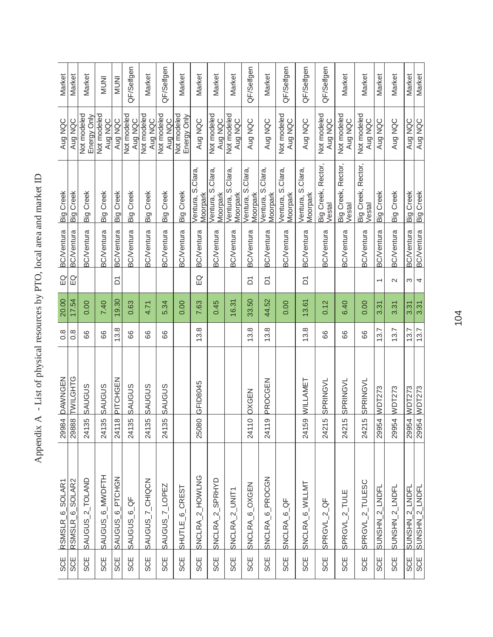| Market            | Market                      | Market                     | <b>INUM</b>            | <b>INUNI</b>                    | QF/Selfgen              | Market                 | QF/Selfgen             | Market                     | Market                        | Market                         | Market                        | QF/Selfgen                    | Market                        | QF/Selfgen                     | QF/Selfgen                    | QF/Selfgen                   | Market                       | Market                       | Market                   | Market            | Market            |
|-------------------|-----------------------------|----------------------------|------------------------|---------------------------------|-------------------------|------------------------|------------------------|----------------------------|-------------------------------|--------------------------------|-------------------------------|-------------------------------|-------------------------------|--------------------------------|-------------------------------|------------------------------|------------------------------|------------------------------|--------------------------|-------------------|-------------------|
| Aug NQC           | Aug NQC                     | Not modeled<br>Energy Only | Not modeled<br>Aug NQC | Aug NQC                         | Not modeled<br>Aug NQC  | Not modeled<br>Aug NQC | Not modeled<br>Aug NQC | Not modeled<br>Energy Only | Aug NQC                       | Not modeled<br>Aug NQC         | Not modeled<br>Aug NQC        | Aug NQC                       | Aug NQC                       | Not modeled<br>Aug NQC         | Aug NQC                       | Not modeled<br>Aug NQC       | Not modeled<br>Aug NQC       | Not modeled<br>Aug NQC       | Aug NQC                  | Aug NQC           | Aug NQC           |
| Big Creek         | Big Creek                   | <b>Big Creek</b>           | <b>Big Creek</b>       | Big Creek                       | Big Creek               | Big Creek              | Big Creek              | <b>Big Creek</b>           | Ventura, S.Clara,<br>Moorpark | Ventura, S.Clara,<br>Vloorpark | Ventura, S.Clara,<br>Moorpark | Ventura, S.Clara,<br>Moorpark | Ventura, S.Clara,<br>Moorpark | Ventura, S.Clara,<br>Vloorpark | Ventura, S.Clara,<br>Moorpark | Big Creek, Rector,<br>Vestal | Big Creek, Rector,<br>Vestal | Big Creek, Rector,<br>Vestal | Big Creek                | <b>Big Creek</b>  | Big Creek         |
| <b>BC/Ventura</b> | <b>BC/Ventura</b>           | <b>BC/Ventura</b>          | <b>BC/Ventura</b>      | <b>BC/Ventura</b>               | <b>BC/Ventura</b>       | <b>BC/Ventura</b>      | <b>BC/Ventura</b>      | <b>BC/Ventura</b>          | <b>BC/Ventura</b>             | <b>BC/Ventura</b>              | <b>BC/Ventura</b>             | <b>BC/Ventura</b>             | <b>BC/Ventura</b>             | <b>BC/Ventura</b>              | <b>BC/Ventura</b>             | <b>BC/Ventura</b>            | <b>BC/Ventura</b>            | <b>BC/Ventura</b>            | <b>BC/Ventura</b>        | <b>BC/Ventura</b> | <b>BC/Ventura</b> |
| $\Omega$          | $\Xi$                       |                            |                        | δ                               |                         |                        |                        |                            | $\overline{E}$                |                                |                               | δ                             | δ                             |                                | δ                             |                              |                              |                              | $\overline{\phantom{0}}$ | $\mathbf{\Omega}$ | ω                 |
| 20.00             | 17.54                       | 0.00                       | 7.40                   | 19.30                           | 0.63                    | 4.71                   | 5.34                   | 0.00                       | 7.63                          | 0.45                           | 16.31                         | 33.50                         | 44.52                         | 0.00                           | 13.61                         | 0.12                         | 6.40                         | 0.00                         | 3.31                     | 3.31              | 3.31              |
| $\frac{8}{2}$     | $\frac{8}{1}$               | 66                         | 89                     | $3.\overline{8}$                | 88                      | 89                     | 66                     |                            | 13.8                          |                                |                               | 3.8                           | 13.8                          |                                | 13.8                          | 66                           | 89                           | 66                           | 13.7                     | 13.7              | 13.7              |
| <b>DAWNGEN</b>    | 29888 TWILGHTG              | <b>SAUGUS</b>              | <b>SAUGUS</b>          | PITCHGEN                        | SAUGUS                  | <b>SAUGUS</b>          | <b>SAUGUS</b>          |                            | GFID8045                      |                                |                               | <b>DXGEN</b>                  | PROCGEN                       |                                | WILLAMET                      | SPRINGVL                     | SPRINGVL                     | SPRINGVL                     | 29954 WDT273             | <b>WDT273</b>     | 29954 WDT273      |
| 29984             |                             | 24135                      | 24135                  | $\frac{\infty}{\infty}$<br>2411 | 24135                   | 24135                  | 24135                  |                            | 25080                         |                                |                               | $\circ$<br>2411               | $\circ$<br>2411               |                                | 24159                         | 5<br>2421                    | LO<br>2421                   | LO<br>2421                   |                          | 29954             |                   |
| RSMSLR_6_SOLAR1   | RSMSLR <sub>_6_SOLAR2</sub> | SAUGUS_2_TOLAND            | SAUGUS 6 MWDFTH        | SAUGUS_6_PTCHGN                 | SAUGUS <sub>-6-QF</sub> | SAUGUS_7_CHIQCN        | SAUGUS_7_LOPEZ         | SHUTLE_6_CREST             | SNCLRA_2_HOWLNG               | SNCLRA_2_SPRHYD                | SNCLRA_2_UNIT1                | SNCLRA_6_OXGEN                | SNCLRA_6_PROCGN               | SNCLRA_6_QF                    | SNCLRA_6_WILLMT               | SPRGVL_2_QF                  | SPRGVL_2_TULE                | SPRGVL_2_TULESC              | SUNSHN_2_LNDFL           | SUNSHN_2_LNDFL    | SUNSHN_2_LNDFL    |
| <b>SCE</b>        | <b>SCE</b>                  | <b>SCE</b>                 | SCE                    | <b>SCE</b>                      | SCE                     | <b>SCE</b>             | SCE                    | <b>SCE</b>                 | <b>SCE</b>                    | <b>SCE</b>                     | SCE                           | <b>SCE</b>                    | <b>SCE</b>                    | <b>SCE</b>                     | <b>SCE</b>                    | <b>SCE</b>                   | <b>SCE</b>                   | SCE                          | <b>SCE</b>               | SCE               | SCE<br>SCE        |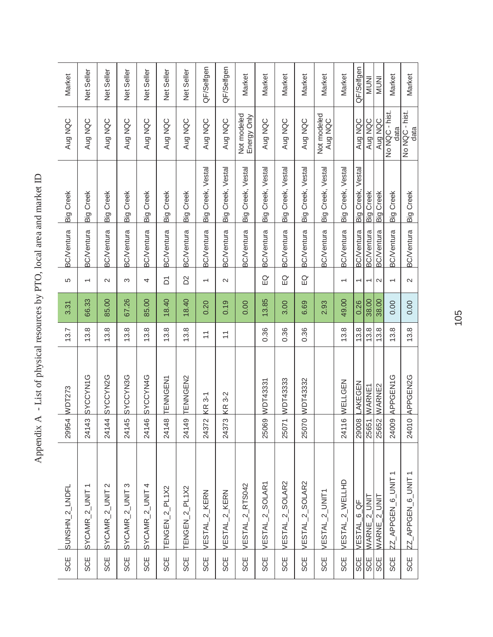| Aug NQC<br>Big Creek                                   |
|--------------------------------------------------------|
| <b>Big Creek</b><br><b>BC/Ventura</b>                  |
| <b>BC/Ventura</b><br>2                                 |
| 3<br>67.26                                             |
| 66.33<br>85.00<br>13.8<br>13.8                         |
| 13.8<br><b>SYCCYN1G</b><br>SYCCYN2G<br><b>SYCCYN3G</b> |
| 24143<br>24144<br>24145                                |
| SYCAMR_2_UNIT 2<br>SYCAMR_2_UNIT 3<br>$SVCAMR_2UNIT1$  |
|                                                        |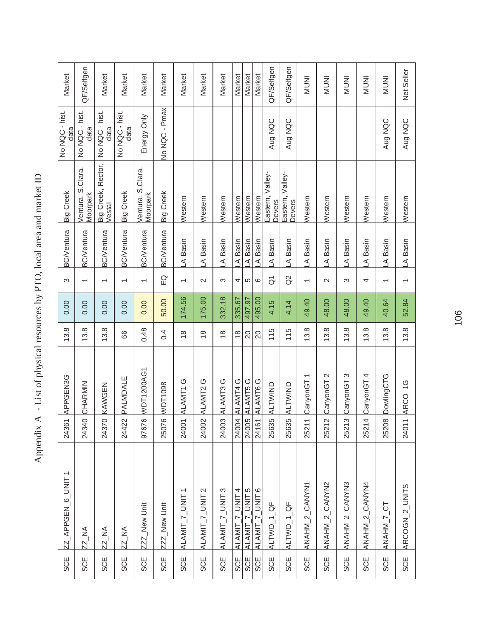| <b>SCE</b> | $Z_{\text{APPGEN_6JWIT}}$ | 24361                            | APPGEN3G              | 13.8            | 0.00   | S                        | <b>BC/Ventura</b> | <b>Big Creek</b>              | No NQC - hist.<br>data | Market       |
|------------|---------------------------|----------------------------------|-----------------------|-----------------|--------|--------------------------|-------------------|-------------------------------|------------------------|--------------|
| <b>SCE</b> | <b>ZZ_NA</b>              | 24340                            | CHARMIN               | 13.8            | 0.00   | $\overline{\phantom{0}}$ | <b>BC/Ventura</b> | Ventura, S.Clara,<br>Moorpark | No NQC - hist.<br>data | QF/Selfgen   |
| SCE        | <b>ZZ_NA</b>              |                                  | 24370 KAWGEN          | 13.8            | 0.00   | $\overline{\phantom{0}}$ | <b>BC/Ventura</b> | Big Creek, Rector,<br>Vestal  | No NQC - hist.<br>data | Market       |
| <b>SCE</b> | <b>ZZ_NA</b>              | 24422                            | PALMDALE              | 88              | 0.00   | $\overline{\phantom{0}}$ | <b>BC/Ventura</b> | Big Creek                     | No NQC - hist.<br>data | Market       |
| SCE        | ZZZ_New Unit              | Ģ<br>9767                        | WDT1200AG1            | 0.48            | 0.00   | ᡪ                        | <b>BC/Ventura</b> | Ventura, S.Clara,<br>Moorpark | Energy Only            | Market       |
| SCE        | ZZZ_New Unit              | Ģ<br>2507                        | WDT1098               | 0.4             | 50.00  | $\overline{E}$           | <b>BC/Ventura</b> | Big Creek                     | No NQC - Pmax          | Market       |
| SCE        | ALAMIT_7_UNIT1            | 24001                            | ALAMT1 G              | $\frac{8}{1}$   | 174.56 | $\overline{ }$           | A Basin           | Western                       |                        | Market       |
| SCE        | ALAMIT_7_UNIT 2           | 24002                            | ALAMT2G               | $\frac{8}{1}$   | 175.00 | $\sim$                   | A Basin           | Western                       |                        | Market       |
| <b>SCE</b> | ALAMIT_7_UNIT 3           | 24003                            | ALAMT3G               | $\frac{8}{1}$   | 332.18 | S                        | A Basin           | Western                       |                        | Market       |
| SCE        | ALAMIT_7_UNTT             | 24004                            | ALAMT4G               | $\frac{8}{1}$   | 335.67 | 4                        | A Basin           | Western                       |                        | Market       |
| SCE        | ALAMIT_7_UNIT 5           | 24005                            | ALAMT5G               | $\overline{20}$ | 497.97 | 5                        | A Basin           | Western                       |                        | Market       |
| SCE        | ALAMIT_7_UNIT6            | 24161                            | ALAMT6G               | 20              | 495.00 | G                        | A Basin           | Western                       |                        | Market       |
| SCE        | ALTWD_1_QF                | 25635                            | ALTWIND               | 115             | 4.15   | $\overline{\sigma}$      | A Basin           | Eastern, Valley-<br>Devers    | Aug NQC                | QF/Selfgen   |
| <b>SCE</b> | ALTWD_1_QF                | 25635                            | <b>ALTWIND</b>        | 115             | 4.14   | $\tilde{\alpha}$         | A Basin           | Eastern, Valley-<br>Devers    | Aug NQC                | QF/Selfgen   |
| <b>SCE</b> | ANAHM_2_CANYN1            | $\equiv$<br>2521                 | CanyonGT1             | 13.8            | 49.40  | $\overline{\phantom{0}}$ | A Basin           | Western                       |                        | <b>INUNI</b> |
| SCE        | ANAHM_2_CANYN2            | $\overline{\mathsf{C}}$<br>2521  | CanyonGT <sub>2</sub> | 13.8            | 48.00  | $\mathbf{\Omega}$        | A Basin           | Western                       |                        | <b>INUNI</b> |
| SCE        | ANAHM_2_CANYN3            | က<br>2521                        | CanyonGT <sub>3</sub> | 13.8            | 48.00  | S                        | A Basin           | Western                       |                        | <b>INUNI</b> |
| <b>SCE</b> | ANAHM_2_CANYN4            | $\overline{a}$<br>2521           | CanyonGT4             | 13.8            | 49.40  | 4                        | A Basin           | Western                       |                        | <b>INUNI</b> |
| <b>SCE</b> | ANAHM_7_CT                | 25208                            | <b>DowlingCTG</b>     | 13.8            | 40.64  | $\overline{\phantom{0}}$ | A Basin           | Western                       | Aug NQC                | <b>INUNI</b> |
| <b>SCE</b> | ARCOGN_2_UNITS            | $\overline{\phantom{0}}$<br>2401 | ARCO 1G               | 13.8            | 52.84  |                          | A Basin           | Western                       | Aug NQC                | Net Seller   |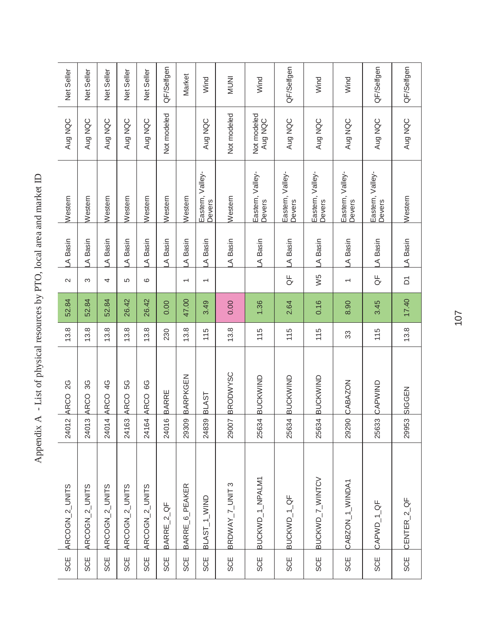| A Basin<br>A Basin<br>$\sim$<br>52.84<br>13.8 |
|-----------------------------------------------|
| ო<br>52.84<br>13.8                            |
| 52.84<br>13.8                                 |
| 26.42<br>13.8                                 |
| 26.42<br>13.8                                 |
| 0.00<br>230                                   |
| 47.00<br>13.8<br>BARPKGEN                     |
| 3.49<br>115                                   |
| 0.00<br>13.8<br><b>BRODWYSC</b>               |
| 1.36<br>115<br>BUCKWIND                       |
| 2.64<br>115<br><b>BUCKWIND</b>                |
| 0.16<br>115<br>25634 BUCKWIND                 |
| 8.90<br>33                                    |
| 3.45<br>115                                   |
| 17.40<br>13.8                                 |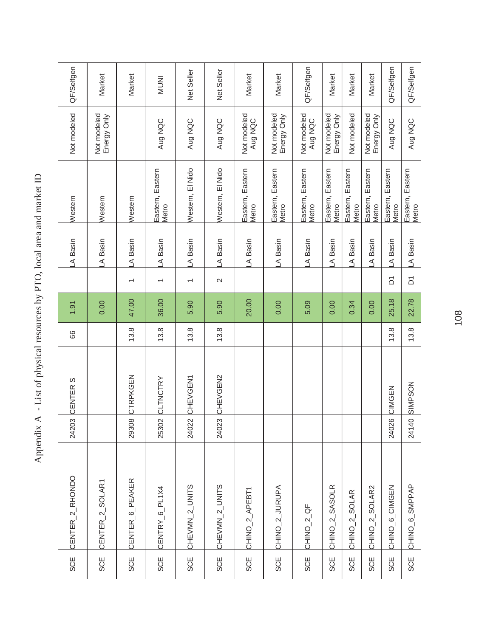| <b>SCE</b> | CENTER_2_RHONDO             | 24203 | CENTER <sub>S</sub> | 88   | 1.91  |                 | A Basin | Western                   | Not modeled                | QF/Selfgen   |
|------------|-----------------------------|-------|---------------------|------|-------|-----------------|---------|---------------------------|----------------------------|--------------|
| <b>SCE</b> | CENTER_2_SOLAR1             |       |                     |      | 0.00  |                 | A Basin | Western                   | Not modeled<br>Energy Only | Market       |
| <b>SCE</b> | CENTER_6_PEAKER             | 29308 | CTRPKGEN            | 13.8 | 47.00 | $\overline{ }$  | A Basin | Western                   |                            | Market       |
| <b>SCE</b> | CENTRY_6_PL1X4              | 25302 | <b>CLTNCTRY</b>     | 13.8 | 36.00 | $\overline{ }$  | A Basin | Eastern, Eastern<br>Metro | Aug NQC                    | <b>INUNI</b> |
| <b>SCE</b> | CHEVMN_2_UNITS              | 24022 | <b>CHEVGEN1</b>     | 13.8 | 5.90  | $\overline{ }$  | A Basin | Western, El Nido          | Aug NQC                    | Net Seller   |
| <b>SCE</b> | CHEVMN_2_UNITS              | 24023 | CHEVGEN2            | 13.8 | 5.90  | $\mathbf{\sim}$ | A Basin | Western, El Nido          | Aug NQC                    | Net Seller   |
| <b>SCE</b> | CHINO_2_APEBT1              |       |                     |      | 20.00 |                 | A Basin | Eastern, Eastern<br>Metro | Not modeled<br>Aug NQC     | Market       |
| <b>SCE</b> | CHINO_2_JURUPA              |       |                     |      | 0.00  |                 | A Basin | Eastern, Eastern<br>Metro | Not modeled<br>Energy Only | Market       |
| <b>SCE</b> | CHINO <sub>-2</sub> QF      |       |                     |      | 5.09  |                 | A Basin | Eastern, Eastern<br>Metro | Not modeled<br>Aug NQC     | QF/Selfgen   |
| <b>SCE</b> | CHINO <sub>2</sub> 2_SASOLR |       |                     |      | 0.00  |                 | A Basin | Eastern, Eastern<br>Metro | Not modeled<br>Energy Only | Market       |
| SCE        | CHINO <sub>-2</sub> _SOLAR  |       |                     |      | 0.34  |                 | A Basin | Eastern, Eastern<br>Metro | <b>Not modeled</b>         | Market       |
| <b>SCE</b> | CHINO <sub>2</sub> 2_SOLAR2 |       |                     |      | 0.00  |                 | A Basin | Eastern, Eastern<br>Metro | Not modeled<br>Energy Only | Market       |
| SCE        | CHINO_6_CIMGEN              | 24026 | CIMGEN              | 13.8 | 25.18 | δ               | A Basin | Eastern, Eastern<br>Metro | Aug NQC                    | QF/Selfgen   |
| <b>SCE</b> | CHINO <sub>_6</sub> _SMPPAP | 24140 | SIMPSON             | 13.8 | 22.78 | δ               | A Basin | Eastern, Eastern<br>Metro | Aug NQC                    | QF/Selfgen   |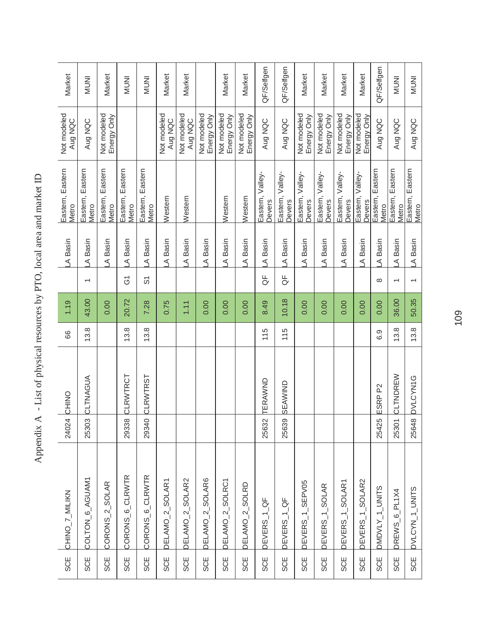| <b>SCE</b> | CHINO_7_MILIKN               | 24024 | CHINO                 | 89   | 1.19  |                          | A Basin | Eastern, Eastern<br>Metro     | Not modeled<br>Aug NQC     | Market       |
|------------|------------------------------|-------|-----------------------|------|-------|--------------------------|---------|-------------------------------|----------------------------|--------------|
| SCE        | COLTON 6_AGUAM1              | 25303 | CLTNAGUA              | 13.8 | 43.00 | $\overline{ }$           | A Basin | Eastern<br>Eastern,<br>Metro  | Aug NQC                    | <b>INUNI</b> |
| <b>SCE</b> | CORONS <sub>-2-</sub> SOLAR  |       |                       |      | 0.00  |                          | A Basin | Eastern, Eastern<br>Metro     | Not modeled<br>Energy Only | Market       |
| SCE        | CORONS <sub>6</sub> CLRWTR   | 29338 | CLRWTRCT              | 13.8 | 20.72 | $\overline{G}$           | A Basin | Eastern, Eastern<br>Metro     |                            | <b>INUNI</b> |
| SCE        | CORONS <sub>_6</sub> _CLRWTR | 29340 | <b>CLRWTRST</b>       | 13.8 | 7.28  | တ်                       | A Basin | Eastern, Eastern<br>Metro     |                            | <b>INUNI</b> |
| <b>SCE</b> | DELAMO_2_SOLAR1              |       |                       |      | 0.75  |                          | A Basin | Western                       | Not modeled<br>Aug NQC     | Market       |
| <b>SCE</b> | DELAMO_2_SOLAR2              |       |                       |      | 1.11  |                          | A Basin | Western                       | Not modeled<br>Aug NQC     | Market       |
| SCE        | DELAMO_2_SOLAR6              |       |                       |      | 0.00  |                          | A Basin |                               | Not modeled<br>Energy Only |              |
| SCE        | DELAMO_2_SOLRC1              |       |                       |      | 0.00  |                          | A Basin | Western                       | Not modeled<br>Energy Only | Market       |
| SCE        | DELAMO <sub>_2</sub> _SOLRD  |       |                       |      | 0.00  |                          | A Basin | Western                       | Not modeled<br>Energy Only | Market       |
| SCE        | DEVERS_1_QF                  | 25632 | <b><i>TERAWND</i></b> | 115  | 8.49  | ₽<br>O                   | A Basin | Eastern, Valley-<br>Devers    | Aug NQC                    | QF/Selfgen   |
| <b>SCE</b> | DEVERS_1_QF                  | 25639 | SEAWIND               | 115  | 10.18 | ₩                        | A Basin | Eastern, Valley-<br>Devers    | Aug NQC                    | QF/Selfgen   |
| SCE        | DEVERS_1_SEPV05              |       |                       |      | 0.00  |                          | A Basin | Eastern, Valley-<br>Devers    | Not modeled<br>Energy Only | Market       |
| SCE        | DEVERS_1_SOLAR               |       |                       |      | 0.00  |                          | A Basin | Valley-<br>Eastern,<br>Devers | Not modeled<br>Energy Only | Market       |
| <b>SCE</b> | DEVERS_1_SOLAR1              |       |                       |      | 0.00  |                          | A Basin | Eastern, Valley-<br>Devers    | Not modeled<br>Energy Only | Market       |
| <b>SCE</b> | DEVERS_1_SOLAR2              |       |                       |      | 0.00  |                          | A Basin | Eastern, Valley-<br>Devers    | Not modeled<br>Energy Only | Market       |
| <b>SCE</b> | DMDVLY_1_UNITS               | 25425 | ESRP <sub>P2</sub>    | 6.9  | 0.00  | $\infty$                 | A Basin | Eastern, Eastern<br>Metro     | Aug NQC                    | QF/Selfgen   |
| <b>SCE</b> | DREWS <sub>-6</sub> -PL1X4   | 25301 | CLTNDREW              | 13.8 | 36.00 | $\overline{\phantom{0}}$ | A Basin | Eastern, Eastern<br>Metro     | Aug NQC                    | <b>INUNI</b> |
| <b>SCE</b> | DVLCYN_1_UNITS               | 25648 | <b>DVLCYN1G</b>       | 13.8 | 50.35 | $\overline{ }$           | A Basin | Eastern, Eastern<br>Metro     | Aug NQC                    | <b>INUNI</b> |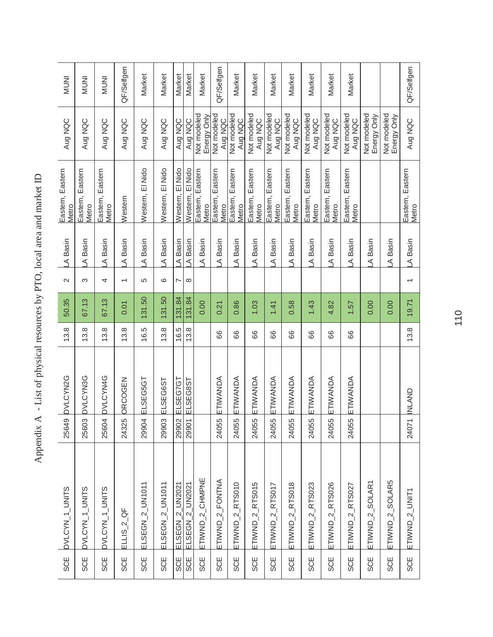| DVLCYN_1_UNITS<br><b>SCE</b>               | 25649 | <b>DVLCYN2G</b> | 13.8 | 50.35  | $\mathbf{\Omega}$        | LA Basin | Eastern, Eastern<br>Metro    | Aug NQC                    | <b>INUMI</b> |
|--------------------------------------------|-------|-----------------|------|--------|--------------------------|----------|------------------------------|----------------------------|--------------|
| DVLCYN_1_UNITS                             | 25603 | <b>DVLCYN3G</b> | 13.8 | 67.13  | S                        | A Basin  | Eastern<br>Eastern,<br>Metro | Aug NQC                    | <b>INUMI</b> |
| DVLCYN_1_UNITS                             | 25604 | <b>DVLCYN4G</b> | 13.8 | 67.13  | 4                        | A Basin  | Eastern, Eastern<br>Metro    | Aug NQC                    | <b>INUNI</b> |
| ЪÓ<br>$ELLS_2$<br><b>SCE</b>               | 24325 | ORCOGEN         | 13.8 | 0.01   | $\overline{\phantom{0}}$ | A Basin  | Western                      | Aug NQC                    | QF/Selfgen   |
| ELSEGN_2_UN1011<br>SCE                     | 29904 | ELSEG5GT        | 16.5 | 131.50 | 5                        | A Basin  | Western, El Nido             | Aug NQC                    | Market       |
| ELSEGN_2_UN1011<br>SCE                     | 29903 | ELSEG6ST        | 13.8 | 131.50 | ဖ                        | A Basin  | Western, El Nido             | Aug NQC                    | Market       |
| ELSEGN <sub>2</sub> UN2021<br>SCE          | 29902 | ELSEG7G1        | 16.5 | 131.84 | N                        | A Basin  | Western, El Nido             | Aug NQC                    | Market       |
| ELSEGN_2_UN2021<br><b>SCE</b>              | 29901 | ELSEG8ST        | 13.8 | 131.84 | ${}^{\circ}$             | A Basin  | Western, El Nido             | Aug NQC                    | Market       |
| ETIWND_2_CHMPNE<br>SCE                     |       |                 |      | 0.00   |                          | A Basin  | Eastern, Eastern<br>Metro    | Not modeled<br>Energy Only | Market       |
| ETIWND_2_FONTNA<br><b>SCE</b>              | 24055 | ETIWANDA        | 66   | 0.21   |                          | A Basin  | Eastern, Eastern<br>Metro    | Not modeled<br>Aug NQC     | QF/Selfgen   |
| $ETIWND_2_RTS010$<br>SCE                   | 24055 | ETIWANDA        | 66   | 0.86   |                          | A Basin  | Eastern, Eastern<br>Metro    | Not modeled<br>Aug NQC     | Market       |
| $ETIWND_2$ <sub>RTS015</sub><br><b>SCE</b> | 24055 | ETIWANDA        | 88   | 1.03   |                          | A Basin  | Eastern, Eastern<br>Metro    | Not modeled<br>Aug NQC     | Market       |
| $ETIWND_2$ RTS017<br><b>SCE</b>            | 24055 | ETIWANDA        | 88   | 1.41   |                          | A Basin  | Eastern, Eastern<br>Metro    | Not modeled<br>Aug NQC     | Market       |
| $ETIWND_2$ <sub>RTS018</sub><br><b>SCE</b> | 24055 | ETIWANDA        | 89   | 0.58   |                          | A Basin  | Eastern, Eastern<br>Metro    | Not modeled<br>Aug NQC     | Market       |
| $ETIWND_2_RTS023$<br><b>SCE</b>            | 24055 | ETIWANDA        | 88   | 1.43   |                          | A Basin  | Eastern, Eastern<br>Metro    | Not modeled<br>Aug NQC     | Market       |
| $ETIWND_2$ <sub>RTS026</sub><br><b>SCE</b> | 24055 | ETIWANDA        | 89   | 4.82   |                          | A Basin  | Eastern, Eastern<br>Metro    | Not modeled<br>Aug NQC     | Market       |
| $ETIWND_2_RTS027$                          | 24055 | ETIWANDA        | 89   | 1.57   |                          | A Basin  | Eastern, Eastern<br>Metro    | Not modeled<br>Aug NQC     | Market       |
| ETIWND <sub>-2-SOLAR1</sub>                |       |                 |      | 0.00   |                          | A Basin  |                              | Not modeled<br>Energy Only |              |
| ETIWND <sub>-2</sub> _SOLAR5               |       |                 |      | 0.00   |                          | A Basin  |                              | Not modeled<br>Energy Only |              |
| ETIWND_2_UNIT1                             | 24071 | <b>INLAND</b>   | 13.8 | 19.71  | $\overline{\phantom{0}}$ | A Basin  | Eastern, Eastern<br>Metro    | Aug NQC                    | QF/Selfgen   |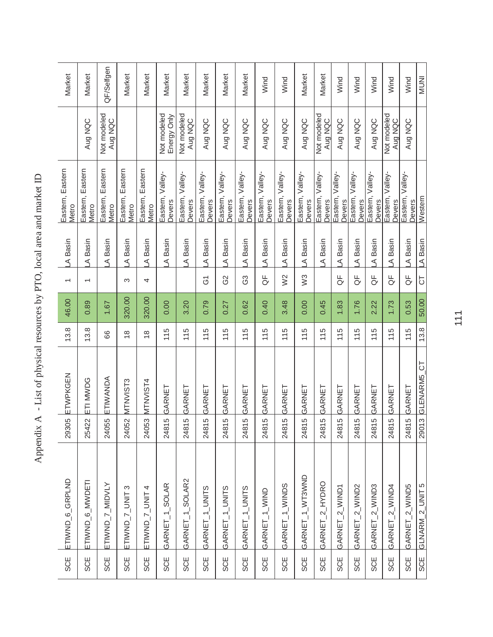| SCE        | ETIWND <sub>6</sub> GRPLND | 29305      | ETWPKGEN      | 13.8          | 46.00  | $\overline{\phantom{0}}$ | LA Basin | Eastern, Eastern<br>Metro  |                            | Market     |
|------------|----------------------------|------------|---------------|---------------|--------|--------------------------|----------|----------------------------|----------------------------|------------|
| <b>SCE</b> | ETIWND_6_MWDETI            | 25422      | ETI MWDG      | 13.8          | 0.89   | $\overline{\phantom{0}}$ | A Basin  | Eastern, Eastern<br>Metro  | Aug NQC                    | Market     |
| SCE        | ETIWND_7_MIDVLY            | 24055      | ETIWANDA      | 66            | 1.67   |                          | A Basin  | Eastern, Eastern<br>Metro  | Not modeled<br>Aug NQC     | QF/Selfgen |
| <b>SCE</b> | ETIWND_7_UNIT 3            | 24052      | MTNVIST3      | $\frac{8}{1}$ | 320.00 | S                        | A Basin  | Eastern, Eastern<br>Metro  |                            | Market     |
| <b>SCE</b> | ETIWND_7_UNIT4             | 24053      | MTNVIST4      | $\frac{8}{1}$ | 320.00 | 4                        | A Basin  | Eastern, Eastern<br>Metro  |                            | Market     |
| <b>SCE</b> | GARNET_1_SOLAR             | Ю<br>2481  | GARNET        | 115           | 0.00   |                          | A Basin  | Eastern, Valley-<br>Devers | Not modeled<br>Energy Only | Market     |
| <b>SCE</b> | GARNET_1_SOLAR2            | Ю<br>2481  | GARNET        | 115           | 3.20   |                          | A Basin  | Eastern, Valley-<br>Devers | Not modeled<br>Aug NQC     | Market     |
| <b>SCE</b> | GARNET_1_UNITS             | 5<br>2481  | GARNET        | 115           | 0.79   | δ1                       | A Basin  | Eastern, Valley-<br>Devers | Aug NQC                    | Market     |
| <b>SCE</b> | GARNET_1_UNITS             | LO<br>2481 | GARNET        | 115           | 0.27   | G2                       | A Basin  | Eastern, Valley-<br>Devers | Aug NQC                    | Market     |
| <b>SCE</b> | GARNET_1_UNITS             | LO<br>2481 | GARNET        | 115           | 0.62   | යි                       | A Basin  | Eastern, Valley-<br>Devers | Aug NQC                    | Market     |
| <b>SCE</b> | GARNET_1_WIND              | ယ<br>2481  | GARNET        | 115           | 0.40   | ₩                        | A Basin  | Eastern, Valley-<br>Devers | Aug NQC                    | Wind       |
| <b>SCE</b> | GARNET_1_WINDS             | 5<br>2481  | GARNET        | 115           | 3.48   | W <sup>2</sup>           | A Basin  | Eastern, Valley-<br>Devers | Aug NQC                    | Wind       |
| <b>SCE</b> | GARNET_1_WT3WND            | Ю<br>2481  | GARNET        | 115           | 0.00   | W <sup>3</sup>           | A Basin  | Eastern, Valley-<br>Devers | Aug NQC                    | Market     |
| <b>SCE</b> | GARNET_2_HYDRO             | 5<br>2481  | GARNET        | 115           | 0.45   |                          | A Basin  | Eastern, Valley-<br>Devers | Not modeled<br>Aug NQC     | Market     |
| <b>SCE</b> | GARNET_2_WIND1             | Ю<br>2481  | GARNET        | 115           | 1.83   | ₩                        | A Basin  | Eastern, Valley-<br>Devers | Aug NQC                    | Wind       |
| <b>SCE</b> | GARNET_2_WIND2             | 5<br>2481  | GARNET        | 115           | 1.76   | ₽                        | A Basin  | Eastern, Valley-<br>Devers | Aug NQC                    | Wind       |
| <b>SCE</b> | GARNET_2_WIND3             | 5<br>2481  | GARNET        | 115           | 2.22   | ₽<br>O                   | A Basin  | Eastern, Valley-<br>Devers | Aug NQC                    | Wind       |
| <b>SCE</b> | GARNET_2_WIND4             | 5<br>2481  | GARNET        | 115           | 1.73   | ₽                        | A Basin  | Eastern, Valley-<br>Devers | Not modeled<br>Aug NQC     | Wind       |
| <b>SCE</b> | GARNET_2_WIND5             | LO<br>2481 | GARNET        | 115           | 0.53   | ₽                        | A Basin  | Eastern, Valley-<br>Devers | Aug NQC                    | Wind       |
| <b>SCE</b> | GLNARM_2_UNIT5             | 2901       | 3 GLENARM5 CT | 13.8          | 50.00  | 5                        | LA Basin | Western                    |                            | INUNI      |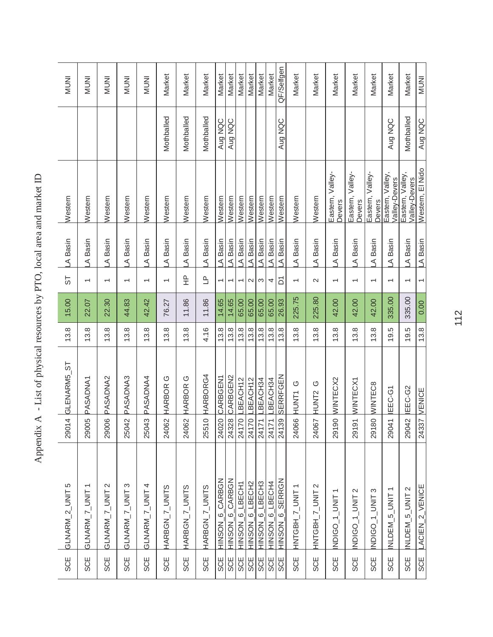| SCE        | GLNARM_2_UNIT5            | $\overline{4}$<br>2901 | GLENARM5_ST      | 13.8 | 15.00  | 55                       | A Basin | Western                           |            | <b>INUM</b>  |
|------------|---------------------------|------------------------|------------------|------|--------|--------------------------|---------|-----------------------------------|------------|--------------|
| SCE        | GLNARM_7_UNIT1            | ഉ<br>2900              | <b>PASADNA1</b>  | 13.8 | 22.07  | $\overline{\phantom{0}}$ | A Basin | Western                           |            | <b>INUNI</b> |
| <b>SCE</b> | GLNARM_7_UNIT 2           | $\overline{Q}$<br>2900 | PASADNA2         | 13.8 | 22.30  | $\overline{\phantom{0}}$ | A Basin | Western                           |            | <b>INUNI</b> |
| SCE        | GLNARM_7_UNIT3            | 25042                  | PASADNA3         | 13.8 | 44.83  | $\overline{\phantom{0}}$ | A Basin | Western                           |            | <b>INUNI</b> |
| SCE        | GLNARM_7_UNIT4            | 25043                  | PASADNA4         | 13.8 | 42.42  | $\overline{\phantom{0}}$ | A Basin | Western                           |            | <b>INUMI</b> |
| SCE        | HARBGN_7_UNITS            | 24062                  | <b>HARBOR G</b>  | 13.8 | 76.27  | $\overline{\phantom{0}}$ | A Basin | Western                           | Mothballed | Market       |
| <b>SCE</b> | HARBGN_7_UNITS            | 24062                  | <b>HARBORG</b>   | 13.8 | 11.86  | 운                        | A Basin | Western                           | Mothballed | Market       |
| SCE        | HARBGN_7_UNITS            | $\circ$<br>2551        | HARBORG4         | 4.16 | 11.86  | $\overline{\mathsf{L}}$  | A Basin | Western                           | Mothballed | Market       |
| <b>SCE</b> | HINSON 6 CARBGN           | 24020                  | <b>CARBGEN1</b>  | 13.8 | 14.65  | $\overline{ }$           | A Basin | Western                           | Aug NQC    | Market       |
| <b>SCE</b> | HINSON 6 CARBGN           | 24328                  | CARBGEN2         | 13.8 | 14.65  | $\overline{\phantom{0}}$ | A Basin | Western                           | Aug NQC    | Market       |
| <b>SCE</b> | HINSON 6_LBECH1           | 24170                  | LBEACH12         | 13.8 | 65.00  | $\overline{ }$           | A Basin | Western                           |            | Market       |
| <b>SCE</b> | HINSON_6_LBECH2           | 24170                  | LBEACH12         | 13.8 | 65.00  | $\mathbf{\Omega}$        | A Basin | Western                           |            | Market       |
| <b>SCE</b> | HINSON 6 LBECH3           | 24171                  | -BEACH34         | 13.8 | 65.00  | S                        | A Basin | Western                           |            | Market       |
| <b>SCE</b> | HINSON 6 LBECH4           | 24171                  | LBEACH34         | 13.8 | 65.00  | 4                        | A Basin | Western                           |            | Market       |
| <b>SCE</b> | HINSON 6 SERRGN           | 24139                  | SERRFGEN         | 13.8 | 26.93  | δ                        | A Basin | Western                           | Aug NQC    | QF/Selfgen   |
| SCE        | HNTGBH_7_UNT1             |                        | O<br>24066 HUNT1 | 13.8 | 225.75 | $\overline{}$            | A Basin | Western                           |            | Market       |
| SCE        | HNTGBH_7_UNIT 2           | 24067                  | HUNT2 G          | 13.8 | 225.80 | $\mathbf{\Omega}$        | A Basin | Western                           |            | Market       |
| <b>SCE</b> | NDIG <sub>0</sub> 1_UNIT1 | 29190                  | WINTECX2         | 13.8 | 42.00  | $\overline{\phantom{0}}$ | A Basin | Eastern, Valley-<br>Devers        |            | Market       |
| <b>SCE</b> | INDIGO_1_UNIT 2           |                        | 29191 WINTECX1   | 13.8 | 42.00  | $\overline{\phantom{0}}$ | A Basin | Eastern, Valley-<br>Devers        |            | Market       |
| <b>SCE</b> | NDIGO_1_UNIT3             | 29180                  | <b>MINTEC8</b>   | 13.8 | 42.00  | $\overline{ }$           | A Basin | Eastern, Valley-<br>Devers        |            | Market       |
| <b>SCE</b> | NLDEM <sub>5_UNIT</sub>   | 29041                  | IEEC-G1          | 19.5 | 335.00 | $\overline{\phantom{0}}$ | A Basin | Eastern, Valley,<br>Valley-Devers | Aug NQC    | Market       |
| <b>SCE</b> | NLDEM_5_UNIT 2            | 29042                  | IEEC-G2          | 19.5 | 335.00 | $\overline{\phantom{0}}$ | A Basin | Eastern, Valley,<br>Valley-Devers | Mothballed | Market       |
| <b>SCE</b> | LACIEN_2_VENICE           |                        | 24337 VENICE     | 13.8 | 0.00   | $\overline{\phantom{0}}$ | A Basin | Western, El Nido                  | Aug NQC    | <b>INUNI</b> |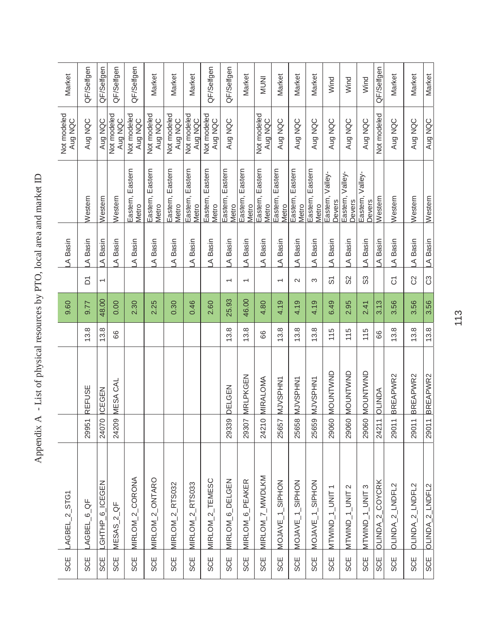| Market                 | QF/Selfgen            | QF/Selfgen     | QF/Selfgen             | QF/Selfgen                | Market                    | Market                    | Market                    | QF/Selfgen                | QF/Selfgen                 | Market                       | <b>INUNI</b>              | Market                    | Market                    | Market                    | Wind                       | Wind                       | Wind                       | QF/Selfgen                       | Market                 | Market          | Market               |
|------------------------|-----------------------|----------------|------------------------|---------------------------|---------------------------|---------------------------|---------------------------|---------------------------|----------------------------|------------------------------|---------------------------|---------------------------|---------------------------|---------------------------|----------------------------|----------------------------|----------------------------|----------------------------------|------------------------|-----------------|----------------------|
| Not modeled<br>Aug NQC | Aug NQC               | Aug NQC        | Not modeled<br>Aug NQC | Not modeled<br>Aug NQC    | Not modeled<br>Aug NQC    | Not modeled<br>Aug NQC    | Not modeled<br>Aug NQC    | Not modeled<br>Aug NQC    | Aug NQC                    |                              | Not modeled<br>Aug NQC    | Aug NQC                   | Aug NQC                   | Aug NQC                   | Aug NQC                    | Aug NQC                    | Aug NQC                    | Not modeled                      | Aug NQC                | Aug NQC         | Aug NQC              |
|                        | <b>Nestern</b>        | Western        | Western                | Eastern, Eastern<br>Metro | Eastern, Eastern<br>Metro | Eastern, Eastern<br>Metro | Eastern, Eastern<br>Metro | Eastern, Eastern<br>Metro | Eastern, Eastern<br>Metro  | Eastern<br>Eastern,<br>Metro | Eastern, Eastern<br>Metro | Eastern, Eastern<br>Metro | Eastern, Eastern<br>Metro | Eastern, Eastern<br>Metro | Eastern, Valley-<br>Devers | Eastern, Valley-<br>Devers | Eastern, Valley-<br>Devers | Western                          | Western                | Western         | Western              |
| A Basin                | A Basin               | A Basin        | Basin<br>⋖             | A Basin                   | A Basin                   | Basin<br>⋖                | A Basin                   | A Basin                   | A Basin                    | A Basin                      | Basin<br>⋖                | A Basin                   | Basin<br>⋖                | A Basin                   | A Basin                    | A Basin                    | Basin<br>⋖                 | A Basin                          | Basin<br>⋖             | Basin<br>⋖      | A Basin              |
|                        | δ                     | T              |                        |                           |                           |                           |                           |                           | $\overline{\phantom{0}}$   | $\overline{ }$               |                           | $\overline{\phantom{0}}$  | $\sim$                    | S                         | <u>ှ</u>                   | SS                         | ွာ                         |                                  | δ                      | S               | C3                   |
| 9.60                   | 9.77                  | 48.00          | 0.00                   | 2.30                      | 2.25                      | 0.30                      | 0.46                      | 2.60                      | 25.93                      | 46.00                        | 4.80                      | 4.19                      | 4.19                      | 4.19                      | 6.49                       | 2.95                       | 2.41                       | 3.13                             | 3.56                   | 3.56            | 3.56                 |
|                        | 13.8                  | 13.8           | 89                     |                           |                           |                           |                           |                           | 13.8                       | 13.8                         | 89                        | 13.8                      | 13.8                      | 13.8                      | 115                        | 115                        | 115                        | 86                               | 13.8                   | 13.8            | 13.8                 |
|                        | REFUSE                | ICEGEN         | MESA CAL               |                           |                           |                           |                           |                           | DELGEN                     | MRLPKGEN                     | MIRALOMA                  | MJVSPHN1                  | MJVSPHN1                  | MJVSPHN1                  | NOUNTWAD                   | <b>NOUNTVVND</b>           | <b>NOUNTVVID</b>           | <b>AGNITO</b>                    | BREAPWR2               | BREAPWR2        | BREAPWR2             |
|                        | 29951                 | 24070          | 24209                  |                           |                           |                           |                           |                           | 29339                      | 29307                        | $\circ$<br>2421           | 25657                     | 25658                     | 25659                     | 29060                      | 29060                      | 29060                      | $\overline{\phantom{0}}$<br>2421 | $\overline{ }$<br>2901 | 2901            | $\leftarrow$<br>2901 |
| LAGBEL_2_STG1          | AGBEL <sub>6</sub> QF | GHTHP 6_ICEGEN | $MESAS_2_QCF$          | MIRLOM_2_CORONA           | MIRLOM_2_ONTARO           | MIRLOM_2_RTS032           | MIRLOM_2_RTS033           | MIRLOM_2_TEMESC           | MIRLOM <sub>6</sub> DELGEN | MIRLOM <sub>_6_PEAKER</sub>  | MIRLOM_7_MWDLKM           | MOJAVE_1_SIPHON           | MOJAVE_1_SIPHON           | MOJAVE_1_SIPHON           | NTWU_1_UNIT1               | MTWIND_1_UNIT 2            | MTWIND_1_UNIT3             | OLINDA_2_COYCRK                  | OLINDA_2_LNDFL2        | OLINDA_2_LNDFL2 | OLINDA_2_LNDFL2      |
| <b>SCE</b>             | <b>SCE</b>            | <b>SCE</b>     | <b>SCE</b>             | <b>SCE</b>                | <b>SCE</b>                | <b>SCE</b>                | <b>SCE</b>                | <b>SCE</b>                | <b>SCE</b>                 | <b>SCE</b>                   | <b>SCE</b>                | <b>SCE</b>                | SCE                       | <b>SCE</b>                | <b>SCE</b>                 | <b>SCE</b>                 | <b>SCE</b>                 | <b>SCE</b>                       | <b>SCE</b>             | <b>SCE</b>      | <b>SCE</b>           |
|                        |                       |                |                        |                           |                           |                           |                           |                           |                            |                              |                           |                           |                           |                           |                            |                            |                            |                                  |                        |                 |                      |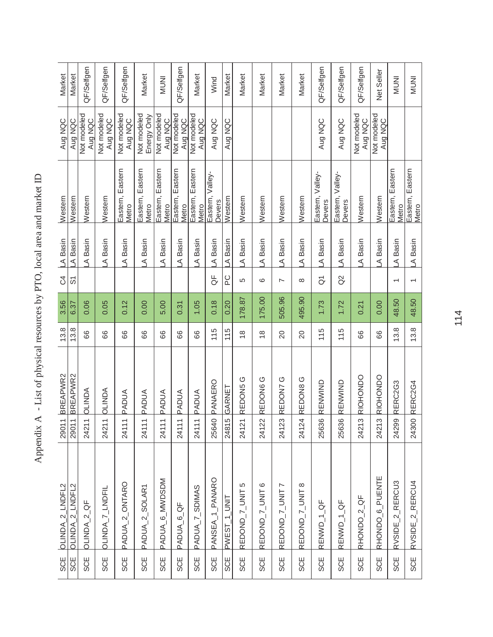| A Basin<br>A Basin<br><b>S</b><br>တ်<br>3.56<br>6.37<br>13.8<br>13.8<br>BREAPWR2<br>BREAPWR2 |
|----------------------------------------------------------------------------------------------|
| 0.06<br>66                                                                                   |
| 0.05<br>88                                                                                   |
| 0.12<br>88                                                                                   |
| 0.00<br>66                                                                                   |
| 5.00<br>88                                                                                   |
| 0.31<br>66                                                                                   |
| 1.05<br>88                                                                                   |
| 0.18<br>115                                                                                  |
| 0.20<br>115                                                                                  |
| 178.87<br>$\frac{8}{1}$<br>REDON5 <sub>G</sub>                                               |
| 175.00<br>$\frac{8}{1}$<br>REDON6 G                                                          |
| 505.96<br>20<br>REDON7 G                                                                     |
| 495.90<br>$\overline{0}$<br>REDON8 <sub>G</sub>                                              |
| 1.73<br>115                                                                                  |
| 1.72<br>115                                                                                  |
| 0.21<br>89<br>RIOHONDO                                                                       |
| 0.00<br>66<br>RIOHONDO                                                                       |
| 48.50<br>13.8                                                                                |
| 48.50<br>13.8                                                                                |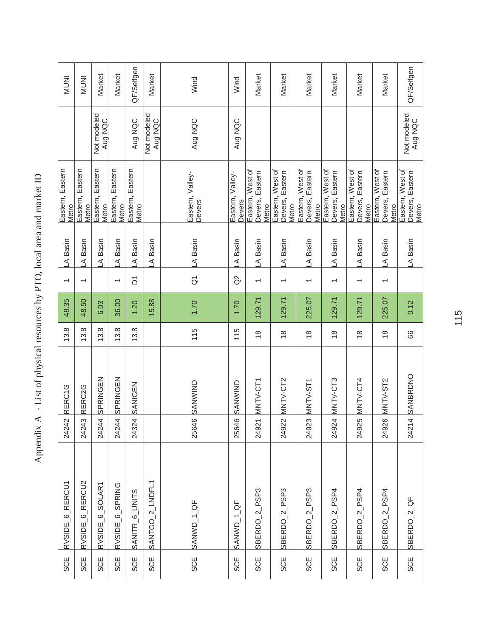| .<br><br>     |
|---------------|
|               |
|               |
| i             |
|               |
| $\zeta$       |
|               |
|               |
|               |
|               |
|               |
|               |
|               |
|               |
| I             |
|               |
|               |
|               |
| $\vdots$      |
| ١<br>ا<br>l   |
| )<br>)        |
|               |
| $\frac{1}{2}$ |
| I             |
| į             |
|               |
| ì<br>I        |
| l             |

| <b>INUMI</b>               | <b>INUNI</b>                 | Market                    | Market                    | QF/Selfgen                | Market                 | Wind                       | Wind                       | Market                                       | Market                                       | Market                                       | Market                                       | Market                                       | Market                                       | QF/Selfgen                          |
|----------------------------|------------------------------|---------------------------|---------------------------|---------------------------|------------------------|----------------------------|----------------------------|----------------------------------------------|----------------------------------------------|----------------------------------------------|----------------------------------------------|----------------------------------------------|----------------------------------------------|-------------------------------------|
|                            |                              | Not modeled<br>Aug NQC    |                           | Aug NQC                   | Not modeled<br>Aug NQC | Aug NQC                    | Aug NQC                    |                                              |                                              |                                              |                                              |                                              |                                              | Not modeled                         |
| Eastern, Eastern<br>Metro  | Eastern, Eastern<br>Metro    | Eastern, Eastern<br>Metro | Eastern, Eastern<br>Metro | Eastern, Eastern<br>Metro |                        | Eastern, Valley-<br>Devers | Eastern, Valley-<br>Devers | Eastern, West of<br>Devers, Eastern<br>Metro | Eastern, West of<br>Devers, Eastern<br>Metro | Eastern, West of<br>Devers, Eastern<br>Metro | Eastern, West of<br>Devers, Eastern<br>Metro | Eastern, West of<br>Devers, Eastern<br>Metro | Eastern, West of<br>Devers, Eastern<br>Metro | Eastern, West of<br>Devers, Eastern |
| LA Basin                   | A Basin                      | A Basin                   | A Basin                   | A Basin                   | A Basin                | A Basin                    | A Basin                    | A Basin                                      | A Basin                                      | A Basin                                      | A Basin                                      | A Basin                                      | A Basin                                      | A Basin                             |
| $\overline{\phantom{0}}$   | $\overline{\phantom{0}}$     |                           | $\overline{\phantom{0}}$  | δ                         |                        | $\overline{G}$             | $\alpha$                   | $\overline{\phantom{0}}$                     | $\overline{\phantom{0}}$                     | $\overline{\phantom{0}}$                     | $\overline{\phantom{0}}$                     | $\overline{}$                                | $\overline{\phantom{0}}$                     |                                     |
| 48.35                      | 48.50                        | 6.03                      | 36.00                     | 1.20                      | 15.88                  | 1.70                       | 1.70                       | 129.71                                       | 129.71                                       | 225.07                                       | 129.71                                       | 129.71                                       | 225.07                                       | 0.12                                |
| 13.8                       | 13.8                         | 13.8                      | 13.8                      | 13.8                      |                        | 115                        | 115                        | $\frac{8}{1}$                                | $\frac{8}{1}$                                | $\frac{8}{1}$                                | $\frac{8}{1}$                                | $\frac{8}{1}$                                | $\frac{8}{1}$                                | 86                                  |
| RERC1G                     | RERC2G                       | SPRINGEN                  | SPRINGEN                  | <b>SANIGEN</b>            |                        | SANWIND                    | <b>SANWIND</b>             | MNTV-CT1                                     | 24922 MNTV-CT2                               | MNTV-ST1                                     | MNTV-CT3                                     | MNTV-CT4                                     | MNTV-ST2                                     | SANBRDNO                            |
| 24242                      | 24243                        | 24244                     | 24244                     | 24324                     |                        | 25646                      | 25646                      | 24921                                        |                                              | 24923                                        | 24924                                        | 24925                                        | 24926                                        | $\downarrow$<br>2421.               |
| RVSIDE <sub>6</sub> RERCU1 | RVSIDE <sub>-6</sub> _RERCU2 | RVSIDE_6_SOLAR1           | RVSIDE_6_SPRING           | SANITR_6_UNITS            | SANTGO_2_LNDFL1        | SANWD_1_QF                 | SANWD_1_QF                 | SBERDO <sub>-2</sub> PSP3                    | SBERDO <sub>_2</sub> _PSP3                   | SBERDO_2_PSP3                                | PSP4<br>SBERDO <sub>_2</sub>                 | SBERDO_2_PSP4                                | PSP4<br>SBERDO <sub>2</sub>                  | SBERDO <sub>-2</sub> QF             |
| <b>SCE</b>                 | <b>SCE</b>                   | <b>SCE</b>                | <b>SCE</b>                | <b>SCE</b>                | <b>SCE</b>             | <b>SCE</b>                 | <b>SCE</b>                 | <b>SCE</b>                                   | <b>SCE</b>                                   | <b>SCE</b>                                   | <b>SCE</b>                                   | SCE                                          | <b>SCE</b>                                   | <b>SCE</b>                          |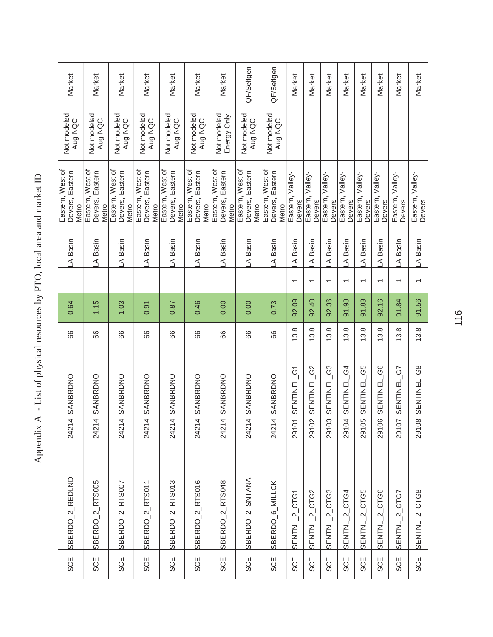| <b>SCE</b> | SBERDO 2 REDLND              | 4<br>2421                       | SANBRDNO                   | 89   | 0.64  |                          | A Basin | Eastern, West of<br>Devers, Eastern<br>Metro    | Not modeled<br>Aug NQC     | Market     |
|------------|------------------------------|---------------------------------|----------------------------|------|-------|--------------------------|---------|-------------------------------------------------|----------------------------|------------|
| <b>SCE</b> | SBERDO <sub>-2</sub> RTS005  | 24214                           | SANBRDNO                   | 89   | 1.15  |                          | A Basin | Eastern, West of<br>Devers, Eastern<br>Metro    | Not modeled<br>Aug NQC     | Market     |
| <b>SCE</b> | SBERDO <sub>_2_R</sub> TS007 | 4<br>2421                       | SANBRDNO                   | 88   | 1.03  |                          | A Basin | Eastern, West of<br>Devers, Eastern<br>Metro    | Not modeled<br>Aug NQC     | Market     |
| <b>SCE</b> | SBERDO <sub>-2</sub> RTS011  | 24214                           | SANBRDNO                   | 89   | 0.91  |                          | A Basin | Eastern, West of<br>Devers, Eastern<br>Metro    | Not modeled<br>Aug NQC     | Market     |
| <b>SCE</b> | $SERDO_2$ <sub>RTS013</sub>  | 24214                           | SANBRDNO                   | 88   | 0.87  |                          | A Basin | Eastern, West of<br>Devers, Eastern<br>Metro    | Not modeled<br>Aug NQC     | Market     |
| <b>SCE</b> | SBERDO <sub>_2</sub> _RTS016 | 24214                           | SANBRDNO                   | 89   | 0.46  |                          | A Basin | Eastern, West of<br>Devers, Eastern<br>Metro    | Not modeled<br>Aug NQC     | Market     |
| <b>SCE</b> | SBERDO_2_RTS048              | $\overline{a}$<br>2421          | SANBRDNO                   | 89   | 0.00  |                          | A Basin | Eastern, West of<br>Devers, Eastern<br>Metro    | Not modeled<br>Energy Only | Market     |
| <b>SCE</b> | SBERDO <sub>2</sub> SNTANA   | 4<br>2421                       | SANBRDNO                   | 89   | 0.00  |                          | A Basin | Eastern, West of<br>Eastern<br>Devers,<br>Metro | Not modeled<br>Aug NQC     | QF/Selfgen |
| <b>SCE</b> | SBERDO <sub>_6</sub> _MILLCK | 4<br>2421                       | SANBRDNO                   | 89   | 0.73  |                          | A Basin | Eastern, West of<br>Devers, Eastern<br>Metro    | Not modeled<br>Aug NQC     | QF/Selfgen |
| <b>SCE</b> | SENTNL_2_CTG1                | 29101                           | SENTINEL_G1                | 13.8 | 92.09 | $\overline{\phantom{0}}$ | A Basin | Eastern, Valley-<br>Devers                      |                            | Market     |
| <b>SCE</b> | SENTNL_2_CTG2                | $\overline{\mathsf{C}}$<br>2910 | G <sub>2</sub><br>SENTINEL | 13.8 | 92.40 | $\overline{ }$           | A Basin | Eastern, Valley-<br>Devers                      |                            | Market     |
| <b>SCE</b> | $2$ CTG3<br>SENTNL           | ღ<br>2910                       | G3<br>SENTINEL             | 13.8 | 92.36 | $\overline{\phantom{0}}$ | A Basin | Eastern, Valley-<br>Devers                      |                            | Market     |
| SCE        | SENTNL_2_CTG4                | 29104                           | SENTINEL G4                | 13.8 | 91.98 | $\overline{ }$           | A Basin | Eastern, Valley-<br>Devers                      |                            | Market     |
| <b>SCE</b> | SENTNL_2_CTG5                | φ<br>2910                       | G5<br>SENTINEL             | 13.8 | 91.83 | $\overline{\phantom{0}}$ | A Basin | Eastern, Valley-<br>Devers                      |                            | Market     |
| <b>SCE</b> | $2$ CTG6<br>SENTNL           | $\mathbf{Q}$<br>2910            | G6<br>SENTINEL             | 13.8 | 92.16 | $\overline{\phantom{0}}$ | A Basin | Eastern, Valley-<br>Devers                      |                            | Market     |
| <b>SCE</b> | $2$ CTG7<br>SENTNL           | 29107                           | G7<br><b>SENTINEL</b>      | 13.8 | 91.84 | $\overline{ }$           | A Basin | Eastern, Valley-<br>Devers                      |                            | Market     |
| <b>SCE</b> | SENTNL_2_CTG8                | 29108                           | SENTINEL_G8                | 13.8 | 91.56 |                          | A Basin | Eastern, Valley-<br>Devers                      |                            | Market     |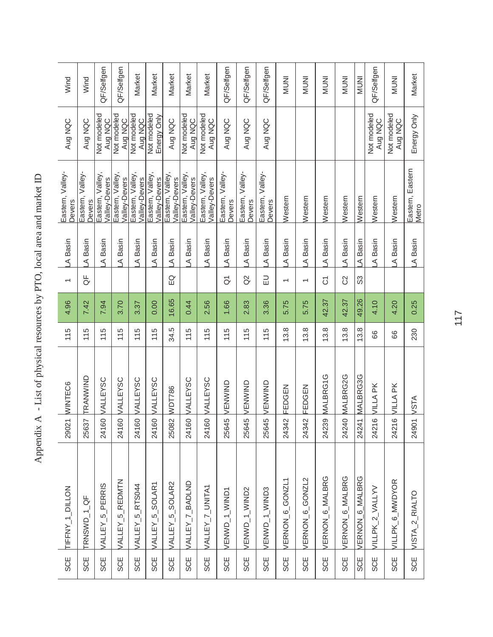| SCE         | TIFFNY_1_DILLON             |                               | 29021 WINTEC6   | 115  | 4.96  | $\overline{\phantom{0}}$ | A Basin | Eastern, Valley-<br>Devers        | Aug NQC                    | Wind         |
|-------------|-----------------------------|-------------------------------|-----------------|------|-------|--------------------------|---------|-----------------------------------|----------------------------|--------------|
| <b>SCE</b>  | TRNSWD_1_QF                 | 25637                         | TRANWIND        | 115  | 7.42  | ₩                        | A Basin | Eastern, Valley-<br>Devers        | Aug NQC                    | Wind         |
| <b>SCE</b>  | VALLEY_5_PERRIS             | 24160                         | VALLEYSC        | 115  | 7.94  |                          | A Basin | Eastern, Valley,<br>Valley-Devers | Not modeled<br>Aug NQC     | QF/Selfgen   |
| <b>SCE</b>  | VALLEY_5_REDMTN             | 24160                         | <b>VALLEYSC</b> | 115  | 3.70  |                          | A Basin | Eastern, Valley<br>Valley-Devers  | Not modeled<br>Aug NQC     | QF/Selfgen   |
| <b>ASCE</b> | VALLEY_5_RTS044             |                               | 24160 VALLEYSC  | 115  | 3.37  |                          | A Basin | Eastern, Valley,<br>Valley-Devers | Not modeled<br>Aug NQC     | Market       |
| SCE         | VALLEY_5_SOLAR1             | 24160                         | VALLEYSC        | 115  | 0.00  |                          | A Basin | Eastern, Valley,<br>Valley-Devers | Not modeled<br>Energy Only | Market       |
| <b>SCE</b>  | VALLEY_5_SOLAR2             | $\tilde{\mathcal{C}}$<br>2508 | WDT786          | 34.5 | 16.65 | EQ                       | A Basin | Eastern, Valley,<br>Valley-Devers | Aug NQC                    | Market       |
| <b>SCE</b>  | VALLEY_7_BADLND             | 24160                         | VALLEYSC        | 115  | 0.44  |                          | A Basin | Eastern, Valley,<br>Valley-Devers | Not modeled<br>Aug NQC     | Market       |
| <b>SCE</b>  | VALLEY_7_UNITA1             | 24160                         | <b>VALLEYSC</b> | 115  | 2.56  |                          | A Basin | Eastern, Valley,<br>Valley-Devers | Not modeled<br>Aug NQC     | Market       |
| <b>SCE</b>  | VENWD_1_WIND1               | $\overline{6}$<br>2564        | VENWIND         | 115  | 1.66  | $\overline{\sigma}$      | A Basin | Eastern, Valley-<br>Devers        | Aug NQC                    | QF/Selfgen   |
| <b>SCE</b>  | VENWD_1_WIND2               | $\overline{6}$<br>2564        | VENWIND         | 115  | 2.83  | $\overline{a}$           | A Basin | Eastern, Valley-<br>Devers        | Aug NQC                    | QF/Selfgen   |
| <b>SCE</b>  | VENWD_1_WIND3               | $\overline{6}$<br>2564        | VENWIND         | 115  | 3.36  | $\Xi$                    | A Basin | Eastern, Valley-<br>Devers        | Aug NQC                    | QF/Selfgen   |
| <b>SCE</b>  | VERNON <sub>_6_GONZL1</sub> | 24342                         | FEDGEN          | 13.8 | 5.75  | $\overline{ }$           | A Basin | Western                           |                            | <b>INUNI</b> |
| <b>SCE</b>  | VERNON_6_GONZL2             | $\bar{a}$<br>2434             | FEDGEN          | 13.8 | 5.75  | $\overline{ }$           | A Basin | Western                           |                            | <b>INUNI</b> |
| <b>SCE</b>  | VERNON 6_MALBRG             | 24239                         | MALBRG1G        | 13.8 | 42.37 | δ                        | A Basin | Western                           |                            | <b>INUNI</b> |
| <b>SCE</b>  | VERNON 6_MALBRG             | 24240                         | MALBRG2G        | 13.8 | 42.37 | 8                        | A Basin | Western                           |                            | <b>INUNI</b> |
| <b>SCE</b>  | VERNON 6 MALBRG             | 24241                         | MALBRG3G        | 13.8 | 49.26 | ွိ                       | A Basin | Western                           |                            | <b>INUNI</b> |
| SCE         | VILLPK_2_VALLYV             | $\circ$<br>2421               | VILLA PK        | 88   | 4.10  |                          | A Basin | Western                           | Not modeled<br>Aug NQC     | QF/Selfgen   |
| <b>SCE</b>  | VILLPK_6_MWDYOR             | $\circ$<br>2421               | VILLA PK        | 89   | 4.20  |                          | A Basin | Western                           | Not modeled<br>Aug NQC     | <b>INUNI</b> |
| <b>SCE</b>  | VISTA_2_RIALTO              | 24901                         | VSTA            | 230  | 0.25  |                          | A Basin | Eastern, Eastern<br>Metro         | Energy Only                | Market       |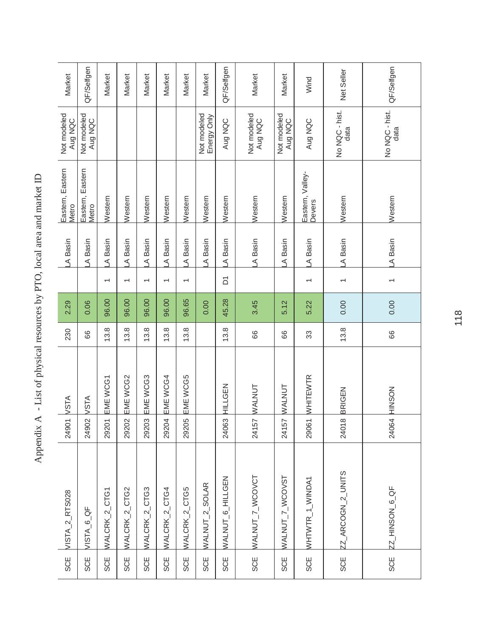| Market                    | QF/Selfgen                | Market         | Market                   | Market                   | Market                   | Market                   | Market                     | QF/Selfgen       | Market                 | Market                 | Wind                       | Net Seller               | QF/Selfgen             |
|---------------------------|---------------------------|----------------|--------------------------|--------------------------|--------------------------|--------------------------|----------------------------|------------------|------------------------|------------------------|----------------------------|--------------------------|------------------------|
| Not modeled<br>Aug NQC    | Not modeled<br>Aug NQC    |                |                          |                          |                          |                          | Not modeled<br>Energy Only | Aug NQC          | Not modeled<br>Aug NQC | Not modeled<br>Aug NQC | Aug NQC                    | No NQC - hist.<br>data   | No NQC - hist.<br>data |
| Eastern, Eastern<br>Metro | Eastern, Eastern<br>Metro | Western        | Western                  | Western                  | Western                  | Western                  | Western                    | Western          | Western                | Western                | Eastern, Valley-<br>Devers | Western                  | Western                |
| A Basin                   | A Basin                   | A Basin        | A Basin                  | A Basin                  | A Basin                  | A Basin                  | A Basin                    | A Basin          | A Basin                | A Basin                | A Basin                    | A Basin                  | A Basin                |
|                           |                           | $\overline{ }$ | $\overline{\phantom{0}}$ | $\overline{\phantom{0}}$ | $\overline{\phantom{0}}$ | $\overline{\phantom{0}}$ |                            | δ                |                        |                        | $\overline{\phantom{0}}$   | $\overline{\phantom{0}}$ | $\overline{}$          |
| 2.29                      | 0.06                      | 96.00          | 96.00                    | 96.00                    | 96.00                    | 96.65                    | 0.00                       | 45.28            | 3.45                   | 5.12                   | 5.22                       | 0.00                     | 0.00                   |
| 230                       | 89                        | 13.8           | 13.8                     | 13.8                     | 13.8                     | 13.8                     |                            | 13.8             | 89                     | 89                     | 33                         | 13.8                     | 66                     |
| <b>NSTA</b>               | <b>VSTA</b>               | EME WCG1       | EME WCG2                 | EME WCG3                 | EME WCG4                 | EME WCG5                 |                            | HILLGEN          | WALNUT                 | WALNUT                 | WHITEWTR                   | BRIGEN                   | <b>NOSOIH</b>          |
| 24901                     | 24902                     | 29201          | 29202                    | 29203                    | 29204                    | 29205                    |                            | 24063            | 24157                  | 24157                  | 29061                      | $\infty$<br>2401         | 24064                  |
| VISTA_2_RTS028            | VISTA_6_QF                | WALCRK_2_CTG1  | WALCRK_2_CTG2            | WALCRK_2_CTG3            | WALCRK_2_CTG4            | WALCRK_2_CTG5            | WALNUT_2_SOLAR             | WALNUT_6_HILLGEN | WALNUT_7_WCOVCT        | WALNUT_7_WCOVST        | WHTWTR_1_WINDA1            | ZZ_ARCOGN_2_UNITS        | ZZ_HINSON_6_QF         |
| SCE                       | <b>SCE</b>                | <b>SCE</b>     | <b>SCE</b>               | <b>SCE</b>               | <b>SCE</b>               | <b>SCE</b>               | <b>SCE</b>                 | <b>SCE</b>       | <b>SCE</b>             | <b>SCE</b>             | <b>SCE</b>                 | <b>SCE</b>               | <b>SCE</b>             |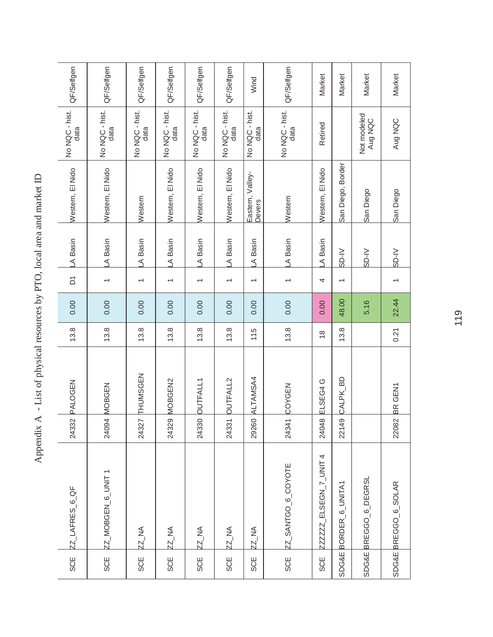| QF/Selfgen             | QF/Selfgen               | QF/Selfgen               | QF/Selfgen               | QF/Selfgen               | QF/Selfgen             | Wind                       | QF/Selfgen             | Market               | Market                       | Market                 | Market               |
|------------------------|--------------------------|--------------------------|--------------------------|--------------------------|------------------------|----------------------------|------------------------|----------------------|------------------------------|------------------------|----------------------|
| No NQC - hist.<br>data | No NQC - hist.<br>data   | No NQC - hist.<br>data   | No NQC - hist.<br>data   | No NQC - hist.<br>data   | No NQC - hist.<br>data | No NQC - hist.<br>data     | No NQC - hist.<br>data | Retired              |                              | Not modeled<br>Aug NQC | Aug NQC              |
| Western, El Nido       | Western, El Nido         | Western                  | Western, El Nido         | Western, El Nido         | Western, El Nido       | Eastern, Valley-<br>Devers | Western                | Western, El Nido     | San Diego, Border            | San Diego              | San Diego            |
| A Basin                | A Basin                  | A Basin                  | A Basin                  | A Basin                  | A Basin                | A Basin                    | A Basin                | A Basin              | SD-IV                        | SD-IV                  | SD-IV                |
| $\overline{\Delta}$    | $\overline{\phantom{0}}$ | $\overline{\phantom{0}}$ | $\overline{\phantom{0}}$ | $\overline{\phantom{0}}$ |                        | $\overline{\phantom{0}}$   | $\overline{}$          | 4                    | $\overline{}$                |                        | $\overline{ }$       |
| 0.00                   | 0.00                     | 0.00                     | 0.00                     | 0.00                     | 0.00                   | 0.00                       | 0.00                   | 0.00                 | 48.00                        | 5.16                   | 22.44                |
| 13.8                   | 13.8                     | 13.8                     | 13.8                     | 13.8                     | 13.8                   | 115                        | 13.8                   | $\frac{8}{1}$        | 13.8                         |                        | 0.21                 |
| PALOGEN                | <b>MOBGEN</b>            | THUMSGEN                 | MOBGEN2                  | <b>OUTFALL1</b>          | OUTFALL2               | ALTAMSA4                   | COYGEN                 | ELSEG4 G             | 6<br><b>CALPK</b>            |                        | BR GEN1              |
| 24332                  | 24094                    | 24327                    | 24329                    | 24330                    | 24331                  | 29260                      | 24341                  | 24048                | 22149                        |                        | 22082                |
| ZZ_LAFRES_6_QF         | ZZ_MOBGEN_6_UNIT1        | ZZ_NA                    | <b>ZZ_NA</b>             | <b>ZZ_NA</b>             | <b>ZZ_NA</b>           | <b>ZZ_NA</b>               | ZZ_SANTGO_6_COYOTE     | ZZZZZ_ELSEGN_7_UNIT4 | BORDER <sub>_6</sub> _UNITA1 | SDG&E BREGGO 6 DEGRSL  | SDG&E BREGGO_6_SOLAR |
| <b>SCE</b>             | <b>SCE</b>               | <b>SCE</b>               | <b>SCE</b>               | <b>SCE</b>               | SCE                    | SCE                        | <b>SCE</b>             | <b>SCE</b>           | <b>SDG&amp;E</b>             |                        |                      |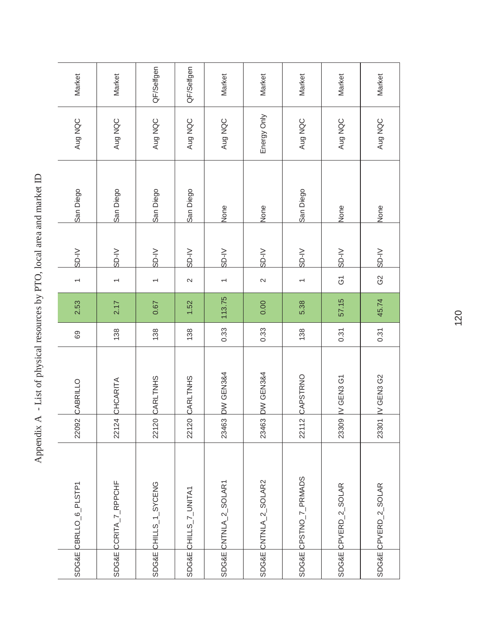| SDG&E CBRLLO_6_PLSTP1 | 22092 | CABRILLO             | 69   | 2.53   | $\overline{\phantom{0}}$ | SD-IV | San Diego | Aug NQC     | Market     |
|-----------------------|-------|----------------------|------|--------|--------------------------|-------|-----------|-------------|------------|
| SDG&E CCRITA_7_RPPCHF | 22124 | CHCARITA             | 138  | 2.17   | $\overline{\phantom{0}}$ | SD-IV | San Diego | Aug NQC     | Market     |
| SDG&E CHILLS_1_SYCENG | 22120 | CARLTNHS             | 138  | 0.67   | $\overline{\phantom{0}}$ | SD-IV | San Diego | Aug NQC     | QF/Selfgen |
| SDG&E CHILLS_7_UNITA1 | 22120 | CARLTNHS             | 138  | 1.52   | $\sim$                   | SD-IV | San Diego | Aug NQC     | QF/Selfgen |
| SDG&E CNTNLA_2_SOLAR1 | 23463 | <b>DW GEN3&amp;4</b> | 0.33 | 113.75 | $\overline{\phantom{0}}$ | SD-IV | None      | Aug NQC     | Market     |
| SDG&E CNTNLA_2_SOLAR2 | 23463 | DW GEN3&4            | 0.33 | 0.00   | $\mathbf{\Omega}$        | SD-IV | None      | Energy Only | Market     |
| SDG&E CPSTNO_7_PRMADS | 22112 | CAPSTRNO             | 138  | 5.38   | $\overline{\phantom{0}}$ | SD-IV | San Diego | Aug NQC     | Market     |
| SDG&E CPVERD_2_SOLAR  | 23309 | IV GEN3 G1           | 0.31 | 57.15  | $\rm \overline{G}$       | SD-IV | None      | Aug NQC     | Market     |
| SDG&E CPVERD_2_SOLAR  | 23301 | IV GEN3 G2           | 0.31 | 45.74  | G2                       | SD-IV | None      | Aug NQC     | Market     |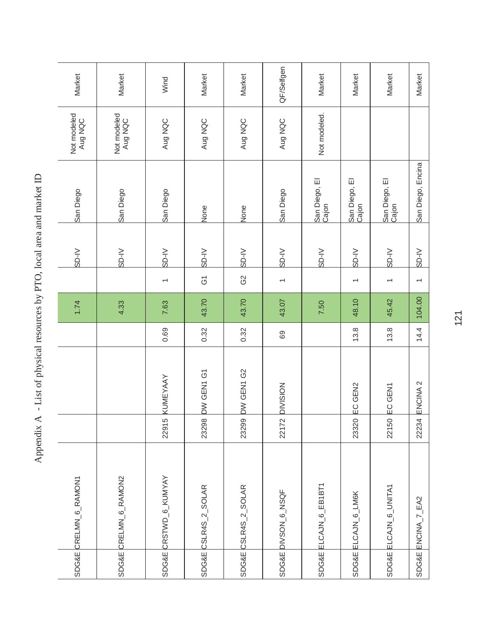| SDG&E CRELMN_6_RAMON1 |           |                     |      | 1.74   |                          | SD-IV | San Diego              | Not modeled<br>Aug NQC | Market     |
|-----------------------|-----------|---------------------|------|--------|--------------------------|-------|------------------------|------------------------|------------|
| SDG&E CRELMN_6_RAMON2 |           |                     |      | 4.33   |                          | SD-IV | San Diego              | Not modeled<br>Aug NQC | Market     |
| SDG&E CRSTWD_6_KUMYAY | မ<br>2291 | KUMEYAAY            | 0.69 | 7.63   | $\overline{\phantom{0}}$ | SD-IV | San Diego              | Aug NQC                | Wind       |
| SDG&E CSLR4S_2_SOLAR  | 23298     | DW GEN1 G1          | 0.32 | 43.70  | $\overline{G}$           | SD-IV | None                   | Aug NQC                | Market     |
| SDG&E CSLR4S_2_SOLAR  | 23299     | DW GEN1 G2          | 0.32 | 43.70  | G2                       | SD-IV | None                   | Aug NQC                | Market     |
| SDG&E DIVSON_6_NSQF   | 22172     | <b>DIVISION</b>     | 69   | 43.07  | $\overline{ }$           | SD-IV | San Diego              | Aug NQC                | QF/Selfgen |
| SDG&E ELCAJN_6_EB1BT1 |           |                     |      | 7.50   |                          | SD-IV | San Diego, El<br>Cajon | Not modeled.           | Market     |
| SDG&E ELCAJN_6_LM6K   | 23320     | EC GEN2             | 13.8 | 48.10  |                          | SD-IV | San Diego, El<br>Cajon |                        | Market     |
| SDG&E ELCAJN_6_UNITA1 | 22150     | EC GEN1             | 13.8 | 45.42  | $\overline{\phantom{0}}$ | SD-IV | San Diego, El<br>Cajon |                        | Market     |
| SDG&E ENCINA_7_EA2    | 22234     | ENCINA <sub>2</sub> | 14.4 | 104.00 | $\overline{\phantom{0}}$ | SD-IV | San Diego, Encina      |                        | Market     |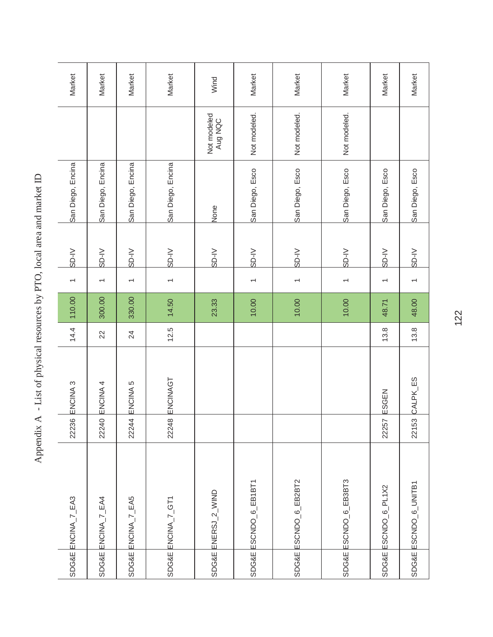| SDG&E ENCINA_7_EA3                | 22236 | ENCINA <sub>3</sub> | 14.4 | 110.00 | $\overline{\phantom{0}}$ | SD-IV | San Diego, Encina |                        | Market |
|-----------------------------------|-------|---------------------|------|--------|--------------------------|-------|-------------------|------------------------|--------|
| SDG&E ENCINA_7_EA4                | 22240 | ENCINA 4            | 22   | 300.00 | $\overline{\phantom{0}}$ | SD-IV | San Diego, Encina |                        | Market |
| SDG&E ENCINA_7_EA5                | 22244 | ENCINA <sub>5</sub> | 24   | 330.00 | $\overline{}$            | SD-IV | San Diego, Encina |                        | Market |
| SDG&E ENCINA_7_GT1                | 22248 | ENCINAGT            | 12.5 | 14.50  | $\overline{}$            | SD-IV | San Diego, Encina |                        | Market |
| SDG&E ENERSJ_2_WIND               |       |                     |      | 23.33  |                          | SD-IV | None              | Not modeled<br>Aug NQC | Wind   |
| SDG&E ESCNDO_6_EB1BT1             |       |                     |      | 10.00  | $\overline{\phantom{0}}$ | SD-IV | San Diego, Esco   | Not modeled.           | Market |
| SDG&E ESCNDO_6_EB2BT2             |       |                     |      | 10.00  | $\overline{\phantom{0}}$ | SD-IV | San Diego, Esco   | Not modeled.           | Market |
| SDG&E ESCNDO_6_EB3BT3             |       |                     |      | 10.00  | $\overline{\phantom{0}}$ | SD-IV | San Diego, Esco   | Not modeled.           | Market |
| SDG&E ESCNDO <sub>_6</sub> _PL1X2 | 22257 | ESGEN               | 13.8 | 48.71  | $\overline{\phantom{0}}$ | SD-IV | San Diego, Esco   |                        | Market |
| SDG&E ESCNDO_6_UNITB1             |       | 22153 CALPK_ES      | 13.8 | 48.00  | $\overline{\phantom{0}}$ | SD-IV | San Diego, Esco   |                        | Market |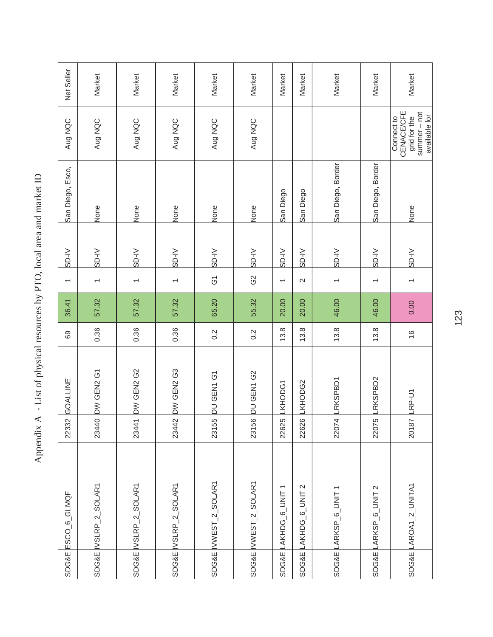|                  | SDG&E ESCO_6_GLMQF                          | 22332      | GOALLINE      | 69               | 36.41 | $\overline{\phantom{0}}$ | SD-IV  | San Diego, Esco,  | Aug NQC                                                                        | Net Seller |
|------------------|---------------------------------------------|------------|---------------|------------------|-------|--------------------------|--------|-------------------|--------------------------------------------------------------------------------|------------|
|                  | SDG&E IVSLRP_2_SOLAR1                       | 23440      | DW GEN2 G1    | 0.36             | 57.32 | $\overline{\phantom{0}}$ | SD-IV  | None              | Aug NQC                                                                        | Market     |
|                  | SDG&E VSLRP_2_SOLAR1                        | 23441      | DW GEN2 G2    | 0.36             | 57.32 | $\overline{\phantom{0}}$ | SD-IV  | None              | Aug NQC                                                                        | Market     |
|                  | SDG&E VSLRP_2_SOLAR1                        | 23442      | DW GEN2 G3    | 0.36             | 57.32 | $\overline{ }$           | $V-IS$ | None              | Aug NQC                                                                        | Market     |
|                  | SDG&E WWEST_2_SOLAR1                        | 23155      | DU GEN1 G1    | 0.2              | 65.20 | $\overline{6}$           | SD-IV  | None              | Aug NQC                                                                        | Market     |
|                  | SDG&E WWEST_2_SOLAR1                        | 23156      | DU GEN1 G2    | $0.\overline{2}$ | 55.32 | G2                       | SD-IV  | None              | Aug NQC                                                                        | Market     |
| <b>SDG&amp;E</b> | $\overline{ }$<br>AKHDG <sub>-6</sub> _UNIT | τŏ<br>2262 | KHODG1        | 13.8             | 20.00 | $\overline{\phantom{0}}$ | SD-IV  | San Diego         |                                                                                | Market     |
| <b>SDG&amp;E</b> | $\mathbf{\Omega}$<br>AKHDG 6_UNIT           | 22626      | <b>KHODG2</b> | 13.8             | 20.00 | $\mathbf{\Omega}$        | SD-IV  | San Diego         |                                                                                | Market     |
| SDG&E            | ARKSP <sub>_6</sub> _UNIT1                  | 22074      | RKSPBD1       | 13.8             | 46.00 | $\overline{ }$           | SD-IV  | San Diego, Border |                                                                                | Market     |
| <b>SDG&amp;E</b> | ARKSP <sub>-0</sub> -UNIT <sub>2</sub>      | ŕο<br>2207 | RKSPBD2       | 13.8             | 46.00 | $\overline{ }$           | SD-IV  | San Diego, Border |                                                                                | Market     |
| SDG&E            | LAROA1_2_UNITA1                             | 20187      | $RP-U1$       | $\frac{6}{5}$    | 0.00  | $\overline{ }$           | SD-IV  | None              | <b>CENACE/CFE</b><br>summer-not<br>available for<br>grid for the<br>Connect to | Market     |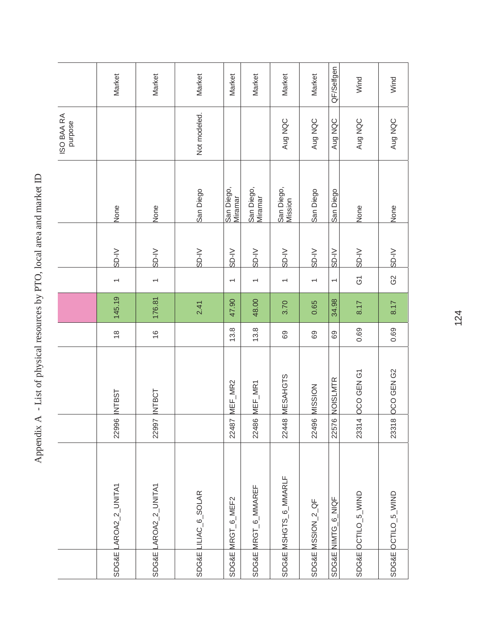| <b>ISSL</b><br>22996           |
|--------------------------------|
| <b>INTBCT</b><br>22997         |
|                                |
| MEF_MR2<br>22487               |
| $MEF$ <sub>_MR1</sub><br>22486 |
| MESAHGTS<br>22448              |
| MISSION<br>22496               |
| 6 NOISLMTR<br>2257             |
| <b>DCO GEN G1</b><br>23314     |
| <b>OCO GEN G2</b><br>23318     |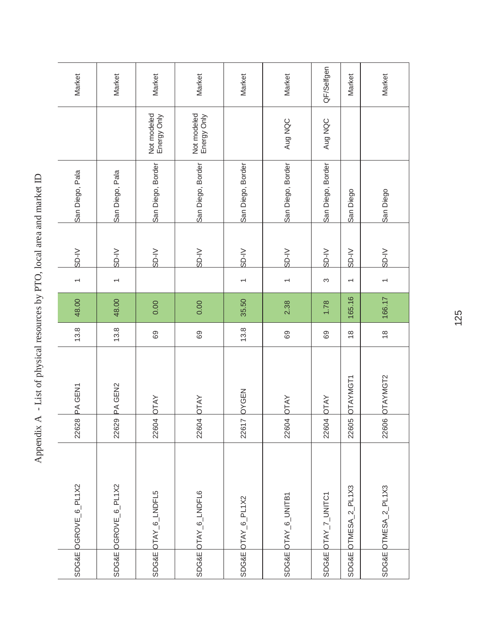|                  | SDG&E OGROVE_6_PL1X2 | 22628 | PA GEN1     | 13.8          | 48.00  |                          | SD-IV | San Diego, Pala   |                            | Market     |
|------------------|----------------------|-------|-------------|---------------|--------|--------------------------|-------|-------------------|----------------------------|------------|
|                  | SDG&E OGROVE_6_PL1X2 | 22629 | PA GEN2     | 13.8          | 48.00  |                          | SD-IV | San Diego, Pala   |                            | Market     |
|                  | SDG&E OTAY_6_LNDFL5  | 22604 | <b>OTAY</b> | 69            | 0.00   |                          | SD-IV | San Diego, Border | Not modeled<br>Energy Only | Market     |
|                  | SDG&E OTAY_6_LNDFL6  | 22604 | <b>OTAY</b> | 69            | 0.00   |                          | SD-IV | San Diego, Border | Not modeled<br>Energy Only | Market     |
|                  | SDG&E OTAY_6_PL1X2   | 22617 | OYGEN       | 13.8          | 35.50  |                          | SD-IV | San Diego, Border |                            | Market     |
|                  | SDG&E OTAY_6_UNITB1  | 22604 | <b>DTAY</b> | 69            | 2.38   | $\overline{}$            | SD-IV | San Diego, Border | Aug NQC                    | Market     |
|                  | SDG&E OTAY_7_UNITC1  | 22604 | <b>OTAY</b> | 69            | 1.78   | S                        | SD-IV | San Diego, Border | Aug NQC                    | QF/Selfgen |
| <b>SDG&amp;E</b> | OTMESA_2_PL1X3       | 22605 | OTAYMGT1    | $\frac{8}{1}$ | 165.16 | $\overline{\phantom{0}}$ | SD-IV | San Diego         |                            | Market     |
|                  | SDG&E OTMESA_2_PL1X3 | 22606 | OTAYMGT2    | $\frac{8}{1}$ | 166.17 | $\overline{ }$           | SD-IV | San Diego         |                            | Market     |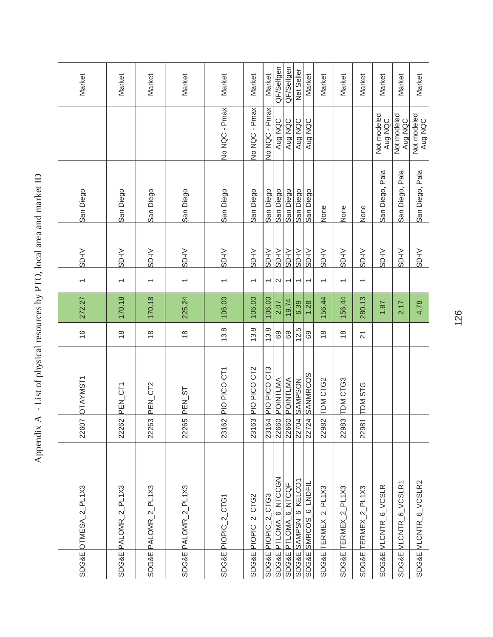| <b>ROSE CROCK</b>                    |
|--------------------------------------|
|                                      |
|                                      |
| į<br>$\frac{1}{2}$<br>$\overline{1}$ |
| -<br>-<br>-<br>-                     |
|                                      |
|                                      |
|                                      |
|                                      |
|                                      |
|                                      |
|                                      |
|                                      |
| こうくうくう                               |
|                                      |
| ו<br>ו                               |
|                                      |
| I                                    |
|                                      |
| ł                                    |
| $-24$<br><b>NANA AVALLE</b>          |
|                                      |
|                                      |
| $\overline{a}$                       |
| ı                                    |
|                                      |
|                                      |
|                                      |
| i                                    |
|                                      |
| ł                                    |
| I                                    |
| ׇ֖֖֚֚֚֚֚֬֝                           |

|                  | SDG&E OTMESA_2_PL1X3  | 22607                            | <b>OTAYMST1</b>    | $\frac{6}{5}$   | 272.27 | $\overline{\phantom{0}}$ | SD-IV       | San Diego       |                        | Market     |
|------------------|-----------------------|----------------------------------|--------------------|-----------------|--------|--------------------------|-------------|-----------------|------------------------|------------|
|                  | SDG&E PALOMR_2_PL1X3  | 22262                            | PEN_CT1            | $\frac{8}{1}$   | 170.18 | $\overline{}$            | $N$ -as     | San Diego       |                        | Market     |
|                  | SDG&E PALOMR_2_PL1X3  | 22263                            | PEN_CT2            | $\frac{8}{1}$   | 170.18 |                          | SD-IV       | San Diego       |                        | Market     |
|                  | SDG&E PALOMR_2_PL1X3  | 22265                            | PEN_ST             | $\frac{8}{1}$   | 225.24 | $\overline{\phantom{0}}$ | SD-IV       | San Diego       |                        | Market     |
|                  | SDG&E PIOPIC_2_CTG1   | 23162                            | PIO PICO CT1       | 13.8            | 106.00 | $\overline{}$            | SD-IV       | San Diego       | No NQC - Pmax          | Market     |
|                  | SDG&E PIOPIC_2_CTG2   | 23163                            | PIO PICO CT2       | 13.8            | 106.00 | $\overline{\phantom{0}}$ | $N$ -OS     | San Diego       | No NQC - Pmax          | Market     |
|                  | SDG&E PIOPIC_2_CTG3   |                                  | 23164 PIO PICO CT3 | 13.8            | 106.00 | $\overline{ }$           | SD-N        | San Diego       | No NQC - Pmax          | Market     |
|                  | SDG&E PTLOMA_6_NTCCGN |                                  | 22660 POINTLMA     | 69              | 2.07   | $\sim$                   | SD-IV       | San Diego       | Aug NQC                | QF/Selfgen |
|                  | SDG&E PTLOMA_6_NTCQF  |                                  | 22660 POINTLMA     | 69              | 19.74  | $\overline{\phantom{0}}$ | SD-V        | San Diego       | Aug NQC                | QF/Selfgen |
|                  | SDG&E SAMPSN_6_KELCO1 |                                  | 22704 SAMPSON      | 12.5            | 6.39   | $\overline{ }$           | <b>N-ds</b> | San Diego       | Aug NQC                | Net Seller |
|                  | SDG&E SMRCOS_6_LNDFIL |                                  | 22724 SANMRCOS     | 69              | 1.28   | $\overline{ }$           | SD-N        | San Diego       | Aug NQC                | Market     |
| <b>SDG&amp;E</b> | TERMEX_2_PL1X3        | 22982                            | <b>TDM CTG2</b>    | $\frac{8}{1}$   | 156.44 | $\overline{\phantom{0}}$ | SD-IV       | None            |                        | Market     |
| <b>SDG&amp;E</b> | $TERMEX_2PL1X3$       | 22983                            | TDM CTG3           | $\frac{8}{1}$   | 156.44 | $\overline{\phantom{0}}$ | SD-IV       | None            |                        | Market     |
| <b>SDG&amp;E</b> | TERMEX_2_PL1X3        | $\overline{\phantom{0}}$<br>2298 | <b>TDM STG</b>     | $\overline{21}$ | 280.13 | $\overline{\phantom{0}}$ | SD-IV       | None            |                        | Market     |
|                  | SDG&E VLCNTR_6_VCSLR  |                                  |                    |                 | 1.87   |                          | SD-IV       | San Diego, Pala | Not modeled<br>Aug NQC | Market     |
| <b>SDG&amp;E</b> | VLCNTR_6_VCSLR1       |                                  |                    |                 | 2.17   |                          | SD-IV       | San Diego, Pala | Not modeled<br>Aug NQC | Market     |
|                  | SDG&E VLCNTR_6_VCSLR2 |                                  |                    |                 | 4.78   |                          | SD-IV       | San Diego, Pala | Not modeled<br>Aug NQC | Market     |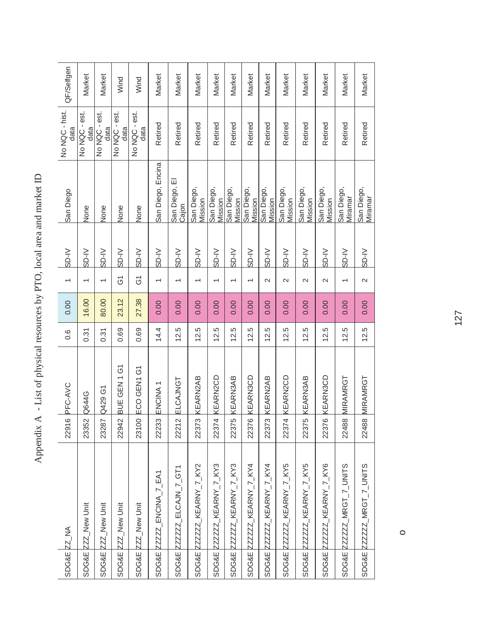| SDG&E ZZ_NA      |                           | 22916 | PFC-AVC                    | $0.\overline{6}$ | 0.00  | $\overline{\phantom{0}}$ | SD-IV   | San Diego              | No NQC - hist.<br>data | QF/Selfgen |
|------------------|---------------------------|-------|----------------------------|------------------|-------|--------------------------|---------|------------------------|------------------------|------------|
| <b>SDG&amp;E</b> | ZZ_New Unit               | 23352 | <b>Q644G</b>               | 0.31             | 16.00 |                          | SD-IV   | None                   | No NQC - est.<br>data  | Market     |
| <b>SDG&amp;E</b> | ZZZ_New Unit              | 23287 | Q429 G1                    | 0.31             | 80.00 |                          | SD-IV   | None                   | No NQC - est.<br>data  | Market     |
| <b>SDG&amp;E</b> | ZZZ_New Unit              | 22942 | GEN <sub>1G1</sub><br>BUE. | 0.69             | 23.12 | $\overline{6}$           | $N$ -OS | None                   | No NQC - est.<br>data  | Wind       |
| <b>SDG&amp;E</b> | ZZ_New Unit               | 23100 | ECO GEN1 G1                | 0.69             | 27.38 | Ğ                        | $V$ -OS | None                   | No NQC - est.<br>data  | Wind       |
|                  | SDG&E ZZZZZ_ENCINA_7_EA1  | 22233 | ENCINA <sub>1</sub>        | 14.4             | 0.00  | $\overline{ }$           | SD-IV   | San Diego, Encina      | Retired                | Market     |
| SDG&E            | ZZZZZZ_ELCAJN_7_GT1       | 22212 | ELCAJNGT                   | 12.5             | 0.00  | $\overline{\phantom{0}}$ | $N$ -as | San Diego, El<br>Cajon | Retired                | Market     |
| <b>SDG&amp;E</b> | ZZZZZ_KEARNY_7_KY2        | 22373 | KEARN2AB                   | 12.5             | 0.00  |                          | $V$ -OS | San Diego,<br>Mission  | Retired                | Market     |
|                  | SDG&E ZZZZZZ_KEARNY_7_KY3 | 22374 | <b>KEARN2CD</b>            | 12.5             | 0.00  | $\overline{\phantom{0}}$ | $N$ -OS | San Diego,<br>Mission  | Retired                | Market     |
|                  | SDG&E ZZZZZZ_KEARNY_7_KY3 | 22375 | <b>KEARN3AB</b>            | 12.5             | 0.00  | $\overline{\phantom{0}}$ | $V$ -OS | San Diego,<br>Mission  | Retired                | Market     |
|                  | SDG&E ZZZZZZ_KEARNY_7_KY4 | 22376 | KEARN3CD                   | 12.5             | 0.00  | $\overline{\phantom{0}}$ | $V$ -OS | San Diego,<br>Mission  | Retired                | Market     |
|                  | SDG&E ZZZZZZ_KEARNY_7_KY4 | 22373 | <b>KEARN2AB</b>            | 12.5             | 0.00  | $\mathbf{\Omega}$        | $N$ -OS | San Diego,<br>Mission  | Retired                | Market     |
|                  | SDG&E ZZZZZZ_KEARNY_7_KY5 | 22374 | KEARN2CD                   | 12.5             | 0.00  | 2                        | $N$ -OS | San Diego,<br>Mission  | Retired                | Market     |
|                  | SDG&E ZZZZZZ_KEARNY_7_KY5 | 22375 | KEARN3AB                   | 12.5             | 0.00  | $\mathbf{\Omega}$        | $N$ -03 | San Diego,<br>Mission  | Retired                | Market     |
| <b>SDG&amp;E</b> | ZZZZZ_KEARNY_7_KY6        | 22376 | KEARN3CD                   | 12.5             | 0.00  | $\mathbf{\Omega}$        | $N$ -OS | San Diego,<br>Mission  | Retired                | Market     |
|                  | SDG&E ZZZZZZ_MRGT_7_UNITS | 22488 | MIRAMRGT                   | 12.5             | 0.00  | $\overline{ }$           | SD-IV   | San Diego,<br>Miramar  | Retired                | Market     |
|                  | SDG&E ZZZZZZ_MRGT_7_UNITS | 22488 | <b>MIRAMRGT</b>            | 12.5             | 0.00  | $\sim$                   | $V$ -OS | San Diego,<br>Miramar  | Retired                | Market     |

o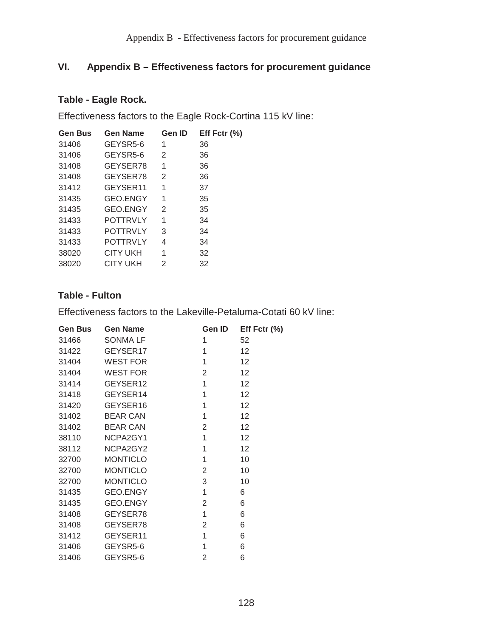# **VI. Appendix B – Effectiveness factors for procurement guidance**

### **Table - Eagle Rock.**

Effectiveness factors to the Eagle Rock-Cortina 115 kV line:

| <b>Gen Bus</b> | <b>Gen Name</b> | Gen ID | Eff Fctr $(\% )$ |
|----------------|-----------------|--------|------------------|
| 31406          | GEYSR5-6        | 1      | 36               |
| 31406          | GEYSR5-6        | 2      | 36               |
| 31408          | GEYSER78        | 1      | 36               |
| 31408          | GEYSER78        | 2      | 36               |
| 31412          | GEYSER11        | 1      | 37               |
| 31435          | GEO.ENGY        | 1      | 35               |
| 31435          | GEO.ENGY        | 2      | 35               |
| 31433          | <b>POTTRVLY</b> | 1      | 34               |
| 31433          | <b>POTTRVLY</b> | 3      | 34               |
| 31433          | <b>POTTRVLY</b> | 4      | 34               |
| 38020          | <b>CITY UKH</b> | 1      | 32               |
| 38020          | <b>CITY UKH</b> | 2      | 32               |

# **Table - Fulton**

Effectiveness factors to the Lakeville-Petaluma-Cotati 60 kV line:

| <b>Gen Bus</b> | <b>Gen Name</b> | <b>Gen ID</b>  | Eff Fctr $(\%)$   |
|----------------|-----------------|----------------|-------------------|
| 31466          | <b>SONMALF</b>  | 1              | 52                |
| 31422          | GEYSER17        | 1              | 12                |
| 31404          | WEST FOR        | 1              | 12 <sub>2</sub>   |
| 31404          | <b>WEST FOR</b> | 2              | 12                |
| 31414          | GEYSER12        | 1              | 12                |
| 31418          | GEYSER14        | 1              | 12                |
| 31420          | GEYSER16        | 1              | $12 \overline{ }$ |
| 31402          | <b>BEAR CAN</b> | $\mathbf 1$    | 12 <sub>2</sub>   |
| 31402          | <b>BEAR CAN</b> | $\overline{2}$ | 12                |
| 38110          | NCPA2GY1        | 1              | 12                |
| 38112          | NCPA2GY2        | 1              | 12                |
| 32700          | <b>MONTICLO</b> | 1              | 10                |
| 32700          | <b>MONTICLO</b> | $\overline{2}$ | 10                |
| 32700          | <b>MONTICLO</b> | 3              | 10                |
| 31435          | <b>GEO.ENGY</b> | 1              | 6                 |
| 31435          | <b>GEO.ENGY</b> | 2              | 6                 |
| 31408          | GEYSER78        | 1              | 6                 |
| 31408          | GEYSER78        | 2              | 6                 |
| 31412          | GEYSER11        | 1              | 6                 |
| 31406          | GEYSR5-6        | 1              | 6                 |
| 31406          | GEYSR5-6        | $\overline{2}$ | 6                 |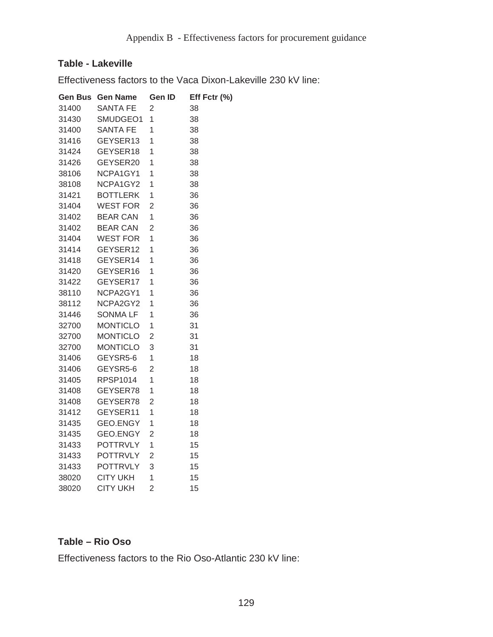### **Table - Lakeville**

Effectiveness factors to the Vaca Dixon-Lakeville 230 kV line:

| Gen Bus | <b>Gen Name</b> | Gen ID         | Eff Fctr (%) |
|---------|-----------------|----------------|--------------|
| 31400   | <b>SANTA FE</b> | 2              | 38           |
| 31430   | SMUDGEO1        | 1              | 38           |
| 31400   | <b>SANTA FE</b> | 1              | 38           |
| 31416   | GEYSER13        | 1              | 38           |
| 31424   | GEYSER18        | 1              | 38           |
| 31426   | GEYSER20        | 1              | 38           |
| 38106   | NCPA1GY1        | 1              | 38           |
| 38108   | NCPA1GY2        | 1              | 38           |
| 31421   | <b>BOTTLERK</b> | 1              | 36           |
| 31404   | <b>WEST FOR</b> | 2              | 36           |
| 31402   | <b>BEAR CAN</b> | 1              | 36           |
| 31402   | <b>BEAR CAN</b> | 2              | 36           |
| 31404   | <b>WEST FOR</b> | 1              | 36           |
| 31414   | GEYSER12        | 1              | 36           |
| 31418   | GEYSER14        | 1              | 36           |
| 31420   | GEYSER16        | 1              | 36           |
| 31422   | GEYSER17        | 1              | 36           |
| 38110   | NCPA2GY1        | 1              | 36           |
| 38112   | NCPA2GY2        | 1              | 36           |
| 31446   | SONMA LF        | 1              | 36           |
| 32700   | <b>MONTICLO</b> | 1              | 31           |
| 32700   | <b>MONTICLO</b> | 2              | 31           |
| 32700   | <b>MONTICLO</b> | 3              | 31           |
| 31406   | GEYSR5-6        | 1              | 18           |
| 31406   | GEYSR5-6        | $\overline{2}$ | 18           |
| 31405   | <b>RPSP1014</b> | 1              | 18           |
| 31408   | GEYSER78        | 1              | 18           |
| 31408   | GEYSER78        | $\overline{2}$ | 18           |
| 31412   | GEYSER11        | 1              | 18           |
| 31435   | GEO.ENGY        | 1              | 18           |
| 31435   | GEO.ENGY        | $\overline{2}$ | 18           |
| 31433   | <b>POTTRVLY</b> | 1              | 15           |
| 31433   | <b>POTTRVLY</b> | $\overline{2}$ | 15           |
| 31433   | <b>POTTRVLY</b> | 3              | 15           |
| 38020   | <b>CITY UKH</b> | 1              | 15           |
| 38020   | <b>CITY UKH</b> | $\overline{2}$ | 15           |

#### **Table – Rio Oso**

Effectiveness factors to the Rio Oso-Atlantic 230 kV line: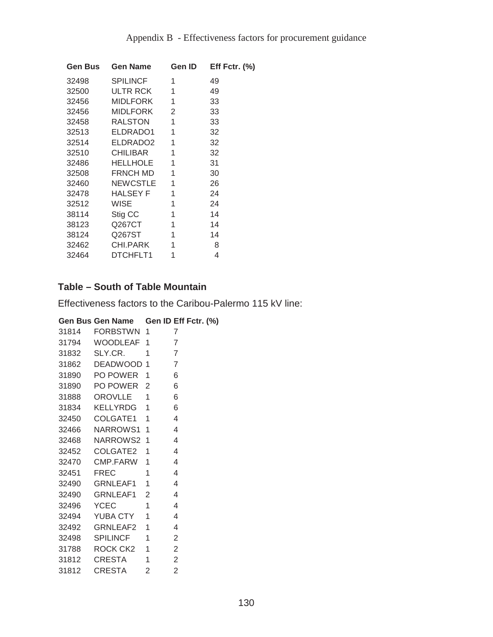| <b>Gen Bus</b> | <b>Gen Name</b>      | <b>Gen ID</b> | Eff Fctr. $(\%)$ |
|----------------|----------------------|---------------|------------------|
| 32498          | <b>SPILINCF</b>      | 1             | 49               |
| 32500          | ULTR RCK             | 1             | 49               |
| 32456          | MIDLFORK             | 1             | 33               |
| 32456          | MIDLFORK             | 2             | 33               |
| 32458          | <b>RALSTON</b>       | 1             | 33               |
| 32513          | ELDRADO1             | 1             | 32               |
| 32514          | ELDRADO <sub>2</sub> | 1             | 32               |
| 32510          | <b>CHILIBAR</b>      | 1             | 32               |
| 32486          | HELLHOLE             | 1             | 31               |
| 32508          | <b>FRNCH MD</b>      | 1             | 30               |
| 32460          | NEWCSTLE             | 1             | 26               |
| 32478          | HALSEY F             | 1             | 24               |
| 32512          | WISE                 | 1             | 24               |
| 38114          | Stig CC              | 1             | 14               |
| 38123          | Q267CT               | 1             | 14               |
| 38124          | Q267ST               | 1             | 14               |
| 32462          | CHI.PARK             | 1             | 8                |
| 32464          | DTCHFLT1             | 1             | 4                |

# **Table – South of Table Mountain**

Effectiveness factors to the Caribou-Palermo 115 kV line:

|       | Gen Bus Gen Name Gen ID Eff Fctr. (%) |   |
|-------|---------------------------------------|---|
| 31814 | FORBSTWN 1                            |   |
|       | 31794 WOODLEAF 1                      | 7 |
| 31832 | SLY.CR.<br>$\overline{\phantom{0}}$ 1 |   |
| 31862 | DEADWOOD 1                            | 7 |
| 31890 | PO POWER 1                            | 6 |
| 31890 | PO POWER <sub>2</sub>                 | 6 |

| 31888 | OROVLLE         | 1              | 6              |
|-------|-----------------|----------------|----------------|
| 31834 | KELLYRDG        | 1              | 6              |
| 32450 | COLGATE1        | 1              | 4              |
| 32466 | NARROWS1        | 1              | 4              |
| 32468 | <b>NARROWS2</b> | 1              | 4              |
| 32452 | COLGATE2        | 1              | 4              |
| 32470 | CMP.FARW        | 1              | 4              |
| 32451 | FREC            | 1              | 4              |
| 32490 | <b>GRNLEAF1</b> | 1              | 4              |
| 32490 | <b>GRNLEAF1</b> | $\overline{2}$ | 4              |
| 32496 | <b>YCEC</b>     | 1              | 4              |
| 32494 | <b>YUBA CTY</b> | 1              | 4              |
| 32492 | GRNLEAF2        | 1              | 4              |
| 32498 | <b>SPILINCF</b> | 1              | $\overline{2}$ |
| 31788 | ROCK CK2        | 1              | $\overline{2}$ |
| 31812 | <b>CRESTA</b>   | 1              | $\overline{2}$ |
| 31812 | CRESTA          | $\overline{2}$ | $\overline{2}$ |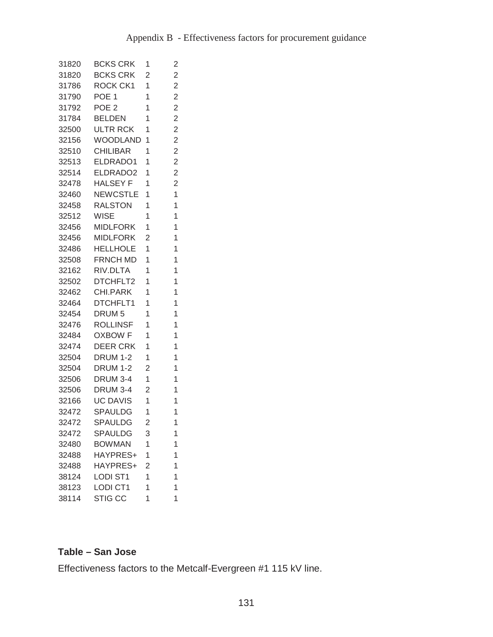| 31820 | <b>BCKS CRK</b>   | 1              | 2              |
|-------|-------------------|----------------|----------------|
| 31820 | <b>BCKS CRK</b>   | 2              | $\overline{2}$ |
| 31786 | ROCK CK1          | 1              | $\overline{c}$ |
| 31790 | POE 1             | 1              | $\overline{2}$ |
| 31792 | POE 2             | 1              | $\overline{2}$ |
| 31784 | <b>BELDEN</b>     | 1              | $\overline{2}$ |
| 32500 | <b>ULTR RCK</b>   | 1              | $\overline{c}$ |
| 32156 | <b>WOODLAND</b>   | 1              | $\overline{c}$ |
| 32510 | <b>CHILIBAR</b>   | 1              | $\overline{2}$ |
| 32513 | ELDRADO1          | 1              | $\overline{2}$ |
| 32514 | ELDRADO2          | 1              | $\overline{c}$ |
| 32478 | <b>HALSEY F</b>   | 1              | $\overline{c}$ |
| 32460 | NEWCSTLE          | 1              | 1              |
| 32458 | <b>RALSTON</b>    | 1              | 1              |
| 32512 | <b>WISE</b>       | 1              | 1              |
| 32456 | <b>MIDLFORK</b>   | 1              | 1              |
| 32456 | <b>MIDLFORK</b>   | $\overline{2}$ | 1              |
| 32486 | <b>HELLHOLE</b>   | 1              | $\overline{1}$ |
| 32508 | FRNCH MD          | 1              | 1              |
| 32162 | RIV.DLTA          | 1              | 1              |
| 32502 | DTCHFLT2          | 1              | 1              |
| 32462 | CHI.PARK          | 1              | 1              |
| 32464 | DTCHFLT1          | 1              | 1              |
| 32454 | DRUM <sub>5</sub> | 1              | 1              |
| 32476 | <b>ROLLINSF</b>   | 1              | 1              |
| 32484 | <b>OXBOW F</b>    | 1              | 1              |
| 32474 | DEER CRK          | 1              | 1              |
| 32504 | <b>DRUM 1-2</b>   | 1              | 1              |
| 32504 | <b>DRUM 1-2</b>   | 2              | 1              |
| 32506 | <b>DRUM 3-4</b>   | 1              | 1              |
| 32506 | <b>DRUM 3-4</b>   | $\overline{2}$ | 1              |
| 32166 | <b>UC DAVIS</b>   | 1              | 1              |
| 32472 | SPAULDG           | 1              | 1              |
| 32472 | <b>SPAULDG</b>    | $\overline{c}$ | 1              |
| 32472 | <b>SPAULDG</b>    | 3              | 1              |
| 32480 | <b>BOWMAN</b>     | 1              | 1              |
| 32488 | HAYPRES+          | 1              | 1              |
| 32488 | HAYPRES+          | $\overline{2}$ | 1              |
| 38124 | <b>LODI ST1</b>   | 1              | 1              |
| 38123 | <b>LODI CT1</b>   | 1              | 1              |
| 38114 | <b>STIG CC</b>    | 1              | 1              |

### **Table – San Jose**

Effectiveness factors to the Metcalf-Evergreen #1 115 kV line.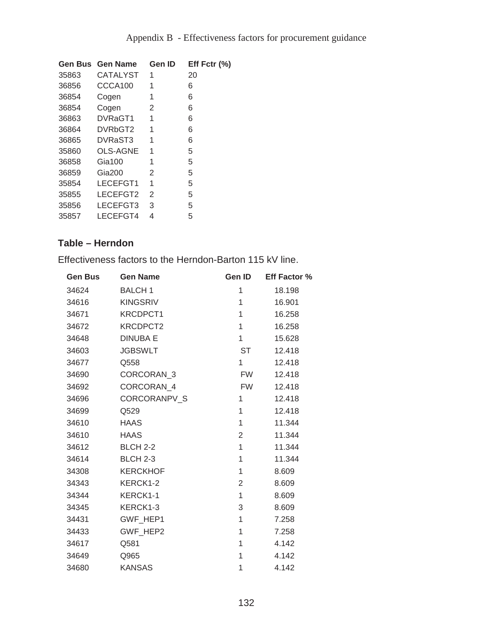|       | <b>Gen Bus Gen Name</b> | <b>Gen ID</b>  | Eff Fctr $(\%)$ |
|-------|-------------------------|----------------|-----------------|
| 35863 | <b>CATALYST</b>         | 1              | 20              |
| 36856 | CCCA100                 | 1              | 6               |
| 36854 | Cogen                   | 1              | 6               |
| 36854 | Cogen                   | 2              | 6               |
| 36863 | DVRaGT1                 | 1              | 6               |
| 36864 | DVRbGT2                 | 1              | 6               |
| 36865 | DVRaST3                 | 1              | 6               |
| 35860 | <b>OLS-AGNE</b>         | 1              | 5               |
| 36858 | $Gi$ a 100              | 1              | 5               |
| 36859 | Gia200                  | 2              | 5               |
| 35854 | LECEFGT1                | 1              | 5               |
| 35855 | LECEFGT2                | $\mathfrak{D}$ | 5               |
| 35856 | LECEFGT3                | 3              | 5               |
| 35857 | LECEFGT4                | 4              | 5               |

# **Table – Herndon**

Effectiveness factors to the Herndon-Barton 115 kV line.

| <b>Gen Bus</b> | <b>Gen Name</b>     | Gen ID         | <b>Eff Factor %</b> |
|----------------|---------------------|----------------|---------------------|
| 34624          | <b>BALCH 1</b>      | 1              | 18.198              |
| 34616          | <b>KINGSRIV</b>     | 1              | 16.901              |
| 34671          | KRCDPCT1            | 1              | 16.258              |
| 34672          | KRCDPCT2            | 1              | 16.258              |
| 34648          | <b>DINUBA E</b>     | 1              | 15.628              |
| 34603          | <b>JGBSWLT</b>      | <b>ST</b>      | 12.418              |
| 34677          | Q558                | 1              | 12.418              |
| 34690          | CORCORAN 3          | <b>FW</b>      | 12.418              |
| 34692          | CORCORAN 4          | FW.            | 12.418              |
| 34696          | <b>CORCORANPV S</b> | 1              | 12.418              |
| 34699          | Q529                | $\mathbf{1}$   | 12.418              |
| 34610          | <b>HAAS</b>         | 1              | 11.344              |
| 34610          | <b>HAAS</b>         | $\overline{2}$ | 11.344              |
| 34612          | <b>BLCH 2-2</b>     | $\mathbf{1}$   | 11.344              |
| 34614          | <b>BLCH 2-3</b>     | 1              | 11.344              |
| 34308          | <b>KERCKHOF</b>     | 1              | 8.609               |
| 34343          | KERCK1-2            | 2              | 8.609               |
| 34344          | KERCK1-1            | 1              | 8.609               |
| 34345          | KERCK1-3            | 3              | 8.609               |
| 34431          | GWF HEP1            | 1              | 7.258               |
| 34433          | GWF_HEP2            | 1              | 7.258               |
| 34617          | Q581                | 1              | 4.142               |
| 34649          | Q965                | 1              | 4.142               |
| 34680          | <b>KANSAS</b>       | 1              | 4.142               |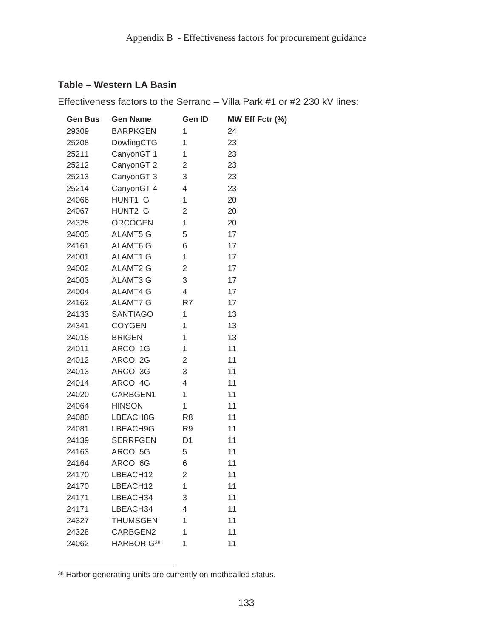#### **Table – Western LA Basin**

Effectiveness factors to the Serrano – Villa Park #1 or #2 230 kV lines:

| <b>Gen Bus</b> | <b>Gen Name</b>        | Gen ID         | MW Eff Fctr (%) |
|----------------|------------------------|----------------|-----------------|
| 29309          | <b>BARPKGEN</b>        | 1              | 24              |
| 25208          | DowlingCTG             | 1              | 23              |
| 25211          | CanyonGT 1             | 1              | 23              |
| 25212          | CanyonGT <sub>2</sub>  | 2              | 23              |
| 25213          | CanyonGT 3             | 3              | 23              |
| 25214          | CanyonGT 4             | 4              | 23              |
| 24066          | HUNT1 G                | 1              | 20              |
| 24067          | HUNT2 G                | 2              | 20              |
| 24325          | <b>ORCOGEN</b>         | 1              | 20              |
| 24005          | <b>ALAMT5 G</b>        | 5              | 17              |
| 24161          | <b>ALAMT6 G</b>        | 6              | 17              |
| 24001          | <b>ALAMT1 G</b>        | 1              | 17              |
| 24002          | <b>ALAMT2 G</b>        | 2              | 17              |
| 24003          | <b>ALAMT3 G</b>        | 3              | 17              |
| 24004          | <b>ALAMT4 G</b>        | 4              | 17              |
| 24162          | <b>ALAMT7 G</b>        | R7             | 17              |
| 24133          | <b>SANTIAGO</b>        | 1              | 13              |
| 24341          | <b>COYGEN</b>          | 1              | 13              |
| 24018          | <b>BRIGEN</b>          | 1              | 13              |
| 24011          | ARCO 1G                | 1              | 11              |
| 24012          | ARCO 2G                | 2              | 11              |
| 24013          | ARCO 3G                | 3              | 11              |
| 24014          | ARCO 4G                | 4              | 11              |
| 24020          | CARBGEN1               | 1              | 11              |
| 24064          | <b>HINSON</b>          | 1              | 11              |
| 24080          | LBEACH8G               | R <sub>8</sub> | 11              |
| 24081          | LBEACH9G               | R <sub>9</sub> | 11              |
| 24139          | <b>SERRFGEN</b>        | D <sub>1</sub> | 11              |
| 24163          | ARCO 5G                | 5              | 11              |
| 24164          | ARCO 6G                | 6              | 11              |
| 24170          | LBEACH12               | $\overline{c}$ | 11              |
| 24170          | LBEACH12               | 1              | 11              |
| 24171          | LBEACH34               | 3              | 11              |
| 24171          | LBEACH34               | 4              | 11              |
| 24327          | <b>THUMSGEN</b>        | 1              | 11              |
| 24328          | CARBGEN2               | 1              | 11              |
| 24062          | HARBOR G <sup>38</sup> | 1              | 11              |

<sup>38</sup> Harbor generating units are currently on mothballed status.

 $\overline{a}$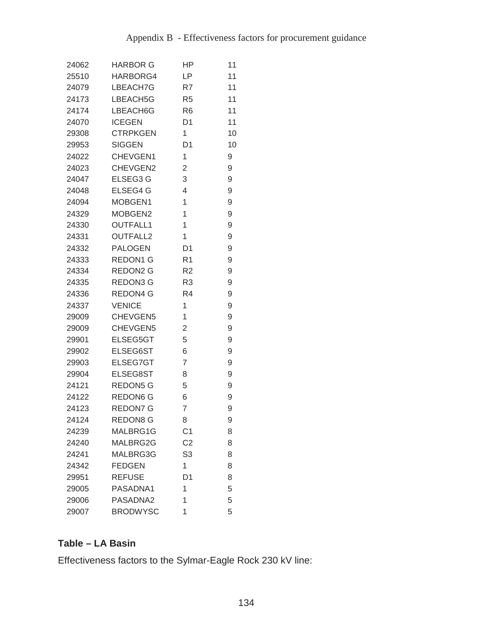| 24062 | <b>HARBOR G</b> | ΗP             | 11 |
|-------|-----------------|----------------|----|
| 25510 | HARBORG4        | LP             | 11 |
| 24079 | LBEACH7G        | R7             | 11 |
| 24173 | LBEACH5G        | R <sub>5</sub> | 11 |
| 24174 | LBEACH6G        | R <sub>6</sub> | 11 |
| 24070 | <b>ICEGEN</b>   | D <sub>1</sub> | 11 |
| 29308 | <b>CTRPKGEN</b> | 1              | 10 |
| 29953 | <b>SIGGEN</b>   | D <sub>1</sub> | 10 |
| 24022 | CHEVGEN1        | 1              | 9  |
| 24023 | CHEVGEN2        | 2              | 9  |
| 24047 | ELSEG3 G        | 3              | 9  |
| 24048 | ELSEG4 G        | 4              | 9  |
| 24094 | MOBGEN1         | 1              | 9  |
| 24329 | MOBGEN2         | 1              | 9  |
| 24330 | <b>OUTFALL1</b> | 1              | 9  |
| 24331 | OUTFALL2        | 1              | 9  |
| 24332 | <b>PALOGEN</b>  | D <sub>1</sub> | 9  |
| 24333 | REDON1 G        | R <sub>1</sub> | 9  |
| 24334 | REDON2 G        | R <sub>2</sub> | 9  |
| 24335 | REDON3 G        | R <sub>3</sub> | 9  |
| 24336 | REDON4 G        | R <sub>4</sub> | 9  |
| 24337 | <b>VENICE</b>   | 1              | 9  |
| 29009 | CHEVGEN5        | $\mathbf{1}$   | 9  |
| 29009 | CHEVGEN5        | 2              | 9  |
| 29901 | ELSEG5GT        | 5              | 9  |
| 29902 | ELSEG6ST        | 6              | 9  |
| 29903 | ELSEG7GT        | 7              | 9  |
| 29904 | ELSEG8ST        | 8              | 9  |
| 24121 | <b>REDON5 G</b> | 5              | 9  |
| 24122 | <b>REDON6 G</b> | 6              | 9  |
| 24123 | <b>REDON7 G</b> | 7              | 9  |
| 24124 | <b>REDON8 G</b> | 8              | 9  |
| 24239 | MALBRG1G        | C <sub>1</sub> | 8  |
| 24240 | MALBRG2G        | C <sub>2</sub> | 8  |
| 24241 | MALBRG3G        | S <sub>3</sub> | 8  |
| 24342 | <b>FEDGEN</b>   | 1              | 8  |
| 29951 | <b>REFUSE</b>   | D <sub>1</sub> | 8  |
| 29005 | PASADNA1        | 1              | 5  |
| 29006 | PASADNA2        | 1              | 5  |
| 29007 | <b>BRODWYSC</b> | 1              | 5  |

# **Table – LA Basin**

Effectiveness factors to the Sylmar-Eagle Rock 230 kV line: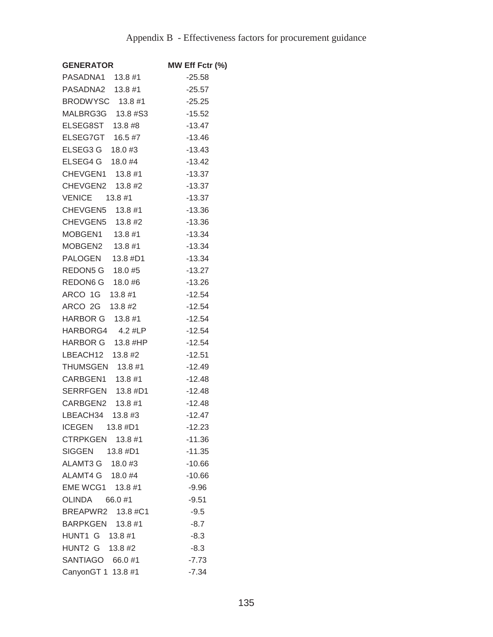| <b>GENERATOR</b>                            | MW Eff Fctr (%) |
|---------------------------------------------|-----------------|
| PASADNA1 13.8 #1                            | $-25.58$        |
| PASADNA2 13.8 #1                            | $-25.57$        |
| BRODWYSC 13.8 #1                            | $-25.25$        |
| MALBRG3G 13.8 #S3                           | $-15.52$        |
| ELSEG8ST 13.8 #8                            | $-13.47$        |
| ELSEG7GT 16.5 #7                            | $-13.46$        |
| ELSEG3 G 18.0 #3                            | $-13.43$        |
| 18.0 #3 16.0 ± 15.0<br>ELSEG4 G     18.0 #4 | $-13.42$        |
| CHEVGEN1 13.8 #1                            | $-13.37$        |
| CHEVGEN2 13.8 #2                            | $-13.37$        |
| VENICE 13.8 #1                              | -13.37          |
| CHEVGEN5 13.8 #1                            | $-13.36$        |
| CHEVGEN5 13.8 #2                            | $-13.36$        |
| MOBGEN1 13.8 #1                             | $-13.34$        |
| MOBGEN2 13.8 #1                             | $-13.34$        |
| PALOGEN 13.8 #D1                            | $-13.34$        |
| REDON5 G 18.0 #5                            | $-13.27$        |
| REDON6 G 18.0 #6                            | $-13.26$        |
| ARCO 1G 13.8 #1                             | $-12.54$        |
| ARCO 2G 13.8 #2                             | $-12.54$        |
| HARBOR G 13.8 #1                            | $-12.54$        |
| HARBORG4 4.2 #LP                            | $-12.54$        |
| HARBOR G 13.8 #HP                           | $-12.54$        |
| LBEACH12 13.8 #2                            | $-12.51$        |
| THUMSGEN 13.8 #1                            | $-12.49$        |
| CARBGEN1 13.8 #1                            | $-12.48$        |
| SERRFGEN 13.8 #D1                           | $-12.48$        |
| CARBGEN2 13.8 #1                            | $-12.48$        |
| LBEACH34 13.8 #3                            | $-12.47$        |
| ICEGEN 13.8 #D1                             | $-12.23$        |
| CTRPKGEN 13.8 #1                            | $-11.36$        |
| SIGGEN 13.8 #D1                             | $-11.35$        |
| ALAMT3 G 18.0 #3                            | $-10.66$        |
| ALAMT4 G 18.0 #4                            | $-10.66$        |
| EME WCG1 13.8 #1                            | $-9.96$         |
| OLINDA 66.0 #1                              | $-9.51$         |
| BREAPWR2 13.8 #C1                           | $-9.5$          |
| BARPKGEN 13.8 #1                            | $-8.7$          |
| HUNT1 G 13.8 #1                             | $-8.3$          |
| HUNT2 G 13.8 #2                             | -8.3            |
| SANTIAGO 66.0 #1                            | $-7.73$         |
| CanyonGT 1 13.8 #1                          | $-7.34$         |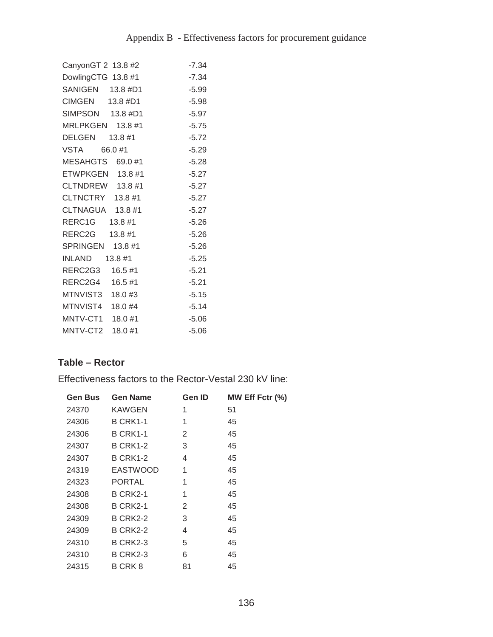| CanyonGT 2 13.8 #2 | $-7.34$ |
|--------------------|---------|
| DowlingCTG 13.8 #1 | $-7.34$ |
| SANIGEN 13.8 #D1   | $-5.99$ |
| CIMGEN 13.8 #D1    | $-5.98$ |
| SIMPSON 13.8 #D1   | $-5.97$ |
| MRLPKGEN 13.8 #1   | $-5.75$ |
| DELGEN 13.8 #1     | $-5.72$ |
| VSTA 66.0 #1       | $-5.29$ |
| MESAHGTS 69.0#1    | $-5.28$ |
| ETWPKGEN 13.8 #1   | $-5.27$ |
| CLTNDREW 13.8 #1   | $-5.27$ |
| CLTNCTRY 13.8 #1   | $-5.27$ |
| CLTNAGUA 13.8 #1   | $-5.27$ |
| RERC1G 13.8 #1     | $-5.26$ |
| RERC2G 13.8 #1     | $-5.26$ |
| SPRINGEN 13.8 #1   | $-5.26$ |
| $INLAND$ $13.8$ #1 | $-5.25$ |
| RERC2G3 16.5 #1    | $-5.21$ |
| RERC2G4 16.5 #1    | $-5.21$ |
| MTNVIST3 18.0 #3   | $-5.15$ |
| MTNVIST4 18.0 #4   | $-5.14$ |
| MNTV-CT1 18.0 #1   | $-5.06$ |
| MNTV-CT2 18.0 #1   | $-5.06$ |

# **Table – Rector**

Effectiveness factors to the Rector-Vestal 230 kV line:

| <b>Gen Bus</b> | <b>Gen Name</b> | Gen ID | MW Eff Fctr (%) |
|----------------|-----------------|--------|-----------------|
| 24370          | KAWGEN          | 1      | 51              |
| 24306          | <b>B CRK1-1</b> | 1      | 45              |
| 24306          | <b>B CRK1-1</b> | 2      | 45              |
| 24307          | <b>B CRK1-2</b> | 3      | 45              |
| 24307          | <b>B CRK1-2</b> | 4      | 45              |
| 24319          | EASTWOOD        | 1      | 45              |
| 24323          | <b>PORTAL</b>   | 1      | 45              |
| 24308          | <b>B CRK2-1</b> | 1      | 45              |
| 24308          | <b>B CRK2-1</b> | 2      | 45              |
| 24309          | <b>B CRK2-2</b> | 3      | 45              |
| 24309          | <b>B CRK2-2</b> | 4      | 45              |
| 24310          | <b>B CRK2-3</b> | 5      | 45              |
| 24310          | <b>B CRK2-3</b> | 6      | 45              |
| 24315          | B CRK 8         | 81     | 45              |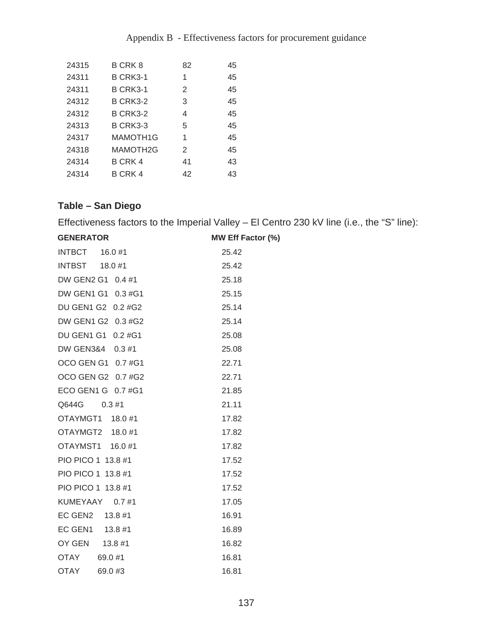| 24315 | B CRK 8         | 82             | 45 |
|-------|-----------------|----------------|----|
| 24311 | <b>B CRK3-1</b> | 1              | 45 |
| 24311 | <b>B CRK3-1</b> | $\overline{2}$ | 45 |
| 24312 | <b>B CRK3-2</b> | 3              | 45 |
| 24312 | <b>B CRK3-2</b> | 4              | 45 |
| 24313 | <b>B CRK3-3</b> | 5              | 45 |
| 24317 | MAMOTH1G        | 1              | 45 |
| 24318 | MAMOTH2G        | $\overline{2}$ | 45 |
| 24314 | B CRK 4         | 41             | 43 |
| 24314 | B CRK 4         | 42             | 43 |

# **Table – San Diego**

Effectiveness factors to the Imperial Valley – El Centro 230 kV line (i.e., the "S" line):

| <b>GENERATOR</b>   | <b>MW Eff Factor (%)</b> |
|--------------------|--------------------------|
| INTBCT 16.0 #1     | 25.42                    |
| INTBST 18.0 #1     | 25.42                    |
| DW GEN2 G1 0.4 #1  | 25.18                    |
| DW GEN1 G1 0.3 #G1 | 25.15                    |
| DU GEN1 G2 0.2 #G2 | 25.14                    |
| DW GEN1 G2 0.3 #G2 | 25.14                    |
| DU GEN1 G1 0.2 #G1 | 25.08                    |
| DW GEN3&4 0.3 #1   | 25.08                    |
| OCO GEN G1 0.7 #G1 | 22.71                    |
| OCO GEN G2 0.7 #G2 | 22.71                    |
| ECO GEN1 G 0.7 #G1 | 21.85                    |
| Q644G 0.3 #1       | 21.11                    |
| OTAYMGT1 18.0 #1   | 17.82                    |
| OTAYMGT2 18.0 #1   | 17.82                    |
| OTAYMST1 16.0 #1   | 17.82                    |
| PIO PICO 1 13.8 #1 | 17.52                    |
| PIO PICO 1 13.8 #1 | 17.52                    |
| PIO PICO 1 13.8 #1 | 17.52                    |
| KUMEYAAY 0.7 #1    | 17.05                    |
| EC GEN2 13.8 #1    | 16.91                    |
| EC GEN1 13.8 #1    | 16.89                    |
| OY GEN 13.8 #1     | 16.82                    |
| OTAY 69.0 #1       | 16.81                    |
| OTAY 69.0 #3       | 16.81                    |